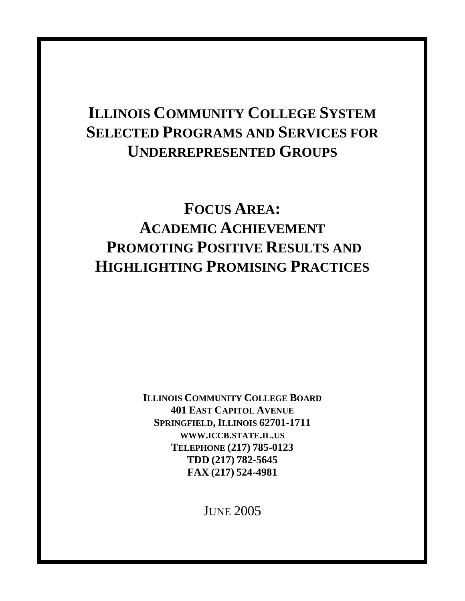# **ILLINOIS COMMUNITY COLLEGE SYSTEM SELECTED PROGRAMS AND SERVICES FOR UNDERREPRESENTED GROUPS**

# **FOCUS AREA: ACADEMIC ACHIEVEMENT PROMOTING POSITIVE RESULTS AND HIGHLIGHTING PROMISING PRACTICES**

**ILLINOIS COMMUNITY COLLEGE BOARD 401 EAST CAPITOL AVENUE SPRINGFIELD, ILLINOIS 62701-1711 WWW.ICCB.STATE.IL.US TELEPHONE (217) 785-0123 TDD (217) 782-5645 FAX (217) 524-4981**

JUNE 2005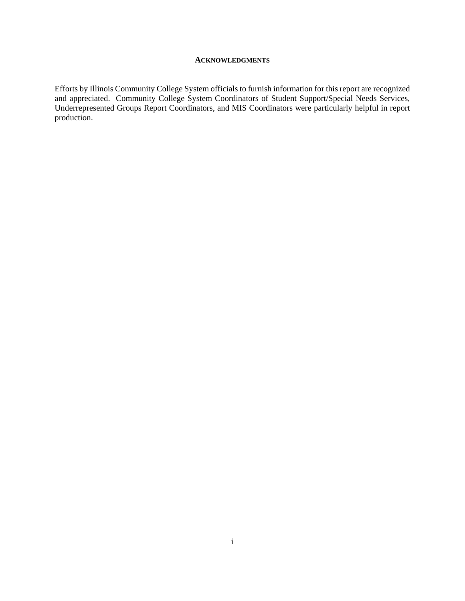#### **ACKNOWLEDGMENTS**

Efforts by Illinois Community College System officials to furnish information for this report are recognized and appreciated. Community College System Coordinators of Student Support/Special Needs Services, Underrepresented Groups Report Coordinators, and MIS Coordinators were particularly helpful in report production.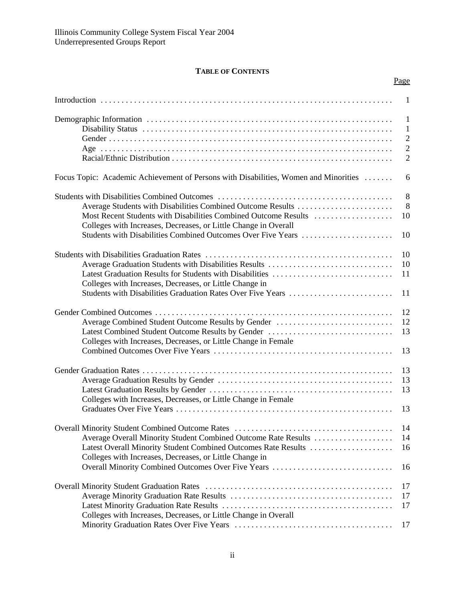# **TABLE OF CONTENTS**

|                                                                                      | Page           |
|--------------------------------------------------------------------------------------|----------------|
|                                                                                      | -1             |
|                                                                                      | $\mathbf{1}$   |
|                                                                                      | $\mathbf{1}$   |
|                                                                                      | $\overline{2}$ |
|                                                                                      | $\overline{2}$ |
|                                                                                      | $\overline{2}$ |
|                                                                                      |                |
| Focus Topic: Academic Achievement of Persons with Disabilities, Women and Minorities | 6              |
|                                                                                      | 8              |
| Average Students with Disabilities Combined Outcome Results                          | 8              |
| Most Recent Students with Disabilities Combined Outcome Results                      | 10             |
| Colleges with Increases, Decreases, or Little Change in Overall                      |                |
| Students with Disabilities Combined Outcomes Over Five Years                         | 10             |
|                                                                                      |                |
|                                                                                      | 10             |
| Average Graduation Students with Disabilities Results                                | 10             |
|                                                                                      |                |
| Latest Graduation Results for Students with Disabilities                             | 11             |
| Colleges with Increases, Decreases, or Little Change in                              |                |
| Students with Disabilities Graduation Rates Over Five Years                          | 11             |
|                                                                                      | 12             |
| Average Combined Student Outcome Results by Gender                                   | 12             |
| Latest Combined Student Outcome Results by Gender                                    | 13             |
|                                                                                      |                |
| Colleges with Increases, Decreases, or Little Change in Female                       |                |
|                                                                                      | 13             |
|                                                                                      | 13             |
|                                                                                      | 13             |
|                                                                                      | 13             |
| Colleges with Increases, Decreases, or Little Change in Female                       |                |
|                                                                                      | 13             |
|                                                                                      |                |
|                                                                                      | 14             |
| Average Overall Minority Student Combined Outcome Rate Results                       | 14             |
| Latest Overall Minority Student Combined Outcomes Rate Results                       | 16             |
| Colleges with Increases, Decreases, or Little Change in                              |                |
| Overall Minority Combined Outcomes Over Five Years                                   | 16             |
|                                                                                      |                |
|                                                                                      | 17             |
|                                                                                      | 17             |
|                                                                                      | 17             |
| Colleges with Increases, Decreases, or Little Change in Overall                      |                |
|                                                                                      | 17             |
|                                                                                      |                |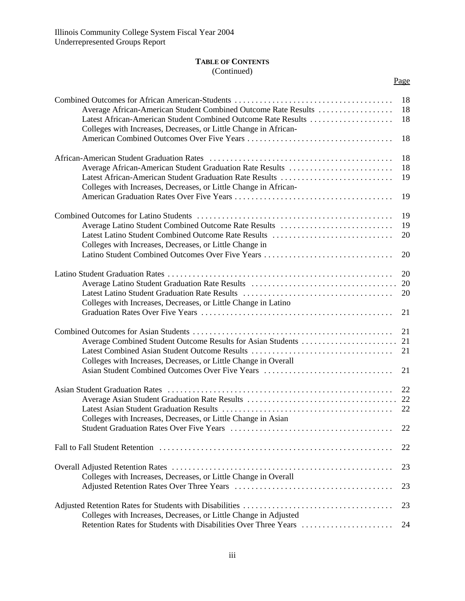# **TABLE OF CONTENTS** (Continued)

| ×<br>۰, |
|---------|
|---------|

| Average African-American Student Combined Outcome Rate Results<br>Latest African-American Student Combined Outcome Rate Results<br>Colleges with Increases, Decreases, or Little Change in African-                                | 18<br>18<br>18       |
|------------------------------------------------------------------------------------------------------------------------------------------------------------------------------------------------------------------------------------|----------------------|
|                                                                                                                                                                                                                                    | 18                   |
| Average African-American Student Graduation Rate Results<br>Latest African-American Student Graduation Rate Results<br>Colleges with Increases, Decreases, or Little Change in African-                                            | 18<br>18<br>19       |
|                                                                                                                                                                                                                                    | 19                   |
| Average Latino Student Combined Outcome Rate Results<br>Latest Latino Student Combined Outcome Rate Results<br>Colleges with Increases, Decreases, or Little Change in<br>Latino Student Combined Outcomes Over Five Years         | 19<br>19<br>20<br>20 |
| Colleges with Increases, Decreases, or Little Change in Latino                                                                                                                                                                     | 20<br>20<br>20<br>21 |
| Average Combined Student Outcome Results for Asian Students<br>Latest Combined Asian Student Outcome Results<br>Colleges with Increases, Decreases, or Little Change in Overall<br>Asian Student Combined Outcomes Over Five Years | 21<br>21<br>21<br>21 |
| Colleges with Increases, Decreases, or Little Change in Asian                                                                                                                                                                      | 22<br>22<br>22<br>22 |
|                                                                                                                                                                                                                                    | 22                   |
| Colleges with Increases, Decreases, or Little Change in Overall                                                                                                                                                                    | 23<br>23             |
| Colleges with Increases, Decreases, or Little Change in Adjusted<br>Retention Rates for Students with Disabilities Over Three Years                                                                                                | 23<br>24             |
|                                                                                                                                                                                                                                    |                      |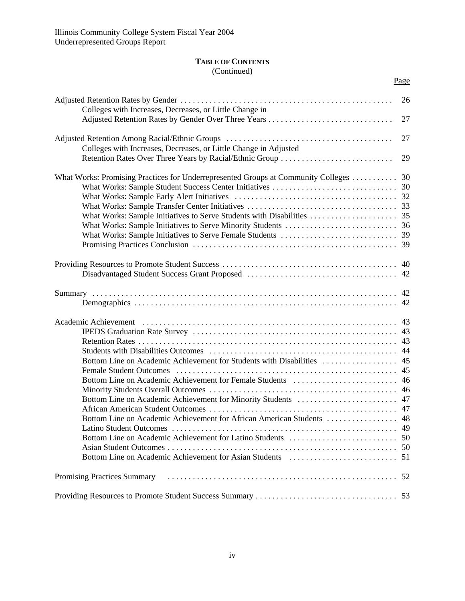# **TABLE OF CONTENTS** (Continued)

|                                                                                   | Page |
|-----------------------------------------------------------------------------------|------|
| Colleges with Increases, Decreases, or Little Change in                           | 26   |
|                                                                                   | 27   |
| Colleges with Increases, Decreases, or Little Change in Adjusted                  | 27   |
| Retention Rates Over Three Years by Racial/Ethnic Group                           | 29   |
| What Works: Promising Practices for Underrepresented Groups at Community Colleges | 30   |
|                                                                                   |      |
|                                                                                   |      |
|                                                                                   |      |
|                                                                                   |      |
|                                                                                   |      |
|                                                                                   |      |
|                                                                                   |      |
|                                                                                   | 40   |
|                                                                                   |      |
|                                                                                   |      |
|                                                                                   |      |
|                                                                                   | 43   |
|                                                                                   |      |
|                                                                                   | 43   |
|                                                                                   | 44   |
| Bottom Line on Academic Achievement for Students with Disabilities                | 45   |
|                                                                                   | 45   |
|                                                                                   |      |
|                                                                                   |      |
|                                                                                   |      |
|                                                                                   |      |
| Bottom Line on Academic Achievement for African American Students                 | 48   |
|                                                                                   |      |
|                                                                                   |      |
|                                                                                   |      |
|                                                                                   |      |
|                                                                                   |      |
|                                                                                   |      |
|                                                                                   |      |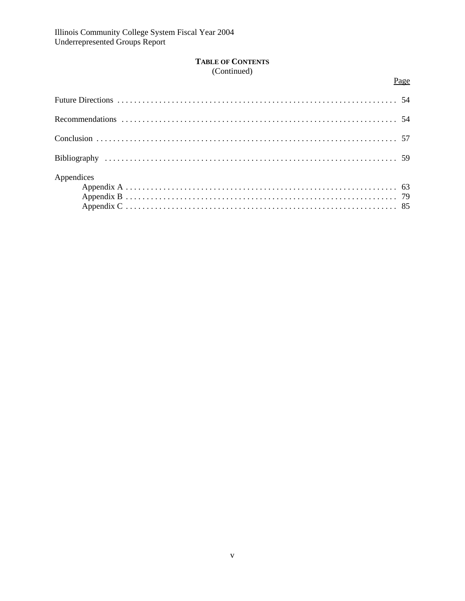# **TABLE OF CONTENTS** (Continued)

Page

| Appendices |  |
|------------|--|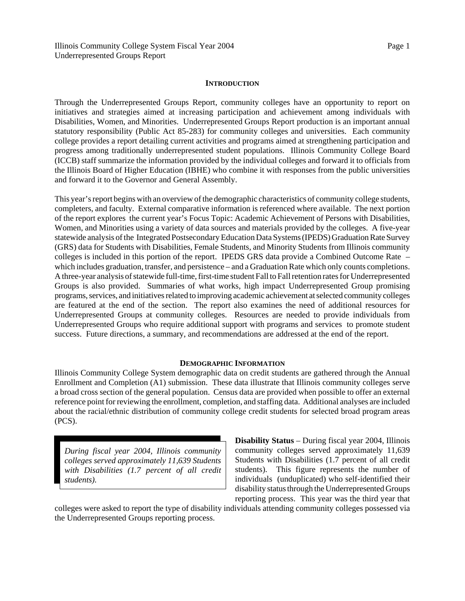### **INTRODUCTION**

Through the Underrepresented Groups Report, community colleges have an opportunity to report on initiatives and strategies aimed at increasing participation and achievement among individuals with Disabilities, Women, and Minorities. Underrepresented Groups Report production is an important annual statutory responsibility (Public Act 85-283) for community colleges and universities. Each community college provides a report detailing current activities and programs aimed at strengthening participation and progress among traditionally underrepresented student populations. Illinois Community College Board (ICCB) staff summarize the information provided by the individual colleges and forward it to officials from the Illinois Board of Higher Education (IBHE) who combine it with responses from the public universities and forward it to the Governor and General Assembly.

This year's report begins with an overview of the demographic characteristics of community college students, completers, and faculty. External comparative information is referenced where available. The next portion of the report explores the current year's Focus Topic: Academic Achievement of Persons with Disabilities, Women, and Minorities using a variety of data sources and materials provided by the colleges. A five-year statewide analysis of the Integrated Postsecondary Education Data Systems (IPEDS) Graduation Rate Survey (GRS) data for Students with Disabilities, Female Students, and Minority Students from Illinois community colleges is included in this portion of the report. IPEDS GRS data provide a Combined Outcome Rate – which includes graduation, transfer, and persistence – and a Graduation Rate which only counts completions. A three-year analysis of statewide full-time, first-time student Fall to Fall retention rates for Underrepresented Groups is also provided. Summaries of what works, high impact Underrepresented Group promising programs, services, and initiatives related to improving academic achievement at selected community colleges are featured at the end of the section. The report also examines the need of additional resources for Underrepresented Groups at community colleges. Resources are needed to provide individuals from Underrepresented Groups who require additional support with programs and services to promote student success. Future directions, a summary, and recommendations are addressed at the end of the report.

#### **DEMOGRAPHIC INFORMATION**

Illinois Community College System demographic data on credit students are gathered through the Annual Enrollment and Completion (A1) submission. These data illustrate that Illinois community colleges serve a broad cross section of the general population. Census data are provided when possible to offer an external reference point for reviewing the enrollment, completion, and staffing data. Additional analyses are included about the racial/ethnic distribution of community college credit students for selected broad program areas (PCS).

*During fiscal year 2004, Illinois community colleges served approximately 11,639 Students with Disabilities (1.7 percent of all credit students).*

**Disability Status** – During fiscal year 2004, Illinois community colleges served approximately 11,639 Students with Disabilities (1.7 percent of all credit students). This figure represents the number of individuals (unduplicated) who self-identified their disability status through the Underrepresented Groups reporting process. This year was the third year that

colleges were asked to report the type of disability individuals attending community colleges possessed via the Underrepresented Groups reporting process.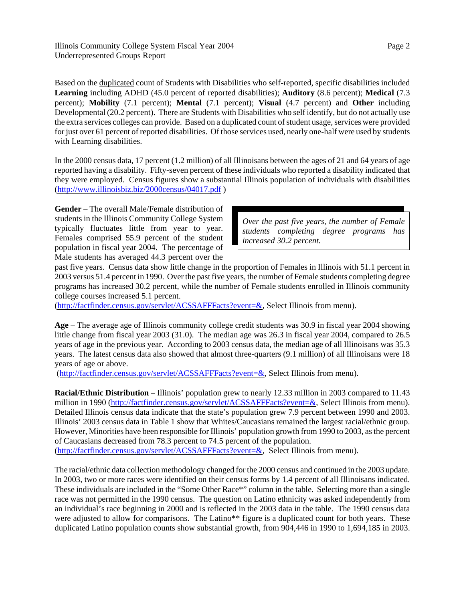Illinois Community College System Fiscal Year 2004 Underrepresented Groups Report

Based on the duplicated count of Students with Disabilities who self-reported, specific disabilities included **Learning** including ADHD (45.0 percent of reported disabilities); **Auditory** (8.6 percent); **Medical** (7.3 percent); **Mobility** (7.1 percent); **Mental** (7.1 percent); **Visual** (4.7 percent) and **Other** including Developmental (20.2 percent). There are Students with Disabilities who self identify, but do not actually use the extra services colleges can provide. Based on a duplicated count of student usage, services were provided for just over 61 percent of reported disabilities. Of those services used, nearly one-half were used by students with Learning disabilities.

In the 2000 census data, 17 percent (1.2 million) of all Illinoisans between the ages of 21 and 64 years of age reported having a disability. Fifty-seven percent of these individuals who reported a disability indicated that they were employed. Census figures show a substantial Illinois population of individuals with disabilities (http://www.illinoisbiz.biz/2000census/04017.pdf )

**Gender** – The overall Male/Female distribution of students in the Illinois Community College System typically fluctuates little from year to year. Females comprised 55.9 percent of the student population in fiscal year 2004. The percentage of Male students has averaged 44.3 percent over the

*Over the past five years, the number of Female students completing degree programs has increased 30.2 percent.*

past five years. Census data show little change in the proportion of Females in Illinois with 51.1 percent in 2003 versus 51.4 percent in 1990. Over the past five years, the number of Female students completing degree programs has increased 30.2 percent, while the number of Female students enrolled in Illinois community college courses increased 5.1 percent.

(http://factfinder.census.gov/servlet/ACSSAFFFacts?event=&, Select Illinois from menu).

**Age** – The average age of Illinois community college credit students was 30.9 in fiscal year 2004 showing little change from fiscal year 2003 (31.0). The median age was 26.3 in fiscal year 2004, compared to 26.5 years of age in the previous year. According to 2003 census data, the median age of all Illinoisans was 35.3 years. The latest census data also showed that almost three-quarters (9.1 million) of all Illinoisans were 18 years of age or above.

(http://factfinder.census.gov/servlet/ACSSAFFFacts?event=&, Select Illinois from menu).

**Racial/Ethnic Distribution** – Illinois' population grew to nearly 12.33 million in 2003 compared to 11.43 million in 1990 (http://factfinder.census.gov/servlet/ACSSAFFFacts?event=&, Select Illinois from menu). Detailed Illinois census data indicate that the state's population grew 7.9 percent between 1990 and 2003. Illinois' 2003 census data in Table 1 show that Whites/Caucasians remained the largest racial/ethnic group. However, Minorities have been responsible for Illinois' population growth from 1990 to 2003, as the percent of Caucasians decreased from 78.3 percent to 74.5 percent of the population.

(http://factfinder.census.gov/servlet/ACSSAFFFacts?event=&, Select Illinois from menu).

The racial/ethnic data collection methodology changed for the 2000 census and continued in the 2003 update. In 2003, two or more races were identified on their census forms by 1.4 percent of all Illinoisans indicated. These individuals are included in the "Some Other Race\*" column in the table. Selecting more than a single race was not permitted in the 1990 census. The question on Latino ethnicity was asked independently from an individual's race beginning in 2000 and is reflected in the 2003 data in the table. The 1990 census data were adjusted to allow for comparisons. The Latino\*\* figure is a duplicated count for both years. These duplicated Latino population counts show substantial growth, from 904,446 in 1990 to 1,694,185 in 2003.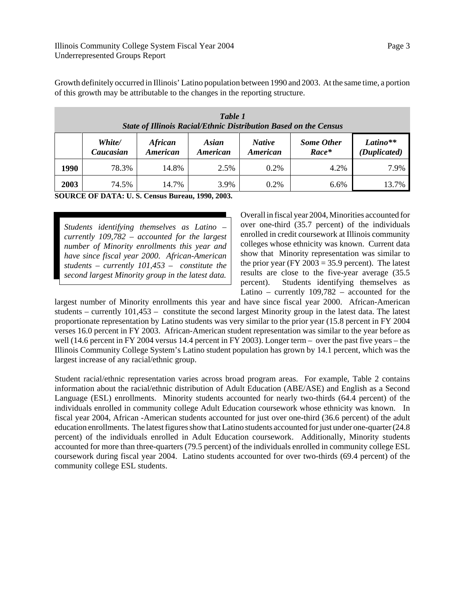Growth definitely occurred in Illinois' Latino population between 1990 and 2003. At the same time, a portion of this growth may be attributable to the changes in the reporting structure.

|      | Table 1<br><b>State of Illinois Racial/Ethnic Distribution Based on the Census</b> |                                   |                   |                                  |                              |                          |  |  |
|------|------------------------------------------------------------------------------------|-----------------------------------|-------------------|----------------------------------|------------------------------|--------------------------|--|--|
|      | White/<br>Caucasian                                                                | <b>African</b><br><b>American</b> | Asian<br>American | <b>Native</b><br><b>American</b> | <b>Some Other</b><br>$Race*$ | Latino**<br>(Duplicated) |  |  |
| 1990 | 78.3%                                                                              | 14.8%                             | 2.5%              | $0.2\%$                          | 4.2%                         | 7.9%                     |  |  |
| 2003 | 74.5%                                                                              | 14.7%                             | 3.9%              | $0.2\%$                          | 6.6%                         | 13.7%                    |  |  |

**SOURCE OF DATA: U. S. Census Bureau, 1990, 2003.**

*Students identifying themselves as Latino – currently 109,782 – accounted for the largest number of Minority enrollments this year and have since fiscal year 2000. African-American students – currently 101,453 – constitute the second largest Minority group in the latest data.*

Overall in fiscal year 2004, Minorities accounted for over one-third (35.7 percent) of the individuals enrolled in credit coursework at Illinois community colleges whose ethnicity was known. Current data show that Minority representation was similar to the prior year (FY 2003 = 35.9 percent). The latest results are close to the five-year average (35.5 percent). Students identifying themselves as Latino – currently 109,782 – accounted for the

largest number of Minority enrollments this year and have since fiscal year 2000. African-American students – currently 101,453 – constitute the second largest Minority group in the latest data. The latest proportionate representation by Latino students was very similar to the prior year (15.8 percent in FY 2004 verses 16.0 percent in FY 2003. African-American student representation was similar to the year before as well (14.6 percent in FY 2004 versus 14.4 percent in FY 2003). Longer term – over the past five years – the Illinois Community College System's Latino student population has grown by 14.1 percent, which was the largest increase of any racial/ethnic group.

Student racial/ethnic representation varies across broad program areas. For example, Table 2 contains information about the racial/ethnic distribution of Adult Education (ABE/ASE) and English as a Second Language (ESL) enrollments. Minority students accounted for nearly two-thirds (64.4 percent) of the individuals enrolled in community college Adult Education coursework whose ethnicity was known. In fiscal year 2004, African -American students accounted for just over one-third (36.6 percent) of the adult education enrollments. The latest figures show that Latino students accounted for just under one-quarter (24.8 percent) of the individuals enrolled in Adult Education coursework. Additionally, Minority students accounted for more than three-quarters (79.5 percent) of the individuals enrolled in community college ESL coursework during fiscal year 2004. Latino students accounted for over two-thirds (69.4 percent) of the community college ESL students.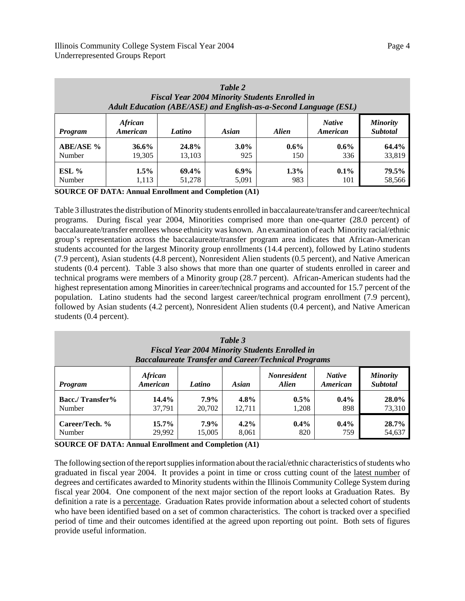| Table 2<br><b>Fiscal Year 2004 Minority Students Enrolled in</b><br>Adult Education (ABE/ASE) and English-as-a-Second Language (ESL)        |         |        |         |         |         |        |  |  |
|---------------------------------------------------------------------------------------------------------------------------------------------|---------|--------|---------|---------|---------|--------|--|--|
| <b>African</b><br><b>Native</b><br><b>Minority</b><br><b>Subtotal</b><br>American<br>Asian<br><b>Alien</b><br>American<br>Latino<br>Program |         |        |         |         |         |        |  |  |
| <b>ABE/ASE %</b>                                                                                                                            | 36.6%   | 24.8%  | $3.0\%$ | $0.6\%$ | $0.6\%$ | 64.4%  |  |  |
| Number                                                                                                                                      | 19,305  | 13.103 | 925     | 150     | 336     | 33,819 |  |  |
| $ESL$ %                                                                                                                                     | $1.5\%$ | 69.4%  | $6.9\%$ | 1.3%    | $0.1\%$ | 79.5%  |  |  |
| Number                                                                                                                                      | 1,113   | 51,278 | 5,091   | 983     | 101     | 58,566 |  |  |

**SOURCE OF DATA: Annual Enrollment and Completion (A1)**

Table 3 illustrates the distribution of Minority students enrolled in baccalaureate/transfer and career/technical programs. During fiscal year 2004, Minorities comprised more than one-quarter (28.0 percent) of baccalaureate/transfer enrollees whose ethnicity was known. An examination of each Minority racial/ethnic group's representation across the baccalaureate/transfer program area indicates that African-American students accounted for the largest Minority group enrollments (14.4 percent), followed by Latino students (7.9 percent), Asian students (4.8 percent), Nonresident Alien students (0.5 percent), and Native American students (0.4 percent). Table 3 also shows that more than one quarter of students enrolled in career and technical programs were members of a Minority group (28.7 percent). African-American students had the highest representation among Minorities in career/technical programs and accounted for 15.7 percent of the population. Latino students had the second largest career/technical program enrollment (7.9 percent), followed by Asian students (4.2 percent), Nonresident Alien students (0.4 percent), and Native American students (0.4 percent).

| Table 3<br><b>Fiscal Year 2004 Minority Students Enrolled in</b><br><b>Baccalaureate Transfer and Career/Technical Programs</b>                                          |        |         |         |         |         |        |  |
|--------------------------------------------------------------------------------------------------------------------------------------------------------------------------|--------|---------|---------|---------|---------|--------|--|
| <b>African</b><br><b>Nonresident</b><br><b>Native</b><br><b>Minority</b><br><b>Subtotal</b><br><b>Asian</b><br><b>Alien</b><br>American<br>Latino<br>American<br>Program |        |         |         |         |         |        |  |
| <b>Bacc./Transfer%</b>                                                                                                                                                   | 14.4%  | $7.9\%$ | $4.8\%$ | $0.5\%$ | $0.4\%$ | 28.0%  |  |
| Number                                                                                                                                                                   | 37.791 | 20,702  | 12.711  | 1,208   | 898     | 73,310 |  |
| Career/Tech. %                                                                                                                                                           | 15.7%  | $7.9\%$ | $4.2\%$ | $0.4\%$ | $0.4\%$ | 28.7%  |  |
| Number                                                                                                                                                                   | 29,992 | 15,005  | 8,061   | 820     | 759     | 54,637 |  |

**SOURCE OF DATA: Annual Enrollment and Completion (A1)**

The following section of the report supplies information about the racial/ethnic characteristics of students who graduated in fiscal year 2004. It provides a point in time or cross cutting count of the latest number of degrees and certificates awarded to Minority students within the Illinois Community College System during fiscal year 2004. One component of the next major section of the report looks at Graduation Rates. By definition a rate is a percentage. Graduation Rates provide information about a selected cohort of students who have been identified based on a set of common characteristics. The cohort is tracked over a specified period of time and their outcomes identified at the agreed upon reporting out point. Both sets of figures provide useful information.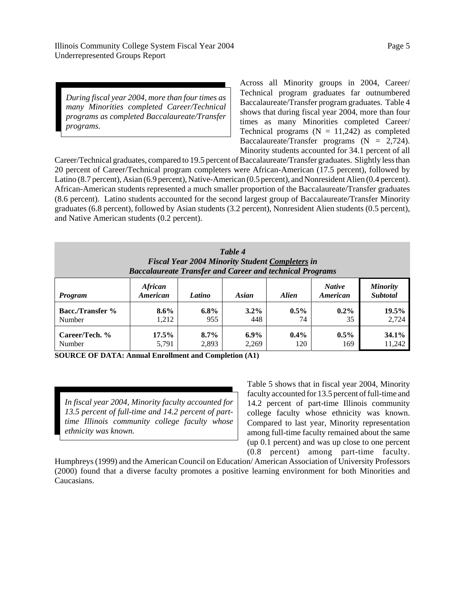*During fiscal year 2004, more than four times as many Minorities completed Career/Technical programs as completed Baccalaureate/Transfer*

*programs.*

Across all Minority groups in 2004, Career/ Technical program graduates far outnumbered Baccalaureate/Transfer program graduates. Table 4 shows that during fiscal year 2004, more than four times as many Minorities completed Career/ Technical programs  $(N = 11,242)$  as completed Baccalaureate/Transfer programs  $(N = 2,724)$ . Minority students accounted for 34.1 percent of all

Career/Technical graduates, compared to 19.5 percent of Baccalaureate/Transfer graduates. Slightly less than 20 percent of Career/Technical program completers were African-American (17.5 percent), followed by Latino (8.7 percent), Asian (6.9 percent), Native-American (0.5 percent), and Nonresident Alien (0.4 percent). African-American students represented a much smaller proportion of the Baccalaureate/Transfer graduates (8.6 percent). Latino students accounted for the second largest group of Baccalaureate/Transfer Minority graduates (6.8 percent), followed by Asian students (3.2 percent), Nonresident Alien students (0.5 percent), and Native American students (0.2 percent).

| Table 4<br><b>Fiscal Year 2004 Minority Student Completers in</b><br><b>Baccalaureate Transfer and Career and technical Programs</b>                      |          |         |         |         |         |        |  |
|-----------------------------------------------------------------------------------------------------------------------------------------------------------|----------|---------|---------|---------|---------|--------|--|
| <b>African</b><br><b>Native</b><br><b>Minority</b><br><b>Subtotal</b><br><b>American</b><br>Asian<br><b>Alien</b><br>Latino<br>American<br><b>Program</b> |          |         |         |         |         |        |  |
| <b>Bacc./Transfer %</b>                                                                                                                                   | $8.6\%$  | $6.8\%$ | $3.2\%$ | $0.5\%$ | $0.2\%$ | 19.5%  |  |
| Number                                                                                                                                                    | 1,212    | 955     | 448     | 74      | 35      | 2,724  |  |
| Career/Tech. %                                                                                                                                            | $17.5\%$ | $8.7\%$ | $6.9\%$ | $0.4\%$ | $0.5\%$ | 34.1%  |  |
| Number                                                                                                                                                    | 5,791    | 2,893   | 2,269   | 120     | 169     | 11,242 |  |

**SOURCE OF DATA: Annual Enrollment and Completion (A1)**

*In fiscal year 2004, Minority faculty accounted for 13.5 percent of full-time and 14.2 percent of parttime Illinois community college faculty whose ethnicity was known.*

Table 5 shows that in fiscal year 2004, Minority faculty accounted for 13.5 percent of full-time and 14.2 percent of part-time Illinois community college faculty whose ethnicity was known. Compared to last year, Minority representation among full-time faculty remained about the same (up 0.1 percent) and was up close to one percent (0.8 percent) among part-time faculty.

Humphreys (1999) and the American Council on Education/ American Association of University Professors (2000) found that a diverse faculty promotes a positive learning environment for both Minorities and Caucasians.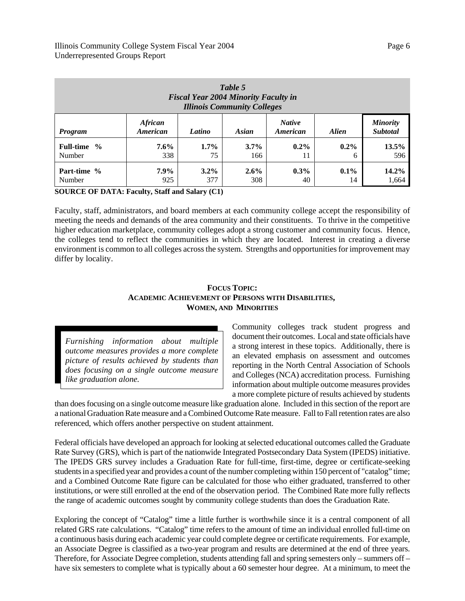| Table 5<br><b>Fiscal Year 2004 Minority Faculty in</b><br><b>Illinois Community Colleges</b> |                            |         |         |                           |              |                                    |
|----------------------------------------------------------------------------------------------|----------------------------|---------|---------|---------------------------|--------------|------------------------------------|
| <b>Program</b>                                                                               | <b>African</b><br>American | Latino  | Asian   | <b>Native</b><br>American | <b>Alien</b> | <b>Minority</b><br><b>Subtotal</b> |
| Full-time %                                                                                  | $7.6\%$                    | $1.7\%$ | $3.7\%$ | $0.2\%$                   | $0.2\%$      | 13.5%                              |
| Number                                                                                       | 338                        | 75      | 166     | 11                        | 6            | 596                                |
| Part-time %                                                                                  | $7.9\%$                    | $3.2\%$ | $2.6\%$ | $0.3\%$                   | $0.1\%$      | $14.2\%$                           |
| Number                                                                                       | 925                        | 377     | 308     | 40                        | 14           | 1,664                              |

**SOURCE OF DATA: Faculty, Staff and Salary (C1)**

Faculty, staff, administrators, and board members at each community college accept the responsibility of meeting the needs and demands of the area community and their constituents. To thrive in the competitive higher education marketplace, community colleges adopt a strong customer and community focus. Hence, the colleges tend to reflect the communities in which they are located. Interest in creating a diverse environment is common to all colleges across the system. Strengths and opportunities for improvement may differ by locality.

# **FOCUS TOPIC: ACADEMIC ACHIEVEMENT OF PERSONS WITH DISABILITIES, WOMEN, AND MINORITIES**

*Furnishing information about multiple outcome measures provides a more complete picture of results achieved by students than does focusing on a single outcome measure like graduation alone.*

Community colleges track student progress and document their outcomes. Local and state officials have a strong interest in these topics. Additionally, there is an elevated emphasis on assessment and outcomes reporting in the North Central Association of Schools and Colleges (NCA) accreditation process. Furnishing information about multiple outcome measures provides a more complete picture of results achieved by students

than does focusing on a single outcome measure like graduation alone. Included in this section of the report are a national Graduation Rate measure and a Combined Outcome Rate measure. Fall to Fall retention rates are also referenced, which offers another perspective on student attainment.

Federal officials have developed an approach for looking at selected educational outcomes called the Graduate Rate Survey (GRS), which is part of the nationwide Integrated Postsecondary Data System (IPEDS) initiative. The IPEDS GRS survey includes a Graduation Rate for full-time, first-time, degree or certificate-seeking students in a specified year and provides a count of the number completing within 150 percent of "catalog" time; and a Combined Outcome Rate figure can be calculated for those who either graduated, transferred to other institutions, or were still enrolled at the end of the observation period. The Combined Rate more fully reflects the range of academic outcomes sought by community college students than does the Graduation Rate.

Exploring the concept of "Catalog" time a little further is worthwhile since it is a central component of all related GRS rate calculations. "Catalog" time refers to the amount of time an individual enrolled full-time on a continuous basis during each academic year could complete degree or certificate requirements. For example, an Associate Degree is classified as a two-year program and results are determined at the end of three years. Therefore, for Associate Degree completion, students attending fall and spring semesters only – summers off – have six semesters to complete what is typically about a 60 semester hour degree. At a minimum, to meet the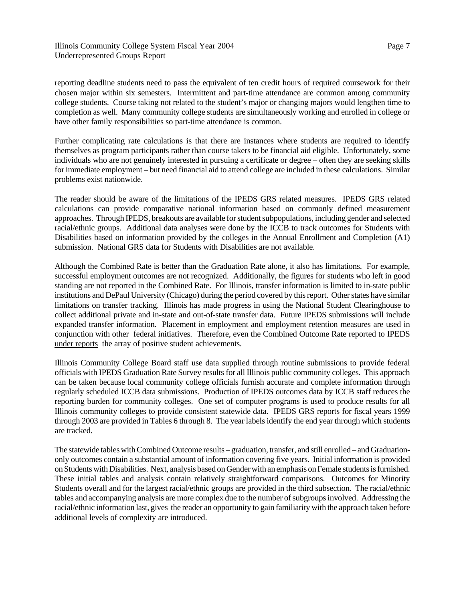Illinois Community College System Fiscal Year 2004 Underrepresented Groups Report

reporting deadline students need to pass the equivalent of ten credit hours of required coursework for their chosen major within six semesters. Intermittent and part-time attendance are common among community college students. Course taking not related to the student's major or changing majors would lengthen time to completion as well. Many community college students are simultaneously working and enrolled in college or have other family responsibilities so part-time attendance is common.

Further complicating rate calculations is that there are instances where students are required to identify themselves as program participants rather than course takers to be financial aid eligible. Unfortunately, some individuals who are not genuinely interested in pursuing a certificate or degree – often they are seeking skills for immediate employment – but need financial aid to attend college are included in these calculations. Similar problems exist nationwide.

The reader should be aware of the limitations of the IPEDS GRS related measures. IPEDS GRS related calculations can provide comparative national information based on commonly defined measurement approaches. Through IPEDS, breakouts are available for student subpopulations, including gender and selected racial/ethnic groups. Additional data analyses were done by the ICCB to track outcomes for Students with Disabilities based on information provided by the colleges in the Annual Enrollment and Completion (A1) submission. National GRS data for Students with Disabilities are not available.

Although the Combined Rate is better than the Graduation Rate alone, it also has limitations. For example, successful employment outcomes are not recognized. Additionally, the figures for students who left in good standing are not reported in the Combined Rate. For Illinois, transfer information is limited to in-state public institutions and DePaul University (Chicago) during the period covered by this report. Other states have similar limitations on transfer tracking. Illinois has made progress in using the National Student Clearinghouse to collect additional private and in-state and out-of-state transfer data. Future IPEDS submissions will include expanded transfer information. Placement in employment and employment retention measures are used in conjunction with other federal initiatives. Therefore, even the Combined Outcome Rate reported to IPEDS under reports the array of positive student achievements.

Illinois Community College Board staff use data supplied through routine submissions to provide federal officials with IPEDS Graduation Rate Survey results for all Illinois public community colleges. This approach can be taken because local community college officials furnish accurate and complete information through regularly scheduled ICCB data submissions. Production of IPEDS outcomes data by ICCB staff reduces the reporting burden for community colleges. One set of computer programs is used to produce results for all Illinois community colleges to provide consistent statewide data. IPEDS GRS reports for fiscal years 1999 through 2003 are provided in Tables 6 through 8. The year labels identify the end year through which students are tracked.

The statewide tables with Combined Outcome results – graduation, transfer, and still enrolled – and Graduationonly outcomes contain a substantial amount of information covering five years. Initial information is provided on Students with Disabilities. Next, analysis based on Gender with an emphasis on Female students is furnished. These initial tables and analysis contain relatively straightforward comparisons. Outcomes for Minority Students overall and for the largest racial/ethnic groups are provided in the third subsection. The racial/ethnic tables and accompanying analysis are more complex due to the number of subgroups involved. Addressing the racial/ethnic information last, gives the reader an opportunity to gain familiarity with the approach taken before additional levels of complexity are introduced.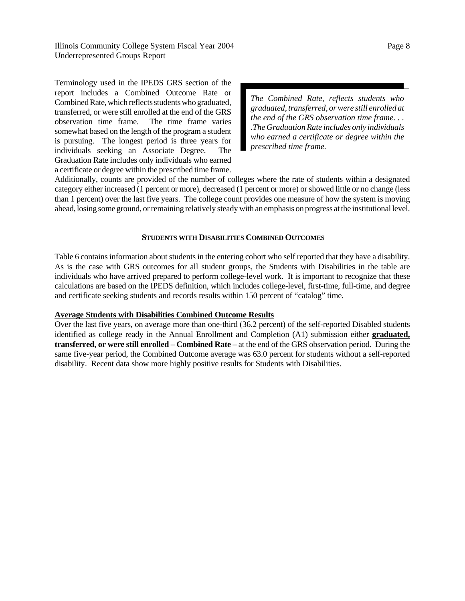Illinois Community College System Fiscal Year 2004 Underrepresented Groups Report

Terminology used in the IPEDS GRS section of the report includes a Combined Outcome Rate or Combined Rate, which reflects students who graduated, transferred, or were still enrolled at the end of the GRS observation time frame. The time frame varies somewhat based on the length of the program a student is pursuing. The longest period is three years for individuals seeking an Associate Degree. The Graduation Rate includes only individuals who earned a certificate or degree within the prescribed time frame.

*The Combined Rate, reflects students who graduated, transferred, or were still enrolled at the end of the GRS observation time frame. . . .The Graduation Rate includes only individuals who earned a certificate or degree within the prescribed time frame.*

Additionally, counts are provided of the number of colleges where the rate of students within a designated category either increased (1 percent or more), decreased (1 percent or more) or showed little or no change (less than 1 percent) over the last five years. The college count provides one measure of how the system is moving ahead, losing some ground, or remaining relatively steady with an emphasis on progress at the institutional level.

### **STUDENTS WITH DISABILITIES COMBINED OUTCOMES**

Table 6 contains information about students in the entering cohort who self reported that they have a disability. As is the case with GRS outcomes for all student groups, the Students with Disabilities in the table are individuals who have arrived prepared to perform college-level work. It is important to recognize that these calculations are based on the IPEDS definition, which includes college-level, first-time, full-time, and degree and certificate seeking students and records results within 150 percent of "catalog" time.

#### **Average Students with Disabilities Combined Outcome Results**

Over the last five years, on average more than one-third (36.2 percent) of the self-reported Disabled students identified as college ready in the Annual Enrollment and Completion (A1) submission either **graduated, transferred, or were still enrolled** – **Combined Rate** – at the end of the GRS observation period. During the same five-year period, the Combined Outcome average was 63.0 percent for students without a self-reported disability. Recent data show more highly positive results for Students with Disabilities.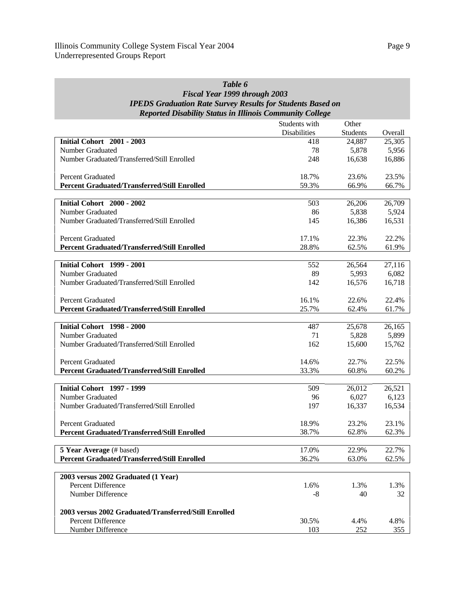# *Table 6 Fiscal Year 1999 through 2003 IPEDS Graduation Rate Survey Results for Students Based on Reported Disability Status in Illinois Community College*

|                                                       | Students with       | Other           |         |
|-------------------------------------------------------|---------------------|-----------------|---------|
|                                                       | <b>Disabilities</b> | <b>Students</b> | Overall |
| <b>Initial Cohort</b> 2001 - 2003                     | 418                 | 24,887          | 25,305  |
| <b>Number Graduated</b>                               | 78                  | 5,878           | 5,956   |
| Number Graduated/Transferred/Still Enrolled           | 248                 | 16,638          | 16,886  |
|                                                       |                     |                 |         |
| <b>Percent Graduated</b>                              | 18.7%               | 23.6%           | 23.5%   |
| <b>Percent Graduated/Transferred/Still Enrolled</b>   | 59.3%               | 66.9%           | 66.7%   |
|                                                       |                     |                 |         |
| <b>Initial Cohort</b> 2000 - 2002                     | 503                 | 26,206          | 26,709  |
| <b>Number Graduated</b>                               | 86                  | 5,838           | 5,924   |
| Number Graduated/Transferred/Still Enrolled           | 145                 | 16,386          | 16,531  |
|                                                       |                     |                 |         |
| <b>Percent Graduated</b>                              | 17.1%               | 22.3%           | 22.2%   |
| <b>Percent Graduated/Transferred/Still Enrolled</b>   | 28.8%               | 62.5%           | 61.9%   |
| <b>Initial Cohort</b> 1999 - 2001                     | 552                 | 26,564          | 27,116  |
| <b>Number Graduated</b>                               | 89                  | 5,993           | 6,082   |
| Number Graduated/Transferred/Still Enrolled           | 142                 | 16,576          | 16,718  |
|                                                       |                     |                 |         |
| <b>Percent Graduated</b>                              | 16.1%               | 22.6%           | 22.4%   |
| <b>Percent Graduated/Transferred/Still Enrolled</b>   | 25.7%               | 62.4%           | 61.7%   |
|                                                       |                     |                 |         |
| <b>Initial Cohort 1998 - 2000</b>                     | 487                 | 25,678          | 26,165  |
| Number Graduated                                      | 71                  | 5,828           | 5,899   |
| Number Graduated/Transferred/Still Enrolled           | 162                 | 15,600          | 15,762  |
|                                                       |                     |                 |         |
| <b>Percent Graduated</b>                              | 14.6%               | 22.7%           | 22.5%   |
| <b>Percent Graduated/Transferred/Still Enrolled</b>   | 33.3%               | 60.8%           | 60.2%   |
|                                                       |                     |                 |         |
| <b>Initial Cohort 1997 - 1999</b>                     | 509                 | 26,012          | 26,521  |
| <b>Number Graduated</b>                               | 96                  | 6,027           | 6,123   |
| Number Graduated/Transferred/Still Enrolled           | 197                 | 16,337          | 16,534  |
|                                                       |                     |                 |         |
| <b>Percent Graduated</b>                              | 18.9%               | 23.2%           | 23.1%   |
| <b>Percent Graduated/Transferred/Still Enrolled</b>   | 38.7%               | 62.8%           | 62.3%   |
| 5 Year Average (# based)                              | 17.0%               | 22.9%           | 22.7%   |
| <b>Percent Graduated/Transferred/Still Enrolled</b>   | 36.2%               | 63.0%           | 62.5%   |
|                                                       |                     |                 |         |
| 2003 versus 2002 Graduated (1 Year)                   |                     |                 |         |
| Percent Difference                                    | 1.6%                | 1.3%            | 1.3%    |
| Number Difference                                     | $-8$                | 40              | 32      |
|                                                       |                     |                 |         |
| 2003 versus 2002 Graduated/Transferred/Still Enrolled |                     |                 |         |
| <b>Percent Difference</b>                             | 30.5%               | 4.4%            | 4.8%    |
| Number Difference                                     | 103                 | 252             | 355     |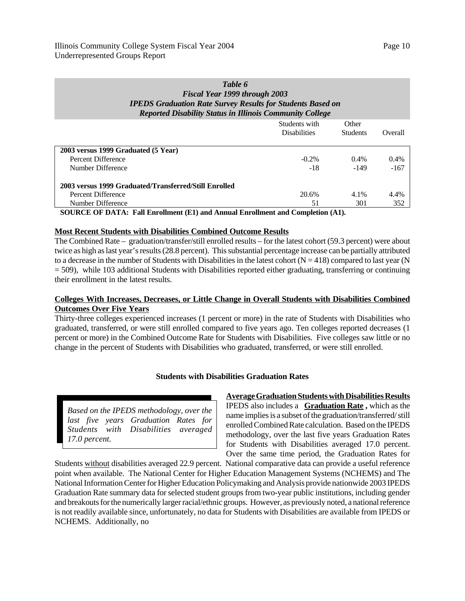# *Table 6 Fiscal Year 1999 through 2003 IPEDS Graduation Rate Survey Results for Students Based on Reported Disability Status in Illinois Community College*

|                                                       | Students with<br><b>Disabilities</b> | Other<br><b>Students</b> | Overall |
|-------------------------------------------------------|--------------------------------------|--------------------------|---------|
| 2003 versus 1999 Graduated (5 Year)                   |                                      |                          |         |
| Percent Difference                                    | $-0.2\%$                             | $0.4\%$                  | 0.4%    |
| Number Difference                                     | $-18$                                | $-149$                   | $-167$  |
| 2003 versus 1999 Graduated/Transferred/Still Enrolled |                                      |                          |         |
| Percent Difference                                    | 20.6%                                | 4.1%                     | 4.4%    |
| Number Difference                                     | 51                                   | 301                      | 352     |

**SOURCE OF DATA: Fall Enrollment (E1) and Annual Enrollment and Completion (A1).**

#### **Most Recent Students with Disabilities Combined Outcome Results**

The Combined Rate – graduation/transfer/still enrolled results – for the latest cohort (59.3 percent) were about twice as high as last year's results (28.8 percent). This substantial percentage increase can be partially attributed to a decrease in the number of Students with Disabilities in the latest cohort ( $N = 418$ ) compared to last year (N = 509), while 103 additional Students with Disabilities reported either graduating, transferring or continuing their enrollment in the latest results.

# **Colleges With Increases, Decreases, or Little Change in Overall Students with Disabilities Combined Outcomes Over Five Years**

Thirty-three colleges experienced increases (1 percent or more) in the rate of Students with Disabilities who graduated, transferred, or were still enrolled compared to five years ago. Ten colleges reported decreases (1 percent or more) in the Combined Outcome Rate for Students with Disabilities. Five colleges saw little or no change in the percent of Students with Disabilities who graduated, transferred, or were still enrolled.

#### **Students with Disabilities Graduation Rates**

*Based on the IPEDS methodology, over the last five years Graduation Rates for Students with Disabilities averaged 17.0 percent.*

# **Average Graduation Students with Disabilities Results** IPEDS also includes a **Graduation Rate ,** which as the name implies is a subset of the graduation/transferred/ still enrolled Combined Rate calculation. Based on the IPEDS methodology, over the last five years Graduation Rates for Students with Disabilities averaged 17.0 percent. Over the same time period, the Graduation Rates for

Students without disabilities averaged 22.9 percent. National comparative data can provide a useful reference point when available. The National Center for Higher Education Management Systems (NCHEMS) and The National Information Center for Higher Education Policymaking and Analysis provide nationwide 2003 IPEDS Graduation Rate summary data for selected student groups from two-year public institutions, including gender and breakouts for the numerically larger racial/ethnic groups. However, as previously noted, a national reference is not readily available since, unfortunately, no data for Students with Disabilities are available from IPEDS or NCHEMS. Additionally, no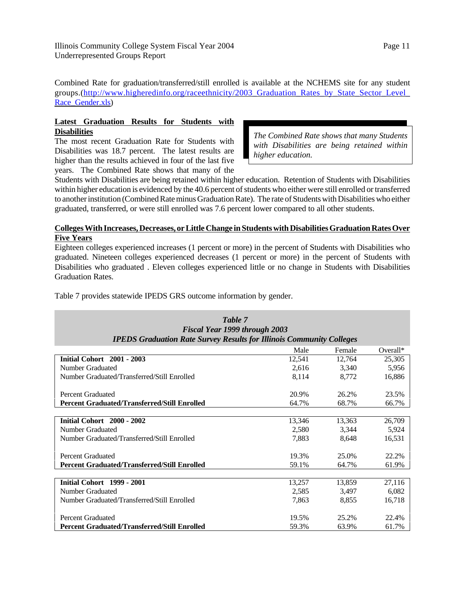Combined Rate for graduation/transferred/still enrolled is available at the NCHEMS site for any student groups.(http://www.higheredinfo.org/raceethnicity/2003\_Graduation\_Rates\_by\_State\_Sector\_Level\_ Race\_Gender.xls)

# **Latest Graduation Results for Students with Disabilities**

The most recent Graduation Rate for Students with Disabilities was 18.7 percent. The latest results are higher than the results achieved in four of the last five years. The Combined Rate shows that many of the

*The Combined Rate shows that many Students with Disabilities are being retained within higher education.*

Students with Disabilities are being retained within higher education. Retention of Students with Disabilities within higher education is evidenced by the 40.6 percent of students who either were still enrolled or transferred to another institution (Combined Rate minus Graduation Rate). The rate of Students with Disabilities who either graduated, transferred, or were still enrolled was 7.6 percent lower compared to all other students.

# **Colleges With Increases, Decreases, or Little Change in Students with Disabilities Graduation Rates Over Five Years**

Eighteen colleges experienced increases (1 percent or more) in the percent of Students with Disabilities who graduated. Nineteen colleges experienced decreases (1 percent or more) in the percent of Students with Disabilities who graduated . Eleven colleges experienced little or no change in Students with Disabilities Graduation Rates.

*Table 7*

Table 7 provides statewide IPEDS GRS outcome information by gender.

| <b>Fiscal Year 1999 through 2003</b>                                        |        |        |             |  |  |  |  |
|-----------------------------------------------------------------------------|--------|--------|-------------|--|--|--|--|
| <b>IPEDS Graduation Rate Survey Results for Illinois Community Colleges</b> |        |        |             |  |  |  |  |
|                                                                             | Male   | Female | Overall $*$ |  |  |  |  |
| <b>Initial Cohort</b> 2001 - 2003                                           | 12,541 | 12,764 | 25,305      |  |  |  |  |
| Number Graduated                                                            | 2,616  | 3.340  | 5,956       |  |  |  |  |
| Number Graduated/Transferred/Still Enrolled                                 | 8,114  | 8,772  | 16,886      |  |  |  |  |
| <b>Percent Graduated</b>                                                    | 20.9%  | 26.2%  | 23.5%       |  |  |  |  |
| <b>Percent Graduated/Transferred/Still Enrolled</b>                         | 64.7%  | 68.7%  | 66.7%       |  |  |  |  |
|                                                                             |        |        |             |  |  |  |  |
| Initial Cohort 2000 - 2002                                                  | 13,346 | 13,363 | 26,709      |  |  |  |  |
| Number Graduated                                                            | 2,580  | 3,344  | 5,924       |  |  |  |  |
| Number Graduated/Transferred/Still Enrolled                                 | 7,883  | 8,648  | 16,531      |  |  |  |  |
| Percent Graduated                                                           | 19.3%  | 25.0%  | 22.2%       |  |  |  |  |
| <b>Percent Graduated/Transferred/Still Enrolled</b>                         | 59.1%  | 64.7%  | 61.9%       |  |  |  |  |
|                                                                             |        |        |             |  |  |  |  |
| <b>Initial Cohort</b> 1999 - 2001                                           | 13,257 | 13,859 | 27,116      |  |  |  |  |
| Number Graduated                                                            | 2,585  | 3,497  | 6,082       |  |  |  |  |
| Number Graduated/Transferred/Still Enrolled                                 | 7,863  | 8,855  | 16,718      |  |  |  |  |
| Percent Graduated                                                           | 19.5%  | 25.2%  | 22.4%       |  |  |  |  |
| <b>Percent Graduated/Transferred/Still Enrolled</b>                         | 59.3%  | 63.9%  | 61.7%       |  |  |  |  |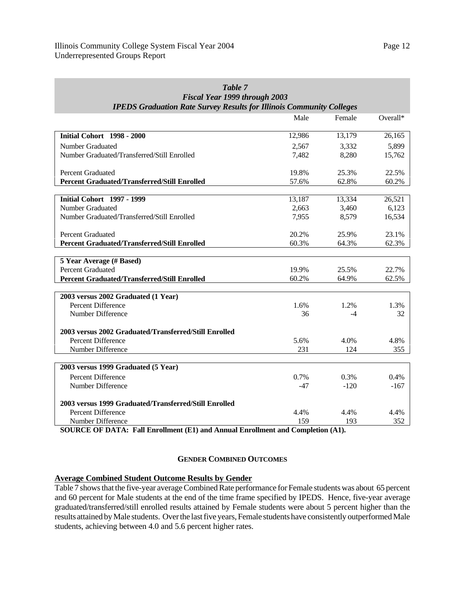| Fiscal Year 1999 through 2003                                               |        |        |          |  |  |  |  |
|-----------------------------------------------------------------------------|--------|--------|----------|--|--|--|--|
| <b>IPEDS Graduation Rate Survey Results for Illinois Community Colleges</b> |        |        |          |  |  |  |  |
|                                                                             | Male   | Female | Overall* |  |  |  |  |
| <b>Initial Cohort</b> 1998 - 2000                                           | 12,986 | 13,179 | 26,165   |  |  |  |  |
|                                                                             |        |        |          |  |  |  |  |
| Number Graduated                                                            | 2,567  | 3,332  | 5,899    |  |  |  |  |
| Number Graduated/Transferred/Still Enrolled                                 | 7,482  | 8,280  | 15,762   |  |  |  |  |
| <b>Percent Graduated</b>                                                    | 19.8%  | 25.3%  | 22.5%    |  |  |  |  |
| <b>Percent Graduated/Transferred/Still Enrolled</b>                         | 57.6%  | 62.8%  | 60.2%    |  |  |  |  |
|                                                                             |        |        |          |  |  |  |  |
| <b>Initial Cohort 1997 - 1999</b>                                           | 13,187 | 13,334 | 26,521   |  |  |  |  |
| Number Graduated                                                            | 2,663  | 3,460  | 6,123    |  |  |  |  |
| Number Graduated/Transferred/Still Enrolled                                 | 7,955  | 8,579  | 16,534   |  |  |  |  |
| <b>Percent Graduated</b>                                                    | 20.2%  | 25.9%  | 23.1%    |  |  |  |  |
| <b>Percent Graduated/Transferred/Still Enrolled</b>                         | 60.3%  | 64.3%  | 62.3%    |  |  |  |  |
|                                                                             |        |        |          |  |  |  |  |
| 5 Year Average (# Based)                                                    |        |        |          |  |  |  |  |
| <b>Percent Graduated</b>                                                    | 19.9%  | 25.5%  | 22.7%    |  |  |  |  |
| <b>Percent Graduated/Transferred/Still Enrolled</b>                         | 60.2%  | 64.9%  | 62.5%    |  |  |  |  |
|                                                                             |        |        |          |  |  |  |  |
| 2003 versus 2002 Graduated (1 Year)                                         |        |        |          |  |  |  |  |
| Percent Difference                                                          | 1.6%   | 1.2%   | 1.3%     |  |  |  |  |
| Number Difference                                                           | 36     | $-4$   | 32       |  |  |  |  |
| 2003 versus 2002 Graduated/Transferred/Still Enrolled                       |        |        |          |  |  |  |  |
| Percent Difference                                                          | 5.6%   | 4.0%   | 4.8%     |  |  |  |  |
| Number Difference                                                           | 231    | 124    | 355      |  |  |  |  |
|                                                                             |        |        |          |  |  |  |  |
| 2003 versus 1999 Graduated (5 Year)                                         |        |        |          |  |  |  |  |
| <b>Percent Difference</b>                                                   | 0.7%   | 0.3%   | 0.4%     |  |  |  |  |
| Number Difference                                                           | $-47$  | $-120$ | $-167$   |  |  |  |  |
| 2003 versus 1999 Graduated/Transferred/Still Enrolled                       |        |        |          |  |  |  |  |
| Percent Difference                                                          | 4.4%   | 4.4%   | 4.4%     |  |  |  |  |
| Number Difference                                                           | 159    | 193    | 352      |  |  |  |  |

*Table 7 Fiscal Year 1999 through 2003*

**SOURCE OF DATA: Fall Enrollment (E1) and Annual Enrollment and Completion (A1).**

#### **GENDER COMBINED OUTCOMES**

#### **Average Combined Student Outcome Results by Gender**

Table 7 shows that the five-year average Combined Rate performance for Female students was about 65 percent and 60 percent for Male students at the end of the time frame specified by IPEDS. Hence, five-year average graduated/transferred/still enrolled results attained by Female students were about 5 percent higher than the results attained by Male students. Over the last five years, Female students have consistently outperformed Male students, achieving between 4.0 and 5.6 percent higher rates.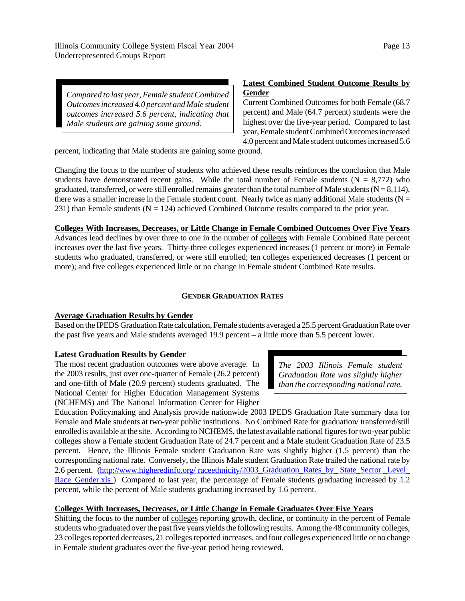Illinois Community College System Fiscal Year 2004 Underrepresented Groups Report

*Compared to last year, Female student Combined Outcomes increased 4.0 percent and Male student outcomes increased 5.6 percent, indicating that Male students are gaining some ground.*

# **Latest Combined Student Outcome Results by Gender**

Current Combined Outcomes for both Female (68.7 percent) and Male (64.7 percent) students were the highest over the five-year period. Compared to last year, Female student Combined Outcomes increased 4.0 percent and Male student outcomes increased 5.6

percent, indicating that Male students are gaining some ground.

Changing the focus to the number of students who achieved these results reinforces the conclusion that Male students have demonstrated recent gains. While the total number of Female students ( $N = 8,772$ ) who graduated, transferred, or were still enrolled remains greater than the total number of Male students ( $N = 8,114$ ), there was a smaller increase in the Female student count. Nearly twice as many additional Male students ( $N =$ 231) than Female students ( $N = 124$ ) achieved Combined Outcome results compared to the prior year.

**Colleges With Increases, Decreases, or Little Change in Female Combined Outcomes Over Five Years** Advances lead declines by over three to one in the number of colleges with Female Combined Rate percent increases over the last five years. Thirty-three colleges experienced increases (1 percent or more) in Female students who graduated, transferred, or were still enrolled; ten colleges experienced decreases (1 percent or more); and five colleges experienced little or no change in Female student Combined Rate results.

# **GENDER GRADUATION RATES**

# **Average Graduation Results by Gender**

Based on the IPEDS Graduation Rate calculation, Female students averaged a 25.5 percent Graduation Rate over the past five years and Male students averaged 19.9 percent – a little more than 5.5 percent lower.

# **Latest Graduation Results by Gender**

The most recent graduation outcomes were above average. In the 2003 results, just over one-quarter of Female (26.2 percent) and one-fifth of Male (20.9 percent) students graduated. The National Center for Higher Education Management Systems (NCHEMS) and The National Information Center for Higher

*The 2003 Illinois Female student Graduation Rate was slightly higher than the corresponding national rate.*

Education Policymaking and Analysis provide nationwide 2003 IPEDS Graduation Rate summary data for Female and Male students at two-year public institutions. No Combined Rate for graduation/ transferred/still enrolled is available at the site. According to NCHEMS, the latest available national figures for two-year public colleges show a Female student Graduation Rate of 24.7 percent and a Male student Graduation Rate of 23.5 percent. Hence, the Illinois Female student Graduation Rate was slightly higher (1.5 percent) than the corresponding national rate. Conversely, the Illinois Male student Graduation Rate trailed the national rate by 2.6 percent. (http://www.higheredinfo.org/ raceethnicity/2003\_Graduation\_Rates\_by\_ State\_Sector \_Level\_ Race\_Gender.xls ) Compared to last year, the percentage of Female students graduating increased by 1.2 percent, while the percent of Male students graduating increased by 1.6 percent.

# **Colleges With Increases, Decreases, or Little Change in Female Graduates Over Five Years**

Shifting the focus to the number of colleges reporting growth, decline, or continuity in the percent of Female students who graduated over the past five years yields the following results. Among the 48 community colleges, 23 colleges reported decreases, 21 colleges reported increases, and four colleges experienced little or no change in Female student graduates over the five-year period being reviewed.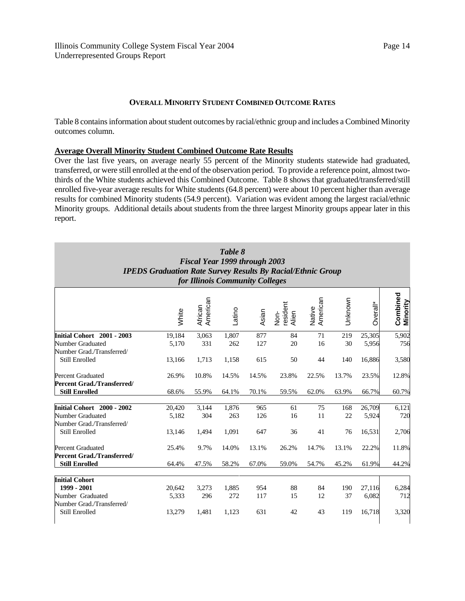### **OVERALL MINORITY STUDENT COMBINED OUTCOME RATES**

Table 8 contains information about student outcomes by racial/ethnic group and includes a Combined Minority outcomes column.

#### **Average Overall Minority Student Combined Outcome Rate Results**

Over the last five years, on average nearly 55 percent of the Minority students statewide had graduated, transferred, or were still enrolled at the end of the observation period. To provide a reference point, almost twothirds of the White students achieved this Combined Outcome. Table 8 shows that graduated/transferred/still enrolled five-year average results for White students (64.8 percent) were about 10 percent higher than average results for combined Minority students (54.9 percent). Variation was evident among the largest racial/ethnic Minority groups. Additional details about students from the three largest Minority groups appear later in this report.

| Table 8<br>Fiscal Year 1999 through 2003<br><b>IPEDS Graduation Rate Survey Results By Racial/Ethnic Group</b><br>for Illinois Community Colleges |                           |                       |                       |                   |                           |                    |                  |                           |                             |
|---------------------------------------------------------------------------------------------------------------------------------------------------|---------------------------|-----------------------|-----------------------|-------------------|---------------------------|--------------------|------------------|---------------------------|-----------------------------|
|                                                                                                                                                   | White                     | American<br>African   | Latino                | Asian             | resident<br>Nor-<br>Alien | American<br>Native | Unknown          | Overall*                  | Combined<br><b>Minority</b> |
| Initial Cohort 2001 - 2003<br>Number Graduated<br>Number Grad./Transferred/                                                                       | 19,184<br>5,170           | 3,063<br>331          | 1,807<br>262          | 877<br>127        | 84<br>20                  | 71<br>16           | 219<br>30        | 25,305<br>5,956           | 5,902<br>756                |
| Still Enrolled                                                                                                                                    | 13,166                    | 1,713                 | 1,158                 | 615               | 50                        | 44                 | 140              | 16,886                    | 3,580                       |
| <b>Percent Graduated</b><br><b>Percent Grad./Transferred/</b>                                                                                     | 26.9%                     | 10.8%                 | 14.5%                 | 14.5%             | 23.8%                     | 22.5%              | 13.7%            | 23.5%                     | 12.8%                       |
| <b>Still Enrolled</b>                                                                                                                             | 68.6%                     | 55.9%                 | 64.1%                 | 70.1%             | 59.5%                     | 62.0%              | 63.9%            | 66.7%                     | 60.7%                       |
| Initial Cohort 2000 - 2002<br>Number Graduated<br>Number Grad./Transferred/<br>Still Enrolled                                                     | 20,420<br>5,182<br>13,146 | 3,144<br>304<br>1,494 | 1,876<br>263<br>1,091 | 965<br>126<br>647 | 61<br>16<br>36            | 75<br>11<br>41     | 168<br>22<br>76  | 26,709<br>5,924<br>16,531 | 6,121<br>720<br>2,706       |
| <b>Percent Graduated</b><br><b>Percent Grad./Transferred/</b><br><b>Still Enrolled</b>                                                            | 25.4%<br>64.4%            | 9.7%<br>47.5%         | 14.0%<br>58.2%        | 13.1%<br>67.0%    | 26.2%<br>59.0%            | 14.7%<br>54.7%     | 13.1%<br>45.2%   | 22.2%<br>61.9%            | 11.8%<br>44.2%              |
| <b>Initial Cohort</b><br>1999 - 2001<br>Number Graduated<br>Number Grad./Transferred/<br><b>Still Enrolled</b>                                    | 20,642<br>5,333<br>13,279 | 3,273<br>296<br>1,481 | 1,885<br>272<br>1,123 | 954<br>117<br>631 | 88<br>15<br>42            | 84<br>12<br>43     | 190<br>37<br>119 | 27,116<br>6,082<br>16,718 | 6,284<br>712<br>3,320       |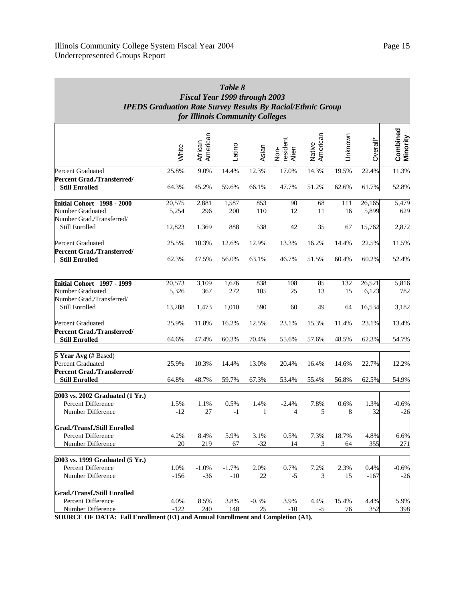| Table 8                                                            |
|--------------------------------------------------------------------|
| <b>Fiscal Year 1999 through 2003</b>                               |
| <b>IPEDS Graduation Rate Survey Results By Racial/Ethnic Group</b> |
| for Illinois Community Colleges                                    |

|                                                     | White  | African<br>American | Latino  | Asian   | Non-<br>resident<br>Alien | American<br>Native | Unknown | Overall* | Combined<br>Minority |
|-----------------------------------------------------|--------|---------------------|---------|---------|---------------------------|--------------------|---------|----------|----------------------|
| Percent Graduated                                   | 25.8%  | 9.0%                | 14.4%   | 12.3%   | 17.0%                     | 14.3%              | 19.5%   | 22.4%    | 11.3%                |
| Percent Grad./Transferred/<br><b>Still Enrolled</b> | 64.3%  | 45.2%               | 59.6%   | 66.1%   | 47.7%                     | 51.2%              | 62.6%   | 61.7%    | 52.8%                |
| Initial Cohort 1998 - 2000                          | 20,575 | 2,881               | 1,587   | 853     | 90                        | 68                 | 111     | 26,165   | 5,479                |
| Number Graduated                                    | 5,254  | 296                 | 200     | 110     | 12                        | 11                 | 16      | 5,899    | 629                  |
| Number Grad./Transferred/                           |        |                     |         |         |                           |                    |         |          |                      |
| Still Enrolled                                      | 12,823 | 1,369               | 888     | 538     | 42                        | 35                 | 67      | 15,762   | 2,872                |
| Percent Graduated                                   | 25.5%  | 10.3%               | 12.6%   | 12.9%   | 13.3%                     | 16.2%              | 14.4%   | 22.5%    | 11.5%                |
| <b>Percent Grad./Transferred/</b>                   |        |                     |         |         |                           |                    |         |          |                      |
| <b>Still Enrolled</b>                               | 62.3%  | 47.5%               | 56.0%   | 63.1%   | 46.7%                     | 51.5%              | 60.4%   | 60.2%    | 52.4%                |
|                                                     |        |                     |         |         |                           |                    |         |          |                      |
| Initial Cohort 1997 - 1999                          | 20,573 | 3,109               | 1,676   | 838     | 108                       | 85                 | 132     | 26,521   | 5,816                |
| Number Graduated                                    | 5,326  | 367                 | 272     | 105     | 25                        | 13                 | 15      | 6,123    | 782                  |
| Number Grad./Transferred/                           |        |                     |         |         |                           |                    |         |          |                      |
| Still Enrolled                                      | 13,288 | 1,473               | 1,010   | 590     | 60                        | 49                 | 64      | 16,534   | 3,182                |
| <b>Percent Graduated</b>                            | 25.9%  | 11.8%               | 16.2%   | 12.5%   | 23.1%                     | 15.3%              | 11.4%   | 23.1%    | 13.4%                |
| Percent Grad./Transferred/<br><b>Still Enrolled</b> | 64.6%  | 47.4%               | 60.3%   | 70.4%   | 55.6%                     | 57.6%              | 48.5%   | 62.3%    | 54.7%                |
|                                                     |        |                     |         |         |                           |                    |         |          |                      |
| 5 Year Avg (# Based)                                |        |                     |         |         |                           |                    |         |          |                      |
| Percent Graduated                                   | 25.9%  | 10.3%               | 14.4%   | 13.0%   | 20.4%                     | 16.4%              | 14.6%   | 22.7%    | 12.2%                |
| Percent Grad./Transferred/                          |        |                     |         |         |                           |                    |         |          |                      |
| <b>Still Enrolled</b>                               | 64.8%  | 48.7%               | 59.7%   | 67.3%   | 53.4%                     | 55.4%              | 56.8%   | 62.5%    | 54.9%                |
| 2003 vs. 2002 Graduated (1 Yr.)                     |        |                     |         |         |                           |                    |         |          |                      |
| Percent Difference                                  | 1.5%   | 1.1%                | 0.5%    | 1.4%    | $-2.4%$                   | 7.8%               | 0.6%    | 1.3%     | $-0.6%$              |
| Number Difference                                   | $-12$  | 27                  | $-1$    | 1       | $\overline{4}$            | 5                  | 8       | 32       | $-26$                |
| Grad./Transf./Still Enrolled                        |        |                     |         |         |                           |                    |         |          |                      |
| Percent Difference                                  | 4.2%   | 8.4%                | 5.9%    | 3.1%    | 0.5%                      | 7.3%               | 18.7%   | 4.8%     | 6.6%                 |
| Number Difference                                   | 20     | 219                 | 67      | $-32$   | 14                        | 3                  | 64      | 355      | 271                  |
| 2003 vs. 1999 Graduated (5 Yr.)                     |        |                     |         |         |                           |                    |         |          |                      |
| Percent Difference                                  | 1.0%   | $-1.0%$             | $-1.7%$ | 2.0%    | 0.7%                      | 7.2%               | 2.3%    | 0.4%     | $-0.6%$              |
| Number Difference                                   | $-156$ | $-36$               | $-10$   | 22      | $-5$                      | 3                  | 15      | $-167$   | $-26$                |
| Grad./Transf./Still Enrolled                        |        |                     |         |         |                           |                    |         |          |                      |
| Percent Difference                                  | 4.0%   | 8.5%                | 3.8%    | $-0.3%$ | 3.9%                      | 4.4%               | 15.4%   | 4.4%     | 5.9%                 |
| Number Difference                                   | $-122$ | 240                 | 148     | 25      | $-10$                     | $-5$               | 76      | 352      | 398                  |

**SOURCE OF DATA: Fall Enrollment (E1) and Annual Enrollment and Completion (A1).**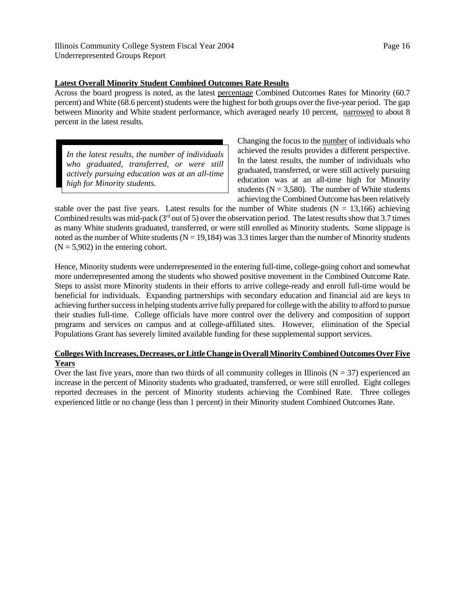# **Latest Overall Minority Student Combined Outcomes Rate Results**

Across the board progress is noted, as the latest percentage Combined Outcomes Rates for Minority (60.7 percent) and White (68.6 percent) students were the highest for both groups over the five-year period. The gap between Minority and White student performance, which averaged nearly 10 percent, narrowed to about 8 percent in the latest results.

*In the latest results, the number of individuals who graduated, transferred, or were still actively pursuing education was at an all-time high for Minority students.*

Changing the focus to the number of individuals who achieved the results provides a different perspective. In the latest results, the number of individuals who graduated, transferred, or were still actively pursuing education was at an all-time high for Minority students ( $N = 3,580$ ). The number of White students achieving the Combined Outcome has been relatively

stable over the past five years. Latest results for the number of White students ( $N = 13,166$ ) achieving Combined results was mid-pack ( $3<sup>rd</sup>$  out of 5) over the observation period. The latest results show that 3.7 times as many White students graduated, transferred, or were still enrolled as Minority students. Some slippage is noted as the number of White students ( $N = 19,184$ ) was 3.3 times larger than the number of Minority students  $(N = 5,902)$  in the entering cohort.

Hence, Minority students were underrepresented in the entering full-time, college-going cohort and somewhat more underrepresented among the students who showed positive movement in the Combined Outcome Rate. Steps to assist more Minority students in their efforts to arrive college-ready and enroll full-time would be beneficial for individuals. Expanding partnerships with secondary education and financial aid are keys to achieving further success in helping students arrive fully prepared for college with the ability to afford to pursue their studies full-time. College officials have more control over the delivery and composition of support programs and services on campus and at college-affiliated sites. However, elimination of the Special Populations Grant has severely limited available funding for these supplemental support services.

# **Colleges With Increases, Decreases, or Little Change in Overall Minority Combined Outcomes Over Five Years**

Over the last five years, more than two thirds of all community colleges in Illinois ( $N = 37$ ) experienced an increase in the percent of Minority students who graduated, transferred, or were still enrolled. Eight colleges reported decreases in the percent of Minority students achieving the Combined Rate. Three colleges experienced little or no change (less than 1 percent) in their Minority student Combined Outcomes Rate.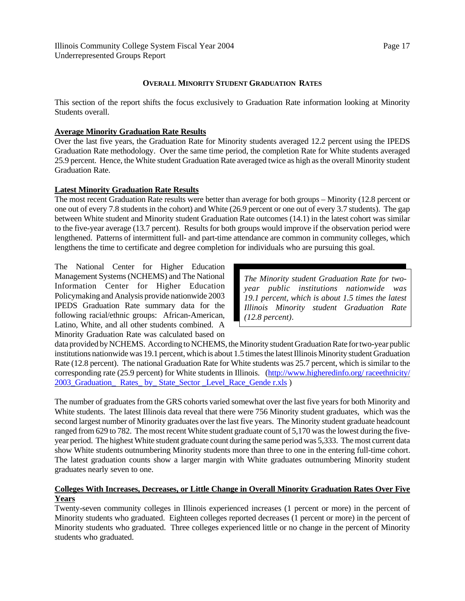# **OVERALL MINORITY STUDENT GRADUATION RATES**

This section of the report shifts the focus exclusively to Graduation Rate information looking at Minority Students overall.

# **Average Minority Graduation Rate Results**

Over the last five years, the Graduation Rate for Minority students averaged 12.2 percent using the IPEDS Graduation Rate methodology. Over the same time period, the completion Rate for White students averaged 25.9 percent. Hence, the White student Graduation Rate averaged twice as high as the overall Minority student Graduation Rate.

# **Latest Minority Graduation Rate Results**

The most recent Graduation Rate results were better than average for both groups – Minority (12.8 percent or one out of every 7.8 students in the cohort) and White (26.9 percent or one out of every 3.7 students). The gap between White student and Minority student Graduation Rate outcomes (14.1) in the latest cohort was similar to the five-year average (13.7 percent). Results for both groups would improve if the observation period were lengthened. Patterns of intermittent full- and part-time attendance are common in community colleges, which lengthens the time to certificate and degree completion for individuals who are pursuing this goal.

The National Center for Higher Education Management Systems (NCHEMS) and The National Information Center for Higher Education Policymaking and Analysis provide nationwide 2003 IPEDS Graduation Rate summary data for the following racial/ethnic groups: African-American, Latino, White, and all other students combined. A Minority Graduation Rate was calculated based on

*The Minority student Graduation Rate for twoyear public institutions nationwide was 19.1 percent, which is about 1.5 times the latest Illinois Minority student Graduation Rate (12.8 percent)*.

data provided by NCHEMS. According to NCHEMS, the Minority student Graduation Rate for two-year public institutions nationwide was 19.1 percent, which is about 1.5 times the latest Illinois Minority student Graduation Rate (12.8 percent). The national Graduation Rate for White students was 25.7 percent, which is similar to the corresponding rate (25.9 percent) for White students in Illinois. (http://www.higheredinfo.org/ raceethnicity/ 2003 Graduation Rates by State Sector Level Race Gende r.xls )

The number of graduates from the GRS cohorts varied somewhat over the last five years for both Minority and White students. The latest Illinois data reveal that there were 756 Minority student graduates, which was the second largest number of Minority graduates over the last five years. The Minority student graduate headcount ranged from 629 to 782. The most recent White student graduate count of 5,170 was the lowest during the fiveyear period. The highest White student graduate count during the same period was 5,333. The most current data show White students outnumbering Minority students more than three to one in the entering full-time cohort. The latest graduation counts show a larger margin with White graduates outnumbering Minority student graduates nearly seven to one.

# **Colleges With Increases, Decreases, or Little Change in Overall Minority Graduation Rates Over Five Years**

Twenty-seven community colleges in Illinois experienced increases (1 percent or more) in the percent of Minority students who graduated. Eighteen colleges reported decreases (1 percent or more) in the percent of Minority students who graduated. Three colleges experienced little or no change in the percent of Minority students who graduated.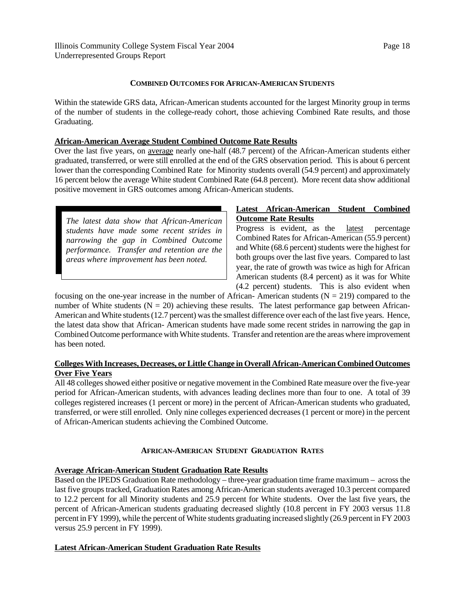# **COMBINED OUTCOMES FOR AFRICAN-AMERICAN STUDENTS**

Within the statewide GRS data, African-American students accounted for the largest Minority group in terms of the number of students in the college-ready cohort, those achieving Combined Rate results, and those Graduating.

## **African-American Average Student Combined Outcome Rate Results**

Over the last five years, on average nearly one-half (48.7 percent) of the African-American students either graduated, transferred, or were still enrolled at the end of the GRS observation period. This is about 6 percent lower than the corresponding Combined Rate for Minority students overall (54.9 percent) and approximately 16 percent below the average White student Combined Rate (64.8 percent). More recent data show additional positive movement in GRS outcomes among African-American students.

*The latest data show that African-American students have made some recent strides in narrowing the gap in Combined Outcome performance. Transfer and retention are the areas where improvement has been noted.*

# **Latest African-American Student Combined Outcome Rate Results**

Progress is evident, as the latest percentage Combined Rates for African-American (55.9 percent) and White (68.6 percent) students were the highest for both groups over the last five years. Compared to last year, the rate of growth was twice as high for African American students (8.4 percent) as it was for White (4.2 percent) students. This is also evident when

focusing on the one-year increase in the number of African-American students ( $N = 219$ ) compared to the number of White students ( $N = 20$ ) achieving these results. The latest performance gap between African-American and White students (12.7 percent) was the smallest difference over each of the last five years. Hence, the latest data show that African- American students have made some recent strides in narrowing the gap in Combined Outcome performance with White students. Transfer and retention are the areas where improvement has been noted.

# **Colleges With Increases, Decreases, or Little Change in Overall African-American Combined Outcomes Over Five Years**

All 48 colleges showed either positive or negative movement in the Combined Rate measure over the five-year period for African-American students, with advances leading declines more than four to one. A total of 39 colleges registered increases (1 percent or more) in the percent of African-American students who graduated, transferred, or were still enrolled. Only nine colleges experienced decreases (1 percent or more) in the percent of African-American students achieving the Combined Outcome.

# **AFRICAN-AMERICAN STUDENT GRADUATION RATES**

# **Average African-American Student Graduation Rate Results**

Based on the IPEDS Graduation Rate methodology – three-year graduation time frame maximum – across the last five groups tracked, Graduation Rates among African-American students averaged 10.3 percent compared to 12.2 percent for all Minority students and 25.9 percent for White students. Over the last five years, the percent of African-American students graduating decreased slightly (10.8 percent in FY 2003 versus 11.8 percent in FY 1999), while the percent of White students graduating increased slightly (26.9 percent in FY 2003 versus 25.9 percent in FY 1999).

### **Latest African-American Student Graduation Rate Results**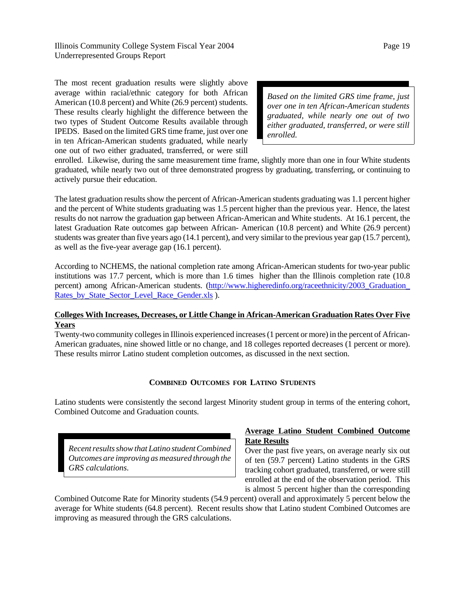The most recent graduation results were slightly above average within racial/ethnic category for both African American (10.8 percent) and White (26.9 percent) students. These results clearly highlight the difference between the two types of Student Outcome Results available through IPEDS. Based on the limited GRS time frame, just over one in ten African-American students graduated, while nearly one out of two either graduated, transferred, or were still

*Based on the limited GRS time frame, just over one in ten African-American students graduated, while nearly one out of two either graduated, transferred, or were still enrolled.*

enrolled. Likewise, during the same measurement time frame, slightly more than one in four White students graduated, while nearly two out of three demonstrated progress by graduating, transferring, or continuing to actively pursue their education.

The latest graduation results show the percent of African-American students graduating was 1.1 percent higher and the percent of White students graduating was 1.5 percent higher than the previous year. Hence, the latest results do not narrow the graduation gap between African-American and White students. At 16.1 percent, the latest Graduation Rate outcomes gap between African- American (10.8 percent) and White (26.9 percent) students was greater than five years ago (14.1 percent), and very similar to the previous year gap (15.7 percent), as well as the five-year average gap (16.1 percent).

According to NCHEMS, the national completion rate among African-American students for two-year public institutions was 17.7 percent, which is more than 1.6 times higher than the Illinois completion rate (10.8 percent) among African-American students. (http://www.higheredinfo.org/raceethnicity/2003\_Graduation\_ Rates by State Sector Level Race Gender.xls ).

# **Colleges With Increases, Decreases, or Little Change in African-American Graduation Rates Over Five Years**

Twenty-two community colleges in Illinois experienced increases (1 percent or more) in the percent of African-American graduates, nine showed little or no change, and 18 colleges reported decreases (1 percent or more). These results mirror Latino student completion outcomes, as discussed in the next section.

# **COMBINED OUTCOMES FOR LATINO STUDENTS**

Latino students were consistently the second largest Minority student group in terms of the entering cohort, Combined Outcome and Graduation counts.

*Recent results show that Latino student Combined Outcomes are improving as measured through the GRS calculations.*

# **Average Latino Student Combined Outcome Rate Results**

Over the past five years, on average nearly six out of ten (59.7 percent) Latino students in the GRS tracking cohort graduated, transferred, or were still enrolled at the end of the observation period. This is almost 5 percent higher than the corresponding

Combined Outcome Rate for Minority students (54.9 percent) overall and approximately 5 percent below the average for White students (64.8 percent). Recent results show that Latino student Combined Outcomes are improving as measured through the GRS calculations.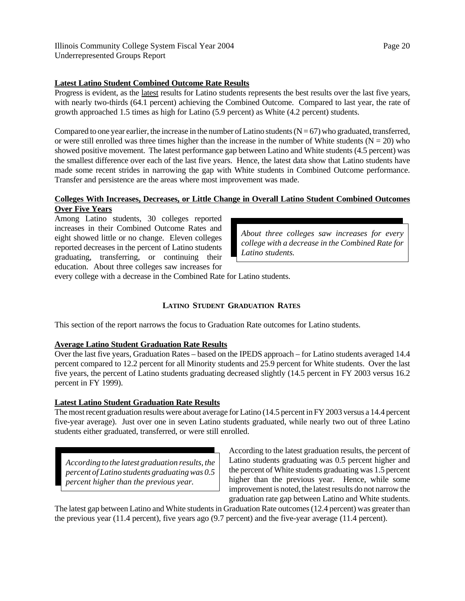# **Latest Latino Student Combined Outcome Rate Results**

Progress is evident, as the latest results for Latino students represents the best results over the last five years, with nearly two-thirds (64.1 percent) achieving the Combined Outcome. Compared to last year, the rate of growth approached 1.5 times as high for Latino (5.9 percent) as White (4.2 percent) students.

Compared to one year earlier, the increase in the number of Latino students  $(N = 67)$  who graduated, transferred, or were still enrolled was three times higher than the increase in the number of White students ( $N = 20$ ) who showed positive movement. The latest performance gap between Latino and White students (4.5 percent) was the smallest difference over each of the last five years. Hence, the latest data show that Latino students have made some recent strides in narrowing the gap with White students in Combined Outcome performance. Transfer and persistence are the areas where most improvement was made.

# **Colleges With Increases, Decreases, or Little Change in Overall Latino Student Combined Outcomes Over Five Years**

Among Latino students, 30 colleges reported increases in their Combined Outcome Rates and eight showed little or no change. Eleven colleges reported decreases in the percent of Latino students graduating, transferring, or continuing their education. About three colleges saw increases for

*About three colleges saw increases for every college with a decrease in the Combined Rate for Latino students.*

every college with a decrease in the Combined Rate for Latino students.

# **LATINO STUDENT GRADUATION RATES**

This section of the report narrows the focus to Graduation Rate outcomes for Latino students.

# **Average Latino Student Graduation Rate Results**

Over the last five years, Graduation Rates – based on the IPEDS approach – for Latino students averaged 14.4 percent compared to 12.2 percent for all Minority students and 25.9 percent for White students. Over the last five years, the percent of Latino students graduating decreased slightly (14.5 percent in FY 2003 versus 16.2 percent in FY 1999).

# **Latest Latino Student Graduation Rate Results**

The most recent graduation results were about average for Latino (14.5 percent in FY 2003 versus a 14.4 percent five-year average). Just over one in seven Latino students graduated, while nearly two out of three Latino students either graduated, transferred, or were still enrolled.

*According to the latest graduation results, the percent of Latino students graduating was 0.5 percent higher than the previous year.*

According to the latest graduation results, the percent of Latino students graduating was 0.5 percent higher and the percent of White students graduating was 1.5 percent higher than the previous year. Hence, while some improvement is noted, the latest results do not narrow the graduation rate gap between Latino and White students.

The latest gap between Latino and White students in Graduation Rate outcomes (12.4 percent) was greater than the previous year (11.4 percent), five years ago (9.7 percent) and the five-year average (11.4 percent).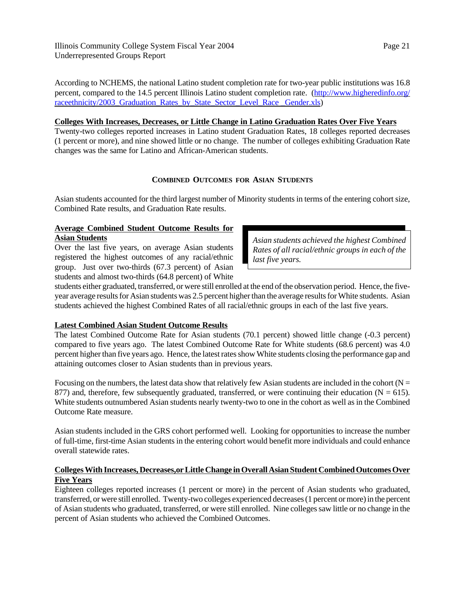Illinois Community College System Fiscal Year 2004 Underrepresented Groups Report

According to NCHEMS, the national Latino student completion rate for two-year public institutions was 16.8 percent, compared to the 14.5 percent Illinois Latino student completion rate. (http://www.higheredinfo.org/ raceethnicity/2003 Graduation Rates by State Sector Level Race Gender.xls)

#### **Colleges With Increases, Decreases, or Little Change in Latino Graduation Rates Over Five Years**

Twenty-two colleges reported increases in Latino student Graduation Rates, 18 colleges reported decreases (1 percent or more), and nine showed little or no change. The number of colleges exhibiting Graduation Rate changes was the same for Latino and African-American students.

# **COMBINED OUTCOMES FOR ASIAN STUDENTS**

Asian students accounted for the third largest number of Minority students in terms of the entering cohort size, Combined Rate results, and Graduation Rate results.

# **Average Combined Student Outcome Results for Asian Students**

Over the last five years, on average Asian students registered the highest outcomes of any racial/ethnic group. Just over two-thirds (67.3 percent) of Asian students and almost two-thirds (64.8 percent) of White

*Asian students achieved the highest Combined Rates of all racial/ethnic groups in each of the last five years.*

students either graduated, transferred, or were still enrolled at the end of the observation period. Hence, the fiveyear average results for Asian students was 2.5 percent higher than the average results for White students. Asian students achieved the highest Combined Rates of all racial/ethnic groups in each of the last five years.

# **Latest Combined Asian Student Outcome Results**

The latest Combined Outcome Rate for Asian students (70.1 percent) showed little change (-0.3 percent) compared to five years ago. The latest Combined Outcome Rate for White students (68.6 percent) was 4.0 percent higher than five years ago. Hence, the latest rates show White students closing the performance gap and attaining outcomes closer to Asian students than in previous years.

Focusing on the numbers, the latest data show that relatively few Asian students are included in the cohort ( $N =$ 877) and, therefore, few subsequently graduated, transferred, or were continuing their education ( $N = 615$ ). White students outnumbered Asian students nearly twenty-two to one in the cohort as well as in the Combined Outcome Rate measure.

Asian students included in the GRS cohort performed well. Looking for opportunities to increase the number of full-time, first-time Asian students in the entering cohort would benefit more individuals and could enhance overall statewide rates.

# **Colleges With Increases, Decreases,or Little Change in Overall Asian Student Combined Outcomes Over Five Years**

Eighteen colleges reported increases (1 percent or more) in the percent of Asian students who graduated, transferred, or were still enrolled. Twenty-two colleges experienced decreases (1 percent or more) in the percent of Asian students who graduated, transferred, or were still enrolled. Nine colleges saw little or no change in the percent of Asian students who achieved the Combined Outcomes.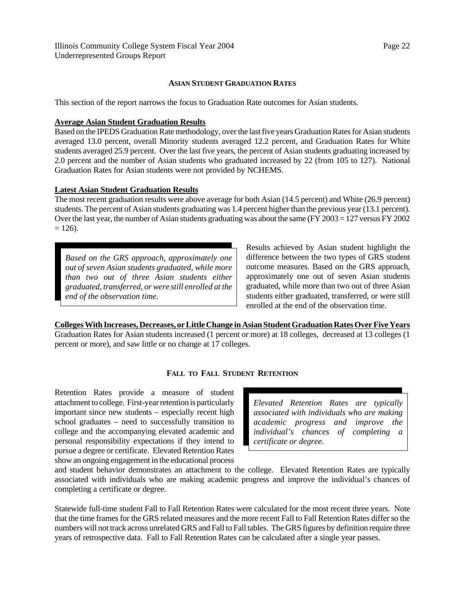### **ASIAN STUDENT GRADUATION RATES**

This section of the report narrows the focus to Graduation Rate outcomes for Asian students.

#### **Average Asian Student Graduation Results**

Based on the IPEDS Graduation Rate methodology, over the last five years Graduation Rates for Asian students averaged 13.0 percent, overall Minority students averaged 12.2 percent, and Graduation Rates for White students averaged 25.9 percent. Over the last five years, the percent of Asian students graduating increased by 2.0 percent and the number of Asian students who graduated increased by 22 (from 105 to 127). National Graduation Rates for Asian students were not provided by NCHEMS.

#### **Latest Asian Student Graduation Results**

The most recent graduation results were above average for both Asian (14.5 percent) and White (26.9 percent) students. The percent of Asian students graduating was 1.4 percent higher than the previous year (13.1 percent). Over the last year, the number of Asian students graduating was about the same (FY 2003 = 127 versus FY 2002  $= 126$ ).

*Based on the GRS approach, approximately one out of seven Asian students graduated, while more than two out of three Asian students either graduated, transferred, or were still enrolled at the end of the observation time.*

Results achieved by Asian student highlight the difference between the two types of GRS student outcome measures. Based on the GRS approach, approximately one out of seven Asian students graduated, while more than two out of three Asian students either graduated, transferred, or were still enrolled at the end of the observation time.

**Colleges With Increases, Decreases, or Little Change in Asian Student Graduation Rates Over Five Years** Graduation Rates for Asian students increased (1 percent or more) at 18 colleges, decreased at 13 colleges (1 percent or more), and saw little or no change at 17 colleges.

#### **FALL TO FALL STUDENT RETENTION**

Retention Rates provide a measure of student attachment to college. First-year retention is particularly important since new students – especially recent high school graduates – need to successfully transition to college and the accompanying elevated academic and personal responsibility expectations if they intend to pursue a degree or certificate. Elevated Retention Rates show an ongoing engagement in the educational process

*Elevated Retention Rates are typically associated with individuals who are making academic progress and improve the individual's chances of completing a certificate or degree.*

and student behavior demonstrates an attachment to the college. Elevated Retention Rates are typically associated with individuals who are making academic progress and improve the individual's chances of completing a certificate or degree.

Statewide full-time student Fall to Fall Retention Rates were calculated for the most recent three years. Note that the time frames for the GRS related measures and the more recent Fall to Fall Retention Rates differ so the numbers will not track across unrelated GRS and Fall to Fall tables. The GRS figures by definition require three years of retrospective data. Fall to Fall Retention Rates can be calculated after a single year passes.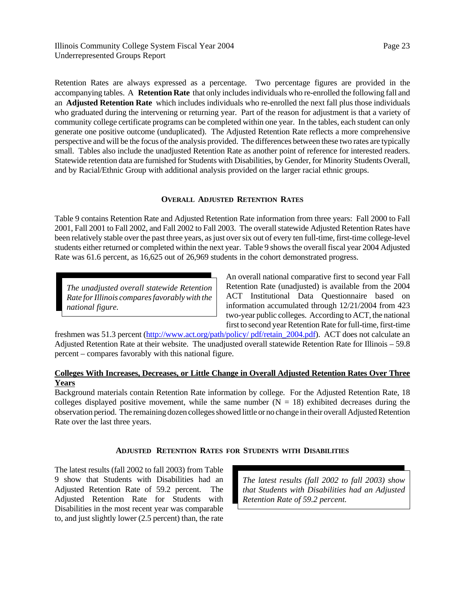Retention Rates are always expressed as a percentage. Two percentage figures are provided in the accompanying tables. A **Retention Rate** that only includes individuals who re-enrolled the following fall and an **Adjusted Retention Rate** which includes individuals who re-enrolled the next fall plus those individuals who graduated during the intervening or returning year. Part of the reason for adjustment is that a variety of community college certificate programs can be completed within one year. In the tables, each student can only generate one positive outcome (unduplicated). The Adjusted Retention Rate reflects a more comprehensive perspective and will be the focus of the analysis provided. The differences between these two rates are typically small. Tables also include the unadjusted Retention Rate as another point of reference for interested readers. Statewide retention data are furnished for Students with Disabilities, by Gender, for Minority Students Overall, and by Racial/Ethnic Group with additional analysis provided on the larger racial ethnic groups.

# **OVERALL ADJUSTED RETENTION RATES**

Table 9 contains Retention Rate and Adjusted Retention Rate information from three years: Fall 2000 to Fall 2001, Fall 2001 to Fall 2002, and Fall 2002 to Fall 2003. The overall statewide Adjusted Retention Rates have been relatively stable over the past three years, as just over six out of every ten full-time, first-time college-level students either returned or completed within the next year. Table 9 shows the overall fiscal year 2004 Adjusted Rate was 61.6 percent, as 16,625 out of 26,969 students in the cohort demonstrated progress.

*The unadjusted overall statewide Retention Rate for Illinois compares favorably with the national figure.*

An overall national comparative first to second year Fall Retention Rate (unadjusted) is available from the 2004 ACT Institutional Data Questionnaire based on information accumulated through 12/21/2004 from 423 two-year public colleges. According to ACT, the national first to second year Retention Rate for full-time, first-time

freshmen was 51.3 percent (http://www.act.org/path/policy/ pdf/retain\_2004.pdf). ACT does not calculate an Adjusted Retention Rate at their website. The unadjusted overall statewide Retention Rate for Illinois – 59.8 percent – compares favorably with this national figure.

# **Colleges With Increases, Decreases, or Little Change in Overall Adjusted Retention Rates Over Three Years**

Background materials contain Retention Rate information by college. For the Adjusted Retention Rate, 18 colleges displayed positive movement, while the same number  $(N = 18)$  exhibited decreases during the observation period. The remaining dozen colleges showed little or no change in their overall Adjusted Retention Rate over the last three years.

# **ADJUSTED RETENTION RATES FOR STUDENTS WITH DISABILITIES**

The latest results (fall 2002 to fall 2003) from Table 9 show that Students with Disabilities had an Adjusted Retention Rate of 59.2 percent. The Adjusted Retention Rate for Students with Disabilities in the most recent year was comparable to, and just slightly lower (2.5 percent) than, the rate

*The latest results (fall 2002 to fall 2003) show that Students with Disabilities had an Adjusted Retention Rate of 59.2 percent.*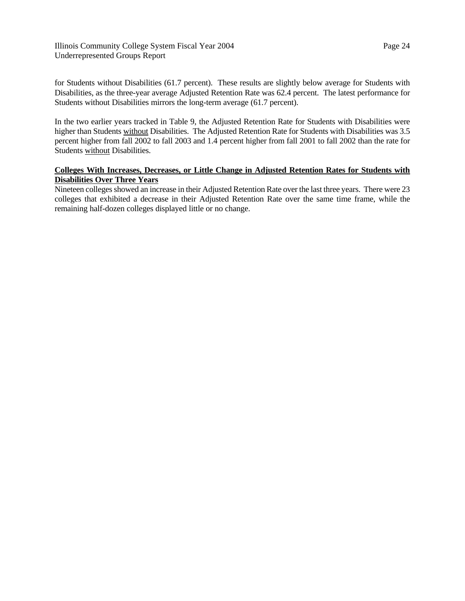Illinois Community College System Fiscal Year 2004 Underrepresented Groups Report

for Students without Disabilities (61.7 percent). These results are slightly below average for Students with Disabilities, as the three-year average Adjusted Retention Rate was 62.4 percent. The latest performance for Students without Disabilities mirrors the long-term average (61.7 percent).

In the two earlier years tracked in Table 9, the Adjusted Retention Rate for Students with Disabilities were higher than Students without Disabilities. The Adjusted Retention Rate for Students with Disabilities was 3.5 percent higher from fall 2002 to fall 2003 and 1.4 percent higher from fall 2001 to fall 2002 than the rate for Students without Disabilities.

# **Colleges With Increases, Decreases, or Little Change in Adjusted Retention Rates for Students with Disabilities Over Three Years**

Nineteen colleges showed an increase in their Adjusted Retention Rate over the last three years. There were 23 colleges that exhibited a decrease in their Adjusted Retention Rate over the same time frame, while the remaining half-dozen colleges displayed little or no change.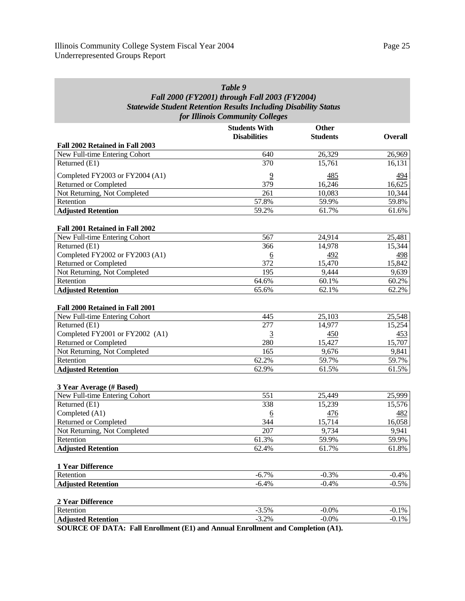# *Table 9 Fall 2000 (FY2001) through Fall 2003 (FY2004) Statewide Student Retention Results Including Disability Status for Illinois Community Colleges*

|                                 | <b>Students With</b> | <b>Other</b>    |                |
|---------------------------------|----------------------|-----------------|----------------|
|                                 | <b>Disabilities</b>  | <b>Students</b> | <b>Overall</b> |
| Fall 2002 Retained in Fall 2003 |                      |                 |                |
| New Full-time Entering Cohort   | 640                  | 26,329          | 26,969         |
| Returned (E1)                   | 370                  | 15,761          | 16,131         |
| Completed FY2003 or FY2004 (A1) | $\overline{9}$       | 485             | 494            |
| Returned or Completed           | 379                  | 16,246          | 16,625         |
| Not Returning, Not Completed    | 261                  | 10,083          | 10,344         |
| Retention                       | 57.8%                | 59.9%           | 59.8%          |
| <b>Adjusted Retention</b>       | 59.2%                | 61.7%           | 61.6%          |
| Fall 2001 Retained in Fall 2002 |                      |                 |                |
| New Full-time Entering Cohort   | 567                  | 24,914          | 25,481         |
| Returned (E1)                   | 366                  | 14,978          | 15,344         |
| Completed FY2002 or FY2003 (A1) | $\underline{6}$      | 492             | 498            |
| <b>Returned or Completed</b>    | 372                  | 15,470          | 15,842         |
| Not Returning, Not Completed    | 195                  | 9,444           | 9,639          |
| Retention                       | 64.6%                | 60.1%           | 60.2%          |
| <b>Adjusted Retention</b>       | 65.6%                | 62.1%           | 62.2%          |
|                                 |                      |                 |                |
| Fall 2000 Retained in Fall 2001 |                      |                 |                |
| New Full-time Entering Cohort   | 445                  | 25,103          | 25,548         |
| Returned (E1)                   | $\overline{277}$     | 14,977          | 15,254         |
| Completed FY2001 or FY2002 (A1) | 3                    | 450             | 453            |
| <b>Returned or Completed</b>    | 280                  | 15,427          | 15,707         |
| Not Returning, Not Completed    | 165                  | 9,676           | 9,841          |
| Retention                       | 62.2%                | 59.7%           | 59.7%          |
| <b>Adjusted Retention</b>       | 62.9%                | 61.5%           | 61.5%          |
| 3 Year Average (# Based)        |                      |                 |                |
| New Full-time Entering Cohort   | 551                  | 25,449          | 25,999         |
| Returned (E1)                   | 338                  | 15,239          | 15,576         |
| Completed (A1)                  | <u>6</u>             | 476             | 482            |
| <b>Returned or Completed</b>    | 344                  | 15,714          | 16,058         |
| Not Returning, Not Completed    | 207                  | 9,734           | 9,941          |
| Retention                       | 61.3%                | 59.9%           | 59.9%          |
| <b>Adjusted Retention</b>       | 62.4%                | 61.7%           | 61.8%          |
|                                 |                      |                 |                |
| 1 Year Difference               |                      |                 |                |
| Retention                       | $-6.7%$              | $-0.3%$         | $-0.4%$        |
| <b>Adjusted Retention</b>       | $-6.4%$              | $-0.4%$         | $-0.5%$        |
| 2 Year Difference               |                      |                 |                |
| Retention                       | $-3.5%$              | $-0.0%$         | $-0.1%$        |
| <b>Adjusted Retention</b>       | $-3.2%$              | $-0.0\%$        | $-0.1%$        |
|                                 |                      |                 |                |

**SOURCE OF DATA: Fall Enrollment (E1) and Annual Enrollment and Completion (A1).**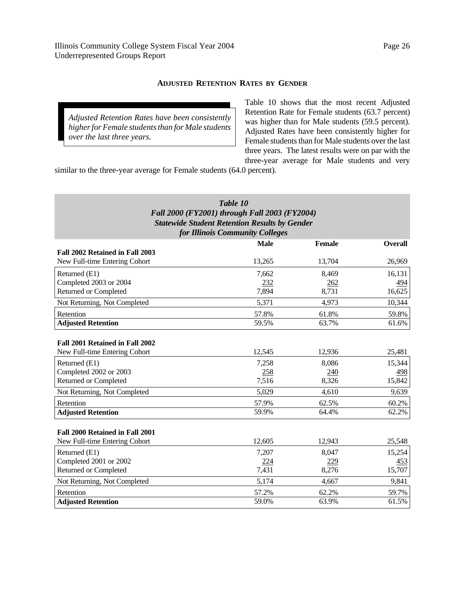## **ADJUSTED RETENTION RATES BY GENDER**

*Adjusted Retention Rates have been consistently higher for Female students than for Male students over the last three years.*

Table 10 shows that the most recent Adjusted Retention Rate for Female students (63.7 percent) was higher than for Male students (59.5 percent). Adjusted Rates have been consistently higher for Female students than for Male students over the last three years. The latest results were on par with the three-year average for Male students and very

similar to the three-year average for Female students (64.0 percent).

| Table 10                                             |
|------------------------------------------------------|
| Fall 2000 (FY2001) through Fall 2003 (FY2004)        |
| <b>Statewide Student Retention Results by Gender</b> |
| for Illinois Community Colleges                      |

|                                 | <b>Male</b> | Female | <b>Overall</b> |
|---------------------------------|-------------|--------|----------------|
| Fall 2002 Retained in Fall 2003 |             |        |                |
| New Full-time Entering Cohort   | 13,265      | 13,704 | 26,969         |
| Returned (E1)                   | 7,662       | 8,469  | 16,131         |
| Completed 2003 or 2004          | 232         | 262    | <u>494</u>     |
| Returned or Completed           | 7,894       | 8,731  | 16,625         |
| Not Returning, Not Completed    | 5,371       | 4,973  | 10,344         |
| Retention                       | 57.8%       | 61.8%  | 59.8%          |
| <b>Adjusted Retention</b>       | 59.5%       | 63.7%  | 61.6%          |
|                                 |             |        |                |
| Fall 2001 Retained in Fall 2002 |             |        |                |
| New Full-time Entering Cohort   | 12,545      | 12,936 | 25,481         |
| Returned (E1)                   | 7,258       | 8,086  | 15,344         |
| Completed 2002 or 2003          | 258         | 240    | 498            |
| Returned or Completed           | 7,516       | 8,326  | 15,842         |
| Not Returning, Not Completed    | 5,029       | 4,610  | 9,639          |
| Retention                       | 57.9%       | 62.5%  | 60.2%          |
| <b>Adjusted Retention</b>       | 59.9%       | 64.4%  | 62.2%          |
|                                 |             |        |                |
| Fall 2000 Retained in Fall 2001 |             |        |                |
| New Full-time Entering Cohort   | 12,605      | 12,943 | 25,548         |
| Returned (E1)                   | 7,207       | 8,047  | 15,254         |
| Completed 2001 or 2002          | 224         | 229    | 453            |
| <b>Returned or Completed</b>    | 7,431       | 8,276  | 15,707         |
| Not Returning, Not Completed    | 5,174       | 4,667  | 9,841          |
| Retention                       | 57.2%       | 62.2%  | 59.7%          |
| <b>Adjusted Retention</b>       | 59.0%       | 63.9%  | 61.5%          |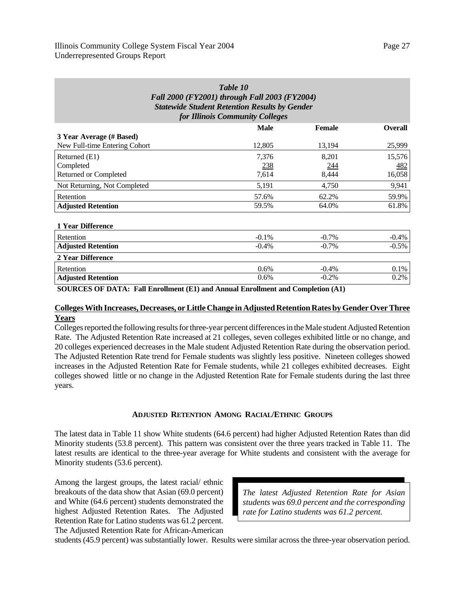| Table 10<br>Fall 2000 (FY2001) through Fall 2003 (FY2004)<br><b>Statewide Student Retention Results by Gender</b><br>for Illinois Community Colleges |             |               |                |  |  |  |  |
|------------------------------------------------------------------------------------------------------------------------------------------------------|-------------|---------------|----------------|--|--|--|--|
|                                                                                                                                                      | <b>Male</b> | <b>Female</b> | <b>Overall</b> |  |  |  |  |
| 3 Year Average (# Based)<br>New Full-time Entering Cohort                                                                                            | 12,805      | 13,194        | 25,999         |  |  |  |  |
| Returned (E1)                                                                                                                                        | 7,376       | 8,201         | 15,576         |  |  |  |  |
| Completed                                                                                                                                            | 238         | <u>244</u>    | <u>482</u>     |  |  |  |  |
| <b>Returned or Completed</b>                                                                                                                         | 7,614       | 8,444         | 16,058         |  |  |  |  |
| Not Returning, Not Completed                                                                                                                         | 5,191       | 4,750         | 9,941          |  |  |  |  |
| Retention                                                                                                                                            | 57.6%       | 62.2%         | 59.9%          |  |  |  |  |
| <b>Adjusted Retention</b>                                                                                                                            | 59.5%       | 64.0%         | 61.8%          |  |  |  |  |
| 1 Year Difference                                                                                                                                    |             |               |                |  |  |  |  |
| Retention                                                                                                                                            | $-0.1\%$    | $-0.7\%$      | $-0.4%$        |  |  |  |  |
| <b>Adjusted Retention</b>                                                                                                                            | $-0.4%$     | $-0.7\%$      | $-0.5%$        |  |  |  |  |
| 2 Year Difference                                                                                                                                    |             |               |                |  |  |  |  |
| Retention                                                                                                                                            | 0.6%        | $-0.4%$       | 0.1%           |  |  |  |  |
| <b>Adjusted Retention</b>                                                                                                                            | 0.6%        | $-0.2\%$      | 0.2%           |  |  |  |  |

**SOURCES OF DATA: Fall Enrollment (E1) and Annual Enrollment and Completion (A1)**

#### **Colleges With Increases, Decreases, or Little Change in Adjusted Retention Rates by Gender Over Three Years**

Colleges reported the following results for three-year percent differences in the Male student Adjusted Retention Rate. The Adjusted Retention Rate increased at 21 colleges, seven colleges exhibited little or no change, and 20 colleges experienced decreases in the Male student Adjusted Retention Rate during the observation period. The Adjusted Retention Rate trend for Female students was slightly less positive. Nineteen colleges showed increases in the Adjusted Retention Rate for Female students, while 21 colleges exhibited decreases. Eight colleges showed little or no change in the Adjusted Retention Rate for Female students during the last three years.

#### **ADJUSTED RETENTION AMONG RACIAL/ETHNIC GROUPS**

The latest data in Table 11 show White students (64.6 percent) had higher Adjusted Retention Rates than did Minority students (53.8 percent). This pattern was consistent over the three years tracked in Table 11. The latest results are identical to the three-year average for White students and consistent with the average for Minority students (53.6 percent).

Among the largest groups, the latest racial/ ethnic breakouts of the data show that Asian (69.0 percent) and White (64.6 percent) students demonstrated the highest Adjusted Retention Rates. The Adjusted Retention Rate for Latino students was 61.2 percent. The Adjusted Retention Rate for African-American

*The latest Adjusted Retention Rate for Asian students was 69.0 percent and the corresponding rate for Latino students was 61.2 percent.*

students (45.9 percent) was substantially lower. Results were similar across the three-year observation period.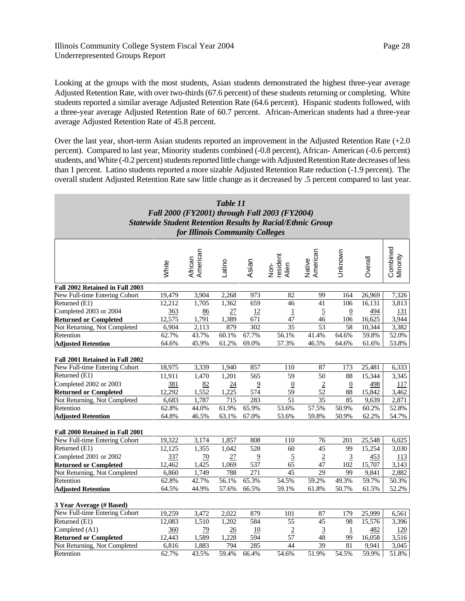Looking at the groups with the most students, Asian students demonstrated the highest three-year average Adjusted Retention Rate, with over two-thirds (67.6 percent) of these students returning or completing. White students reported a similar average Adjusted Retention Rate (64.6 percent). Hispanic students followed, with a three-year average Adjusted Retention Rate of 60.7 percent. African-American students had a three-year average Adjusted Retention Rate of 45.8 percent.

Over the last year, short-term Asian students reported an improvement in the Adjusted Retention Rate (+2.0 percent). Compared to last year, Minority students combined (-0.8 percent), African- American (-0.6 percent) students, and White (-0.2 percent) students reported little change with Adjusted Retention Rate decreases of less than 1 percent. Latino students reported a more sizable Adjusted Retention Rate reduction (-1.9 percent). The overall student Adjusted Retention Rate saw little change as it decreased by .5 percent compared to last year.

| Table 11<br>Fall 2000 (FY2001) through Fall 2003 (FY2004)<br><b>Statewide Student Retention Results by Racial/Ethnic Group</b><br>for Illinois Community Colleges |        |                     |                 |                |                           |                    |                  |         |                      |
|-------------------------------------------------------------------------------------------------------------------------------------------------------------------|--------|---------------------|-----------------|----------------|---------------------------|--------------------|------------------|---------|----------------------|
|                                                                                                                                                                   | White  | African<br>American | Latino          | Asian          | resident<br>Alien<br>Non- | Native<br>American | Unknown          | Overall | Combined<br>Minority |
| Fall 2002 Retained in Fall 2003                                                                                                                                   |        |                     |                 |                |                           |                    |                  |         |                      |
| New Full-time Entering Cohort                                                                                                                                     | 19,479 | 3,904               | 2,268           | 973            | 82                        | 99                 | 164              | 26,969  | 7,326                |
| Returned (E1)                                                                                                                                                     | 12,212 | 1,705               | 1,362           | 659            | 46                        | 41                 | 106              | 16.131  | 3,813                |
| Completed 2003 or 2004                                                                                                                                            | 363    | 86                  | 27              | 12             | $\mathbf{1}$              | $\overline{5}$     | $\boldsymbol{0}$ | 494     | 131                  |
| <b>Returned or Completed</b>                                                                                                                                      | 12,575 | 1,791               | 1,389           | 671            | 47                        | 46                 | 106              | 16,625  | 3,944                |
| Not Returning, Not Completed                                                                                                                                      | 6,904  | 2,113               | 879             | 302            | 35                        | 53                 | 58               | 10,344  | 3,382                |
| Retention                                                                                                                                                         | 62.7%  | 43.7%               | 60.1%           | 67.7%          | 56.1%                     | 41.4%              | 64.6%            | 59.8%   | 52.0%                |
| <b>Adjusted Retention</b>                                                                                                                                         | 64.6%  | 45.9%               | 61.2%           | 69.0%          | 57.3%                     | 46.5%              | 64.6%            | 61.6%   | 53.8%                |
| Fall 2001 Retained in Fall 2002                                                                                                                                   |        |                     |                 |                |                           |                    |                  |         |                      |
| New Full-time Entering Cohort                                                                                                                                     | 18,975 | 3,339               | 1,940           | 857            | 110                       | 87                 | 173              | 25,481  | 6,333                |
| Returned (E1)                                                                                                                                                     | 11,911 | 1,470               | 1,201           | 565            | 59                        | 50                 | 88               | 15,344  | 3,345                |
| Completed 2002 or 2003                                                                                                                                            | 381    | 82                  | $\overline{24}$ | $\overline{9}$ | $\overline{0}$            | $\overline{2}$     | $\boldsymbol{0}$ | 498     | 117                  |
| <b>Returned or Completed</b>                                                                                                                                      | 12,292 | 1,552               | 1,225           | 574            | 59                        | 52                 | 88               | 15,842  | 3,462                |
| Not Returning, Not Completed                                                                                                                                      | 6,683  | 1,787               | 715             | 283            | 51                        | 35                 | 85               | 9,639   | 2,871                |
| Retention                                                                                                                                                         | 62.8%  | 44.0%               | 61.9%           | 65.9%          | 53.6%                     | 57.5%              | 50.9%            | 60.2%   | 52.8%                |
| <b>Adjusted Retention</b>                                                                                                                                         | 64.8%  | 46.5%               | 63.1%           | 67.0%          | 53.6%                     | 59.8%              | 50.9%            | 62.2%   | 54.7%                |
| Fall 2000 Retained in Fall 2001                                                                                                                                   |        |                     |                 |                |                           |                    |                  |         |                      |
| New Full-time Entering Cohort                                                                                                                                     | 19,322 | 3,174               | 1,857           | 808            | 110                       | 76                 | 201              | 25,548  | 6,025                |
| Returned (E1)                                                                                                                                                     | 12,125 | 1,355               | 1,042           | 528            | 60                        | 45                 | 99               | 15,254  | 3,030                |
| Completed 2001 or 2002                                                                                                                                            | 337    | 70                  | 27              | $\overline{9}$ | $\overline{5}$            | $\underline{2}$    | $\overline{3}$   | 453     | 113                  |
| <b>Returned or Completed</b>                                                                                                                                      | 12,462 | 1,425               | 1,069           | 537            | 65                        | 47                 | 102              | 15,707  | 3,143                |
| Not Returning, Not Completed                                                                                                                                      | 6,860  | 1,749               | 788             | 271            | 45                        | 29                 | 99               | 9,841   | 2,882                |
| Retention                                                                                                                                                         | 62.8%  | 42.7%               | 56.1%           | 65.3%          | 54.5%                     | 59.2%              | 49.3%            | 59.7%   | 50.3%                |
| <b>Adjusted Retention</b>                                                                                                                                         | 64.5%  | 44.9%               | 57.6%           | 66.5%          | 59.1%                     | 61.8%              | 50.7%            | 61.5%   | 52.2%                |
| 3 Year Average (# Based)                                                                                                                                          |        |                     |                 |                |                           |                    |                  |         |                      |
| New Full-time Entering Cohort                                                                                                                                     | 19.259 | 3,472               | 2,022           | 879            | 101                       | 87                 | 179              | 25,999  | 6,561                |
| Returned (E1)                                                                                                                                                     | 12,083 | 1,510               | 1,202           | 584            | $\overline{55}$           | $\overline{45}$    | 98               | 15,576  | 3,396                |
| Completed (A1)                                                                                                                                                    | 360    | 79                  | 26              | 10             | $\overline{2}$            | $\overline{3}$     | $\overline{1}$   | 482     | 120                  |
| <b>Returned or Completed</b>                                                                                                                                      | 12,443 | 1.589               | 1.228           | 594            | 57                        | 48                 | 99               | 16.058  | 3,516                |
| Not Returning, Not Completed                                                                                                                                      | 6,816  | 1,883               | 794             | 285            | 44                        | 39                 | 81               | 9,941   | 3,045                |
| Retention                                                                                                                                                         | 62.7%  | 43.5%               | 59.4%           | 66.4%          | 54.6%                     | 51.9%              | 54.5%            | 59.9%   | 51.8%                |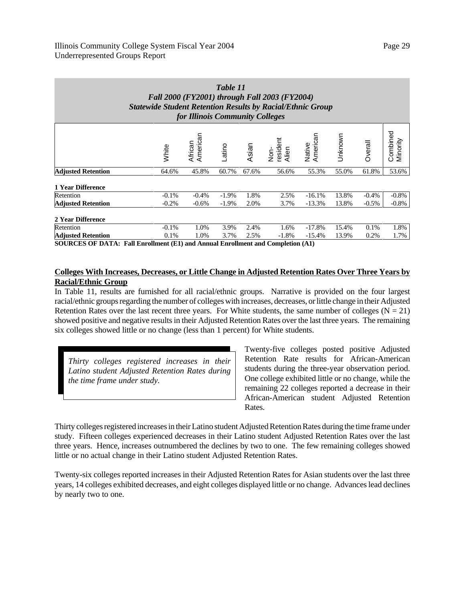| Table 11<br>Fall 2000 (FY2001) through Fall 2003 (FY2004)<br><b>Statewide Student Retention Results by Racial/Ethnic Group</b><br>for Illinois Community Colleges |         |                     |          |       |                           |                    |         |         |                      |
|-------------------------------------------------------------------------------------------------------------------------------------------------------------------|---------|---------------------|----------|-------|---------------------------|--------------------|---------|---------|----------------------|
|                                                                                                                                                                   | White   | American<br>African | Latino   | Asian | Non-<br>resident<br>Alien | Native<br>American | Unknown | Overall | Combined<br>Minority |
| <b>Adjusted Retention</b>                                                                                                                                         | 64.6%   | 45.8%               | 60.7%    | 67.6% | 56.6%                     | 55.3%              | 55.0%   | 61.8%   | 53.6%                |
| 1 Year Difference                                                                                                                                                 |         |                     |          |       |                           |                    |         |         |                      |
| Retention                                                                                                                                                         | $-0.1%$ | $-0.4%$             | $-1.9\%$ | 1.8%  | 2.5%                      | $-16.1%$           | 13.8%   | $-0.4%$ | $-0.8\%$             |
| <b>Adjusted Retention</b>                                                                                                                                         | $-0.2%$ | $-0.6%$             | $-1.9\%$ | 2.0%  | 3.7%                      | $-13.3%$           | 13.8%   | $-0.5%$ | $-0.8\%$             |
| 2 Year Difference                                                                                                                                                 |         |                     |          |       |                           |                    |         |         |                      |
| Retention                                                                                                                                                         | $-0.1%$ | 1.0%                | 3.9%     | 2.4%  | 1.6%                      | $-17.8%$           | 15.4%   | 0.1%    | 1.8%                 |
| <b>Adjusted Retention</b>                                                                                                                                         | 0.1%    | 1.0%                | 3.7%     | 2.5%  | $-1.8%$                   | $-15.4%$           | 13.9%   | 0.2%    | 1.7%                 |

**SOURCES OF DATA: Fall Enrollment (E1) and Annual Enrollment and Completion (A1)**

## **Colleges With Increases, Decreases, or Little Change in Adjusted Retention Rates Over Three Years by Racial/Ethnic Group**

In Table 11, results are furnished for all racial/ethnic groups. Narrative is provided on the four largest racial/ethnic groups regarding the number of colleges with increases, decreases, or little change in their Adjusted Retention Rates over the last recent three years. For White students, the same number of colleges  $(N = 21)$ showed positive and negative results in their Adjusted Retention Rates over the last three years. The remaining six colleges showed little or no change (less than 1 percent) for White students.

*Thirty colleges registered increases in their Latino student Adjusted Retention Rates during the time frame under study.*

Twenty-five colleges posted positive Adjusted Retention Rate results for African-American students during the three-year observation period. One college exhibited little or no change, while the remaining 22 colleges reported a decrease in their African-American student Adjusted Retention Rates.

Thirty colleges registered increases in their Latino student Adjusted Retention Rates during the time frame under study. Fifteen colleges experienced decreases in their Latino student Adjusted Retention Rates over the last three years. Hence, increases outnumbered the declines by two to one. The few remaining colleges showed little or no actual change in their Latino student Adjusted Retention Rates.

Twenty-six colleges reported increases in their Adjusted Retention Rates for Asian students over the last three years, 14 colleges exhibited decreases, and eight colleges displayed little or no change. Advances lead declines by nearly two to one.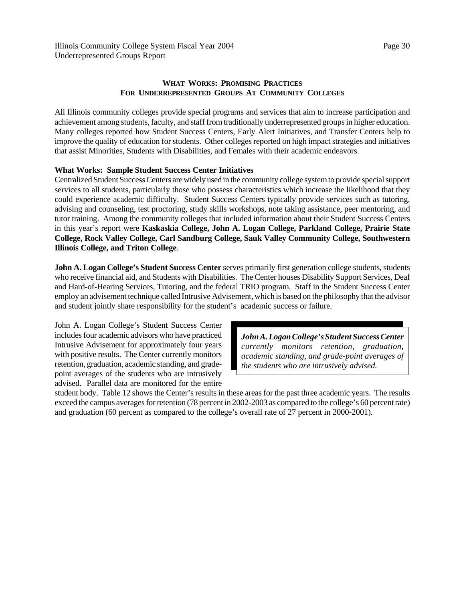# **WHAT WORKS: PROMISING PRACTICES FOR UNDERREPRESENTED GROUPS AT COMMUNITY COLLEGES**

All Illinois community colleges provide special programs and services that aim to increase participation and achievement among students, faculty, and staff from traditionally underrepresented groups in higher education. Many colleges reported how Student Success Centers, Early Alert Initiatives, and Transfer Centers help to improve the quality of education for students. Other colleges reported on high impact strategies and initiatives that assist Minorities, Students with Disabilities, and Females with their academic endeavors.

# **What Works: Sample Student Success Center Initiatives**

Centralized Student Success Centers are widely used in the community college system to provide special support services to all students, particularly those who possess characteristics which increase the likelihood that they could experience academic difficulty. Student Success Centers typically provide services such as tutoring, advising and counseling, test proctoring, study skills workshops, note taking assistance, peer mentoring, and tutor training. Among the community colleges that included information about their Student Success Centers in this year's report were **Kaskaskia College, John A. Logan College, Parkland College, Prairie State College, Rock Valley College, Carl Sandburg College, Sauk Valley Community College, Southwestern Illinois College, and Triton College**.

**John A. Logan College's Student Success Center** serves primarily first generation college students, students who receive financial aid, and Students with Disabilities. The Center houses Disability Support Services, Deaf and Hard-of-Hearing Services, Tutoring, and the federal TRIO program. Staff in the Student Success Center employ an advisement technique called Intrusive Advisement, which is based on the philosophy that the advisor and student jointly share responsibility for the student's academic success or failure.

John A. Logan College's Student Success Center includes four academic advisors who have practiced Intrusive Advisement for approximately four years with positive results. The Center currently monitors retention, graduation, academic standing, and gradepoint averages of the students who are intrusively advised. Parallel data are monitored for the entire

*John A. Logan College's Student Success Center currently monitors retention, graduation, academic standing, and grade-point averages of the students who are intrusively advised.*

student body. Table 12 shows the Center's results in these areas for the past three academic years. The results exceed the campus averages for retention (78 percent in 2002-2003 as compared to the college's 60 percent rate) and graduation (60 percent as compared to the college's overall rate of 27 percent in 2000-2001).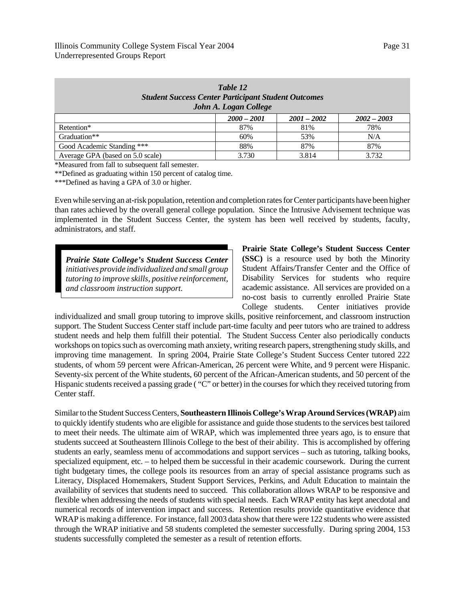| $1$ UIIL $12$<br><b>Student Success Center Participant Student Outcomes</b><br>John A. Logan College |               |               |               |  |  |  |  |  |  |  |
|------------------------------------------------------------------------------------------------------|---------------|---------------|---------------|--|--|--|--|--|--|--|
|                                                                                                      | $2000 - 2001$ | $2001 - 2002$ | $2002 - 2003$ |  |  |  |  |  |  |  |
| Retention*                                                                                           | 87%           | 81%           | 78%           |  |  |  |  |  |  |  |
| Graduation**                                                                                         | 60%           | 53%           | N/A           |  |  |  |  |  |  |  |
| Good Academic Standing ***                                                                           | 88%           | 87%           | 87%           |  |  |  |  |  |  |  |
| Average GPA (based on 5.0 scale)                                                                     | 3.730         | 3.814         | 3.732         |  |  |  |  |  |  |  |

*Table 12*

\*Measured from fall to subsequent fall semester.

\*\*Defined as graduating within 150 percent of catalog time.

\*\*\*Defined as having a GPA of 3.0 or higher.

Even while serving an at-risk population, retention and completion rates for Center participants have been higher than rates achieved by the overall general college population. Since the Intrusive Advisement technique was implemented in the Student Success Center, the system has been well received by students, faculty, administrators, and staff.

*Prairie State College's Student Success Center initiatives provide individualized and small group tutoring to improve skills, positive reinforcement, and classroom instruction support.*

**Prairie State College's Student Success Center (SSC)** is a resource used by both the Minority Student Affairs/Transfer Center and the Office of Disability Services for students who require academic assistance. All services are provided on a no-cost basis to currently enrolled Prairie State College students. Center initiatives provide

individualized and small group tutoring to improve skills, positive reinforcement, and classroom instruction support. The Student Success Center staff include part-time faculty and peer tutors who are trained to address student needs and help them fulfill their potential. The Student Success Center also periodically conducts workshops on topics such as overcoming math anxiety, writing research papers, strengthening study skills, and improving time management. In spring 2004, Prairie State College's Student Success Center tutored 222 students, of whom 59 percent were African-American, 26 percent were White, and 9 percent were Hispanic. Seventy-six percent of the White students, 60 percent of the African-American students, and 50 percent of the Hispanic students received a passing grade ( "C" or better) in the courses for which they received tutoring from Center staff.

Similar to the Student Success Centers, **Southeastern Illinois College's Wrap Around Services (WRAP)** aim to quickly identify students who are eligible for assistance and guide those students to the services best tailored to meet their needs. The ultimate aim of WRAP, which was implemented three years ago, is to ensure that students succeed at Southeastern Illinois College to the best of their ability. This is accomplished by offering students an early, seamless menu of accommodations and support services – such as tutoring, talking books, specialized equipment, etc. – to helped them be successful in their academic coursework. During the current tight budgetary times, the college pools its resources from an array of special assistance programs such as Literacy, Displaced Homemakers, Student Support Services, Perkins, and Adult Education to maintain the availability of services that students need to succeed. This collaboration allows WRAP to be responsive and flexible when addressing the needs of students with special needs. Each WRAP entity has kept anecdotal and numerical records of intervention impact and success. Retention results provide quantitative evidence that WRAP is making a difference. For instance, fall 2003 data show that there were 122 students who were assisted through the WRAP initiative and 58 students completed the semester successfully. During spring 2004, 153 students successfully completed the semester as a result of retention efforts.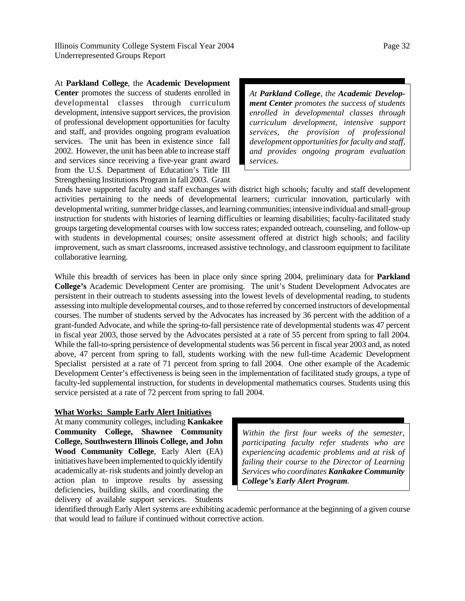At **Parkland College**, the **Academic Development Center** promotes the success of students enrolled in developmental classes through curriculum development, intensive support services, the provision of professional development opportunities for faculty and staff, and provides ongoing program evaluation services. The unit has been in existence since fall 2002. However, the unit has been able to increase staff and services since receiving a five-year grant award from the U.S. Department of Education's Title III Strengthening Institutions Program in fall 2003. Grant

*At Parkland College, the Academic Development Center promotes the success of students enrolled in developmental classes through curriculum development, intensive support services, the provision of professional development opportunities for faculty and staff, and provides ongoing program evaluation services.* 

funds have supported faculty and staff exchanges with district high schools; faculty and staff development activities pertaining to the needs of developmental learners; curricular innovation, particularly with developmental writing, summer bridge classes, and learning communities; intensive individual and small-group instruction for students with histories of learning difficulties or learning disabilities; faculty-facilitated study groups targeting developmental courses with low success rates; expanded outreach, counseling, and follow-up with students in developmental courses; onsite assessment offered at district high schools; and facility improvement, such as smart classrooms, increased assistive technology, and classroom equipment to facilitate collaborative learning.

While this breadth of services has been in place only since spring 2004, preliminary data for **Parkland College's** Academic Development Center are promising. The unit's Student Development Advocates are persistent in their outreach to students assessing into the lowest levels of developmental reading, to students assessing into multiple developmental courses, and to those referred by concerned instructors of developmental courses. The number of students served by the Advocates has increased by 36 percent with the addition of a grant-funded Advocate, and while the spring-to-fall persistence rate of developmental students was 47 percent in fiscal year 2003, those served by the Advocates persisted at a rate of 55 percent from spring to fall 2004. While the fall-to-spring persistence of developmental students was 56 percent in fiscal year 2003 and, as noted above, 47 percent from spring to fall, students working with the new full-time Academic Development Specialist persisted at a rate of 71 percent from spring to fall 2004. One other example of the Academic Development Center's effectiveness is being seen in the implementation of facilitated study groups, a type of faculty-led supplemental instruction, for students in developmental mathematics courses. Students using this service persisted at a rate of 72 percent from spring to fall 2004.

### **What Works: Sample Early Alert Initiatives**

At many community colleges, including **Kankakee Community College, Shawnee Community College, Southwestern Illinois College, and John Wood Community College**, Early Alert (EA) initiatives have been implemented to quickly identify academically at- risk students and jointly develop an action plan to improve results by assessing deficiencies, building skills, and coordinating the delivery of available support services. Students

*Within the first four weeks of the semester, participating faculty refer students who are experiencing academic problems and at risk of failing their course to the Director of Learning Services who coordinates Kankakee Community College's Early Alert Program.*

identified through Early Alert systems are exhibiting academic performance at the beginning of a given course that would lead to failure if continued without corrective action.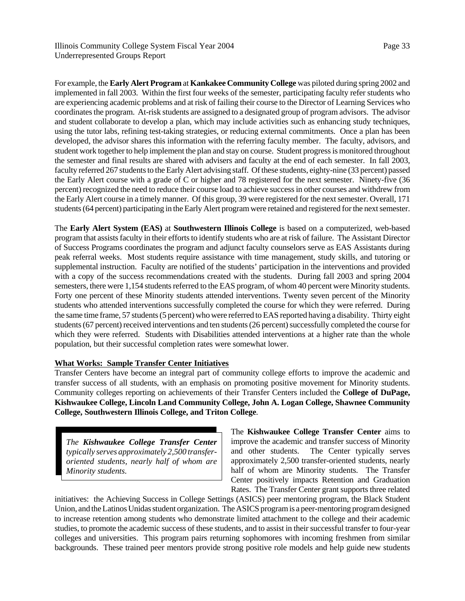For example, the **Early Alert Program** at **Kankakee Community College** was piloted during spring 2002 and implemented in fall 2003. Within the first four weeks of the semester, participating faculty refer students who are experiencing academic problems and at risk of failing their course to the Director of Learning Services who coordinates the program. At-risk students are assigned to a designated group of program advisors. The advisor and student collaborate to develop a plan, which may include activities such as enhancing study techniques, using the tutor labs, refining test-taking strategies, or reducing external commitments. Once a plan has been developed, the advisor shares this information with the referring faculty member. The faculty, advisors, and student work together to help implement the plan and stay on course. Student progress is monitored throughout the semester and final results are shared with advisers and faculty at the end of each semester. In fall 2003, faculty referred 267 students to the Early Alert advising staff. Of these students, eighty-nine (33 percent) passed the Early Alert course with a grade of C or higher and 78 registered for the next semester. Ninety-five (36 percent) recognized the need to reduce their course load to achieve success in other courses and withdrew from the Early Alert course in a timely manner. Of this group, 39 were registered for the next semester. Overall, 171 students (64 percent) participating in the Early Alert program were retained and registered for the next semester.

The **Early Alert System (EAS)** at **Southwestern Illinois College** is based on a computerized, web-based program that assists faculty in their efforts to identify students who are at risk of failure. The Assistant Director of Success Programs coordinates the program and adjunct faculty counselors serve as EAS Assistants during peak referral weeks. Most students require assistance with time management, study skills, and tutoring or supplemental instruction. Faculty are notified of the students' participation in the interventions and provided with a copy of the success recommendations created with the students. During fall 2003 and spring 2004 semesters, there were 1,154 students referred to the EAS program, of whom 40 percent were Minority students. Forty one percent of these Minority students attended interventions. Twenty seven percent of the Minority students who attended interventions successfully completed the course for which they were referred. During the same time frame, 57 students (5 percent) who were referred to EAS reported having a disability. Thirty eight students (67 percent) received interventions and ten students (26 percent) successfully completed the course for which they were referred. Students with Disabilities attended interventions at a higher rate than the whole population, but their successful completion rates were somewhat lower.

# **What Works: Sample Transfer Center Initiatives**

Transfer Centers have become an integral part of community college efforts to improve the academic and transfer success of all students, with an emphasis on promoting positive movement for Minority students. Community colleges reporting on achievements of their Transfer Centers included the **College of DuPage, Kishwaukee College, Lincoln Land Community College, John A. Logan College, Shawnee Community College, Southwestern Illinois College, and Triton College**.

*The Kishwaukee College Transfer Center typically serves approximately 2,500 transferoriented students, nearly half of whom are Minority students.*

The **Kishwaukee College Transfer Center** aims to improve the academic and transfer success of Minority and other students. The Center typically serves approximately 2,500 transfer-oriented students, nearly half of whom are Minority students. The Transfer Center positively impacts Retention and Graduation Rates. The Transfer Center grant supports three related

initiatives: the Achieving Success in College Settings (ASICS) peer mentoring program, the Black Student Union, and the Latinos Unidas student organization. The ASICS program is a peer-mentoring program designed to increase retention among students who demonstrate limited attachment to the college and their academic studies, to promote the academic success of these students, and to assist in their successful transfer to four-year colleges and universities. This program pairs returning sophomores with incoming freshmen from similar backgrounds. These trained peer mentors provide strong positive role models and help guide new students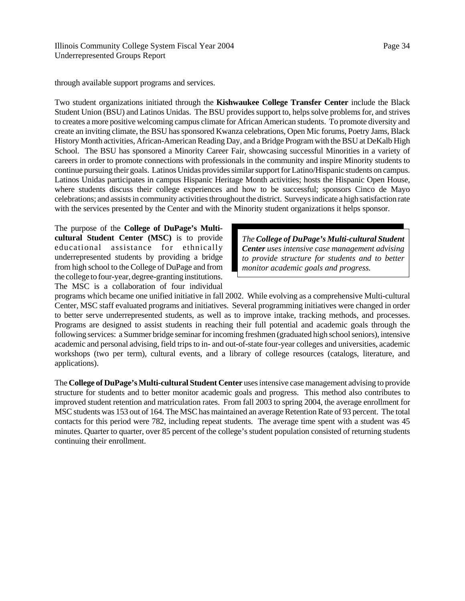through available support programs and services.

Two student organizations initiated through the **Kishwaukee College Transfer Center** include the Black Student Union (BSU) and Latinos Unidas. The BSU provides support to, helps solve problems for, and strives to creates a more positive welcoming campus climate for African American students. To promote diversity and create an inviting climate, the BSU has sponsored Kwanza celebrations, Open Mic forums, Poetry Jams, Black History Month activities, African-American Reading Day, and a Bridge Program with the BSU at DeKalb High School. The BSU has sponsored a Minority Career Fair, showcasing successful Minorities in a variety of careers in order to promote connections with professionals in the community and inspire Minority students to continue pursuing their goals. Latinos Unidas provides similar support for Latino/Hispanic students on campus. Latinos Unidas participates in campus Hispanic Heritage Month activities; hosts the Hispanic Open House, where students discuss their college experiences and how to be successful; sponsors Cinco de Mayo celebrations; and assists in community activities throughout the district. Surveys indicate a high satisfaction rate with the services presented by the Center and with the Minority student organizations it helps sponsor.

The purpose of the **College of DuPage's Multicultural Student Center (MSC)** is to provide educational assistance for ethnically underrepresented students by providing a bridge from high school to the College of DuPage and from the college to four-year, degree-granting institutions. The MSC is a collaboration of four individual

*The College of DuPage's Multi-cultural Student Center uses intensive case management advising to provide structure for students and to better monitor academic goals and progress.*

programs which became one unified initiative in fall 2002. While evolving as a comprehensive Multi-cultural Center, MSC staff evaluated programs and initiatives. Several programming initiatives were changed in order to better serve underrepresented students, as well as to improve intake, tracking methods, and processes. Programs are designed to assist students in reaching their full potential and academic goals through the following services: a Summer bridge seminar for incoming freshmen (graduated high school seniors), intensive academic and personal advising, field trips to in- and out-of-state four-year colleges and universities, academic workshops (two per term), cultural events, and a library of college resources (catalogs, literature, and applications).

The **College of DuPage's Multi-cultural Student Center** uses intensive case management advising to provide structure for students and to better monitor academic goals and progress. This method also contributes to improved student retention and matriculation rates. From fall 2003 to spring 2004, the average enrollment for MSC students was 153 out of 164. The MSC has maintained an average Retention Rate of 93 percent. The total contacts for this period were 782, including repeat students. The average time spent with a student was 45 minutes. Quarter to quarter, over 85 percent of the college's student population consisted of returning students continuing their enrollment.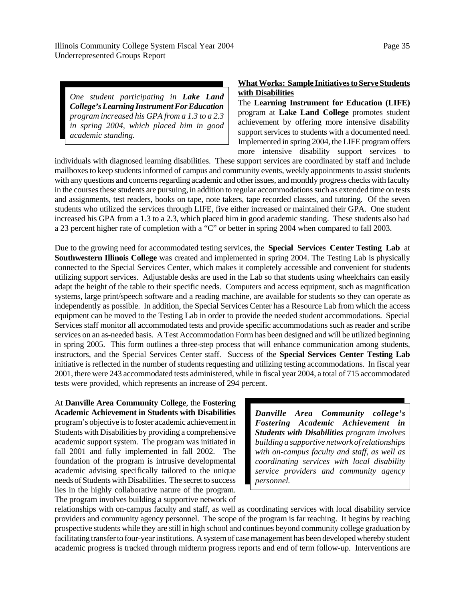*One student participating in Lake Land College's Learning Instrument For Education program increased his GPA from a 1.3 to a 2.3 in spring 2004, which placed him in good academic standing.*

# **What Works: Sample Initiatives to Serve Students with Disabilities**

The **Learning Instrument for Education (LIFE)** program at **Lake Land College** promotes student achievement by offering more intensive disability support services to students with a documented need. Implemented in spring 2004, the LIFE program offers more intensive disability support services to

individuals with diagnosed learning disabilities. These support services are coordinated by staff and include mailboxes to keep students informed of campus and community events, weekly appointments to assist students with any questions and concerns regarding academic and other issues, and monthly progress checks with faculty in the courses these students are pursuing, in addition to regular accommodations such as extended time on tests and assignments, test readers, books on tape, note takers, tape recorded classes, and tutoring. Of the seven students who utilized the services through LIFE, five either increased or maintained their GPA. One student increased his GPA from a 1.3 to a 2.3, which placed him in good academic standing. These students also had a 23 percent higher rate of completion with a "C" or better in spring 2004 when compared to fall 2003.

Due to the growing need for accommodated testing services, the **Special Services Center Testing Lab** at **Southwestern Illinois College** was created and implemented in spring 2004. The Testing Lab is physically connected to the Special Services Center, which makes it completely accessible and convenient for students utilizing support services. Adjustable desks are used in the Lab so that students using wheelchairs can easily adapt the height of the table to their specific needs. Computers and access equipment, such as magnification systems, large print/speech software and a reading machine, are available for students so they can operate as independently as possible. In addition, the Special Services Center has a Resource Lab from which the access equipment can be moved to the Testing Lab in order to provide the needed student accommodations. Special Services staff monitor all accommodated tests and provide specific accommodations such as reader and scribe services on an as-needed basis. A Test Accommodation Form has been designed and will be utilized beginning in spring 2005. This form outlines a three-step process that will enhance communication among students, instructors, and the Special Services Center staff. Success of the **Special Services Center Testing Lab** initiative is reflected in the number of students requesting and utilizing testing accommodations. In fiscal year 2001, there were 243 accommodated tests administered, while in fiscal year 2004, a total of 715 accommodated tests were provided, which represents an increase of 294 percent.

At **Danville Area Community College**, the **Fostering Academic Achievement in Students with Disabilities** program's objective is to foster academic achievement in Students with Disabilities by providing a comprehensive academic support system. The program was initiated in fall 2001 and fully implemented in fall 2002. The foundation of the program is intrusive developmental academic advising specifically tailored to the unique needs of Students with Disabilities. The secret to success lies in the highly collaborative nature of the program. The program involves building a supportive network of

*Danville Area Community college's Fostering Academic Achievement in Students with Disabilities program involves building a supportive network of relationships with on-campus faculty and staff, as well as coordinating services with local disability service providers and community agency personnel.*

relationships with on-campus faculty and staff, as well as coordinating services with local disability service providers and community agency personnel. The scope of the program is far reaching. It begins by reaching prospective students while they are still in high school and continues beyond community college graduation by facilitating transfer to four-year institutions. A system of case management has been developed whereby student academic progress is tracked through midterm progress reports and end of term follow-up. Interventions are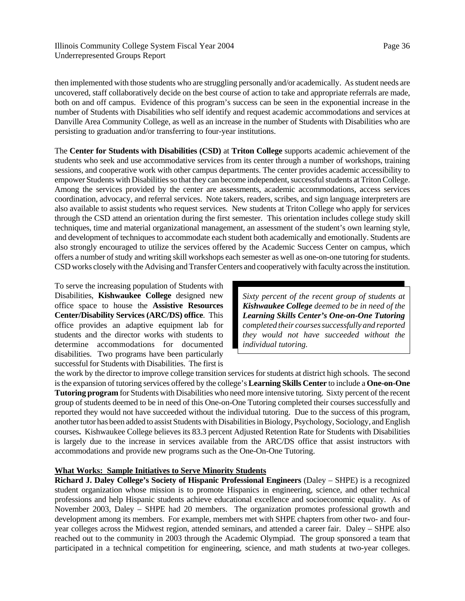then implemented with those students who are struggling personally and/or academically. As student needs are uncovered, staff collaboratively decide on the best course of action to take and appropriate referrals are made, both on and off campus. Evidence of this program's success can be seen in the exponential increase in the number of Students with Disabilities who self identify and request academic accommodations and services at Danville Area Community College, as well as an increase in the number of Students with Disabilities who are persisting to graduation and/or transferring to four-year institutions.

The **Center for Students with Disabilities (CSD)** at **Triton College** supports academic achievement of the students who seek and use accommodative services from its center through a number of workshops, training sessions, and cooperative work with other campus departments. The center provides academic accessibility to empower Students with Disabilities so that they can become independent, successful students at Triton College. Among the services provided by the center are assessments, academic accommodations, access services coordination, advocacy, and referral services. Note takers, readers, scribes, and sign language interpreters are also available to assist students who request services. New students at Triton College who apply for services through the CSD attend an orientation during the first semester. This orientation includes college study skill techniques, time and material organizational management, an assessment of the student's own learning style, and development of techniques to accommodate each student both academically and emotionally. Students are also strongly encouraged to utilize the services offered by the Academic Success Center on campus, which offers a number of study and writing skill workshops each semester as well as one-on-one tutoring for students. CSD works closely with the Advising and Transfer Centers and cooperatively with faculty across the institution.

To serve the increasing population of Students with Disabilities, **Kishwaukee College** designed new office space to house the **Assistive Resources Center/Disability Services (ARC/DS) office**. This office provides an adaptive equipment lab for students and the director works with students to determine accommodations for documented disabilities. Two programs have been particularly successful for Students with Disabilities. The first is

*Sixty percent of the recent group of students at Kishwaukee College deemed to be in need of the Learning Skills Center's One-on-One Tutoring completed their courses successfully and reported they would not have succeeded without the individual tutoring.*

the work by the director to improve college transition services for students at district high schools. The second is the expansion of tutoring services offered by the college's **Learning Skills Center** to include a **One-on-One Tutoring program** for Students with Disabilities who need more intensive tutoring. Sixty percent of the recent group of students deemed to be in need of this One-on-One Tutoring completed their courses successfully and reported they would not have succeeded without the individual tutoring. Due to the success of this program, another tutor has been added to assist Students with Disabilities in Biology, Psychology, Sociology, and English courses**.** Kishwaukee College believes its 83.3 percent Adjusted Retention Rate for Students with Disabilities is largely due to the increase in services available from the ARC/DS office that assist instructors with accommodations and provide new programs such as the One-On-One Tutoring.

## **What Works: Sample Initiatives to Serve Minority Students**

**Richard J. Daley College's Society of Hispanic Professional Engineers** (Daley – SHPE) is a recognized student organization whose mission is to promote Hispanics in engineering, science, and other technical professions and help Hispanic students achieve educational excellence and socioeconomic equality. As of November 2003, Daley – SHPE had 20 members. The organization promotes professional growth and development among its members. For example, members met with SHPE chapters from other two- and fouryear colleges across the Midwest region, attended seminars, and attended a career fair. Daley – SHPE also reached out to the community in 2003 through the Academic Olympiad. The group sponsored a team that participated in a technical competition for engineering, science, and math students at two-year colleges.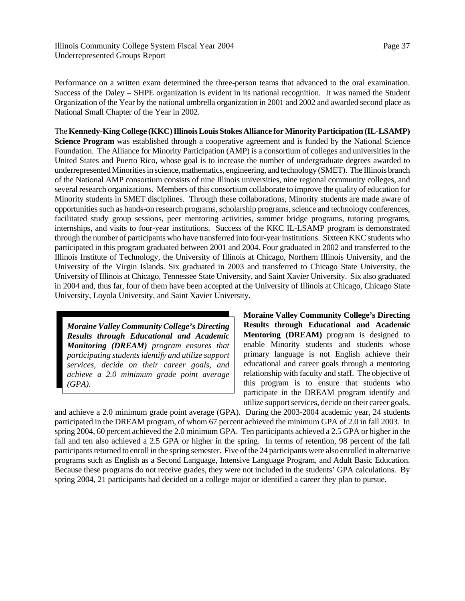Performance on a written exam determined the three-person teams that advanced to the oral examination. Success of the Daley – SHPE organization is evident in its national recognition. It was named the Student Organization of the Year by the national umbrella organization in 2001 and 2002 and awarded second place as National Small Chapter of the Year in 2002.

The **Kennedy-King College (KKC) Illinois Louis Stokes Alliance for Minority Participation (IL-LSAMP) Science Program** was established through a cooperative agreement and is funded by the National Science Foundation. The Alliance for Minority Participation (AMP) is a consortium of colleges and universities in the United States and Puerto Rico, whose goal is to increase the number of undergraduate degrees awarded to underrepresented Minorities in science, mathematics, engineering, and technology (SMET). The Illinois branch of the National AMP consortium consists of nine Illinois universities, nine regional community colleges, and several research organizations. Members of this consortium collaborate to improve the quality of education for Minority students in SMET disciplines. Through these collaborations, Minority students are made aware of opportunities such as hands-on research programs, scholarship programs, science and technology conferences, facilitated study group sessions, peer mentoring activities, summer bridge programs, tutoring programs, internships, and visits to four-year institutions. Success of the KKC IL-LSAMP program is demonstrated through the number of participants who have transferred into four-year institutions. Sixteen KKC students who participated in this program graduated between 2001 and 2004. Four graduated in 2002 and transferred to the Illinois Institute of Technology, the University of Illinois at Chicago, Northern Illinois University, and the University of the Virgin Islands. Six graduated in 2003 and transferred to Chicago State University, the University of Illinois at Chicago, Tennessee State University, and Saint Xavier University. Six also graduated in 2004 and, thus far, four of them have been accepted at the University of Illinois at Chicago, Chicago State University, Loyola University, and Saint Xavier University.

*Moraine Valley Community College's Directing Results through Educational and Academic Monitoring (DREAM) program ensures that participating students identify and utilize support services, decide on their career goals, and achieve a 2.0 minimum grade point average (GPA).*

**Moraine Valley Community College's Directing Results through Educational and Academic Mentoring (DREAM)** program is designed to enable Minority students and students whose primary language is not English achieve their educational and career goals through a mentoring relationship with faculty and staff. The objective of this program is to ensure that students who participate in the DREAM program identify and utilize support services, decide on their career goals,

and achieve a 2.0 minimum grade point average (GPA). During the 2003-2004 academic year, 24 students participated in the DREAM program, of whom 67 percent achieved the minimum GPA of 2.0 in fall 2003. In spring 2004, 60 percent achieved the 2.0 minimum GPA. Ten participants achieved a 2.5 GPA or higher in the fall and ten also achieved a 2.5 GPA or higher in the spring. In terms of retention, 98 percent of the fall participants returned to enroll in the spring semester. Five of the 24 participants were also enrolled in alternative programs such as English as a Second Language, Intensive Language Program, and Adult Basic Education. Because these programs do not receive grades, they were not included in the students' GPA calculations. By spring 2004, 21 participants had decided on a college major or identified a career they plan to pursue.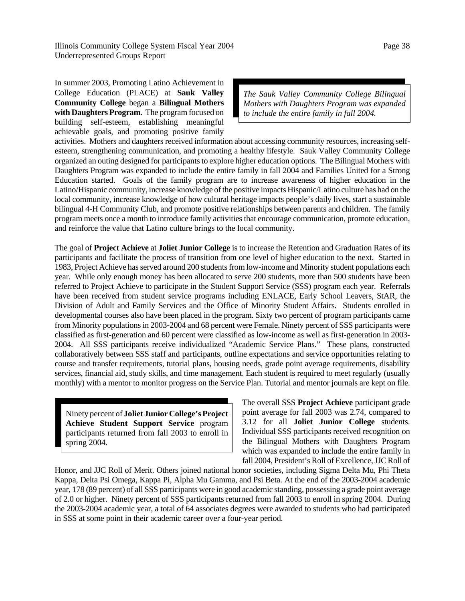In summer 2003, Promoting Latino Achievement in College Education (PLACE) at **Sauk Valley Community College** began a **Bilingual Mothers with Daughters Program**. The program focused on building self-esteem, establishing meaningful achievable goals, and promoting positive family

*The Sauk Valley Community College Bilingual Mothers with Daughters Program was expanded to include the entire family in fall 2004.* 

activities. Mothers and daughters received information about accessing community resources, increasing selfesteem, strengthening communication, and promoting a healthy lifestyle. Sauk Valley Community College organized an outing designed for participants to explore higher education options. The Bilingual Mothers with Daughters Program was expanded to include the entire family in fall 2004 and Families United for a Strong Education started. Goals of the family program are to increase awareness of higher education in the Latino/Hispanic community, increase knowledge of the positive impacts Hispanic/Latino culture has had on the local community, increase knowledge of how cultural heritage impacts people's daily lives, start a sustainable bilingual 4-H Community Club, and promote positive relationships between parents and children. The family program meets once a month to introduce family activities that encourage communication, promote education, and reinforce the value that Latino culture brings to the local community.

The goal of **Project Achieve** at **Joliet Junior College** is to increase the Retention and Graduation Rates of its participants and facilitate the process of transition from one level of higher education to the next. Started in 1983, Project Achieve has served around 200 students from low-income and Minority student populations each year. While only enough money has been allocated to serve 200 students, more than 500 students have been referred to Project Achieve to participate in the Student Support Service (SSS) program each year. Referrals have been received from student service programs including ENLACE, Early School Leavers, StAR, the Division of Adult and Family Services and the Office of Minority Student Affairs. Students enrolled in developmental courses also have been placed in the program. Sixty two percent of program participants came from Minority populations in 2003-2004 and 68 percent were Female. Ninety percent of SSS participants were classified as first-generation and 60 percent were classified as low-income as well as first-generation in 2003- 2004. All SSS participants receive individualized "Academic Service Plans." These plans, constructed collaboratively between SSS staff and participants, outline expectations and service opportunities relating to course and transfer requirements, tutorial plans, housing needs, grade point average requirements, disability services, financial aid, study skills, and time management. Each student is required to meet regularly (usually monthly) with a mentor to monitor progress on the Service Plan. Tutorial and mentor journals are kept on file.

Ninety percent of **Joliet Junior College's Project Achieve Student Support Service** program participants returned from fall 2003 to enroll in spring 2004.

The overall SSS **Project Achieve** participant grade point average for fall 2003 was 2.74, compared to 3.12 for all **Joliet Junior College** students. Individual SSS participants received recognition on the Bilingual Mothers with Daughters Program which was expanded to include the entire family in fall 2004, President's Roll of Excellence, JJC Roll of

Honor, and JJC Roll of Merit. Others joined national honor societies, including Sigma Delta Mu, Phi Theta Kappa, Delta Psi Omega, Kappa Pi, Alpha Mu Gamma, and Psi Beta. At the end of the 2003-2004 academic year, 178 (89 percent) of all SSS participants were in good academic standing, possessing a grade point average of 2.0 or higher. Ninety percent of SSS participants returned from fall 2003 to enroll in spring 2004. During the 2003-2004 academic year, a total of 64 associates degrees were awarded to students who had participated in SSS at some point in their academic career over a four-year period.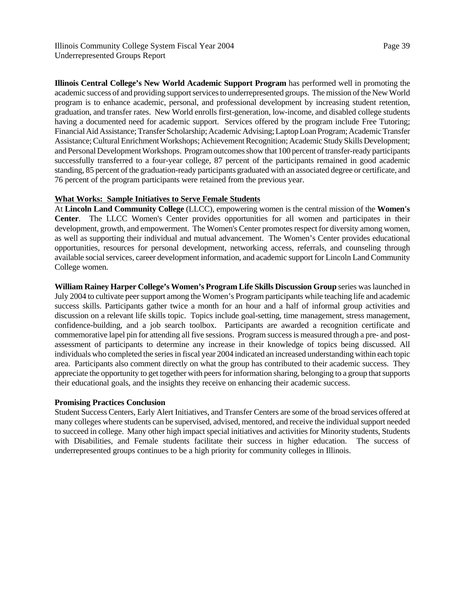**Illinois Central College's New World Academic Support Program** has performed well in promoting the academic success of and providing support services to underrepresented groups. The mission of the New World program is to enhance academic, personal, and professional development by increasing student retention, graduation, and transfer rates. New World enrolls first-generation, low-income, and disabled college students having a documented need for academic support. Services offered by the program include Free Tutoring; Financial Aid Assistance; Transfer Scholarship; Academic Advising; Laptop Loan Program; Academic Transfer Assistance; Cultural Enrichment Workshops; Achievement Recognition; Academic Study Skills Development; and Personal Development Workshops. Program outcomes show that 100 percent of transfer-ready participants successfully transferred to a four-year college, 87 percent of the participants remained in good academic standing, 85 percent of the graduation-ready participants graduated with an associated degree or certificate, and 76 percent of the program participants were retained from the previous year.

# **What Works: Sample Initiatives to Serve Female Students**

At **Lincoln Land Community College** (LLCC), empowering women is the central mission of the **Women's Center**. The LLCC Women's Center provides opportunities for all women and participates in their development, growth, and empowerment. The Women's Center promotes respect for diversity among women, as well as supporting their individual and mutual advancement. The Women's Center provides educational opportunities, resources for personal development, networking access, referrals, and counseling through available social services, career development information, and academic support for Lincoln Land Community College women.

**William Rainey Harper College's Women's Program Life Skills Discussion Group** series was launched in July 2004 to cultivate peer support among the Women's Program participants while teaching life and academic success skills. Participants gather twice a month for an hour and a half of informal group activities and discussion on a relevant life skills topic. Topics include goal-setting, time management, stress management, confidence-building, and a job search toolbox. Participants are awarded a recognition certificate and commemorative lapel pin for attending all five sessions. Program success is measured through a pre- and postassessment of participants to determine any increase in their knowledge of topics being discussed. All individuals who completed the series in fiscal year 2004 indicated an increased understanding within each topic area. Participants also comment directly on what the group has contributed to their academic success. They appreciate the opportunity to get together with peers for information sharing, belonging to a group that supports their educational goals, and the insights they receive on enhancing their academic success.

## **Promising Practices Conclusion**

Student Success Centers, Early Alert Initiatives, and Transfer Centers are some of the broad services offered at many colleges where students can be supervised, advised, mentored, and receive the individual support needed to succeed in college. Many other high impact special initiatives and activities for Minority students, Students with Disabilities, and Female students facilitate their success in higher education. The success of underrepresented groups continues to be a high priority for community colleges in Illinois.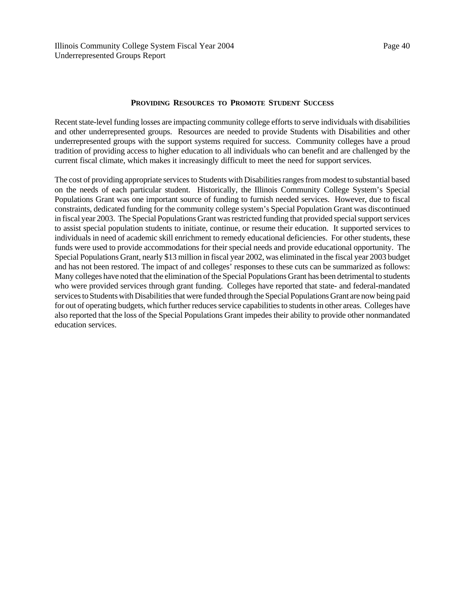## **PROVIDING RESOURCES TO PROMOTE STUDENT SUCCESS**

Recent state-level funding losses are impacting community college efforts to serve individuals with disabilities and other underrepresented groups. Resources are needed to provide Students with Disabilities and other underrepresented groups with the support systems required for success. Community colleges have a proud tradition of providing access to higher education to all individuals who can benefit and are challenged by the current fiscal climate, which makes it increasingly difficult to meet the need for support services.

The cost of providing appropriate services to Students with Disabilities ranges from modest to substantial based on the needs of each particular student. Historically, the Illinois Community College System's Special Populations Grant was one important source of funding to furnish needed services. However, due to fiscal constraints, dedicated funding for the community college system's Special Population Grant was discontinued in fiscal year 2003. The Special Populations Grant was restricted funding that provided special support services to assist special population students to initiate, continue, or resume their education. It supported services to individuals in need of academic skill enrichment to remedy educational deficiencies. For other students, these funds were used to provide accommodations for their special needs and provide educational opportunity. The Special Populations Grant, nearly \$13 million in fiscal year 2002, was eliminated in the fiscal year 2003 budget and has not been restored. The impact of and colleges' responses to these cuts can be summarized as follows: Many colleges have noted that the elimination of the Special Populations Grant has been detrimental to students who were provided services through grant funding. Colleges have reported that state- and federal-mandated services to Students with Disabilities that were funded through the Special Populations Grant are now being paid for out of operating budgets, which further reduces service capabilities to students in other areas. Colleges have also reported that the loss of the Special Populations Grant impedes their ability to provide other nonmandated education services.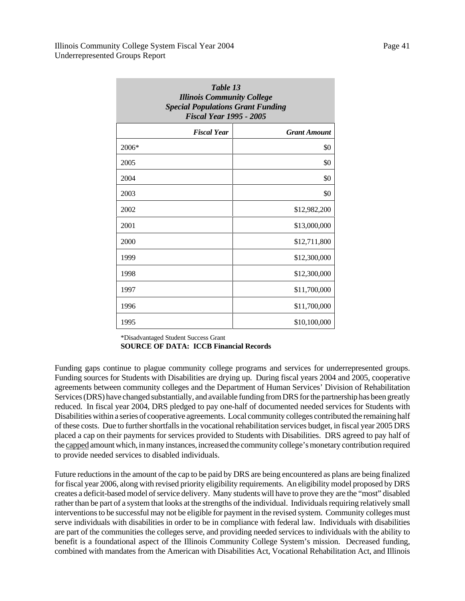|         | Table 13<br><b>Illinois Community College</b><br><b>Special Populations Grant Funding</b><br><b>Fiscal Year 1995 - 2005</b> |                     |
|---------|-----------------------------------------------------------------------------------------------------------------------------|---------------------|
|         | <b>Fiscal Year</b>                                                                                                          | <b>Grant Amount</b> |
| $2006*$ |                                                                                                                             | \$0                 |
| 2005    |                                                                                                                             | \$0                 |
| 2004    |                                                                                                                             | \$0                 |
| 2003    |                                                                                                                             | \$0                 |
| 2002    |                                                                                                                             | \$12,982,200        |
| 2001    |                                                                                                                             | \$13,000,000        |
| 2000    |                                                                                                                             | \$12,711,800        |
| 1999    |                                                                                                                             | \$12,300,000        |
| 1998    |                                                                                                                             | \$12,300,000        |
| 1997    |                                                                                                                             | \$11,700,000        |
| 1996    |                                                                                                                             | \$11,700,000        |
| 1995    |                                                                                                                             | \$10,100,000        |

\*Disadvantaged Student Success Grant

**SOURCE OF DATA: ICCB Financial Records**

Funding gaps continue to plague community college programs and services for underrepresented groups. Funding sources for Students with Disabilities are drying up. During fiscal years 2004 and 2005, cooperative agreements between community colleges and the Department of Human Services' Division of Rehabilitation Services (DRS) have changed substantially, and available funding from DRS for the partnership has been greatly reduced. In fiscal year 2004, DRS pledged to pay one-half of documented needed services for Students with Disabilities within a series of cooperative agreements. Local community colleges contributed the remaining half of these costs. Due to further shortfalls in the vocational rehabilitation services budget, in fiscal year 2005 DRS placed a cap on their payments for services provided to Students with Disabilities. DRS agreed to pay half of the capped amount which, in many instances, increased the community college's monetary contribution required to provide needed services to disabled individuals.

Future reductions in the amount of the cap to be paid by DRS are being encountered as plans are being finalized for fiscal year 2006, along with revised priority eligibility requirements. An eligibility model proposed by DRS creates a deficit-based model of service delivery. Many students will have to prove they are the "most" disabled rather than be part of a system that looks at the strengths of the individual. Individuals requiring relatively small interventions to be successful may not be eligible for payment in the revised system. Community colleges must serve individuals with disabilities in order to be in compliance with federal law. Individuals with disabilities are part of the communities the colleges serve, and providing needed services to individuals with the ability to benefit is a foundational aspect of the Illinois Community College System's mission. Decreased funding, combined with mandates from the American with Disabilities Act, Vocational Rehabilitation Act, and Illinois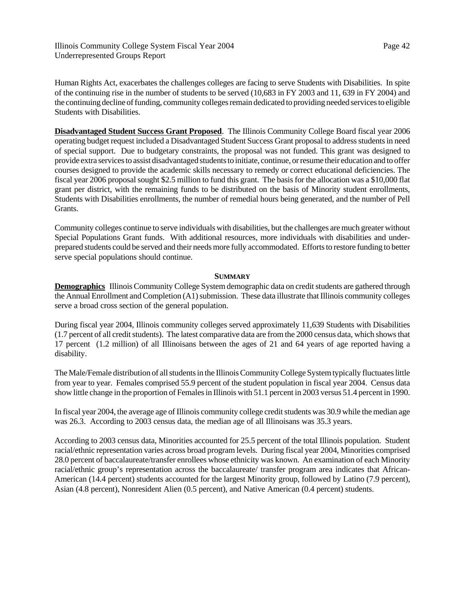Human Rights Act, exacerbates the challenges colleges are facing to serve Students with Disabilities. In spite of the continuing rise in the number of students to be served (10,683 in FY 2003 and 11, 639 in FY 2004) and the continuing decline of funding, community colleges remain dedicated to providing needed services to eligible Students with Disabilities.

**Disadvantaged Student Success Grant Proposed**. The Illinois Community College Board fiscal year 2006 operating budget request included a Disadvantaged Student Success Grant proposal to address students in need of special support. Due to budgetary constraints, the proposal was not funded. This grant was designed to provide extra services to assist disadvantaged students to initiate, continue, or resume their education and to offer courses designed to provide the academic skills necessary to remedy or correct educational deficiencies. The fiscal year 2006 proposal sought \$2.5 million to fund this grant. The basis for the allocation was a \$10,000 flat grant per district, with the remaining funds to be distributed on the basis of Minority student enrollments, Students with Disabilities enrollments, the number of remedial hours being generated, and the number of Pell Grants.

Community colleges continue to serve individuals with disabilities, but the challenges are much greater without Special Populations Grant funds. With additional resources, more individuals with disabilities and underprepared students could be served and their needs more fully accommodated. Efforts to restore funding to better serve special populations should continue.

## **SUMMARY**

**Demographics** Illinois Community College System demographic data on credit students are gathered through the Annual Enrollment and Completion (A1) submission. These data illustrate that Illinois community colleges serve a broad cross section of the general population.

During fiscal year 2004, Illinois community colleges served approximately 11,639 Students with Disabilities (1.7 percent of all credit students). The latest comparative data are from the 2000 census data, which shows that 17 percent (1.2 million) of all Illinoisans between the ages of 21 and 64 years of age reported having a disability.

The Male/Female distribution of all students in the Illinois Community College System typically fluctuates little from year to year. Females comprised 55.9 percent of the student population in fiscal year 2004. Census data show little change in the proportion of Females in Illinois with 51.1 percent in 2003 versus 51.4 percent in 1990.

In fiscal year 2004, the average age of Illinois community college credit students was 30.9 while the median age was 26.3. According to 2003 census data, the median age of all Illinoisans was 35.3 years.

According to 2003 census data, Minorities accounted for 25.5 percent of the total Illinois population. Student racial/ethnic representation varies across broad program levels. During fiscal year 2004, Minorities comprised 28.0 percent of baccalaureate/transfer enrollees whose ethnicity was known. An examination of each Minority racial/ethnic group's representation across the baccalaureate/ transfer program area indicates that African-American (14.4 percent) students accounted for the largest Minority group, followed by Latino (7.9 percent), Asian (4.8 percent), Nonresident Alien (0.5 percent), and Native American (0.4 percent) students.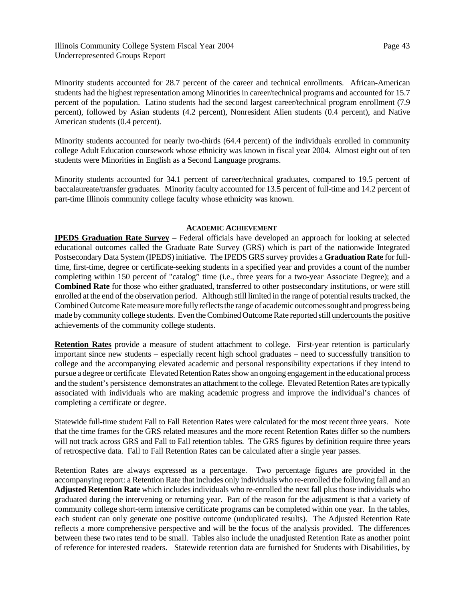Minority students accounted for 28.7 percent of the career and technical enrollments. African-American students had the highest representation among Minorities in career/technical programs and accounted for 15.7 percent of the population. Latino students had the second largest career/technical program enrollment (7.9 percent), followed by Asian students (4.2 percent), Nonresident Alien students (0.4 percent), and Native American students (0.4 percent).

Minority students accounted for nearly two-thirds (64.4 percent) of the individuals enrolled in community college Adult Education coursework whose ethnicity was known in fiscal year 2004. Almost eight out of ten students were Minorities in English as a Second Language programs.

Minority students accounted for 34.1 percent of career/technical graduates, compared to 19.5 percent of baccalaureate/transfer graduates. Minority faculty accounted for 13.5 percent of full-time and 14.2 percent of part-time Illinois community college faculty whose ethnicity was known.

## **ACADEMIC ACHIEVEMENT**

**IPEDS Graduation Rate Survey** – Federal officials have developed an approach for looking at selected educational outcomes called the Graduate Rate Survey (GRS) which is part of the nationwide Integrated Postsecondary Data System (IPEDS) initiative. The IPEDS GRS survey provides a **Graduation Rate** for fulltime, first-time, degree or certificate-seeking students in a specified year and provides a count of the number completing within 150 percent of "catalog" time (i.e., three years for a two-year Associate Degree); and a **Combined Rate** for those who either graduated, transferred to other postsecondary institutions, or were still enrolled at the end of the observation period. Although still limited in the range of potential results tracked, the Combined Outcome Rate measure more fully reflects the range of academic outcomes sought and progress being made by community college students. Even the Combined Outcome Rate reported still undercounts the positive achievements of the community college students.

**Retention Rates** provide a measure of student attachment to college. First-year retention is particularly important since new students – especially recent high school graduates – need to successfully transition to college and the accompanying elevated academic and personal responsibility expectations if they intend to pursue a degree or certificate Elevated Retention Rates show an ongoing engagement in the educational process and the student's persistence demonstrates an attachment to the college. Elevated Retention Rates are typically associated with individuals who are making academic progress and improve the individual's chances of completing a certificate or degree.

Statewide full-time student Fall to Fall Retention Rates were calculated for the most recent three years. Note that the time frames for the GRS related measures and the more recent Retention Rates differ so the numbers will not track across GRS and Fall to Fall retention tables. The GRS figures by definition require three years of retrospective data. Fall to Fall Retention Rates can be calculated after a single year passes.

Retention Rates are always expressed as a percentage. Two percentage figures are provided in the accompanying report: a Retention Rate that includes only individuals who re-enrolled the following fall and an **Adjusted Retention Rate** which includes individuals who re-enrolled the next fall plus those individuals who graduated during the intervening or returning year. Part of the reason for the adjustment is that a variety of community college short-term intensive certificate programs can be completed within one year. In the tables, each student can only generate one positive outcome (unduplicated results). The Adjusted Retention Rate reflects a more comprehensive perspective and will be the focus of the analysis provided. The differences between these two rates tend to be small. Tables also include the unadjusted Retention Rate as another point of reference for interested readers. Statewide retention data are furnished for Students with Disabilities, by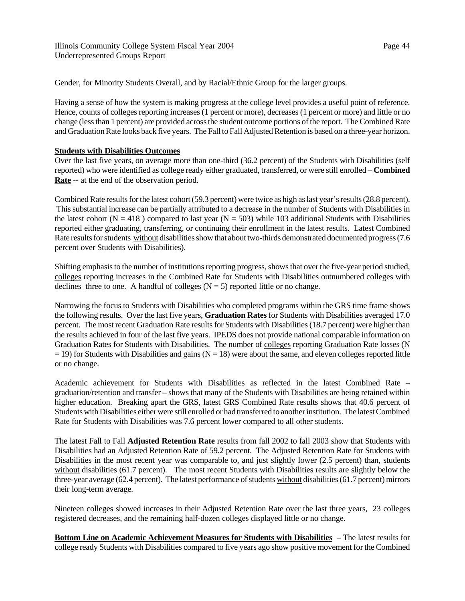Gender, for Minority Students Overall, and by Racial/Ethnic Group for the larger groups.

Having a sense of how the system is making progress at the college level provides a useful point of reference. Hence, counts of colleges reporting increases (1 percent or more), decreases (1 percent or more) and little or no change (less than 1 percent) are provided across the student outcome portions of the report. The Combined Rate and Graduation Rate looks back five years. The Fall to Fall Adjusted Retention is based on a three-year horizon.

# **Students with Disabilities Outcomes**

Over the last five years, on average more than one-third (36.2 percent) of the Students with Disabilities (self reported) who were identified as college ready either graduated, transferred, or were still enrolled – **Combined Rate** -- at the end of the observation period.

Combined Rate results for the latest cohort (59.3 percent) were twice as high as last year's results (28.8 percent). This substantial increase can be partially attributed to a decrease in the number of Students with Disabilities in the latest cohort ( $N = 418$ ) compared to last year ( $N = 503$ ) while 103 additional Students with Disabilities reported either graduating, transferring, or continuing their enrollment in the latest results. Latest Combined Rate results for students without disabilities show that about two-thirds demonstrated documented progress (7.6 percent over Students with Disabilities).

Shifting emphasis to the number of institutions reporting progress, shows that over the five-year period studied, colleges reporting increases in the Combined Rate for Students with Disabilities outnumbered colleges with declines three to one. A handful of colleges  $(N = 5)$  reported little or no change.

Narrowing the focus to Students with Disabilities who completed programs within the GRS time frame shows the following results. Over the last five years, **Graduation Rates** for Students with Disabilities averaged 17.0 percent. The most recent Graduation Rate results for Students with Disabilities (18.7 percent) were higher than the results achieved in four of the last five years. IPEDS does not provide national comparable information on Graduation Rates for Students with Disabilities. The number of colleges reporting Graduation Rate losses (N  $= 19$ ) for Students with Disabilities and gains (N = 18) were about the same, and eleven colleges reported little or no change.

Academic achievement for Students with Disabilities as reflected in the latest Combined Rate – graduation/retention and transfer – shows that many of the Students with Disabilities are being retained within higher education. Breaking apart the GRS, latest GRS Combined Rate results shows that 40.6 percent of Students with Disabilities either were still enrolled or had transferred to another institution. The latest Combined Rate for Students with Disabilities was 7.6 percent lower compared to all other students.

The latest Fall to Fall **Adjusted Retention Rate** results from fall 2002 to fall 2003 show that Students with Disabilities had an Adjusted Retention Rate of 59.2 percent. The Adjusted Retention Rate for Students with Disabilities in the most recent year was comparable to, and just slightly lower (2.5 percent) than, students without disabilities (61.7 percent). The most recent Students with Disabilities results are slightly below the three-year average (62.4 percent). The latest performance of students without disabilities (61.7 percent) mirrors their long-term average.

Nineteen colleges showed increases in their Adjusted Retention Rate over the last three years, 23 colleges registered decreases, and the remaining half-dozen colleges displayed little or no change.

**Bottom Line on Academic Achievement Measures for Students with Disabilities** – The latest results for college ready Students with Disabilities compared to five years ago show positive movement for the Combined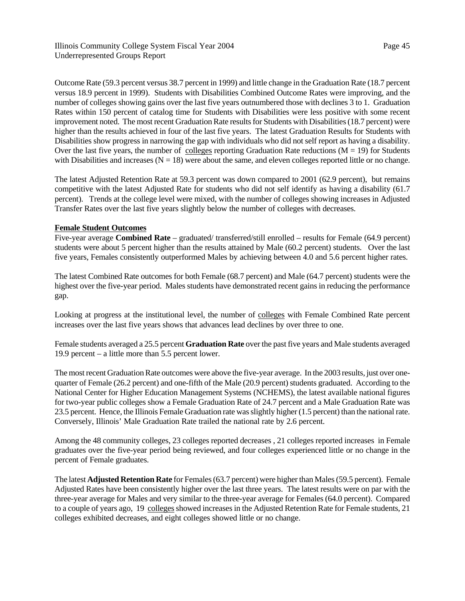Outcome Rate (59.3 percent versus 38.7 percent in 1999) and little change in the Graduation Rate (18.7 percent versus 18.9 percent in 1999). Students with Disabilities Combined Outcome Rates were improving, and the number of colleges showing gains over the last five years outnumbered those with declines 3 to 1. Graduation Rates within 150 percent of catalog time for Students with Disabilities were less positive with some recent improvement noted. The most recent Graduation Rate results for Students with Disabilities (18.7 percent) were higher than the results achieved in four of the last five years. The latest Graduation Results for Students with Disabilities show progress in narrowing the gap with individuals who did not self report as having a disability. Over the last five years, the number of colleges reporting Graduation Rate reductions ( $M = 19$ ) for Students with Disabilities and increases ( $N = 18$ ) were about the same, and eleven colleges reported little or no change.

The latest Adjusted Retention Rate at 59.3 percent was down compared to 2001 (62.9 percent), but remains competitive with the latest Adjusted Rate for students who did not self identify as having a disability (61.7 percent). Trends at the college level were mixed, with the number of colleges showing increases in Adjusted Transfer Rates over the last five years slightly below the number of colleges with decreases.

# **Female Student Outcomes**

Five-year average **Combined Rate** – graduated/ transferred/still enrolled – results for Female (64.9 percent) students were about 5 percent higher than the results attained by Male (60.2 percent) students. Over the last five years, Females consistently outperformed Males by achieving between 4.0 and 5.6 percent higher rates.

The latest Combined Rate outcomes for both Female (68.7 percent) and Male (64.7 percent) students were the highest over the five-year period. Males students have demonstrated recent gains in reducing the performance gap.

Looking at progress at the institutional level, the number of colleges with Female Combined Rate percent increases over the last five years shows that advances lead declines by over three to one.

Female students averaged a 25.5 percent **Graduation Rate** over the past five years and Male students averaged 19.9 percent – a little more than 5.5 percent lower.

The most recent Graduation Rate outcomes were above the five-year average. In the 2003 results, just over onequarter of Female (26.2 percent) and one-fifth of the Male (20.9 percent) students graduated. According to the National Center for Higher Education Management Systems (NCHEMS), the latest available national figures for two-year public colleges show a Female Graduation Rate of 24.7 percent and a Male Graduation Rate was 23.5 percent. Hence, the Illinois Female Graduation rate was slightly higher (1.5 percent) than the national rate. Conversely, Illinois' Male Graduation Rate trailed the national rate by 2.6 percent.

Among the 48 community colleges, 23 colleges reported decreases , 21 colleges reported increases in Female graduates over the five-year period being reviewed, and four colleges experienced little or no change in the percent of Female graduates.

The latest **Adjusted Retention Rate** for Females (63.7 percent) were higher than Males (59.5 percent). Female Adjusted Rates have been consistently higher over the last three years. The latest results were on par with the three-year average for Males and very similar to the three-year average for Females (64.0 percent). Compared to a couple of years ago, 19 colleges showed increases in the Adjusted Retention Rate for Female students, 21 colleges exhibited decreases, and eight colleges showed little or no change.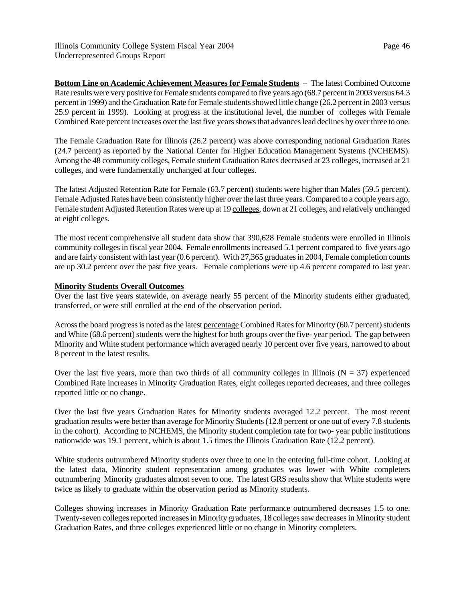**Bottom Line on Academic Achievement Measures for Female Students** – The latest Combined Outcome Rate results were very positive for Female students compared to five years ago (68.7 percent in 2003 versus 64.3 percent in 1999) and the Graduation Rate for Female students showed little change (26.2 percent in 2003 versus 25.9 percent in 1999). Looking at progress at the institutional level, the number of colleges with Female Combined Rate percent increases over the last five years shows that advances lead declines by over three to one.

The Female Graduation Rate for Illinois (26.2 percent) was above corresponding national Graduation Rates (24.7 percent) as reported by the National Center for Higher Education Management Systems (NCHEMS). Among the 48 community colleges, Female student Graduation Rates decreased at 23 colleges, increased at 21 colleges, and were fundamentally unchanged at four colleges.

The latest Adjusted Retention Rate for Female (63.7 percent) students were higher than Males (59.5 percent). Female Adjusted Rates have been consistently higher over the last three years. Compared to a couple years ago, Female student Adjusted Retention Rates were up at 19 colleges, down at 21 colleges, and relatively unchanged at eight colleges.

The most recent comprehensive all student data show that 390,628 Female students were enrolled in Illinois community colleges in fiscal year 2004. Female enrollments increased 5.1 percent compared to five years ago and are fairly consistent with last year (0.6 percent). With 27,365 graduates in 2004, Female completion counts are up 30.2 percent over the past five years. Female completions were up 4.6 percent compared to last year.

## **Minority Students Overall Outcomes**

Over the last five years statewide, on average nearly 55 percent of the Minority students either graduated, transferred, or were still enrolled at the end of the observation period.

Across the board progress is noted as the latest percentage Combined Rates for Minority (60.7 percent) students and White (68.6 percent) students were the highest for both groups over the five- year period. The gap between Minority and White student performance which averaged nearly 10 percent over five years, narrowed to about 8 percent in the latest results.

Over the last five years, more than two thirds of all community colleges in Illinois ( $N = 37$ ) experienced Combined Rate increases in Minority Graduation Rates, eight colleges reported decreases, and three colleges reported little or no change.

Over the last five years Graduation Rates for Minority students averaged 12.2 percent. The most recent graduation results were better than average for Minority Students (12.8 percent or one out of every 7.8 students in the cohort). According to NCHEMS, the Minority student completion rate for two- year public institutions nationwide was 19.1 percent, which is about 1.5 times the Illinois Graduation Rate (12.2 percent).

White students outnumbered Minority students over three to one in the entering full-time cohort. Looking at the latest data, Minority student representation among graduates was lower with White completers outnumbering Minority graduates almost seven to one. The latest GRS results show that White students were twice as likely to graduate within the observation period as Minority students.

Colleges showing increases in Minority Graduation Rate performance outnumbered decreases 1.5 to one. Twenty-seven colleges reported increases in Minority graduates, 18 colleges saw decreases in Minority student Graduation Rates, and three colleges experienced little or no change in Minority completers.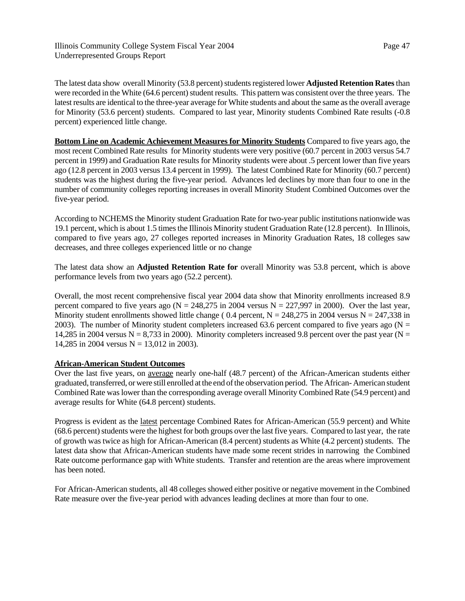The latest data show overall Minority (53.8 percent) students registered lower **Adjusted Retention Rates** than were recorded in the White (64.6 percent) student results. This pattern was consistent over the three years. The latest results are identical to the three-year average for White students and about the same as the overall average for Minority (53.6 percent) students. Compared to last year, Minority students Combined Rate results (-0.8 percent) experienced little change.

**Bottom Line on Academic Achievement Measures for Minority Students** Compared to five years ago, the most recent Combined Rate results for Minority students were very positive (60.7 percent in 2003 versus 54.7 percent in 1999) and Graduation Rate results for Minority students were about .5 percent lower than five years ago (12.8 percent in 2003 versus 13.4 percent in 1999). The latest Combined Rate for Minority (60.7 percent) students was the highest during the five-year period. Advances led declines by more than four to one in the number of community colleges reporting increases in overall Minority Student Combined Outcomes over the five-year period.

According to NCHEMS the Minority student Graduation Rate for two-year public institutions nationwide was 19.1 percent, which is about 1.5 times the Illinois Minority student Graduation Rate (12.8 percent). In Illinois, compared to five years ago, 27 colleges reported increases in Minority Graduation Rates, 18 colleges saw decreases, and three colleges experienced little or no change

The latest data show an **Adjusted Retention Rate for** overall Minority was 53.8 percent, which is above performance levels from two years ago (52.2 percent).

Overall, the most recent comprehensive fiscal year 2004 data show that Minority enrollments increased 8.9 percent compared to five years ago ( $N = 248,275$  in 2004 versus  $N = 227,997$  in 2000). Over the last year, Minority student enrollments showed little change (0.4 percent,  $N = 248,275$  in 2004 versus  $N = 247,338$  in 2003). The number of Minority student completers increased 63.6 percent compared to five years ago ( $N =$ 14,285 in 2004 versus  $N = 8,733$  in 2000). Minority completers increased 9.8 percent over the past year ( $N =$ 14,285 in 2004 versus  $N = 13,012$  in 2003).

## **African-American Student Outcomes**

Over the last five years, on average nearly one-half (48.7 percent) of the African-American students either graduated, transferred, or were still enrolled at the end of the observation period. The African- American student Combined Rate was lower than the corresponding average overall Minority Combined Rate (54.9 percent) and average results for White (64.8 percent) students.

Progress is evident as the latest percentage Combined Rates for African-American (55.9 percent) and White (68.6 percent) students were the highest for both groups over the last five years. Compared to last year, the rate of growth was twice as high for African-American (8.4 percent) students as White (4.2 percent) students. The latest data show that African-American students have made some recent strides in narrowing the Combined Rate outcome performance gap with White students. Transfer and retention are the areas where improvement has been noted.

For African-American students, all 48 colleges showed either positive or negative movement in the Combined Rate measure over the five-year period with advances leading declines at more than four to one.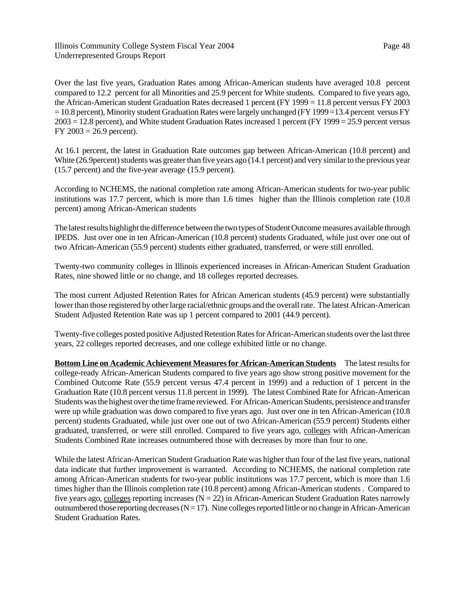Over the last five years, Graduation Rates among African-American students have averaged 10.8 percent compared to 12.2 percent for all Minorities and 25.9 percent for White students. Compared to five years ago, the African-American student Graduation Rates decreased 1 percent (FY 1999 = 11.8 percent versus FY 2003  $= 10.8$  percent), Minority student Graduation Rates were largely unchanged (FY 1999 = 13.4 percent versus FY  $2003 = 12.8$  percent), and White student Graduation Rates increased 1 percent (FY 1999 = 25.9 percent versus FY  $2003 = 26.9$  percent).

At 16.1 percent, the latest in Graduation Rate outcomes gap between African-American (10.8 percent) and White (26.9 percent) students was greater than five years ago (14.1 percent) and very similar to the previous year (15.7 percent) and the five-year average (15.9 percent).

According to NCHEMS, the national completion rate among African-American students for two-year public institutions was 17.7 percent, which is more than 1.6 times higher than the Illinois completion rate (10.8 percent) among African-American students

The latest results highlight the difference between the two types of Student Outcome measures available through IPEDS. Just over one in ten African-American (10.8 percent) students Graduated, while just over one out of two African-American (55.9 percent) students either graduated, transferred, or were still enrolled.

Twenty-two community colleges in Illinois experienced increases in African-American Student Graduation Rates, nine showed little or no change, and 18 colleges reported decreases.

The most current Adjusted Retention Rates for African American students (45.9 percent) were substantially lower than those registered by other large racial/ethnic groups and the overall rate. The latest African-American Student Adjusted Retention Rate was up 1 percent compared to 2001 (44.9 percent).

Twenty-five colleges posted positive Adjusted Retention Rates for African-American students over the last three years, 22 colleges reported decreases, and one college exhibited little or no change.

**Bottom Line on Academic Achievement Measures for African-American Students** The latest results for college-ready African-American Students compared to five years ago show strong positive movement for the Combined Outcome Rate (55.9 percent versus 47.4 percent in 1999) and a reduction of 1 percent in the Graduation Rate (10.8 percent versus 11.8 percent in 1999). The latest Combined Rate for African-American Students was the highest over the time frame reviewed. For African-American Students, persistence and transfer were up while graduation was down compared to five years ago. Just over one in ten African-American (10.8 percent) students Graduated, while just over one out of two African-American (55.9 percent) Students either graduated, transferred, or were still enrolled. Compared to five years ago, colleges with African-American Students Combined Rate increases outnumbered those with decreases by more than four to one.

While the latest African-American Student Graduation Rate was higher than four of the last five years, national data indicate that further improvement is warranted. According to NCHEMS, the national completion rate among African-American students for two-year public institutions was 17.7 percent, which is more than 1.6 times higher than the Illinois completion rate (10.8 percent) among African-American students . Compared to five years ago, colleges reporting increases ( $N = 22$ ) in African-American Student Graduation Rates narrowly outnumbered those reporting decreases  $(N = 17)$ . Nine colleges reported little or no change in African-American Student Graduation Rates.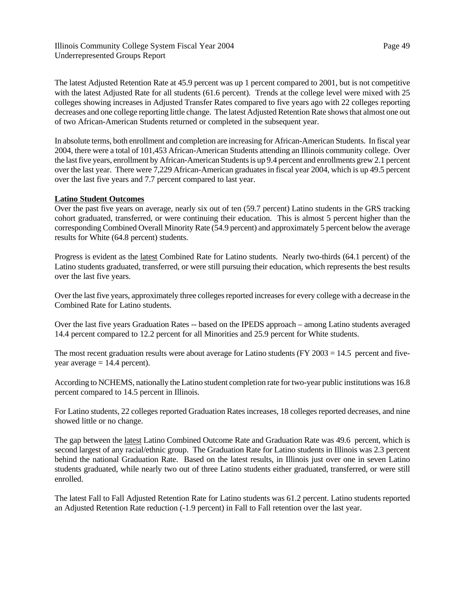The latest Adjusted Retention Rate at 45.9 percent was up 1 percent compared to 2001, but is not competitive with the latest Adjusted Rate for all students (61.6 percent). Trends at the college level were mixed with 25 colleges showing increases in Adjusted Transfer Rates compared to five years ago with 22 colleges reporting decreases and one college reporting little change. The latest Adjusted Retention Rate shows that almost one out of two African-American Students returned or completed in the subsequent year.

In absolute terms, both enrollment and completion are increasing for African-American Students. In fiscal year 2004, there were a total of 101,453 African-American Students attending an Illinois community college. Over the last five years, enrollment by African-American Students is up 9.4 percent and enrollments grew 2.1 percent over the last year. There were 7,229 African-American graduates in fiscal year 2004, which is up 49.5 percent over the last five years and 7.7 percent compared to last year.

## **Latino Student Outcomes**

Over the past five years on average, nearly six out of ten (59.7 percent) Latino students in the GRS tracking cohort graduated, transferred, or were continuing their education. This is almost 5 percent higher than the corresponding Combined Overall Minority Rate (54.9 percent) and approximately 5 percent below the average results for White (64.8 percent) students.

Progress is evident as the latest Combined Rate for Latino students. Nearly two-thirds (64.1 percent) of the Latino students graduated, transferred, or were still pursuing their education, which represents the best results over the last five years.

Over the last five years, approximately three colleges reported increases for every college with a decrease in the Combined Rate for Latino students.

Over the last five years Graduation Rates -- based on the IPEDS approach – among Latino students averaged 14.4 percent compared to 12.2 percent for all Minorities and 25.9 percent for White students.

The most recent graduation results were about average for Latino students (FY 2003 = 14.5 percent and fiveyear average  $= 14.4$  percent).

According to NCHEMS, nationally the Latino student completion rate for two-year public institutions was 16.8 percent compared to 14.5 percent in Illinois.

For Latino students, 22 colleges reported Graduation Rates increases, 18 colleges reported decreases, and nine showed little or no change.

The gap between the latest Latino Combined Outcome Rate and Graduation Rate was 49.6 percent, which is second largest of any racial/ethnic group. The Graduation Rate for Latino students in Illinois was 2.3 percent behind the national Graduation Rate. Based on the latest results, in Illinois just over one in seven Latino students graduated, while nearly two out of three Latino students either graduated, transferred, or were still enrolled.

The latest Fall to Fall Adjusted Retention Rate for Latino students was 61.2 percent. Latino students reported an Adjusted Retention Rate reduction (-1.9 percent) in Fall to Fall retention over the last year.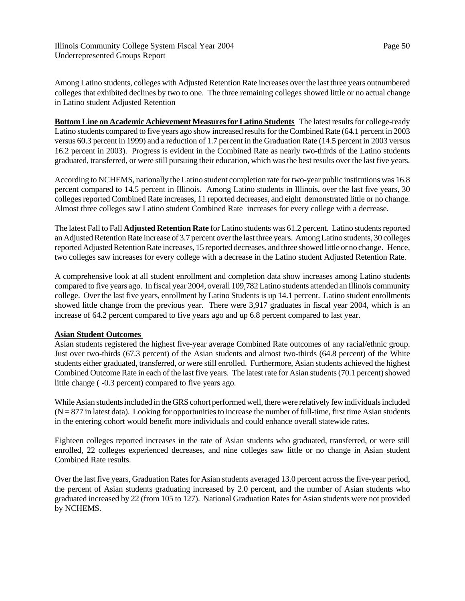Among Latino students, colleges with Adjusted Retention Rate increases over the last three years outnumbered colleges that exhibited declines by two to one. The three remaining colleges showed little or no actual change in Latino student Adjusted Retention

**Bottom Line on Academic Achievement Measures for Latino Students** The latest results for college-ready Latino students compared to five years ago show increased results for the Combined Rate (64.1 percent in 2003 versus 60.3 percent in 1999) and a reduction of 1.7 percent in the Graduation Rate (14.5 percent in 2003 versus 16.2 percent in 2003). Progress is evident in the Combined Rate as nearly two-thirds of the Latino students graduated, transferred, or were still pursuing their education, which was the best results over the last five years.

According to NCHEMS, nationally the Latino student completion rate for two-year public institutions was 16.8 percent compared to 14.5 percent in Illinois. Among Latino students in Illinois, over the last five years, 30 colleges reported Combined Rate increases, 11 reported decreases, and eight demonstrated little or no change. Almost three colleges saw Latino student Combined Rate increases for every college with a decrease.

The latest Fall to Fall **Adjusted Retention Rate** for Latino students was 61.2 percent. Latino students reported an Adjusted Retention Rate increase of 3.7 percent over the last three years. Among Latino students, 30 colleges reported Adjusted Retention Rate increases, 15 reported decreases, and three showed little or no change. Hence, two colleges saw increases for every college with a decrease in the Latino student Adjusted Retention Rate.

A comprehensive look at all student enrollment and completion data show increases among Latino students compared to five years ago. In fiscal year 2004, overall 109,782 Latino students attended an Illinois community college. Over the last five years, enrollment by Latino Students is up 14.1 percent. Latino student enrollments showed little change from the previous year. There were 3,917 graduates in fiscal year 2004, which is an increase of 64.2 percent compared to five years ago and up 6.8 percent compared to last year.

# **Asian Student Outcomes**

Asian students registered the highest five-year average Combined Rate outcomes of any racial/ethnic group. Just over two-thirds (67.3 percent) of the Asian students and almost two-thirds (64.8 percent) of the White students either graduated, transferred, or were still enrolled. Furthermore, Asian students achieved the highest Combined Outcome Rate in each of the last five years. The latest rate for Asian students (70.1 percent) showed little change ( -0.3 percent) compared to five years ago.

While Asian students included in the GRS cohort performed well, there were relatively few individuals included  $(N = 877$  in latest data). Looking for opportunities to increase the number of full-time, first time Asian students in the entering cohort would benefit more individuals and could enhance overall statewide rates.

Eighteen colleges reported increases in the rate of Asian students who graduated, transferred, or were still enrolled, 22 colleges experienced decreases, and nine colleges saw little or no change in Asian student Combined Rate results.

Over the last five years, Graduation Rates for Asian students averaged 13.0 percent across the five-year period, the percent of Asian students graduating increased by 2.0 percent, and the number of Asian students who graduated increased by 22 (from 105 to 127). National Graduation Rates for Asian students were not provided by NCHEMS.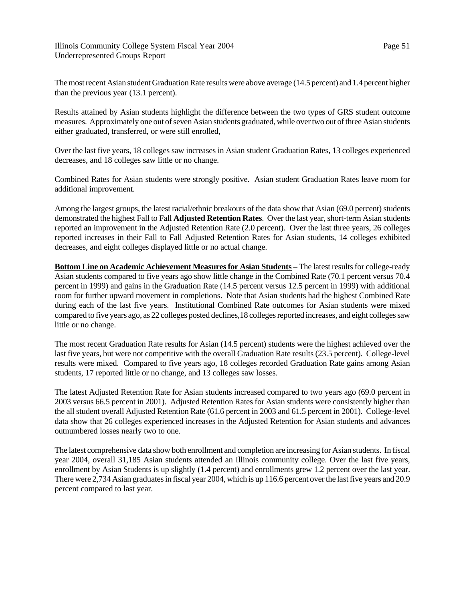The most recent Asian student Graduation Rate results were above average (14.5 percent) and 1.4 percent higher than the previous year (13.1 percent).

Results attained by Asian students highlight the difference between the two types of GRS student outcome measures. Approximately one out of seven Asian students graduated, while over two out of three Asian students either graduated, transferred, or were still enrolled,

Over the last five years, 18 colleges saw increases in Asian student Graduation Rates, 13 colleges experienced decreases, and 18 colleges saw little or no change.

Combined Rates for Asian students were strongly positive. Asian student Graduation Rates leave room for additional improvement.

Among the largest groups, the latest racial/ethnic breakouts of the data show that Asian (69.0 percent) students demonstrated the highest Fall to Fall **Adjusted Retention Rates**. Over the last year, short-term Asian students reported an improvement in the Adjusted Retention Rate (2.0 percent). Over the last three years, 26 colleges reported increases in their Fall to Fall Adjusted Retention Rates for Asian students, 14 colleges exhibited decreases, and eight colleges displayed little or no actual change.

**Bottom Line on Academic Achievement Measures for Asian Students** – The latest results for college-ready Asian students compared to five years ago show little change in the Combined Rate (70.1 percent versus 70.4 percent in 1999) and gains in the Graduation Rate (14.5 percent versus 12.5 percent in 1999) with additional room for further upward movement in completions. Note that Asian students had the highest Combined Rate during each of the last five years. Institutional Combined Rate outcomes for Asian students were mixed compared to five years ago, as 22 colleges posted declines,18 colleges reported increases, and eight colleges saw little or no change.

The most recent Graduation Rate results for Asian (14.5 percent) students were the highest achieved over the last five years, but were not competitive with the overall Graduation Rate results (23.5 percent). College-level results were mixed. Compared to five years ago, 18 colleges recorded Graduation Rate gains among Asian students, 17 reported little or no change, and 13 colleges saw losses.

The latest Adjusted Retention Rate for Asian students increased compared to two years ago (69.0 percent in 2003 versus 66.5 percent in 2001). Adjusted Retention Rates for Asian students were consistently higher than the all student overall Adjusted Retention Rate (61.6 percent in 2003 and 61.5 percent in 2001). College-level data show that 26 colleges experienced increases in the Adjusted Retention for Asian students and advances outnumbered losses nearly two to one.

The latest comprehensive data show both enrollment and completion are increasing for Asian students. In fiscal year 2004, overall 31,185 Asian students attended an Illinois community college. Over the last five years, enrollment by Asian Students is up slightly (1.4 percent) and enrollments grew 1.2 percent over the last year. There were 2,734 Asian graduates in fiscal year 2004, which is up 116.6 percent over the last five years and 20.9 percent compared to last year.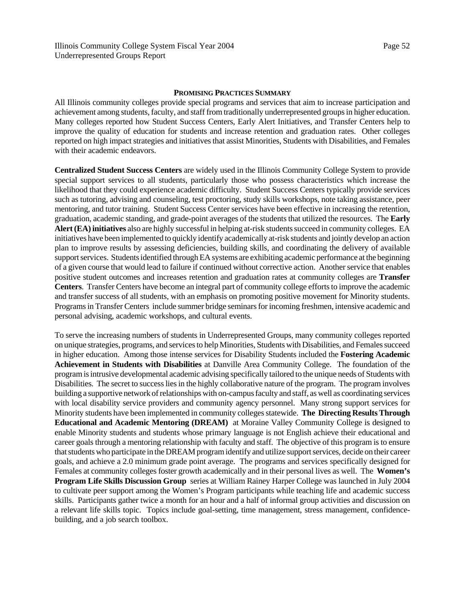## **PROMISING PRACTICES SUMMARY**

All Illinois community colleges provide special programs and services that aim to increase participation and achievement among students, faculty, and staff from traditionally underrepresented groups in higher education. Many colleges reported how Student Success Centers, Early Alert Initiatives, and Transfer Centers help to improve the quality of education for students and increase retention and graduation rates. Other colleges reported on high impact strategies and initiatives that assist Minorities, Students with Disabilities, and Females with their academic endeavors.

**Centralized Student Success Centers** are widely used in the Illinois Community College System to provide special support services to all students, particularly those who possess characteristics which increase the likelihood that they could experience academic difficulty. Student Success Centers typically provide services such as tutoring, advising and counseling, test proctoring, study skills workshops, note taking assistance, peer mentoring, and tutor training. Student Success Center services have been effective in increasing the retention, graduation, academic standing, and grade-point averages of the students that utilized the resources. The **Early Alert (EA) initiatives** also are highly successful in helping at-risk students succeed in community colleges. EA initiatives have been implemented to quickly identify academically at-risk students and jointly develop an action plan to improve results by assessing deficiencies, building skills, and coordinating the delivery of available support services. Students identified through EA systems are exhibiting academic performance at the beginning of a given course that would lead to failure if continued without corrective action. Another service that enables positive student outcomes and increases retention and graduation rates at community colleges are **Transfer Centers**. Transfer Centers have become an integral part of community college efforts to improve the academic and transfer success of all students, with an emphasis on promoting positive movement for Minority students. Programs in Transfer Centers include summer bridge seminars for incoming freshmen, intensive academic and personal advising, academic workshops, and cultural events.

To serve the increasing numbers of students in Underrepresented Groups, many community colleges reported on unique strategies, programs, and services to help Minorities, Students with Disabilities, and Females succeed in higher education. Among those intense services for Disability Students included the **Fostering Academic Achievement in Students with Disabilities** at Danville Area Community College. The foundation of the program is intrusive developmental academic advising specifically tailored to the unique needs of Students with Disabilities. The secret to success lies in the highly collaborative nature of the program. The program involves building a supportive network of relationships with on-campus faculty and staff, as well as coordinating services with local disability service providers and community agency personnel. Many strong support services for Minority students have been implemented in community colleges statewide. **The Directing Results Through Educational and Academic Mentoring (DREAM)** at Moraine Valley Community College is designed to enable Minority students and students whose primary language is not English achieve their educational and career goals through a mentoring relationship with faculty and staff. The objective of this program is to ensure that students who participate in the DREAM program identify and utilize support services, decide on their career goals, and achieve a 2.0 minimum grade point average. The programs and services specifically designed for Females at community colleges foster growth academically and in their personal lives as well. The **Women's Program Life Skills Discussion Group** series at William Rainey Harper College was launched in July 2004 to cultivate peer support among the Women's Program participants while teaching life and academic success skills. Participants gather twice a month for an hour and a half of informal group activities and discussion on a relevant life skills topic. Topics include goal-setting, time management, stress management, confidencebuilding, and a job search toolbox.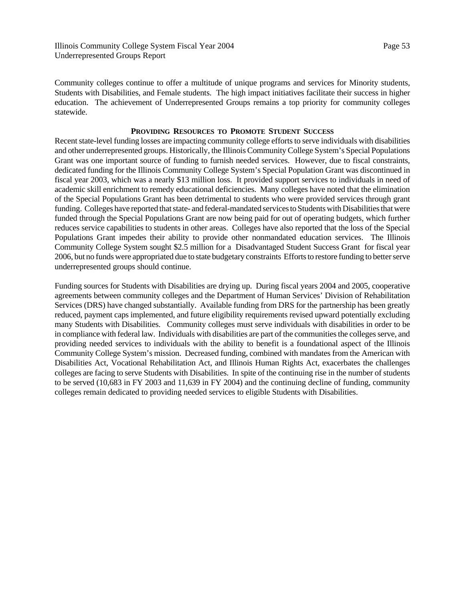Community colleges continue to offer a multitude of unique programs and services for Minority students, Students with Disabilities, and Female students. The high impact initiatives facilitate their success in higher education. The achievement of Underrepresented Groups remains a top priority for community colleges statewide.

## **PROVIDING RESOURCES TO PROMOTE STUDENT SUCCESS**

Recent state-level funding losses are impacting community college efforts to serve individuals with disabilities and other underrepresented groups. Historically, the Illinois Community College System's Special Populations Grant was one important source of funding to furnish needed services. However, due to fiscal constraints, dedicated funding for the Illinois Community College System's Special Population Grant was discontinued in fiscal year 2003, which was a nearly \$13 million loss. It provided support services to individuals in need of academic skill enrichment to remedy educational deficiencies. Many colleges have noted that the elimination of the Special Populations Grant has been detrimental to students who were provided services through grant funding. Colleges have reported that state- and federal-mandated services to Students with Disabilities that were funded through the Special Populations Grant are now being paid for out of operating budgets, which further reduces service capabilities to students in other areas. Colleges have also reported that the loss of the Special Populations Grant impedes their ability to provide other nonmandated education services. The Illinois Community College System sought \$2.5 million for a Disadvantaged Student Success Grant for fiscal year 2006, but no funds were appropriated due to state budgetary constraints Efforts to restore funding to better serve underrepresented groups should continue.

Funding sources for Students with Disabilities are drying up. During fiscal years 2004 and 2005, cooperative agreements between community colleges and the Department of Human Services' Division of Rehabilitation Services (DRS) have changed substantially. Available funding from DRS for the partnership has been greatly reduced, payment caps implemented, and future eligibility requirements revised upward potentially excluding many Students with Disabilities. Community colleges must serve individuals with disabilities in order to be in compliance with federal law. Individuals with disabilities are part of the communities the colleges serve, and providing needed services to individuals with the ability to benefit is a foundational aspect of the Illinois Community College System's mission. Decreased funding, combined with mandates from the American with Disabilities Act, Vocational Rehabilitation Act, and Illinois Human Rights Act, exacerbates the challenges colleges are facing to serve Students with Disabilities. In spite of the continuing rise in the number of students to be served (10,683 in FY 2003 and 11,639 in FY 2004) and the continuing decline of funding, community colleges remain dedicated to providing needed services to eligible Students with Disabilities.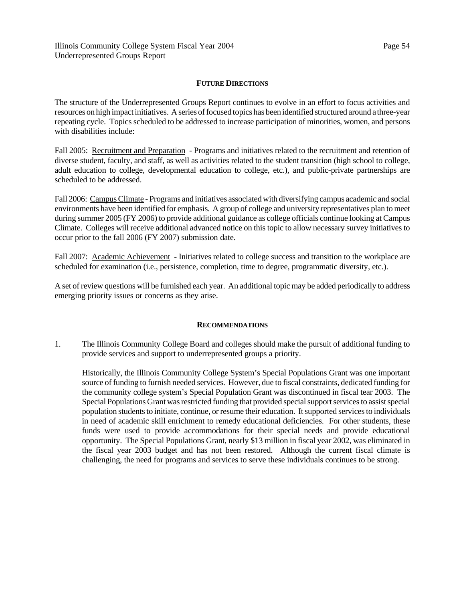# **FUTURE DIRECTIONS**

The structure of the Underrepresented Groups Report continues to evolve in an effort to focus activities and resources on high impact initiatives. A series of focused topics has been identified structured around a three-year repeating cycle. Topics scheduled to be addressed to increase participation of minorities, women, and persons with disabilities include:

Fall 2005: Recruitment and Preparation - Programs and initiatives related to the recruitment and retention of diverse student, faculty, and staff, as well as activities related to the student transition (high school to college, adult education to college, developmental education to college, etc.), and public-private partnerships are scheduled to be addressed.

Fall 2006: Campus Climate - Programs and initiatives associated with diversifying campus academic and social environments have been identified for emphasis. A group of college and university representatives plan to meet during summer 2005 (FY 2006) to provide additional guidance as college officials continue looking at Campus Climate. Colleges will receive additional advanced notice on this topic to allow necessary survey initiatives to occur prior to the fall 2006 (FY 2007) submission date.

Fall 2007: Academic Achievement - Initiatives related to college success and transition to the workplace are scheduled for examination (i.e., persistence, completion, time to degree, programmatic diversity, etc.).

A set of review questions will be furnished each year. An additional topic may be added periodically to address emerging priority issues or concerns as they arise.

# **RECOMMENDATIONS**

1. The Illinois Community College Board and colleges should make the pursuit of additional funding to provide services and support to underrepresented groups a priority.

Historically, the Illinois Community College System's Special Populations Grant was one important source of funding to furnish needed services. However, due to fiscal constraints, dedicated funding for the community college system's Special Population Grant was discontinued in fiscal tear 2003. The Special Populations Grant was restricted funding that provided special support services to assist special population students to initiate, continue, or resume their education. It supported services to individuals in need of academic skill enrichment to remedy educational deficiencies. For other students, these funds were used to provide accommodations for their special needs and provide educational opportunity. The Special Populations Grant, nearly \$13 million in fiscal year 2002, was eliminated in the fiscal year 2003 budget and has not been restored. Although the current fiscal climate is challenging, the need for programs and services to serve these individuals continues to be strong.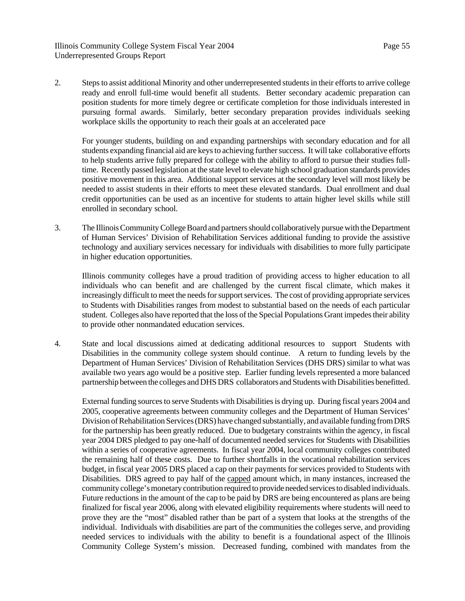2. Steps to assist additional Minority and other underrepresented students in their efforts to arrive college ready and enroll full-time would benefit all students. Better secondary academic preparation can position students for more timely degree or certificate completion for those individuals interested in pursuing formal awards. Similarly, better secondary preparation provides individuals seeking workplace skills the opportunity to reach their goals at an accelerated pace

For younger students, building on and expanding partnerships with secondary education and for all students expanding financial aid are keys to achieving further success. It will take collaborative efforts to help students arrive fully prepared for college with the ability to afford to pursue their studies fulltime. Recently passed legislation at the state level to elevate high school graduation standards provides positive movement in this area. Additional support services at the secondary level will most likely be needed to assist students in their efforts to meet these elevated standards. Dual enrollment and dual credit opportunities can be used as an incentive for students to attain higher level skills while still enrolled in secondary school.

3. The Illinois Community College Board and partners should collaboratively pursue with the Department of Human Services' Division of Rehabilitation Services additional funding to provide the assistive technology and auxiliary services necessary for individuals with disabilities to more fully participate in higher education opportunities.

Illinois community colleges have a proud tradition of providing access to higher education to all individuals who can benefit and are challenged by the current fiscal climate, which makes it increasingly difficult to meet the needs for support services. The cost of providing appropriate services to Students with Disabilities ranges from modest to substantial based on the needs of each particular student. Colleges also have reported that the loss of the Special Populations Grant impedes their ability to provide other nonmandated education services.

4. State and local discussions aimed at dedicating additional resources to support Students with Disabilities in the community college system should continue. A return to funding levels by the Department of Human Services' Division of Rehabilitation Services (DHS DRS) similar to what was available two years ago would be a positive step. Earlier funding levels represented a more balanced partnership between the colleges and DHS DRS collaborators and Students with Disabilities benefitted.

External funding sources to serve Students with Disabilities is drying up. During fiscal years 2004 and 2005, cooperative agreements between community colleges and the Department of Human Services' Division of Rehabilitation Services (DRS) have changed substantially, and available funding from DRS for the partnership has been greatly reduced. Due to budgetary constraints within the agency, in fiscal year 2004 DRS pledged to pay one-half of documented needed services for Students with Disabilities within a series of cooperative agreements. In fiscal year 2004, local community colleges contributed the remaining half of these costs. Due to further shortfalls in the vocational rehabilitation services budget, in fiscal year 2005 DRS placed a cap on their payments for services provided to Students with Disabilities. DRS agreed to pay half of the capped amount which, in many instances, increased the community college's monetary contribution required to provide needed services to disabled individuals. Future reductions in the amount of the cap to be paid by DRS are being encountered as plans are being finalized for fiscal year 2006, along with elevated eligibility requirements where students will need to prove they are the "most" disabled rather than be part of a system that looks at the strengths of the individual. Individuals with disabilities are part of the communities the colleges serve, and providing needed services to individuals with the ability to benefit is a foundational aspect of the Illinois Community College System's mission. Decreased funding, combined with mandates from the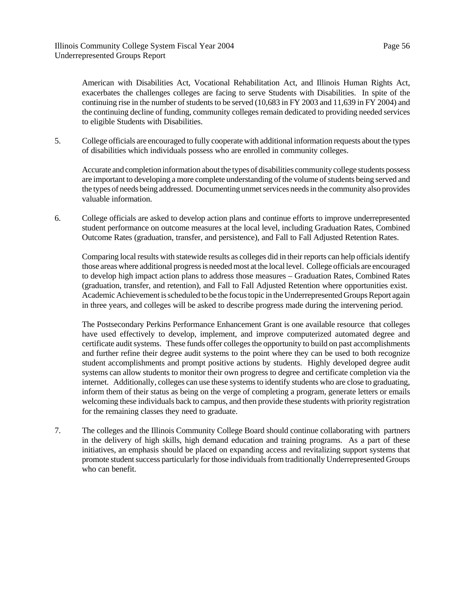American with Disabilities Act, Vocational Rehabilitation Act, and Illinois Human Rights Act, exacerbates the challenges colleges are facing to serve Students with Disabilities. In spite of the continuing rise in the number of students to be served (10,683 in FY 2003 and 11,639 in FY 2004) and the continuing decline of funding, community colleges remain dedicated to providing needed services to eligible Students with Disabilities.

5. College officials are encouraged to fully cooperate with additional information requests about the types of disabilities which individuals possess who are enrolled in community colleges.

Accurate and completion information about the types of disabilities community college students possess are important to developing a more complete understanding of the volume of students being served and the types of needs being addressed. Documenting unmet services needs in the community also provides valuable information.

6. College officials are asked to develop action plans and continue efforts to improve underrepresented student performance on outcome measures at the local level, including Graduation Rates, Combined Outcome Rates (graduation, transfer, and persistence), and Fall to Fall Adjusted Retention Rates.

Comparing local results with statewide results as colleges did in their reports can help officials identify those areas where additional progress is needed most at the local level. College officials are encouraged to develop high impact action plans to address those measures – Graduation Rates, Combined Rates (graduation, transfer, and retention), and Fall to Fall Adjusted Retention where opportunities exist. Academic Achievement is scheduled to be the focus topic in the Underrepresented Groups Report again in three years, and colleges will be asked to describe progress made during the intervening period.

The Postsecondary Perkins Performance Enhancement Grant is one available resource that colleges have used effectively to develop, implement, and improve computerized automated degree and certificate audit systems. These funds offer colleges the opportunity to build on past accomplishments and further refine their degree audit systems to the point where they can be used to both recognize student accomplishments and prompt positive actions by students. Highly developed degree audit systems can allow students to monitor their own progress to degree and certificate completion via the internet. Additionally, colleges can use these systems to identify students who are close to graduating, inform them of their status as being on the verge of completing a program, generate letters or emails welcoming these individuals back to campus, and then provide these students with priority registration for the remaining classes they need to graduate.

7. The colleges and the Illinois Community College Board should continue collaborating with partners in the delivery of high skills, high demand education and training programs. As a part of these initiatives, an emphasis should be placed on expanding access and revitalizing support systems that promote student success particularly for those individuals from traditionally Underrepresented Groups who can benefit.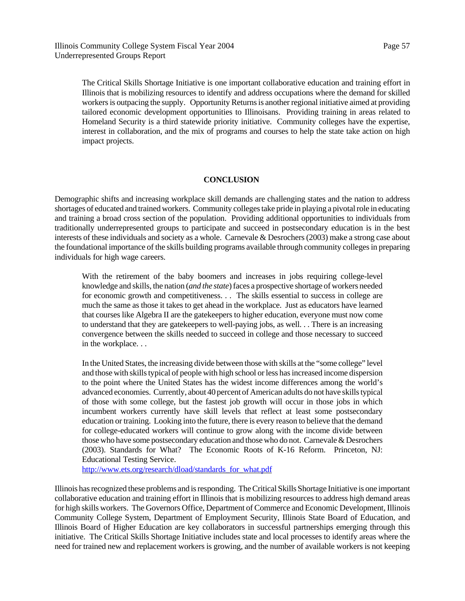The Critical Skills Shortage Initiative is one important collaborative education and training effort in Illinois that is mobilizing resources to identify and address occupations where the demand for skilled workers is outpacing the supply. Opportunity Returns is another regional initiative aimed at providing tailored economic development opportunities to Illinoisans. Providing training in areas related to Homeland Security is a third statewide priority initiative. Community colleges have the expertise, interest in collaboration, and the mix of programs and courses to help the state take action on high impact projects.

# **CONCLUSION**

Demographic shifts and increasing workplace skill demands are challenging states and the nation to address shortages of educated and trained workers. Community colleges take pride in playing a pivotal role in educating and training a broad cross section of the population. Providing additional opportunities to individuals from traditionally underrepresented groups to participate and succeed in postsecondary education is in the best interests of these individuals and society as a whole. Carnevale & Desrochers (2003) make a strong case about the foundational importance of the skills building programs available through community colleges in preparing individuals for high wage careers.

With the retirement of the baby boomers and increases in jobs requiring college-level knowledge and skills, the nation (*and the state*) faces a prospective shortage of workers needed for economic growth and competitiveness. . . The skills essential to success in college are much the same as those it takes to get ahead in the workplace. Just as educators have learned that courses like Algebra II are the gatekeepers to higher education, everyone must now come to understand that they are gatekeepers to well-paying jobs, as well. . . There is an increasing convergence between the skills needed to succeed in college and those necessary to succeed in the workplace. . .

In the United States, the increasing divide between those with skills at the "some college" level and those with skills typical of people with high school or less has increased income dispersion to the point where the United States has the widest income differences among the world's advanced economies. Currently, about 40 percent of American adults do not have skills typical of those with some college, but the fastest job growth will occur in those jobs in which incumbent workers currently have skill levels that reflect at least some postsecondary education or training. Looking into the future, there is every reason to believe that the demand for college-educated workers will continue to grow along with the income divide between those who have some postsecondary education and those who do not. Carnevale & Desrochers (2003). Standards for What? The Economic Roots of K-16 Reform. Princeton, NJ: Educational Testing Service.

http://www.ets.org/research/dload/standards\_for\_what.pdf

Illinois has recognized these problems and is responding. The Critical Skills Shortage Initiative is one important collaborative education and training effort in Illinois that is mobilizing resources to address high demand areas for high skills workers. The Governors Office, Department of Commerce and Economic Development, Illinois Community College System, Department of Employment Security, Illinois State Board of Education, and Illinois Board of Higher Education are key collaborators in successful partnerships emerging through this initiative. The Critical Skills Shortage Initiative includes state and local processes to identify areas where the need for trained new and replacement workers is growing, and the number of available workers is not keeping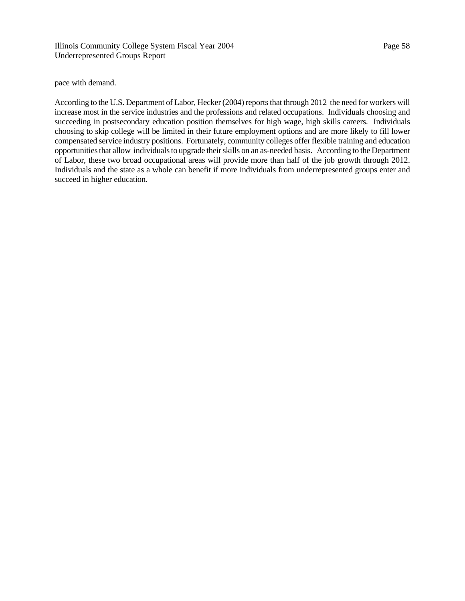pace with demand.

According to the U.S. Department of Labor, Hecker (2004) reports that through 2012 the need for workers will increase most in the service industries and the professions and related occupations. Individuals choosing and succeeding in postsecondary education position themselves for high wage, high skills careers. Individuals choosing to skip college will be limited in their future employment options and are more likely to fill lower compensated service industry positions. Fortunately, community colleges offer flexible training and education opportunities that allow individuals to upgrade their skills on an as-needed basis. According to the Department of Labor, these two broad occupational areas will provide more than half of the job growth through 2012. Individuals and the state as a whole can benefit if more individuals from underrepresented groups enter and succeed in higher education.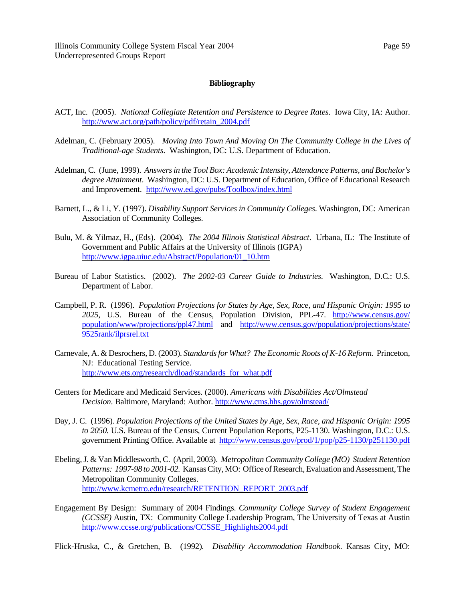# **Bibliography**

- ACT, Inc. (2005). *National Collegiate Retention and Persistence to Degree Rates*. Iowa City, IA: Author. http://www.act.org/path/policy/pdf/retain\_2004.pdf
- Adelman, C. (February 2005). *Moving Into Town And Moving On The Community College in the Lives of Traditional-age Students*. Washington, DC: U.S. Department of Education.
- Adelman, C. (June, 1999). *Answers in the Tool Box: Academic Intensity, Attendance Patterns, and Bachelor's degree Attainment*. Washington, DC: U.S. Department of Education, Office of Educational Research and Improvement. http://www.ed.gov/pubs/Toolbox/index.html
- Barnett, L., & Li, Y. (1997). *Disability Support Services in Community Colleges*. Washington, DC: American Association of Community Colleges.
- Bulu, M. & Yilmaz, H., (Eds). (2004). *The 2004 Illinois Statistical Abstract*. Urbana, IL: The Institute of Government and Public Affairs at the University of Illinois (IGPA) http://www.igpa.uiuc.edu/Abstract/Population/01\_10.htm
- Bureau of Labor Statistics. (2002). *The 2002-03 Career Guide to Industries*. Washington, D.C.: U.S. Department of Labor.
- Campbell, P. R. (1996). *Population Projections for States by Age, Sex, Race, and Hispanic Origin: 1995 to 2025*, U.S. Bureau of the Census, Population Division, PPL-47. http://www.census.gov/ population/www/projections/ppl47.html and http://www.census.gov/population/projections/state/ 9525rank/ilprsrel.txt
- Carnevale, A. & Desrochers, D. (2003). *Standards for What? The Economic Roots of K-16 Reform*. Princeton, NJ: Educational Testing Service. http://www.ets.org/research/dload/standards\_for\_what.pdf
- Centers for Medicare and Medicaid Services. (2000). *Americans with Disabilities Act/Olmstead Decision*. Baltimore, Maryland: Author. http://www.cms.hhs.gov/olmstead/
- Day, J. C. (1996). *Population Projections of the United States by Age, Sex, Race, and Hispanic Origin: 1995 to 2050.* U.S. Bureau of the Census, Current Population Reports, P25-1130. Washington, D.C.: U.S. government Printing Office. Available at http://www.census.gov/prod/1/pop/p25-1130/p251130.pdf
- Ebeling, J. & Van Middlesworth, C. (April, 2003). *Metropolitan Community College (MO) Student Retention Patterns: 1997-98 to 2001-02.* Kansas City, MO: Office of Research, Evaluation and Assessment, The Metropolitan Community Colleges. http://www.kcmetro.edu/research/RETENTION\_REPORT\_2003.pdf
- Engagement By Design: Summary of 2004 Findings. *Community College Survey of Student Engagement (CCSSE)* Austin, TX: Community College Leadership Program, The University of Texas at Austin http://www.ccsse.org/publications/CCSSE\_Highlights2004.pdf

Flick-Hruska, C., & Gretchen, B. (1992)*. Disability Accommodation Handbook*. Kansas City, MO: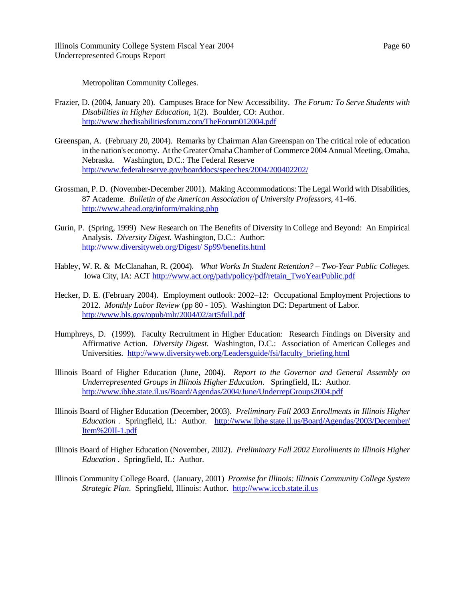Metropolitan Community Colleges.

- Frazier, D. (2004, January 20). Campuses Brace for New Accessibility. *The Forum: To Serve Students with Disabilities in Higher Education*, 1(2). Boulder, CO: Author. http://www.thedisabilitiesforum.com/TheForum012004.pdf
- Greenspan, A. (February 20, 2004). Remarks by Chairman Alan Greenspan on The critical role of education in the nation's economy. At the Greater Omaha Chamber of Commerce 2004 Annual Meeting, Omaha, Nebraska. Washington, D.C.: The Federal Reserve http://www.federalreserve.gov/boarddocs/speeches/2004/200402202/
- Grossman, P. D. (November-December 2001). Making Accommodations: The Legal World with Disabilities, 87 Academe. *Bulletin of the American Association of University Professors*, 41-46. http://www.ahead.org/inform/making.php
- Gurin, P. (Spring, 1999) New Research on The Benefits of Diversity in College and Beyond: An Empirical Analysis. *Diversity Digest.* Washington, D.C.: Author: http://www.diversityweb.org/Digest/ Sp99/benefits.html
- Habley, W. R. & McClanahan, R. (2004). *What Works In Student Retention? Two-Year Public Colleges*. Iowa City, IA: ACT http://www.act.org/path/policy/pdf/retain\_TwoYearPublic.pdf
- Hecker, D. E. (February 2004). Employment outlook: 2002–12: Occupational Employment Projections to 2012. *Monthly Labor Review* (pp 80 - 105). Washington DC: Department of Labor. http://www.bls.gov/opub/mlr/2004/02/art5full.pdf
- Humphreys, D. (1999). Faculty Recruitment in Higher Education: Research Findings on Diversity and Affirmative Action. *Diversity Digest*. Washington, D.C.: Association of American Colleges and Universities. http://www.diversityweb.org/Leadersguide/fsi/faculty\_briefing.html
- Illinois Board of Higher Education (June, 2004). *Report to the Governor and General Assembly on Underrepresented Groups in Illinois Higher Education*. Springfield, IL: Author. http://www.ibhe.state.il.us/Board/Agendas/2004/June/UnderrepGroups2004.pdf
- Illinois Board of Higher Education (December, 2003). *Preliminary Fall 2003 Enrollments in Illinois Higher Education* . Springfield, IL: Author. http://www.ibhe.state.il.us/Board/Agendas/2003/December/ Item%20II-1.pdf
- Illinois Board of Higher Education (November, 2002). *Preliminary Fall 2002 Enrollments in Illinois Higher Education* . Springfield, IL: Author.
- Illinois Community College Board. (January, 2001) *Promise for Illinois: Illinois Community College System Strategic Plan*. Springfield, Illinois: Author. http://www.iccb.state.il.us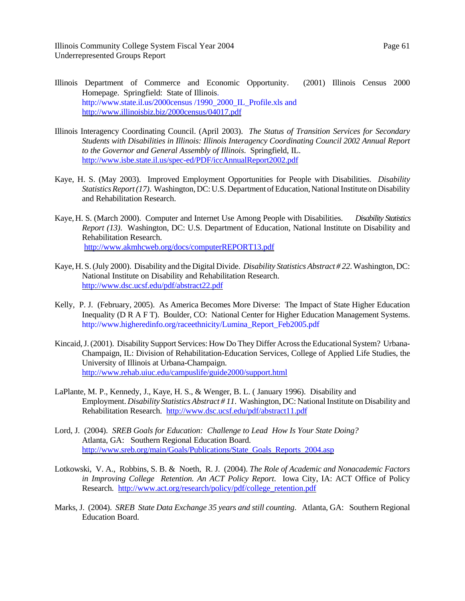- Illinois Department of Commerce and Economic Opportunity. (2001) Illinois Census 2000 Homepage. Springfield: State of Illinois. http://www.state.il.us/2000census /1990\_2000\_IL\_Profile.xls and http://www.illinoisbiz.biz/2000census/04017.pdf
- Illinois Interagency Coordinating Council. (April 2003). *The Status of Transition Services for Secondary Students with Disabilities in Illinois: Illinois Interagency Coordinating Council 2002 Annual Report to the Governor and General Assembly of Illinois*. Springfield, IL. http://www.isbe.state.il.us/spec-ed/PDF/iccAnnualReport2002.pdf
- Kaye, H. S. (May 2003). Improved Employment Opportunities for People with Disabilities. *Disability Statistics Report (17)*. Washington, DC: U.S. Department of Education, National Institute on Disability and Rehabilitation Research.
- Kaye, H. S. (March 2000). Computer and Internet Use Among People with Disabilities. *Disability Statistics Report (13)*. Washington, DC: U.S. Department of Education, National Institute on Disability and Rehabilitation Research. http://www.akmhcweb.org/docs/computerREPORT13.pdf
- Kaye, H. S. (July 2000). Disability and the Digital Divide. *Disability Statistics Abstract # 22*. Washington, DC: National Institute on Disability and Rehabilitation Research. http://www.dsc.ucsf.edu/pdf/abstract22.pdf
- Kelly, P. J. (February, 2005). As America Becomes More Diverse: The Impact of State Higher Education Inequality (D R A F T). Boulder, CO: National Center for Higher Education Management Systems. http://www.higheredinfo.org/raceethnicity/Lumina\_Report\_Feb2005.pdf
- Kincaid, J. (2001). Disability Support Services: How Do They Differ Across the Educational System? Urbana-Champaign, IL: Division of Rehabilitation-Education Services, College of Applied Life Studies, the University of Illinois at Urbana-Champaign. http://www.rehab.uiuc.edu/campuslife/guide2000/support.html
- LaPlante, M. P., Kennedy, J., Kaye, H. S., & Wenger, B. L. ( January 1996). Disability and Employment. *Disability Statistics Abstract # 11*. Washington, DC: National Institute on Disability and Rehabilitation Research. http://www.dsc.ucsf.edu/pdf/abstract11.pdf
- Lord, J. (2004). *SREB Goals for Education: Challenge to Lead How Is Your State Doing?*  Atlanta, GA: Southern Regional Education Board. http://www.sreb.org/main/Goals/Publications/State\_Goals\_Reports\_2004.asp
- Lotkowski, V. A., Robbins, S. B. & Noeth, R. J. (2004). *The Role of Academic and Nonacademic Factors in Improving College Retention. An ACT Policy Report*. Iowa City, IA: ACT Office of Policy Research. http://www.act.org/research/policy/pdf/college\_retention.pdf
- Marks, J. (2004). *SREB State Data Exchange 35 years and still counting*. Atlanta, GA: Southern Regional Education Board.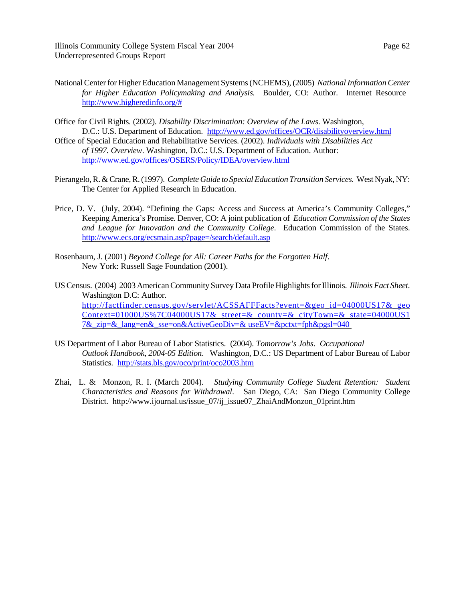- National Center for Higher Education Management Systems (NCHEMS), (2005) *National Information Center for Higher Education Policymaking and Analysis.* Boulder, CO: Author. Internet Resource http://www.higheredinfo.org/#
- Office for Civil Rights. (2002). *Disability Discrimination: Overview of the Laws*. Washington, D.C.: U.S. Department of Education. http://www.ed.gov/offices/OCR/disabilityoverview.html
- Office of Special Education and Rehabilitative Services. (2002). *Individuals with Disabilities Act of 1997. Overview*. Washington, D.C.: U.S. Department of Education. Author: http://www.ed.gov/offices/OSERS/Policy/IDEA/overview.html
- Pierangelo, R. & Crane, R. (1997). *Complete Guide to Special Education Transition Services.* West Nyak, NY: The Center for Applied Research in Education.
- Price, D. V. (July, 2004). "Defining the Gaps: Access and Success at America's Community Colleges," Keeping America's Promise. Denver, CO: A joint publication of *Education Commission of the States and League for Innovation and the Community College*. Education Commission of the States. http://www.ecs.org/ecsmain.asp?page=/search/default.asp
- Rosenbaum, J. (2001) *Beyond College for All: Career Paths for the Forgotten Half*. New York: Russell Sage Foundation (2001).
- US Census. (2004) 2003 American Community Survey Data Profile Highlights for Illinois. *Illinois Fact Sheet*. Washington D.C: Author. http://factfinder.census.gov/servlet/ACSSAFFFacts?event=&geo\_id=04000US17&\_geo Context=01000US%7C04000US17&\_street=&\_county=&\_cityTown=&\_state=04000US1 7&\_zip=&\_lang=en&\_sse=on&ActiveGeoDiv=& useEV=&pctxt=fph&pgsl=040
- US Department of Labor Bureau of Labor Statistics. (2004). *Tomorrow's Jobs. Occupational Outlook Handbook, 2004-05 Edition*. Washington, D.C.: US Department of Labor Bureau of Labor Statistics. http://stats.bls.gov/oco/print/oco2003.htm
- Zhai, L. & Monzon, R. I. (March 2004). *Studying Community College Student Retention: Student Characteristics and Reasons for Withdrawal*. San Diego, CA: San Diego Community College District. http://www.ijournal.us/issue\_07/ij\_issue07\_ZhaiAndMonzon\_01print.htm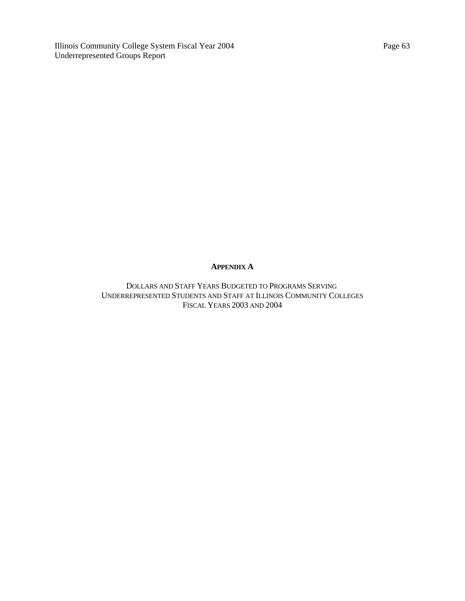## **APPENDIX A**

DOLLARS AND STAFF YEARS BUDGETED TO PROGRAMS SERVING UNDERREPRESENTED STUDENTS AND STAFF AT ILLINOIS COMMUNITY COLLEGES FISCAL YEARS 2003 AND 2004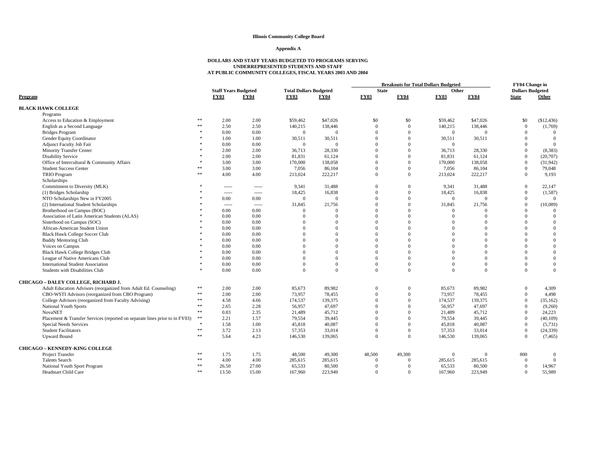### **Illinois Community College Board**

### **Appendix A**

# **DOLLARS AND STAFF YEARS BUDGETED TO PROGRAMS SERVINGUNDERREPRESENTED STUDENTS AND STAFF AT PUBLIC COMMUNITY COLLEGES, FISCAL YEARS 2003 AND 2004**

|                                                                             |                                 |                             |             |                               |                | <b>Breakouts for Total Dollars Budgeted</b> | FY04 Change in |              |             |                         |                |
|-----------------------------------------------------------------------------|---------------------------------|-----------------------------|-------------|-------------------------------|----------------|---------------------------------------------|----------------|--------------|-------------|-------------------------|----------------|
|                                                                             |                                 | <b>Staff Years Budgeted</b> |             | <b>Total Dollars Budgeted</b> |                | <b>State</b>                                |                | Other        |             | <b>Dollars Budgeted</b> |                |
| Program                                                                     |                                 | <b>FY03</b>                 | <b>FY04</b> | <b>FY03</b>                   | <b>FY04</b>    | <b>FY03</b>                                 | <b>FY04</b>    | <b>FY03</b>  | <b>FY04</b> | <b>State</b>            | Other          |
| <b>BLACK HAWK COLLEGE</b>                                                   |                                 |                             |             |                               |                |                                             |                |              |             |                         |                |
| Programs                                                                    |                                 |                             |             |                               |                |                                             |                |              |             |                         |                |
| Access to Education & Employment                                            | **                              | 2.00                        | 2.00        | \$59,462                      | \$47,026       | \$0                                         | \$0            | \$59,462     | \$47,026    | \$0                     | (\$12,436)     |
| English as a Second Language                                                | **                              | 2.50                        | 2.50        | 140,215                       | 138,446        | $\Omega$                                    | $\overline{0}$ | 140,215      | 138,446     | $\overline{0}$          | (1,769)        |
| <b>Bridges Program</b>                                                      |                                 | 0.00                        | 0.00        | $\overline{0}$                | $\overline{0}$ | $\theta$                                    | $\theta$       | $\mathbf{0}$ | $\Omega$    | $\Omega$                | $\mathbf{0}$   |
| Gender Equity Coordinator                                                   |                                 | 1.00                        | 1.00        | 30,511                        | 30,511         | $\theta$                                    | $\Omega$       | 30,511       | 30,511      | $\Omega$                | $\theta$       |
| Adjunct Faculty Job Fair                                                    |                                 | 0.00                        | 0.00        | $\overline{0}$                | $\overline{0}$ |                                             | $\Omega$       | $\mathbf{0}$ |             | $\Omega$                | $\theta$       |
| <b>Minority Transfer Center</b>                                             |                                 | 2.00                        | 2.00        | 36,713                        | 28,330         | $\Omega$                                    | $\Omega$       | 36,713       | 28,330      | $\Omega$                | (8,383)        |
| <b>Disability Service</b>                                                   |                                 | 2.00                        | 2.00        | 81,831                        | 61,124         | $\Omega$                                    | $\Omega$       | 81,831       | 61,124      | $\overline{0}$          | (20,707)       |
| Office of Intercultural & Community Affairs                                 | $\mathbf{r}$                    | 3.00                        | 3.00        | 170,000                       | 138,058        | $\Omega$                                    | $\Omega$       | 170,000      | 138,058     | $\theta$                | (31, 942)      |
| <b>Student Success Center</b>                                               | **                              | 3.00                        | 3.00        | 7,056                         | 86,104         | $\Omega$                                    | $\overline{0}$ | 7,056        | 86,104      | $\mathbf{0}$            | 79,048         |
| <b>TRIO Program</b>                                                         | $\ast\ast$                      | 4.00                        | 4.00        | 213,024                       | 222,217        | $\Omega$                                    | $\overline{0}$ | 213,024      | 222,217     | $\overline{0}$          | 9,193          |
| Scholarships                                                                |                                 |                             |             |                               |                |                                             |                |              |             |                         |                |
| Commitment to Diversity (MLK)                                               |                                 | $- - - - -$                 | $- - - - -$ | 9,341                         | 31,488         | $\Omega$                                    | $\overline{0}$ | 9,341        | 31,488      | $\mathbf{0}$            | 22,147         |
| (1) Bridges Scholarship                                                     |                                 | $- - - - -$                 | 1.1.1.1     | 18,425                        | 16,838         | $\overline{0}$                              | $\overline{0}$ | 18,425       | 16,838      | $\overline{0}$          | (1,587)        |
| NTO Scholarships New in FY2005                                              |                                 | 0.00                        | 0.00        | $\overline{0}$                | $\overline{0}$ | $\Omega$                                    | $\Omega$       | $\Omega$     | $\Omega$    | $\overline{0}$          | $\overline{0}$ |
| (2) International Student Scholarships                                      |                                 | $- - - - -$                 | -----       | 31.845                        | 21,756         | $\Omega$                                    | $\overline{0}$ | 31,845       | 21,756      | $\overline{0}$          | (10,089)       |
| Brotherhood on Campus (BOC)                                                 |                                 | 0.00                        | 0.00        | $\Omega$                      | $\Omega$       | $\Omega$                                    | $\Omega$       | $\Omega$     | $\Omega$    | $\Omega$                | $\theta$       |
| Association of Latin American Students (ALAS)                               |                                 | 0.00                        | 0.00        | $\Omega$                      | $\Omega$       | $\Omega$                                    | $\Omega$       | $\Omega$     | $\Omega$    | $\Omega$                | $\mathbf{0}$   |
| Sisterhood on Campus (SOC)                                                  |                                 | 0.00                        | 0.00        | $\Omega$                      | $\Omega$       |                                             | $\Omega$       |              | $\Omega$    | $\Omega$                | $\theta$       |
| African-American Student Union                                              |                                 | 0.00                        | 0.00        | $\Omega$                      | $\Omega$       | $\Omega$                                    | $\Omega$       |              | $\Omega$    | $\Omega$                | $\theta$       |
| <b>Black Hawk College Soccer Club</b>                                       |                                 | 0.00                        | 0.00        | $\Omega$                      | $\Omega$       | $\Omega$                                    | $\Omega$       |              | $\Omega$    | $\Omega$                | $\theta$       |
| <b>Buddy Mentoring Club</b>                                                 |                                 | 0.00                        | 0.00        | $\Omega$                      | $\Omega$       | $\Omega$                                    | $\Omega$       |              | $\Omega$    | $\Omega$                | $\theta$       |
| Voices on Campus                                                            |                                 | 0.00                        | 0.00        | $\Omega$                      | $\Omega$       | $\Omega$                                    | $\Omega$       |              | $\Omega$    | $\Omega$                | $\theta$       |
| <b>Black Hawk College Bridges Club</b>                                      |                                 | 0.00                        | 0.00        | $\Omega$                      | $\Omega$       | $\Omega$                                    | $\Omega$       |              | $\Omega$    | $\Omega$                | $\theta$       |
| League of Native Americans Club                                             |                                 | 0.00                        | 0.00        | $\Omega$                      | $\overline{0}$ | $\Omega$                                    | $\overline{0}$ | $\Omega$     | $\Omega$    | $\Omega$                | $\overline{0}$ |
| <b>International Student Association</b>                                    |                                 | 0.00                        | 0.00        | $\Omega$                      | $\Omega$       | $\Omega$                                    | $\Omega$       | $\Omega$     | $\Omega$    | $\Omega$                | $\overline{0}$ |
| Students with Disabilities Club                                             |                                 | 0.00                        | 0.00        | $\Omega$                      | $\theta$       | $\Omega$                                    | $\overline{0}$ | $\Omega$     | $\Omega$    | $\theta$                | $\theta$       |
| CHICAGO - DALEY COLLEGE, RICHARD J.                                         |                                 |                             |             |                               |                |                                             |                |              |             |                         |                |
| Adult Education Advisors (reorganized from Adult Ed. Counseling)            | $\divideontimes\thinspace\Bbbk$ | 2.00                        | 2.00        | 85,673                        | 89,982         | $\theta$                                    | $\Omega$       | 85,673       | 89,982      | $\Omega$                | 4,309          |
| CBO-WSTI Advisors (reorganized from CBO Program)                            | **                              | 2.00                        | 2.00        | 73,957                        | 78,455         | $\Omega$                                    | $\Omega$       | 73,957       | 78,455      | $\overline{0}$          | 4,498          |
| College Advisors (reorganized from Faculty Advising)                        | **                              | 4.58                        | 4.66        | 174,537                       | 139,375        | $\Omega$                                    | $\Omega$       | 174,537      | 139,375     | $\overline{0}$          | (35, 162)      |
| National Youth Sports                                                       | **                              | 2.65                        | 2.28        | 56,957                        | 47,697         | $\Omega$                                    | $\Omega$       | 56,957       | 47,697      | $\theta$                | (9,260)        |
| <b>NovaNET</b>                                                              | $\ast\ast$                      | 0.83                        | 2.35        | 21,489                        | 45,712         | $\Omega$                                    | $\Omega$       | 21,489       | 45,712      | $\theta$                | 24,223         |
| Placement & Transfer Services (reported on separate lines prior to in FY03) | $\divideontimes\thinspace\Bbbk$ | 2.21                        | 1.57        | 79,554                        | 39,445         | $\Omega$                                    | $\overline{0}$ | 79,554       | 39,445      | $\theta$                | (40, 109)      |
| Special Needs Services                                                      | $\frac{1}{2}$                   | 1.58                        | 1.00        | 45,818                        | 40,087         | $\Omega$                                    | $\overline{0}$ | 45,818       | 40,087      | $\overline{0}$          | (5,731)        |
| <b>Student Facilitators</b>                                                 | **                              | 3.72                        | 2.13        | 57.353                        | 33,014         | $\Omega$                                    | $\overline{0}$ | 57,353       | 33,014      | $\overline{0}$          | (24, 339)      |
| <b>Upward Bound</b>                                                         | $\ast\ast$                      | 5.64                        | 4.23        | 146,530                       | 139,065        | $\Omega$                                    | $\overline{0}$ | 146,530      | 139,065     | $\mathbf{0}$            | (7, 465)       |
| <b>CHICAGO - KENNEDY-KING COLLEGE</b>                                       |                                 |                             |             |                               |                |                                             |                |              |             |                         |                |
| Project Transfer                                                            | **                              | 1.75                        | 1.75        | 48,500                        | 49,300         | 48,500                                      | 49,300         | $\Omega$     | $\Omega$    | 800                     | $\Omega$       |
| <b>Talents Search</b>                                                       | **                              | 4.00                        | 4.00        | 285,615                       | 285,615        | $\Omega$                                    | $\Omega$       | 285,615      | 285,615     | $\Omega$                | $\theta$       |
| National Youth Sport Program                                                | **                              | 26.50                       | 27.00       | 65,533                        | 80,500         | $\overline{0}$                              | $\Omega$       | 65,533       | 80,500      | $\overline{0}$          | 14,967         |
| Headstart Child Care                                                        | **                              | 13.50                       | 15.00       | 167,960                       | 223,949        | $\Omega$                                    | $\Omega$       | 167,960      | 223,949     | $\Omega$                | 55,989         |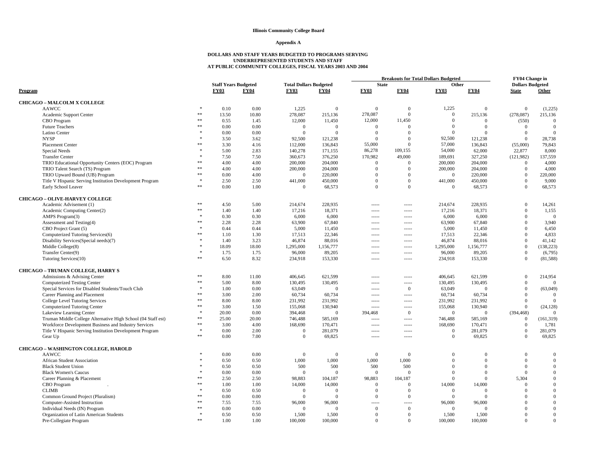### **Illinois Community College Board**

#### **Appendix A**

### **DOLLARS AND STAFF YEARS BUDGETED TO PROGRAMS SERVING UNDERREPRESENTED STUDENTS AND STAFF AT PUBLIC COMMUNITY COLLEGES, FISCAL YEARS 2003 AND 2004**

|                                                              |               |                             |             |                               |                | <b>Breakouts for Total Dollars Budgeted</b> | FY04 Change in    |                            |              |                         |                |
|--------------------------------------------------------------|---------------|-----------------------------|-------------|-------------------------------|----------------|---------------------------------------------|-------------------|----------------------------|--------------|-------------------------|----------------|
|                                                              |               | <b>Staff Years Budgeted</b> |             | <b>Total Dollars Budgeted</b> |                | <b>State</b>                                |                   | Other                      |              | <b>Dollars Budgeted</b> |                |
| Program                                                      |               | <b>FY03</b>                 | <b>FY04</b> | <b>FY03</b>                   | <b>FY04</b>    | <b>FY03</b>                                 | <b>FY04</b>       | <b>FY03</b>                | <b>FY04</b>  | <b>State</b>            | Other          |
| <b>CHICAGO - MALCOLM X COLLEGE</b>                           |               |                             |             |                               |                |                                             |                   |                            |              |                         |                |
| <b>AAWCC</b>                                                 | $\ast$        | 0.10                        | 0.00        | 1,225                         | $\Omega$       | $\mathbf{0}$                                | $\theta$          | 1,225                      | $\Omega$     | $\mathbf{0}$            | (1,225)        |
| Academic Support Center                                      | **            | 13.50                       | 10.80       | 278,087                       | 215,136        | 278,087                                     | $\Omega$          | $\theta$                   | 215,136      | (278,087)               | 215,136        |
| CBO Program                                                  | **            | 0.55                        | 1.45        | 12,000                        | 11,450         | 12,000                                      | 11,450            | $\theta$                   | $\Omega$     | (550)                   | $\Omega$       |
| <b>Future Teachers</b>                                       | $\frac{1}{2}$ | 0.00                        | 0.00        | $\Omega$                      | $\Omega$       | $\Omega$                                    | $\Omega$          | $\theta$                   | $\Omega$     | $\overline{0}$          | $\theta$       |
| Latino Center                                                |               | 0.00                        | 0.00        | $\overline{0}$                | $\Omega$       | $\mathbf{0}$                                | $\Omega$          | $\theta$                   | $\Omega$     | $\overline{0}$          | $\Omega$       |
| <b>NYSP</b>                                                  |               | 3.50                        | 3.62        | 92,500                        | 121,238        | $\Omega$                                    | $\Omega$          | 92,500                     | 121,238      | $\overline{0}$          | 28,738         |
| Placement Center                                             |               | 3.30                        | 4.16        | 112,000                       | 136,843        | 55,000                                      | $\Omega$          | 57,000                     | 136,843      | (55,000)                | 79,843         |
| Special Needs                                                |               | 5.00                        | 2.83        | 140,278                       | 171,155        | 86,278                                      | 109,155           | 54,000                     | 62,000       | 22,877                  | 8,000          |
| <b>Transfer Center</b>                                       |               | 7.50                        | 7.50        | 360,673                       | 376,250        | 170,982                                     | 49,000            | 189,691                    | 327,250      | (121, 982)              | 137,559        |
| TRIO Educational Opportunity Centers (EOC) Program           | 索索            | 4.00                        | 4.00        | 200,000                       | 204,000        | $\mathbf{0}$                                | $\Omega$          | 200,000                    | 204,000      | $\mathbf{0}$            | 4,000          |
| TRIO Talent Search (TS) Program                              | **            | 4.00                        | 4.00        | 200,000                       | 204,000        | $\Omega$                                    | $\Omega$          | 200,000                    | 204,000      | $\overline{0}$          | 4,000          |
| TRIO Upward Bound (UB) Program                               | $\ast\ast$    | 0.00                        | 4.00        | $\overline{0}$                | 220,000        | $\Omega$                                    | $\overline{0}$    | $\mathbf{0}$               | 220,000      | $\mathbf{0}$            | 220,000        |
| Title V Hispanic Serving Institution Development Program     |               | 2.50                        | 2.50        | 441,000                       | 450,000        | $\Omega$                                    | $\overline{0}$    | 441,000                    | 450,000      | $\overline{0}$          | 9,000          |
| Early School Leaver                                          | $\ast\ast$    | 0.00                        | 1.00        | $\Omega$                      | 68,573         | $\Omega$                                    | $\mathbf{0}$      | $\overline{0}$             | 68,573       | $\mathbf{0}$            | 68,573         |
|                                                              |               |                             |             |                               |                |                                             |                   |                            |              |                         |                |
| <b>CHICAGO - OLIVE-HARVEY COLLEGE</b>                        | **            |                             |             |                               |                |                                             |                   |                            |              |                         |                |
| Academic Advisement (1)                                      | **            | 4.50                        | 5.00        | 214,674                       | 228,935        | $- - - - -$                                 | -----             | 214,674                    | 228,935      | $\overline{0}$          | 14,261         |
| Academic Computing Center(2)                                 |               | 1.40                        | 1.40        | 17,216                        | 18,371         | $\cdots$                                    | $100 - 100 - 100$ | 17,216                     | 18,371       | $\mathbf{0}$            | 1,155          |
| AMPS Program(3)                                              |               | 0.30                        | 0.30        | 6,000                         | 6,000          | $- - - - -$                                 | $- - - - -$       | 6,000                      | 6,000        | $\overline{0}$          | $\Omega$       |
| Assessment and Testing(4)                                    | **            | 2.28                        | 2.28        | 63,900                        | 67,840         | $- - - - -$                                 | $- - - - -$       | 63,900                     | 67,840       | $\overline{0}$          | 3,940          |
| CBO Project Grant (5)                                        |               | 0.44                        | 0.44        | 5,000                         | 11,450         | $- - - - -$                                 | $- - - - -$       | 5,000                      | 11,450       | $\overline{0}$          | 6,450          |
| Computerized Tutoring Services(6)                            | **            | 1.10                        | 1.30        | 17,513                        | 22,346         | $1 - 1 - 1 = 1$                             | $- - - - -$       | 17,513                     | 22,346       | $\Omega$                | 4,833          |
| Disability Services(Special needs)(7)                        |               | 1.40                        | 3.23        | 46,874                        | 88,016         | -----                                       | -----             | 46,874                     | 88,016       | $\mathbf{0}$            | 41,142         |
| Middle College(8)                                            |               | 18.09                       | 18.00       | 1,295,000                     | 1,156,777      | $- - - - -$                                 | $100 - 100 - 100$ | 1,295,000                  | 1,156,777    | $\mathbf{0}$            | (138, 223)     |
| Transfer Center(9)                                           |               | 1.75                        | 1.75        | 96,000                        | 89,205         | $1 - 1 - 1 - 1 = 1$                         | -----             | 96,000                     | 89,205       | $\mathbf{0}$            | (6,795)        |
| Tutoring Services(10)                                        | **            | 6.50                        | 8.32        | 234,918                       | 153,330        | $- - - - -$                                 | $- - - - -$       | 234,918                    | 153,330      | $\overline{0}$          | (81,588)       |
| <b>CHICAGO - TRUMAN COLLEGE, HARRY S</b>                     |               |                             |             |                               |                |                                             |                   |                            |              |                         |                |
| Admissions & Advising Center                                 | $\ast\ast$    | 8.00                        | 11.00       | 406,645                       | 621,599        | $- - - - -$                                 | -----             | 406,645                    | 621,599      | $\mathbf{0}$            | 214,954        |
| <b>Computerized Testing Center</b>                           | **            | 5.00                        | 8.00        | 130,495                       | 130,495        | -----                                       | -----             | 130,495                    | 130,495      | $\overline{0}$          | $\mathbf{0}$   |
| Special Services for Disabled Students/Touch Club            |               | 1.00                        | 0.00        | 63,049                        | $\Omega$       | $1 - 1 - 1 - 1 = 1$                         | $\mathbf{0}$      | 63,049                     | $\Omega$     | $\mathbf{0}$            | (63,049)       |
| Career Planning and Placement                                | **            | 3.00                        | 2.00        | 60,734                        | 60,734         | $1 - 1 - 1 - 1 = 0$                         | $100 - 100 - 100$ | 60,734                     | 60,734       | $\overline{0}$          | $\Omega$       |
| College Level Tutoring Services                              | **            | 8.00                        | 8.00        | 231,992                       | 231,992        | $- - - - -$                                 | $- - - - -$       | 231,992                    | 231,992      | $\overline{0}$          | $\overline{0}$ |
| Computerized Tutoring Center                                 | **            | 3.00                        | 1.50        | 155,068                       | 130,940        | $1 - 1 - 1$                                 | $- - - - -$       | 155,068                    | 130,940      | $\mathbf{0}$            | (24, 128)      |
| Lakeview Learning Center                                     |               | 20.00                       | 0.00        | 394,468                       | $\Omega$       | 394,468                                     | $\overline{0}$    | $\mathbf{0}$               | $\Omega$     | (394, 468)              |                |
| Truman Middle College Alternative High School (04 Staff est) | **            | 25.00                       | 20.00       | 746,488                       | 585,169        | $\cdots$                                    | $- - - - -$       | 746,488                    | 585,169      | $\overline{0}$          | (161, 319)     |
| Workforce Development Business and Industry Services         | **            | 3.00                        | 4.00        | 168,690                       | 170,471        | $- - - - -$                                 | $100 - 100 - 100$ | 168,690                    | 170,471      | $\bf{0}$                | 1,781          |
| Title V Hispanic Serving Institution Development Program     |               | 0.00                        | 2.00        | $\theta$                      | 281,079        | $- - - - -$                                 | -----             | $\overline{0}$             | 281,079      | $\overline{0}$          | 281,079        |
| Gear Up                                                      | **            | 0.00                        | 7.00        | $\overline{0}$                | 69,825         | -----                                       | -----             | $\boldsymbol{0}$           | 69,825       | $\overline{0}$          | 69,825         |
|                                                              |               |                             |             |                               |                |                                             |                   |                            |              |                         |                |
| <b>CHICAGO - WASHINGTON COLLEGE, HAROLD</b>                  |               |                             |             |                               |                |                                             |                   |                            |              |                         |                |
| <b>AAWCC</b>                                                 |               | 0.00                        | 0.00        | $\mathbf{0}$                  | $\mathbf{0}$   | $\mathbf{0}$                                | $\mathbf{0}$      | $\overline{0}$<br>$\Omega$ | $\theta$     | $\mathbf{0}$            | $\mathbf{0}$   |
| <b>African Student Association</b>                           |               | 0.50                        | 0.50        | 1,000                         | 1,000          | 1,000                                       | 1,000             |                            | $\Omega$     | $\overline{0}$          | $\overline{0}$ |
| <b>Black Student Union</b>                                   |               | 0.50                        | 0.50        | 500                           | 500            | 500                                         | 500               | $\overline{0}$             | $\mathbf{0}$ | $\mathbf{0}$            | $\mathbf{0}$   |
| <b>Black Women's Caucus</b>                                  | **            | 0.00                        | 0.00        | $\Omega$                      | $\Omega$       | $\mathbf{0}$                                | $\Omega$          | $\theta$                   | $\Omega$     | $\overline{0}$          | $\mathbf{0}$   |
| Career Planning & Placement                                  | **            | 2.50                        | 2.50        | 98,883                        | 104,187        | 98,883                                      | 104,187           | $\Omega$                   | $\theta$     | 5,304                   | $\mathbf{0}$   |
| CBO Program                                                  |               | 1.00                        | 1.00        | 14,000                        | 14,000         | $\mathbf{0}$                                | $\Omega$          | 14,000                     | 14,000       | $\mathbf{0}$            | $\overline{0}$ |
| <b>CLIMB</b>                                                 | 索索            | 0.50                        | 0.50        | $\mathbf{0}$                  | $\overline{0}$ | $\mathbf{0}$                                | $\Omega$          | $\mathbf{0}$               | $\Omega$     | $\Omega$                | $\mathbf{0}$   |
| Common Ground Project (Pluralism)                            | **            | 0.00                        | 0.00        | $\Omega$                      | $\Omega$       | $\Omega$                                    | $\Omega$          | $\Omega$                   | $\Omega$     | $\Omega$                | $\theta$       |
| Computer-Assisted Instruction                                | **            | 7.55                        | 7.55        | 96,000                        | 96,000         | $1 - 1 - 1$                                 | $- - - - -$       | 96,000                     | 96,000       | $\Omega$                | $\mathbf{0}$   |
| Individual Needs (IN) Program                                |               | 0.00                        | 0.00        | $\Omega$                      | $\Omega$       | $\Omega$                                    | $\Omega$          | $\Omega$                   | $\Omega$     | $\Omega$                | $\mathbf{0}$   |
| Organization of Latin American Students                      | **            | 0.50                        | 0.50        | 1,500                         | 1,500          | $\Omega$<br>$\Omega$                        | $\theta$          | 1,500                      | 1,500        | $\Omega$                | $\Omega$       |
| Pre-Collegiate Program                                       |               | 1.00                        | 1.00        | 100,000                       | 100,000        |                                             | $\Omega$          | 100,000                    | 100,000      | $\Omega$                | $\mathbf{0}$   |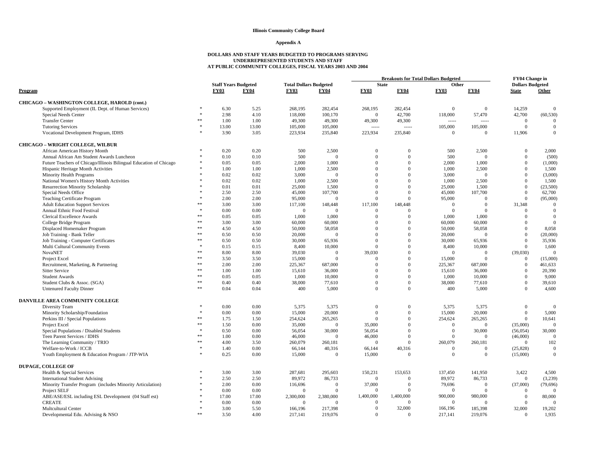#### **Illinois Community College Board**

#### **Appendix A**

### **DOLLARS AND STAFF YEARS BUDGETED TO PROGRAMS SERVING UNDERREPRESENTED STUDENTS AND STAFF AT PUBLIC COMMUNITY COLLEGES, FISCAL YEARS 2003 AND 2004**

|                                                                    |               |                             |             |                               |                |              | Breakouts for Total Dollars Budgeted |                |                |                         |              |
|--------------------------------------------------------------------|---------------|-----------------------------|-------------|-------------------------------|----------------|--------------|--------------------------------------|----------------|----------------|-------------------------|--------------|
|                                                                    |               | <b>Staff Years Budgeted</b> |             | <b>Total Dollars Budgeted</b> |                | <b>State</b> |                                      | Other          |                | <b>Dollars Budgeted</b> |              |
| Program                                                            |               | <b>FY03</b>                 | <b>FY04</b> | <b>FY03</b>                   | <b>FY04</b>    | <b>FY03</b>  | <b>FY04</b>                          | <b>FY03</b>    | <b>FY04</b>    | <b>State</b>            | Other        |
| CHICAGO - WASHINGTON COLLEGE, HAROLD (cont.)                       |               |                             |             |                               |                |              |                                      |                |                |                         |              |
| Supported Employment (IL Dept. of Human Services)                  |               | 6.30                        | 5.25        | 268,195                       | 282,454        | 268,195      | 282,454                              | $\Omega$       | $\overline{0}$ | 14,259                  | $\Omega$     |
| Special Needs Center                                               | $\mathcal{R}$ | 2.98                        | 4.10        | 118,000                       | 100,170        | $\Omega$     | 42,700                               | 118,000        | 57,470         | 42,700                  | (60, 530)    |
| <b>Transfer Center</b>                                             | **            | 1.00                        | 1.00        | 49,300                        | 49,300         | 49,300       | 49,300                               |                | -----          | $\mathbf{0}$            | $\theta$     |
| <b>Tutoring Services</b>                                           | $\pm$         | 13.00                       | 13.00       | 105,000                       | 105,000        | $1 - 1 - 1$  | -----                                | 105,000        | 105,000        | $\mathbf{0}$            | $\theta$     |
| Vocational Development Program, IDHS                               | $\mathcal{R}$ | 3.90                        | 3.05        | 223,934                       | 235,840        | 223,934      | 235,840                              | $\overline{0}$ | $\Omega$       | 11,906                  | $\theta$     |
| <b>CHICAGO - WRIGHT COLLEGE, WILBUR</b>                            |               |                             |             |                               |                |              |                                      |                |                |                         |              |
| African American History Month                                     |               | 0.20                        | 0.20        | 500                           | 2,500          | $\Omega$     | $\Omega$                             | 500            | 2,500          | $\Omega$                | 2,000        |
| Annual African Am Student Awards Luncheon                          |               | 0.10                        | 0.10        | 500                           | $\Omega$       | $\Omega$     | $\Omega$                             | 500            | $\Omega$       | $\theta$                | (500)        |
| Future Teachers of Chicago/Illinois Bilingual Education of Chicago |               | 0.05                        | 0.05        | 2,000                         | 1,000          | $\Omega$     | $\Omega$                             | 2,000          | 1,000          | $\theta$                | (1,000)      |
| Hispanic Heritage Month Activities                                 |               | 1.00                        | 1.00        | 1,000                         | 2,500          | $\Omega$     | $\Omega$                             | 1,000          | 2,500          | $\theta$                | 1,500        |
| Minority Health Programs                                           |               | 0.02                        | 0.02        | 3,000                         | $\Omega$       | $\Omega$     | $\Omega$                             | 3.000          | $\Omega$       | $\theta$                | (3,000)      |
| National Women's History Month Activities                          |               | 0.02                        | 0.02        | 1,000                         | 2,500          | $\Omega$     | $\Omega$                             | 1,000          | 2,500          | $\theta$                | 1,500        |
| Resurrection Minority Scholarship                                  |               | 0.01                        | 0.01        | 25,000                        | 1,500          | $\Omega$     | $\Omega$                             | 25,000         | 1,500          | $\theta$                | (23,500)     |
| Special Needs Office                                               |               | 2.50                        | 2.50        | 45,000                        | 107,700        | $\Omega$     | $\Omega$                             | 45,000         | 107,700        | $\theta$                | 62,700       |
| <b>Teaching Certificate Program</b>                                |               | 2.00                        | 2.00        | 95,000                        | $\Omega$       | $\Omega$     | $\Omega$                             | 95,000         | $\Omega$       | $\theta$                | (95,000)     |
| <b>Adult Education Support Services</b>                            | **            | 3.00                        | 3.00        | 117,100                       | 148,448        | 117,100      | 148,448                              | $\overline{0}$ | $\overline{0}$ | 31,348                  | $\theta$     |
| Annual Ethnic Food Festival                                        |               | 0.00                        | 0.00        | $\overline{0}$                | $\theta$       | $\Omega$     | $\Omega$                             | $\overline{0}$ | $\overline{0}$ | $\mathbf{0}$            | $\mathbf{0}$ |
| Clerical Excellence Awards                                         | **            | 0.05                        | 0.05        | 1,000                         | 1,000          | $\Omega$     | $\Omega$                             | 1,000          | 1,000          | $\theta$                | $\mathbf{0}$ |
| College Bridge Program                                             | $**$          | 3.00                        | 3.00        | 60,000                        | 60,000         | $\Omega$     | $\Omega$                             | 60,000         | 60,000         | $\Omega$                | $\theta$     |
| Displaced Homemaker Program                                        | **            | 4.50                        | 4.50        | 50,000                        | 58,058         | $\Omega$     | $\Omega$                             | 50,000         | 58,058         | $\Omega$                | 8,058        |
| Job Training - Bank Teller                                         | **            | 0.50                        | 0.50        | 20,000                        | $\Omega$       | $\Omega$     | $\Omega$                             | 20,000         | $\Omega$       | $\theta$                | (20,000)     |
| Job Training - Computer Certificates                               | **            | 0.50                        | 0.50        | 30,000                        | 65,936         | $\Omega$     | $\Omega$                             | 30,000         | 65,936         | $\theta$                | 35,936       |
| Multi Cultural Community Events                                    | $\mathcal{R}$ | 0.15                        | 0.15        | 8,400                         | 10,000         | $\Omega$     | $\Omega$                             | 8,400          | 10,000         | $\mathbf{0}$            | 1,600        |
| <b>NovaNET</b>                                                     | **            | 8.00                        | 8.00        | 39,030                        | $\overline{0}$ | 39,030       | $\Omega$                             | $\Omega$       | $\overline{0}$ | (39,030)                | $\Omega$     |
| Project Excel                                                      | **            | 3.50                        | 3.50        | 15,000                        | $\Omega$       | $\Omega$     | $\Omega$                             | 15,000         | $\Omega$       | $\overline{0}$          | (15,000)     |
| Recruitment, Marketing, & Partnering                               | **            | 2.00                        | 2.00        | 225,367                       | 687,000        | $\Omega$     | $\Omega$                             | 225,367        | 687,000        | $\overline{0}$          | 461,633      |
| <b>Sitter Service</b>                                              | **            | 1.00                        | 1.00        | 15,610                        | 36,000         | $\Omega$     | $\Omega$                             | 15,610         | 36,000         | $\theta$                | 20,390       |
| <b>Student Awards</b>                                              | **            | 0.05                        | 0.05        | 1,000                         | 10,000         | $\Omega$     | $\Omega$                             | 1,000          | 10,000         | $\overline{0}$          | 9,000        |
| Student Clubs & Assoc. (SGA)                                       | **            | 0.40                        | 0.40        | 38,000                        | 77,610         | $\Omega$     | $\Omega$                             | 38,000         | 77,610         | $\overline{0}$          | 39,610       |
| <b>Untenured Faculty Dinner</b>                                    | 永永            | 0.04                        | 0.04        | 400                           | 5,000          | $\Omega$     | $\Omega$                             | 400            | 5,000          | $\Omega$                | 4,600        |
| DANVILLE AREA COMMUNITY COLLEGE                                    |               |                             |             |                               |                |              |                                      |                |                |                         |              |
| Diversity Team                                                     | $\frac{1}{2}$ | 0.00                        | 0.00        | 5,375                         | 5,375          | $\Omega$     | $\Omega$                             | 5,375          | 5,375          | $\overline{0}$          | $\Omega$     |
| Minority Scholarship/Foundation                                    | $\frac{1}{2}$ | 0.00                        | 0.00        | 15,000                        | 20,000         | $\Omega$     | $\Omega$                             | 15,000         | 20,000         | $\mathbf{0}$            | 5,000        |
| Perkins III / Special Populations                                  | **            | 1.75                        | 1.50        | 254,624                       | 265,265        | $\Omega$     | $\Omega$                             | 254,624        | 265,265        | $\mathbf{0}$            | 10,641       |
| Project Excel                                                      | **            | 1.50                        | 0.00        | 35,000                        | $\mathbf{0}$   | 35,000       | $\Omega$                             | $\mathbf{0}$   | $\Omega$       | (35,000)                | $\mathbf{0}$ |
| Special Populations / Disabled Students                            | $\ast$        | 0.50                        | 0.00        | 56,054                        | 30,000         | 56,054       | $\Omega$                             | $\overline{0}$ | 30,000         | (56, 054)               | 30,000       |
| Teen Parent Services / IDHS                                        | **            | 1.00                        | 0.00        | 46,000                        | $\mathbf{0}$   | 46,000       | $\Omega$                             | $\mathbf{0}$   | $\overline{0}$ | (46,000)                | $\Omega$     |
| The Learning Community / TRIO                                      | **            | 4.00                        | 3.50        | 260,079                       | 260,181        | $\Omega$     | $\Omega$                             | 260,079        | 260,181        | $\mathbf{0}$            | 102          |
| Welfare-to-Work / ICCB                                             | $\ast$        | 1.40                        | 0.00        | 66,144                        | 40,316         | 66,144       | 40,316                               | $\mathbf{0}$   | $\overline{0}$ | (25, 828)               | $\Omega$     |
| Youth Employment & Education Program / JTP-WIA                     |               | 0.25                        | 0.00        | 15,000                        | $\mathbf{0}$   | 15,000       | $\Omega$                             | $\overline{0}$ | $\overline{0}$ | (15,000)                | $\theta$     |
| <b>DUPAGE, COLLEGE OF</b>                                          |               |                             |             |                               |                |              |                                      |                |                |                         |              |
| Health & Special Services                                          |               | 3.00                        | 3.00        | 287,681                       | 295,603        | 150,231      | 153,653                              | 137,450        | 141,950        | 3,422                   | 4,500        |
| <b>International Student Advising</b>                              |               | 2.50                        | 2.50        | 89,972                        | 86,733         | $\Omega$     | $\Omega$                             | 89,972         | 86,733         | $\mathbf{0}$            | (3,239)      |
| Minority Transfer Program (includes Minority Articulation)         |               | 2.00                        | 0.00        | 116,696                       | $\mathbf{0}$   | 37,000       | $\Omega$                             | 79,696         | $\overline{0}$ | (37,000)                | (79, 696)    |
| Project SELF                                                       |               | 0.00                        | 0.00        | $\overline{0}$                | $\Omega$       | $\Omega$     | $\Omega$                             | $\mathbf{0}$   | $\overline{0}$ | $\mathbf{0}$            | $\Omega$     |
| ABE/ASE/ESL including ESL Development (04 Staff est)               |               | 17.00                       | 17.00       | 2,300,000                     | 2,380,000      | 1,400,000    | 1,400,000                            | 900,000        | 980,000        | $\overline{0}$          | 80,000       |
| <b>CREATE</b>                                                      |               | 0.00                        | 0.00        | $\overline{0}$                | $\overline{0}$ | $\Omega$     | $\Omega$                             | $\mathbf{0}$   | $\Omega$       | $\Omega$                | $\Omega$     |
| Multcultural Center                                                |               | 3.00                        | 5.50        | 166,196                       | 217,398        | $\mathbf{0}$ | 32,000                               | 166,196        | 185,398        | 32,000                  | 19,202       |
| Developmental Edu. Advising & NSO                                  | **            | 3.50                        | 4.00        | 217,141                       | 219,076        | $\mathbf{0}$ | $\mathbf{0}$                         | 217,141        | 219,076        | $\overline{0}$          | 1,935        |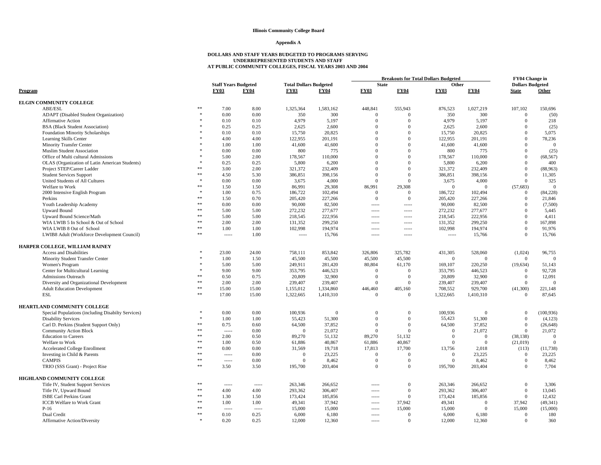### **Appendix A**

|                                                    |               |                             |             |                               |             |              |                   | <b>Breakouts for Total Dollars Budgeted</b> |                | FY04 Change in          |                |
|----------------------------------------------------|---------------|-----------------------------|-------------|-------------------------------|-------------|--------------|-------------------|---------------------------------------------|----------------|-------------------------|----------------|
|                                                    |               | <b>Staff Years Budgeted</b> |             | <b>Total Dollars Budgeted</b> |             | <b>State</b> |                   | Other                                       |                | <b>Dollars Budgeted</b> |                |
| Program                                            |               | <b>FY03</b>                 | <b>FY04</b> | <b>FY03</b>                   | <b>FY04</b> | <b>FY03</b>  | <b>FY04</b>       | <b>FY03</b>                                 | <b>FY04</b>    | <b>State</b>            | Other          |
| <b>ELGIN COMMUNITY COLLEGE</b>                     |               |                             |             |                               |             |              |                   |                                             |                |                         |                |
| ABE/ESL                                            | $\ast$        | 7.00                        | 8.00        | 1,325,364                     | 1,583,162   | 448,841      | 555,943           | 876,523                                     | 1,027,219      | 107,102                 | 150,696        |
| <b>ADAPT</b> (Disabled Student Organization)       | $\ast$        | 0.00                        | 0.00        | 350                           | 300         | $\mathbf{0}$ | $\Omega$          | 350                                         | 300            | $\overline{0}$          | (50)           |
| <b>Affirmative Action</b>                          |               | 0.10                        | 0.10        | 4,979                         | 5,197       | $\mathbf{0}$ | $\Omega$          | 4,979                                       | 5,197          | $\overline{0}$          | 218            |
| <b>BSA</b> (Black Student Association)             |               | 0.25                        | 0.25        | 2,625                         | 2,600       | $\Omega$     | $\Omega$          | 2,625                                       | 2,600          | $\overline{0}$          | (25)           |
| Foundation Minority Scholarships                   |               | 0.10                        | 0.10        | 15,750                        | 20,825      | $\Omega$     | $\overline{0}$    | 15,750                                      | 20,825         | $\overline{0}$          | 5,075          |
| Learning Skills Center                             |               | 4.00                        | 4.00        | 122,955                       | 201,191     | $\Omega$     | $\overline{0}$    | 122,955                                     | 201,191        | $\overline{0}$          | 78,236         |
| <b>Minority Transfer Center</b>                    |               | 1.00                        | 1.00        | 41,600                        | 41,600      | $\Omega$     | $\Omega$          | 41,600                                      | 41,600         | $\mathbf{0}$            | $\Omega$       |
| <b>Muslim Student Association</b>                  |               | 0.00                        | 0.00        | 800                           | 775         | $\Omega$     | $\overline{0}$    | 800                                         | 775            | $\overline{0}$          | (25)           |
| Office of Multi cultural Admissions                |               | 5.00                        | 2.00        | 178,567                       | 110,000     | $\Omega$     | $\Omega$          | 178,567                                     | 110,000        | $\Omega$                | (68, 567)      |
| OLAS (Organization of Latin American Students)     |               | 0.25                        | 0.25        | 5,800                         | 6,200       | $\Omega$     | $\Omega$          | 5,800                                       | 6,200          | $\overline{0}$          | 400            |
| Project STEP/Career Ladder                         | $**$          | 3.00                        | 2.00        | 321.372                       | 232,409     | $\Omega$     | $\Omega$          | 321,372                                     | 232,409        | $\Omega$                | (88,963)       |
| <b>Student Services Support</b>                    | **            | 4.50                        | 5.30        | 386,851                       | 398,156     | $\Omega$     | $\Omega$          | 386,851                                     | 398,156        | $\overline{0}$          | 11,305         |
| United Students of All Cultures                    |               | 0.00                        | 0.00        | 3,675                         | 4,000       | $\Omega$     | $\mathbf{0}$      | 3,675                                       | 4,000          | $\mathbf{0}$            | 325            |
| Welfare to Work                                    | **            | 1.50                        | 1.50        | 86,991                        | 29,308      | 86,991       | 29,308            | $\overline{0}$                              | $\Omega$       | (57, 683)               | $\Omega$       |
| 2000 Intensive English Program                     | $\mathcal{R}$ | 1.00                        | 0.75        | 186,722                       | 102,494     | $\theta$     | $\Omega$          | 186,722                                     | 102,494        | $\mathbf{0}$            | (84, 228)      |
| Perkins                                            | **            | 1.50                        | 0.70        | 205,420                       | 227,266     | $\mathbf{0}$ | $\Omega$          | 205,420                                     | 227,266        | $\overline{0}$          | 21,846         |
| Youth Leadership Academy                           | **            | 0.00                        | 0.00        | 90,000                        | 82,500      | $1 - 1 - 1$  | $- - - - -$       | 90,000                                      | 82,500         | $\Omega$                | (7,500)        |
| <b>Upward Bound</b>                                | **            | 5.00                        | 5.00        | 272,232                       | 277,677     | $- - - - -$  | $- - - - -$       | 272,232                                     | 277,677        | $\overline{0}$          | 5,445          |
| Upward Bound Science/Math                          | **            | 5.00                        | 5.00        | 218,545                       | 222,956     | $1 - 1 - 1$  | $-0.00000$        | 218,545                                     | 222,956        | $\Omega$                | 4,411          |
| WIA LWIB 5 In School & Out of School               | **            | 2.00                        | 2.00        | 131,352                       | 299,250     | -----        | $100 - 100 - 100$ | 131,352                                     | 299,250        | $\mathbf{0}$            | 167,898        |
| WIA LWIB 8 Out of School                           | **            | 1.00                        | 1.00        | 102,998                       | 194,974     | $1 - 1 - 1$  | $- - - - -$       | 102,998                                     | 194,974        | $\overline{0}$          | 91,976         |
| LWIB8 Adult (Workforce Development Council)        | **            |                             | 1.00        | $----$                        | 15,766      | -----        | -----             | -----                                       | 15,766         | $\overline{0}$          | 15,766         |
| HARPER COLLEGE, WILLIAM RAINEY                     |               |                             |             |                               |             |              |                   |                                             |                |                         |                |
| <b>Access and Disabilities</b>                     |               | 23.00                       | 24.00       | 758,111                       | 853,842     | 326,806      | 325,782           | 431,305                                     | 528,060        | (1,024)                 | 96,755         |
| Minority Student Transfer Center                   |               | 1.00                        | 1.50        | 45,500                        | 45,500      | 45,500       | 45,500            | $\Omega$                                    | $\Omega$       | $\overline{0}$          | $\Omega$       |
| Women's Program                                    |               | 5.00                        | 5.00        | 249,911                       | 281,420     | 80,804       | 61,170            | 169,107                                     | 220,250        | (19, 634)               | 51,143         |
| Center for Multicultural Learning                  |               | 9.00                        | 9.00        | 353,795                       | 446,523     | $\theta$     | $\Omega$          | 353,795                                     | 446,523        | $\mathbf{0}$            | 92,728         |
| Admissions Outreach                                | $**$          | 0.50                        | 0.75        | 20,809                        | 32,900      | $\Omega$     | $\Omega$          | 20,809                                      | 32,900         | $\overline{0}$          | 12,091         |
| Diversity and Organizational Development           | **            | 2.00                        | 2.00        | 239,407                       | 239,407     | $\Omega$     | $\Omega$          | 239,407                                     | 239,407        | $\overline{0}$          | $\overline{0}$ |
| <b>Adult Education Development</b>                 | $\ast$        | 15.00                       | 15.00       | 1,155,012                     | 1,334,860   | 446,460      | 405,160           | 708,552                                     | 929,700        | (41,300)                | 221,148        |
| ESL                                                | 永永            | 17.00                       | 15.00       | 1,322,665                     | 1,410,310   | $\Omega$     | $\overline{0}$    | 1,322,665                                   | 1,410,310      | $\Omega$                | 87,645         |
| HEARTLAND COMMUNITY COLLEGE                        |               |                             |             |                               |             |              |                   |                                             |                |                         |                |
| Special Populations (including Disabilty Services) |               | 0.00                        | 0.00        | 100,936                       | $\Omega$    | $\Omega$     | $\Omega$          | 100.936                                     | $\Omega$       | $\overline{0}$          | (100, 936)     |
| <b>Disability Services</b>                         | $\ast$        | 1.00                        | 1.00        | 55,423                        | 51,300      | $\Omega$     | $\mathbf{0}$      | 55,423                                      | 51,300         | $\overline{0}$          | (4,123)        |
| Carl D. Perkins (Student Support Only)             | **            | 0.75                        | 0.60        | 64,500                        | 37.852      | $\Omega$     | $\Omega$          | 64.500                                      | 37.852         | $\overline{0}$          | (26, 648)      |
| <b>Community Action Block</b>                      | **            | $1 - 1 - 1 = 1$             | 0.00        | $\overline{0}$                | 21,072      | $\mathbf{0}$ | $\overline{0}$    | $\overline{0}$                              | 21,072         | $\overline{0}$          | 21,072         |
| <b>Education</b> to Careers                        | $**$          | 2.00                        | 0.50        | 89,270                        | 51,132      | 89,270       | 51,132            | $\Omega$                                    | $\overline{0}$ | (38, 138)               | $\mathbf{0}$   |
| Welfare to Work                                    | **            | 1.00                        | 0.50        | 61,886                        | 40,867      | 61,886       | 40,867            | $\Omega$                                    | $\Omega$       | (21,019)                | $\Omega$       |
| <b>Accelerated College Enrollment</b>              | **            | 0.00                        | 0.00        | 31,569                        | 19,718      | 17,813       | 17,700            | 13,756                                      | 2,018          | (113)                   | (11, 738)      |
| Investing in Child & Parents                       | **            |                             | 0.00        | $\mathbf{0}$                  | 23,225      | $\theta$     | $\Omega$          | $\overline{0}$                              | 23,225         | $\overline{0}$          | 23,225         |
| <b>CAMPIS</b>                                      | 永永            | 1.1.1.1                     | 0.00        | $\Omega$                      | 8.462       | $\Omega$     | $\Omega$          | $\overline{0}$                              | 8.462          | $\overline{0}$          | 8,462          |
| TRIO (SSS Grant) - Project Rise                    | **            | 3.50                        | 3.50        | 195,700                       | 203,404     | $\Omega$     | $\overline{0}$    | 195,700                                     | 203,404        | $\overline{0}$          | 7,704          |
| HIGHLAND COMMUNITY COLLEGE                         |               |                             |             |                               |             |              |                   |                                             |                |                         |                |
| Title IV, Student Support Services                 | **            | $- - - - -$                 | 1.1.1.1     | 263,346                       | 266,652     | $- - - - -$  | $\mathbf{0}$      | 263,346                                     | 266,652        | $\overline{0}$          | 3,306          |
| Title IV, Upward Bound                             | **            | 4.00                        | 4.00        | 293,362                       | 306,407     | -----        | $\overline{0}$    | 293,362                                     | 306,407        | $\mathbf{0}$            | 13,045         |
| <b>ISBE Carl Perkins Grant</b>                     | **            | 1.30                        | 1.50        | 173,424                       | 185,856     | -----        | $\overline{0}$    | 173,424                                     | 185,856        | $\overline{0}$          | 12,432         |
| <b>ICCB</b> Welfare to Work Grant                  | **            | 1.00                        | 1.00        | 49,341                        | 37,942      | $----$       | 37,942            | 49,341                                      | $\Omega$       | 37,942                  | (49, 341)      |
| $P-16$                                             | **            | $1 - 1 - 1 = 1$             | 1.111       | 15,000                        | 15,000      | $1 - 1 - 1$  | 15,000            | 15,000                                      | $\Omega$       | 15,000                  | (15,000)       |
| Dual Credit                                        | **            | 0.10                        | 0.25        | 6,000                         | 6,180       | -----        | $\Omega$          | 6,000                                       | 6,180          | $\overline{0}$          | 180            |
| <b>Affirmative Action/Diversity</b>                | $\mathcal{R}$ | 0.20                        | 0.25        | 12,000                        | 12.360      | $- - - - -$  | $\Omega$          | 12,000                                      | 12.360         | $\Omega$                | 360            |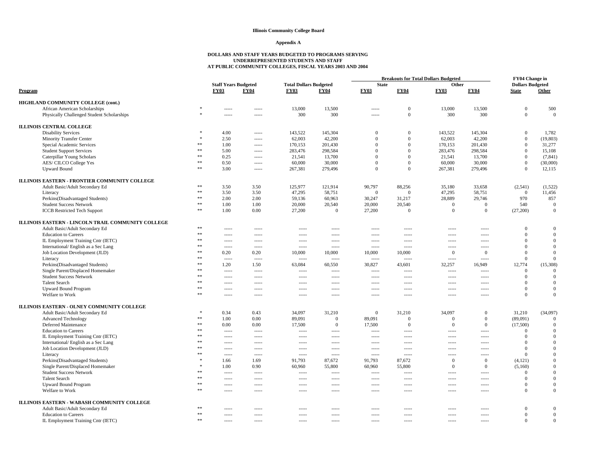#### **Appendix A**

|                                                    |                  |                                            |                 |                                              |              |                             | <b>Breakouts for Total Dollars Budgeted</b> |                      |                |                                         | <b>FY04 Change in</b> |
|----------------------------------------------------|------------------|--------------------------------------------|-----------------|----------------------------------------------|--------------|-----------------------------|---------------------------------------------|----------------------|----------------|-----------------------------------------|-----------------------|
| Program                                            |                  | <b>Staff Years Budgeted</b><br><b>FY03</b> | <b>FY04</b>     | <b>Total Dollars Budgeted</b><br><b>FY03</b> | <b>FY04</b>  | <b>State</b><br><b>FY03</b> | <b>FY04</b>                                 | Other<br><b>FY03</b> | <b>FY04</b>    | <b>Dollars Budgeted</b><br><b>State</b> | Other                 |
| HIGHLAND COMMUNITY COLLEGE (cont.)                 |                  |                                            |                 |                                              |              |                             |                                             |                      |                |                                         |                       |
| African American Scholarships                      |                  | -----                                      | -----           | 13,000                                       | 13.500       | $1 - 1 - 1 - 1 = 0$         | $\mathbf{0}$                                | 13,000               | 13,500         | $\mathbf{0}$                            | 500                   |
| Physically Challenged Student Scholarships         | $\ast$           | -----                                      | -----           | 300                                          | 300          | $- - - - -$                 | $\mathbf{0}$                                | 300                  | 300            | $\mathbf{0}$                            | $\Omega$              |
| <b>ILLINOIS CENTRAL COLLEGE</b>                    |                  |                                            |                 |                                              |              |                             |                                             |                      |                |                                         |                       |
| <b>Disability Services</b>                         |                  | 4.00                                       | $- - - - -$     | 143,522                                      | 145,304      | $\Omega$                    | $\overline{0}$                              | 143,522              | 145,304        | $\mathbf{0}$                            | 1,782                 |
| <b>Minority Transfer Center</b>                    |                  | 2.50                                       |                 | 62,003                                       | 42,200       | $\mathbf{0}$                | $\mathbf{0}$                                | 62,003               | 42,200         | $\mathbf{0}$                            | (19, 803)             |
| Special Academic Services                          | $\ast\ast$       | 1.00                                       | 1.111           | 170,153                                      | 201,430      | $\Omega$                    | $\mathbf{0}$                                | 170,153              | 201,430        | $\mathbf{0}$                            | 31,277                |
| <b>Student Support Services</b>                    | **               | 5.00                                       | -----           | 283,476                                      | 298,584      | $\mathbf{0}$                | $\mathbf{0}$                                | 283,476              | 298,584        | $\mathbf{0}$                            | 15,108                |
| Caterpillar Young Scholars                         | $\ast\ast$       | 0.25                                       | -----           | 21,541                                       | 13,700       | $\Omega$                    | $\overline{0}$                              | 21.541               | 13,700         | $\mathbf{0}$                            | (7, 841)              |
| AES/ CILCO College Yes                             | $**$             | 0.50                                       |                 | 60,000                                       | 30,000       | $\Omega$                    | $\Omega$                                    | 60,000               | 30,000         | $\boldsymbol{0}$                        | (30,000)              |
| <b>Upward Bound</b>                                | $\ast\ast$       | 3.00                                       | $- - - - -$     | 267,381                                      | 279,496      | $\Omega$                    | $\overline{0}$                              | 267,381              | 279,496        | $\mathbf{0}$                            | 12,115                |
| ILLINOIS EASTERN - FRONTIER COMMUNITY COLLEGE      |                  |                                            |                 |                                              |              |                             |                                             |                      |                |                                         |                       |
|                                                    | **               | 3.50                                       | 3.50            | 125,977                                      | 121,914      | 90,797                      |                                             | 35,180               | 33,658         | (2,541)                                 | (1,522)               |
| Adult Basic/Adult Secondary Ed                     | $**$             | 3.50                                       | 3.50            | 47,295                                       | 58,751       | $\overline{0}$              | 88,256<br>$\overline{0}$                    | 47,295               | 58,751         | $\overline{0}$                          | 11.456                |
| Literacy                                           | $**$             | 2.00                                       | 2.00            | 59,136                                       | 60,963       | 30,247                      | 31,217                                      | 28,889               | 29,746         | 970                                     | 857                   |
| Perkins(Disadvantaged Students)                    | $\ast\ast$       |                                            | 1.00            | 20,000                                       | 20,540       | 20,000                      | 20,540                                      | $\overline{0}$       | $\mathbf{0}$   | 540                                     | $\mathbf{0}$          |
| <b>Student Success Network</b>                     | $\ast\ast$       | 1.00<br>1.00                               | 0.00            | 27,200                                       | $\mathbf{0}$ | 27,200                      | $\overline{0}$                              | $\overline{0}$       | $\mathbf{0}$   | (27,200)                                | $\mathbf{0}$          |
| <b>ICCB</b> Restricted Tech Support                |                  |                                            |                 |                                              |              |                             |                                             |                      |                |                                         |                       |
| ILLINOIS EASTERN - LINCOLN TRAIL COMMUNITY COLLEGE |                  |                                            |                 |                                              |              |                             |                                             |                      |                |                                         |                       |
| Adult Basic/Adult Secondary Ed                     | $\ast\ast$       | $- - - - -$                                | $- - - - -$     | $- - - - -$                                  | $- - - - -$  | $- - - - -$                 | $- - - - -$                                 | -----                | -----          | $\Omega$                                | $\Omega$              |
| <b>Education</b> to Careers                        | $**$             | $- - - - -$                                | $- - - - -$     | $- - - - -$                                  | $- - - - -$  | $- - - - -$                 | $- - - - -$                                 | $- - - - -$          | -----          | $\Omega$                                | $\Omega$              |
| IL Employment Training Cntr (IETC)                 | $\divideontimes$ | -----                                      | -----           | -----                                        | -----        | $1 - 1 - 1 - 1 = 0$         | $100 - 100 - 100$                           | $- - - - -$          | -----          | $\Omega$                                | $\mathbf{0}$          |
| International/English as a Sec Lang                | $\ast\ast$       | $- - - - -$                                | 1.111           | $-----$                                      | 1.1.1.1      | $- - - - -$                 | $- - - - -$                                 | $- - - - -$          | -----          | $\mathbf{0}$                            | $\mathbf{0}$          |
| Job Location Development (JLD)                     | $\ast\ast$       | 0.20                                       | 0.20            | 10,000                                       | 10,000       | 10,000                      | 10,000                                      | $\mathbf{0}$         | $\mathbf{0}$   | $\boldsymbol{0}$                        | $\mathbf{0}$          |
| Literacy                                           | 米米               | 1.1.1.1                                    | $\cdots$        | $\cdots$                                     | $100 - 100$  | $\cdots$                    | $- - - - -$                                 | $- - - - -$          | $1 - 1 - 1$    | $\mathbf{0}$                            | $\Omega$              |
| Perkins(Disadvantaged Students)                    | $\ast\ast$       | 1.20                                       | 1.50            | 63,084                                       | 60,550       | 30,827                      | 43,601                                      | 32,257               | 16,949         | 12,774                                  | (15,308)              |
| Single Parent/Displaced Homemaker                  | 米米               | $- - - - -$                                | $- - - - -$     | $- - - - -$                                  | $- - - - -$  | $- - - - -$                 | $- - - - -$                                 | $- - - - -$          | $- - - - -$    | $\mathbf{0}$                            | $\mathbf{0}$          |
| <b>Student Success Network</b>                     | **               | -----                                      | -----           | $---$                                        | -----        | $1 - 1 - 1 - 1 = 0$         | $1 - 1 - 1 - 1 = 0$                         | -----                | -----          | $\mathbf{0}$                            | $\Omega$              |
| <b>Talent Search</b>                               | $\ast\ast$       | 1.1.1.1                                    | -----           | $\cdots$                                     | 1.1.1.1      | $\cdots$                    | $\cdots$                                    | -----                | -----          | $\Omega$                                | $\Omega$              |
| <b>Upward Bound Program</b>                        | **               | -----                                      | 1.1.1.1         | $- - - - -$                                  | $- - - - -$  | $- - - - -$                 | $- - - - -$                                 | -----                | -----          | $\mathbf{0}$                            | $\mathbf{0}$          |
| Welfare to Work                                    | $\ast\ast$       | $- - - - -$                                |                 | $- - - - -$                                  | $- - - - -$  | $- - - - -$                 | $- - - - -$                                 | $- - - - -$          | -----          | $\Omega$                                | $\Omega$              |
| ILLINOIS EASTERN - OLNEY COMMUNITY COLLEGE         |                  |                                            |                 |                                              |              |                             |                                             |                      |                |                                         |                       |
| Adult Basic/Adult Secondary Ed                     |                  | 0.34                                       | 0.43            | 34,097                                       | 31,210       | $\mathbf{0}$                | 31,210                                      | 34,097               | $\overline{0}$ | 31,210                                  | (34,097)              |
| <b>Advanced Technology</b>                         | $\ast\ast$       | 1.00                                       | 0.00            | 89,091                                       | $\mathbf{0}$ | 89,091                      | $\mathbf{0}$                                | $\Omega$             | $\mathbf{0}$   | (89,091)                                | $\mathbf{0}$          |
| Deferred Maintenance                               | $\ast\ast$       | 0.00                                       | 0.00            | 17,500                                       | $\mathbf{0}$ | 17,500                      | $\mathbf{0}$                                | $\overline{0}$       | $\overline{0}$ | (17,500)                                | $\mathbf{0}$          |
| <b>Education to Careers</b>                        | **               | $1 - 1 - 1$                                | $- - - - -$     | $- - - - -$                                  | $- - - - -$  | $- - - - -$                 | $- - - - -$                                 | $- - - - -$          | $1 - 1 - 1$    | $\mathbf{0}$                            | $\Omega$              |
| IL Employment Training Cntr (IETC)                 | **               |                                            | $1 - 1 - 1 = 1$ | $- - - - -$                                  | $100 - 100$  | $- - - - -$                 | $- - - - -$                                 | $- - - - -$          | $1 - 1 - 1$    | $\Omega$                                | $\Omega$              |
| International/English as a Sec Lang                | **               | -----                                      | -----           | -----                                        | -----        | $1 - 1 - 1 - 1 = 0$         | $100 - 100 - 100$                           | $- - - - -$          | -----          | $\mathbf{0}$                            | $\mathbf{0}$          |
| Job Location Development (JLD)                     | **               | -----                                      |                 | $---$                                        | -----        | $1 - 1 - 1 - 1 = 0$         | $1 - 1 - 1 - 1 = 0$                         | -----                | -----          | $\mathbf{0}$                            | $\Omega$              |
| Literacy                                           | **               | -----                                      |                 | $1 - 1 - 1 = 1$                              | 1.1.1.1      | $- - - - -$                 | $- - - - -$                                 | -----                | -----          | $\mathbf{0}$                            | $\Omega$              |
| Perkins(Disadvantaged Students)                    | 宋                | 1.66                                       | 1.69            | 91,793                                       | 87,672       | 91,793                      | 87,672                                      | $\mathbf{0}$         | $\overline{0}$ | (4,121)                                 | $\mathbf{0}$          |
| Single Parent/Displaced Homemaker                  | $\ast$           | 1.00                                       | 0.90            | 60,960                                       | 55,800       | 60,960                      | 55,800                                      | $\Omega$             | $\overline{0}$ | (5,160)                                 | $\Omega$              |
| <b>Student Success Network</b>                     | $\ast\ast$       | $1 - 1 - 1$                                | 1.111           | -----                                        | -----        | $1 - 1 - 1 - 1 = 1$         |                                             | -----                | -----          | $\mathbf{0}$                            | $\Omega$              |
| <b>Talent Search</b>                               | **               | -----                                      |                 | $---$                                        | -----        | $1 - 1 - 1 - 1 = 0$         | $1 - 1 - 1 - 1 = 0$                         | -----                | -----          | $\Omega$                                | $\Omega$              |
| <b>Upward Bound Program</b>                        | $\ast\ast$       | -----                                      | -----           | $\cdots$                                     | 1.1.1.1      | $\cdots$                    | $\cdots$                                    | -----                | -----          | $\Omega$                                | $\Omega$              |
| Welfare to Work                                    | $\ast\ast$       | -----                                      | 1.1.1.1         | $- - - - -$                                  | $- - - - -$  | $- - - - -$                 | $- - - - -$                                 | -----                | -----          | $\Omega$                                | $\mathbf{0}$          |
| ILLINOIS EASTERN - WABASH COMMUNITY COLLEGE        |                  |                                            |                 |                                              |              |                             |                                             |                      |                |                                         |                       |
| Adult Basic/Adult Secondary Ed                     | $\ast\ast$       | -----                                      |                 | $- - - - -$                                  | -----        | $- - - - -$                 | -----                                       |                      |                | $\Omega$                                | $\boldsymbol{0}$      |
| <b>Education</b> to Careers                        | **               | -----                                      | -----           | $---$                                        | -----        | $- - - - -$                 | -----                                       | -----                | -----          | $\mathbf{0}$                            | $\mathbf{0}$          |
| IL Employment Training Cntr (IETC)                 | $\ast\ast$       | $- - - - -$                                | $1 - 1 - 1$     | $- - - - -$                                  | $- - - - -$  | $1 - 1 - 1$                 | $- - - - -$                                 | $---$                | -----          | $\Omega$                                | $\Omega$              |
|                                                    |                  |                                            |                 |                                              |              |                             |                                             |                      |                |                                         |                       |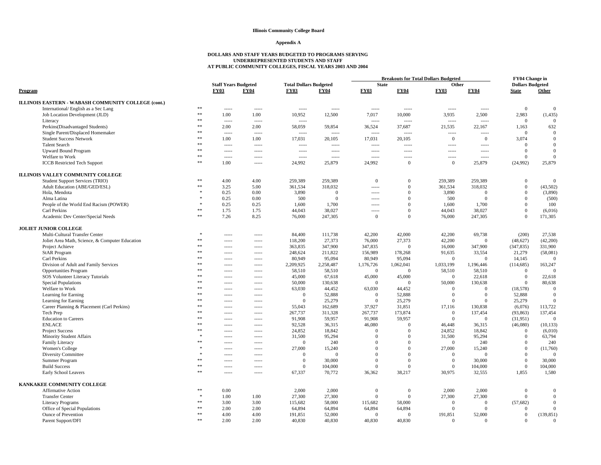#### **Appendix A**

|                                                             |              |                                                           |                 |                                              |                     | <b>Breakouts for Total Dollars Budgeted</b> |                |                      |                | <b>FY04 Change in</b>                   |              |
|-------------------------------------------------------------|--------------|-----------------------------------------------------------|-----------------|----------------------------------------------|---------------------|---------------------------------------------|----------------|----------------------|----------------|-----------------------------------------|--------------|
| Program                                                     |              | <b>Staff Years Budgeted</b><br><b>FY04</b><br><b>FY03</b> |                 | <b>Total Dollars Budgeted</b><br><b>FY03</b> | <b>FY04</b>         | <b>State</b><br><b>FY03</b>                 | <b>FY04</b>    | Other<br><b>FY03</b> | <b>FY04</b>    | <b>Dollars Budgeted</b><br><b>State</b> | Other        |
| ILLINOIS EASTERN - WABASH COMMUNITY COLLEGE (cont.)         |              |                                                           |                 |                                              |                     |                                             |                |                      |                |                                         |              |
| International/English as a Sec Lang                         | $**$         | $- - - - -$                                               | -----           | $---$                                        | $1 - 1 - 1 - 1 = 0$ | $1 - 1 - 1 - 1 = 0$                         | -----          | $1 - 1 - 1$          | -----          | $\mathbf{0}$                            | $\theta$     |
| Job Location Development (JLD)                              | $\ast\ast$   | 1.00                                                      | 1.00            | 10,952                                       | 12,500              | 7,017                                       | 10,000         | 3,935                | 2,500          | 2,983                                   | (1, 435)     |
| Literacy                                                    | $\ast\ast$   | 1.1.1.1                                                   | $1 - 1 - 1$     | $1 - 1 - 1 - 1$                              |                     | $\overline{\phantom{a}}$                    | $- - - - -$    |                      | 1.1.1.1        | $\overline{0}$                          | $\Omega$     |
| Perkins(Disadvantaged Students)                             | $*$          | 2.00                                                      | 2.00            | 58,059                                       | 59,854              | 36,524                                      | 37,687         | 21,535               | 22,167         | 1,163                                   | 632          |
| Single Parent/Displaced Homemaker                           | $**$         | $- - - - -$                                               | $- - - - -$     | $1 - 1 - 1 = 1$                              | $- - - - -$         | $1 - 1 - 1$                                 | $- - - - -$    | $- - - - -$          | $- - - - -$    | $\overline{0}$                          | $\Omega$     |
| <b>Student Success Network</b>                              | $\ast\ast$   | 1.00                                                      | 1.00            | 17,031                                       | 20,105              | 17,031                                      | 20,105         | $\mathbf{0}$         | $\mathbf{0}$   | 3,074                                   | $\mathbf{0}$ |
| <b>Talent Search</b>                                        | $\ast\ast$   | $100 - 100$                                               | -----           | $1 - 1 - 1 - 1$                              | $\cdots$            | $\cdots$                                    | -----          | 1.1.1.1              | 1.1.1.1        | $\overline{0}$                          | $\Omega$     |
| <b>Upward Bound Program</b>                                 | $\pm$ $\pm$  | -----                                                     | -----           | $1 - 1 - 1 - 1 = 0$                          |                     | $1 - 1 - 1 = 1$                             | -----          | -----                | -----          | $\mathbf{0}$                            | $\mathbf{0}$ |
| Welfare to Work                                             | $**$         | $100 - 100 - 100$                                         |                 | $1 - 1 - 1 = 1$                              | $- - - - -$         | $1 - 1 - 1 = 1$                             | -----          | $- - - - -$          | 1.1.1.1        | $\mathbf{0}$                            | $\theta$     |
| <b>ICCB</b> Restricted Tech Support                         | $\ast\ast$   | 1.00                                                      | $1 - 1 - 1 = 1$ | 24,992                                       | 25,879              | 24,992                                      | $\Omega$       | $\Omega$             | 25,879         | (24,992)                                | 25,879       |
| ILLINOIS VALLEY COMMUNITY COLLEGE                           |              |                                                           |                 |                                              |                     |                                             |                |                      |                |                                         |              |
| Student Support Services (TRIO)                             | $\ast\ast$   | 4.00                                                      | 4.00            | 259,389                                      | 259,389             | $\overline{0}$                              | $\overline{0}$ | 259,389              | 259.389        | $\mathbf{0}$                            | $\Omega$     |
| Adult Education (ABE/GED/ESL)                               | $\pm$ $\pm$  | 3.25                                                      | 5.00            | 361,534                                      | 318,032             | $1 - 1 - 1 = 1$                             | $\Omega$       | 361,534              | 318,032        | $\mathbf{0}$                            | (43,502)     |
| Hola, Mendota                                               |              | 0.25                                                      | 0.00            | 3,890                                        | $\Omega$            | $1 - 1 - 1$                                 | $\Omega$       | 3,890                | $\Omega$       | $\mathbf{0}$                            | (3,890)      |
| Alma Latina                                                 |              | 0.25                                                      | 0.00            | 500                                          | $\overline{0}$      | $1 - 1 - 1 - 1 = 0$                         | $\Omega$       | 500                  | $\Omega$       | $\mathbf{0}$                            | (500)        |
| People of the World End Racism (POWER)                      |              | 0.25                                                      | 0.25            | 1,600                                        | 1,700               | -----                                       | $\overline{0}$ | 1,600                | 1,700          | $\overline{0}$                          | 100          |
| Carl Perkins                                                | **           | 1.75                                                      | 1.75            | 44,043                                       | 38,027              | $- - - - -$                                 | $\overline{0}$ | 44,043               | 38,027         | $\mathbf{0}$                            | (6,016)      |
| Academic Dev Center/Special Needs                           | $\ast\ast$   | 7.26                                                      | 8.25            | 76,000                                       | 247,305             | $\mathbf{0}$                                | $\theta$       | 76,000               | 247,305        | $\mathbf{0}$                            | 171,305      |
| <b>JOLIET JUNIOR COLLEGE</b>                                |              |                                                           |                 |                                              |                     |                                             |                |                      |                |                                         |              |
| Multi-Cultural Transfer Center                              | $\ast$       | $- - - - -$                                               | -----           | 84,400                                       | 111,738             | 42,200                                      | 42,000         | 42,200               | 69,738         | (200)                                   | 27,538       |
| Joliet Area Math, Science, & Computer Education             | **           | -----                                                     | -----           | 118,200                                      | 27,373              | 76,000                                      | 27,373         | 42,200               | $\Omega$       | (48, 627)                               | (42,200)     |
| Project Achieve                                             | $\ast\ast$   | -----                                                     | -----           | 363,835                                      | 347,900             | 347,835                                     | $\Omega$       | 16,000               | 347,900        | (347, 835)                              | 331,900      |
| <b>StAR Program</b>                                         | $\ast\ast$   | $- - - - -$                                               |                 | 248,624                                      | 211,822             | 156,989                                     | 178,268        | 91,635               | 33,554         | 21,279                                  | (58,081)     |
| Carl Perkins                                                | 索索           | $- - - - -$                                               |                 | 80,949                                       | 95,094              | 80,949                                      | 95,094         | $\Omega$             | $\Omega$       | 14,145                                  | $\Omega$     |
| Division of Adult and Family Services                       | $**$         | $- - - - -$                                               |                 | 2,209,925                                    | 2,258,487           | 1,176,726                                   | 1,062,041      | 1,033,199            | 1,196,446      | (114, 685)                              | 163,247      |
| <b>Opportunities Program</b>                                | $**$         | $- - - - -$                                               | -----           | 58,510                                       | 58,510              | $\overline{0}$                              | $\overline{0}$ | 58,510               | 58,510         | $\mathbf{0}$                            | $\Omega$     |
| SOS Volunteer Literacy Tutorials                            | $*$          | -----                                                     | -----           | 45,000                                       | 67,618              | 45,000                                      | 45,000         | $\mathbf{0}$         | 22,618         | $\mathbf{0}$                            | 22,618       |
| <b>Special Populations</b>                                  | $**$         | $- - - - -$                                               |                 | 50,000                                       | 130,638             | $\overline{0}$                              | $\Omega$       | 50,000               | 130,638        | $\mathbf{0}$                            | 80,638       |
| Welfare to Work                                             | $**$         | $- - - - -$                                               | $- - - - -$     | 63,030                                       | 44,452              | 63,030                                      | 44,452         | $\Omega$             | $\Omega$       | (18,578)                                | $\Omega$     |
| Learning for Earning                                        | $\ast\ast$   | $- - - - -$                                               | $- - - -$       | $\overline{0}$                               | 52,888              | $\mathbf{0}$                                | 52,888         | $\Omega$             | $\overline{0}$ | 52,888                                  | $\Omega$     |
| Learning for Earning                                        | $**$         | -----                                                     |                 | $\mathbf{0}$                                 | 25,279              | $\mathbf{0}$                                | 25,279         | $\overline{0}$       | $\overline{0}$ | 25,279                                  | $\theta$     |
| Career Planning & Placement (Carl Perkins)                  | $**$         |                                                           | -----           | 55,043                                       | 162,689             | 37,927                                      | 31,851         | 17,116               | 130,838        | (6,076)                                 | 113,722      |
| Tech Prep                                                   | $*$          | $- - - - -$                                               | -----           | 267,737                                      | 311,328             | 267,737                                     | 173,874        | $\mathbf{0}$         | 137,454        | (93, 863)                               | 137,454      |
| <b>Education</b> to Careers                                 | $**$         | $- - - - -$                                               | 1.1.1.1         | 91,908                                       | 59,957              | 91,908                                      | 59,957         | $\Omega$             | $\Omega$       | (31,951)                                | $\Omega$     |
| <b>ENLACE</b>                                               | $*$          | $- - - - -$                                               |                 | 92,528                                       | 36,315              | 46,080                                      | $\Omega$       | 46,448               | 36,315         | (46,080)                                | (10, 133)    |
| <b>Project Success</b>                                      | 索索           | $- - - - -$                                               | $- - - -$       | 24,852                                       | 18,842              | $\Omega$                                    | $\Omega$       | 24,852               | 18,842         | $\overline{0}$                          | (6,010)      |
| <b>Minority Student Affairs</b>                             |              | -----                                                     | -----           | 31,500                                       | 95,294              | $\Omega$                                    | $\overline{0}$ | 31,500               | 95,294         | $\mathbf{0}$                            | 63,794       |
| Family Literacy                                             |              | -----                                                     | -----           | $\overline{0}$                               | 240                 | $\theta$                                    | $\overline{0}$ | $\mathbf{0}$         | 240            | $\mathbf{0}$                            | 240          |
| Women's College                                             | $\ast$       | $- - - - -$                                               | -----           | 27,000                                       | 15,240              | $\Omega$                                    | $\Omega$       | 27,000               | 15,240         | $\mathbf{0}$                            | (11,760)     |
| <b>Diversity Committee</b>                                  | $\mathbf{r}$ | $- - - - -$                                               | $- - - - -$     | $\Omega$                                     | $\overline{0}$      | $\Omega$                                    | $\Omega$       | $\mathbf{0}$         | $\Omega$       | $\overline{0}$                          | $\Omega$     |
| Summer Program                                              | $**$         | $- - - - -$                                               |                 | $\overline{0}$                               | 30,000              | $\Omega$                                    | $\overline{0}$ | $\mathbf{0}$         | 30,000         | $\mathbf{0}$                            | 30,000       |
| <b>Build Success</b>                                        | $\ast\ast$   | $- - - - -$                                               | -----           | $\overline{0}$                               | 104,000             | $\Omega$                                    | $\Omega$       | $\Omega$             | 104,000        | $\mathbf{0}$                            | 104,000      |
| Early School Leavers                                        | $**$         | -----                                                     | -----           | 67,337                                       | 70,772              | 36,362                                      | 38,217         | 30,975               | 32,555         | 1,855                                   | 1,580        |
| KANKAKEE COMMUNITY COLLEGE                                  |              |                                                           |                 |                                              |                     |                                             |                |                      |                |                                         |              |
| <b>Affirmative Action</b>                                   | **           | 0.00                                                      |                 | 2,000                                        | 2,000               | $\overline{0}$                              | $\overline{0}$ | 2,000                | 2,000          | $\mathbf{0}$                            | $\mathbf{0}$ |
| <b>Transfer Center</b>                                      |              | 1.00                                                      | 1.00            | 27,300                                       | 27,300              | $\overline{0}$                              | $\overline{0}$ | 27,300               | 27,300         | $\overline{0}$                          | $\Omega$     |
| <b>Literacy Programs</b>                                    | **           | 3.00                                                      | 3.00            | 115,682                                      | 58,000              | 115,682                                     | 58,000         | $\Omega$             | $\Omega$       | (57,682)                                | $\mathbf{0}$ |
|                                                             | $**$         | 2.00                                                      | 2.00            |                                              | 64,894              | 64,894                                      | 64,894         | $\Omega$             | $\Omega$       | $\overline{0}$                          | $\Omega$     |
| Office of Special Populations<br><b>Ounce of Prevention</b> | $**$         | 4.00                                                      | 4.00            | 64,894<br>191,851                            | 52,000              | $\overline{0}$                              | $\overline{0}$ | 191,851              | 52,000         | $\mathbf{0}$                            | (139, 851)   |
| Parent Support/DFI                                          | $*$          | 2.00                                                      | 2.00            | 40.830                                       | 40.830              | 40.830                                      | 40.830         | $\Omega$             | $\Omega$       | $\theta$                                | $\theta$     |
|                                                             |              |                                                           |                 |                                              |                     |                                             |                |                      |                |                                         |              |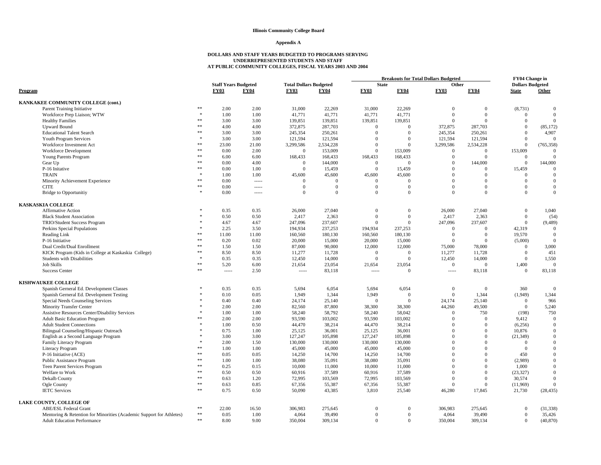#### **Appendix A**

|                                                                      |                  |                             |             |                               |                |                |                | <b>Breakouts for Total Dollars Budgeted</b> |                | <b>FY04 Change in</b>   |              |
|----------------------------------------------------------------------|------------------|-----------------------------|-------------|-------------------------------|----------------|----------------|----------------|---------------------------------------------|----------------|-------------------------|--------------|
|                                                                      |                  | <b>Staff Years Budgeted</b> |             | <b>Total Dollars Budgeted</b> |                | <b>State</b>   |                | Other                                       |                | <b>Dollars Budgeted</b> |              |
| Program                                                              |                  | <b>FY03</b>                 | <b>FY04</b> | <b>FY03</b>                   | <b>FY04</b>    | <b>FY03</b>    | <b>FY04</b>    | <b>FY03</b>                                 | <b>FY04</b>    | <b>State</b>            | Other        |
| <b>KANKAKEE COMMUNITY COLLEGE (cont.)</b>                            |                  |                             |             |                               |                |                |                |                                             |                |                         |              |
| <b>Parent Training Initiative</b>                                    | **               | 2.00                        | 2.00        | 31,000                        | 22,269         | 31,000         | 22,269         | $\mathbf{0}$                                | $\mathbf{0}$   | (8,731)                 | $\theta$     |
| Workforce Prep Liaison; WTW                                          | $\ast$           | 1.00                        | 1.00        | 41,771                        | 41,771         | 41,771         | 41,771         | $\mathbf{0}$                                | $\overline{0}$ | $\overline{0}$          | $\Omega$     |
| <b>Healthy Families</b>                                              | $\ast\ast$       | 3.00                        | 3.00        | 139,851                       | 139,851        | 139,851        | 139,851        | $\mathbf{0}$                                | $\theta$       | $\theta$                | $\theta$     |
| <b>Upward Bound</b>                                                  | $**$             | 4.00                        | 4.00        | 372,875                       | 287,703        | $\mathbf{0}$   | $\Omega$       | 372,875                                     | 287,703        | $\theta$                | (85, 172)    |
| <b>Educational Talent Search</b>                                     | **               | 3.00                        | 3.00        | 245,354                       | 250,261        | $\overline{0}$ | $\overline{0}$ | 245,354                                     | 250,261        | $\Omega$                | 4,907        |
| Youth Program Services                                               |                  | 3.00                        | 3.00        | 121,594                       | 121,594        | $\Omega$       | $\overline{0}$ | 121,594                                     | 121,594        | $\overline{0}$          | $\Omega$     |
| Workforce Investment Act                                             | $**$             | 23.00                       | 21.00       | 3,299,586                     | 2,534,228      | $\mathbf{0}$   | $\mathbf{0}$   | 3,299,586                                   | 2,534,228      | $\mathbf{0}$            | (765, 358)   |
| Workforce Development                                                | **               | 0.00                        | 2.00        | $\mathbf{0}$                  | 153,009        | $\overline{0}$ | 153,009        | $\overline{0}$                              | $\overline{0}$ | 153,009                 | $\Omega$     |
| Young Parents Program                                                | **               | 6.00                        | 6.00        | 168,433                       | 168,433        | 168,433        | 168,433        | $\mathbf{0}$                                | $\Omega$       | $\overline{0}$          | $\Omega$     |
| Gear Up                                                              | **               | 0.00                        | 4.00        | $\overline{0}$                | 144,000        | $\overline{0}$ | $\overline{0}$ | $\Omega$                                    | 144,000        | $\mathbf{0}$            | 144,000      |
| P-16 Initative                                                       | **               | 0.00                        | 1.00        | $\Omega$                      | 15,459         | $\Omega$       | 15,459         | $\Omega$                                    | $\Omega$       | 15,459                  | $\theta$     |
| <b>TRAIN</b>                                                         |                  | 1.00                        | 1.00        | 45,600                        | 45,600         | 45,600         | 45,600         | $\Omega$                                    | $\overline{0}$ | $\mathbf{0}$            | $\theta$     |
| Minority Achievement Experience                                      | **               | 0.00                        | -----       | $\Omega$                      | $\overline{0}$ | $\overline{0}$ | $\mathbf{0}$   | $\Omega$                                    | $\overline{0}$ | $\mathbf{0}$            | $\mathbf{0}$ |
| <b>CITE</b>                                                          | **               | 0.00                        |             | $\Omega$                      | $\Omega$       | $\Omega$       | $\Omega$       | $\Omega$                                    | $\Omega$       | $\theta$                | $\theta$     |
| <b>Bridge to Opportunitiy</b>                                        | $\frac{1}{2}$    | 0.00                        | -----       | $\mathbf{0}$                  | $\Omega$       | $\Omega$       | $\mathbf{0}$   | $\mathbf{0}$                                | $\overline{0}$ | $\mathbf{0}$            | $\theta$     |
|                                                                      |                  |                             |             |                               |                |                |                |                                             |                |                         |              |
| <b>KASKASKIA COLLEGE</b>                                             |                  |                             |             |                               |                |                |                |                                             |                |                         |              |
| <b>Affirmative Action</b>                                            |                  | 0.35                        | 0.35        | 26,000                        | 27,040         | $\mathbf{0}$   | $\overline{0}$ | 26,000                                      | 27,040         | $\mathbf{0}$            | 1,040        |
| <b>Black Student Association</b>                                     |                  | 0.50                        | 0.50        | 2,417                         | 2,363          | $\overline{0}$ | $\mathbf{0}$   | 2,417                                       | 2,363          | $\mathbf{0}$            | (54)         |
| <b>TRIO/Student Success Program</b>                                  |                  | 4.67                        | 4.67        | 247,096                       | 237,607        | $\Omega$       | $\Omega$       | 247,096                                     | 237,607        | $\mathbf{0}$            | (9, 489)     |
| Perkins Special Populations                                          | $\ast$           | 2.25                        | 3.50        | 194,934                       | 237,253        | 194,934        | 237,253        | $\overline{0}$                              | $\Omega$       | 42.319                  | $\mathbf{0}$ |
| Reading Link                                                         | 米米               | 11.00                       | 11.00       | 160,560                       | 180,130        | 160,560        | 180,130        | $\Omega$                                    | $\overline{0}$ | 19,570                  | $\theta$     |
| P-16 Initiative                                                      | 索索               | 0.20                        | 0.02        | 20,000                        | 15,000         | 20,000         | 15,000         | $\Omega$                                    | $\mathbf{0}$   | (5,000)                 | $\Omega$     |
| Dual Credit/Dual Enrollment                                          | **               | 1.50                        | 1.50        | 87,000                        | 90,000         | 12,000         | 12,000         | 75,000                                      | 78,000         | $\overline{0}$          | 3,000        |
| KICK Program (Kids in College at Kaskaskia College)                  | **               | 8.50                        | 8.50        | 11,277                        | 11,728         | $\overline{0}$ | $\overline{0}$ | 11,277                                      | 11,728         | $\mathbf{0}$            | 451          |
| <b>Students with Disabilities</b>                                    | $\frac{1}{2}$    | 0.35                        | 0.35        | 12,450                        | 14,000         | $\overline{0}$ | $\theta$       | 12,450                                      | 14,000         | $\mathbf{0}$            | 1,550        |
| <b>Job Skills</b>                                                    | **               | 5.20                        | 6.00        | 21,654                        | 23,054         | 21,654         | 23,054         | $\mathbf{0}$                                | $\Omega$       | 1,400                   | $\Omega$     |
| <b>Success Center</b>                                                | $\ast\ast$       | $100 - 100$                 | 2.50        | $1 - 1 - 1$                   | 83,118         | $1 - 1 - 1$    | $\overline{0}$ | $\cdots$                                    | 83,118         | $\overline{0}$          | 83,118       |
| <b>KISHWAUKEE COLLEGE</b>                                            |                  |                             |             |                               |                |                |                |                                             |                |                         |              |
| Spanish Gerneral Ed. Development Classes                             | $\mathbf{x}$     | 0.35                        | 0.35        | 5.694                         | 6.054          | 5.694          | 6,054          | $\mathbf{0}$                                | $\overline{0}$ | 360                     | $\Omega$     |
| Spanish Gerneral Ed. Development Testing                             |                  | 0.10                        | 0.05        | 1,949                         | 1,344          | 1,949          | $\overline{0}$ | $\mathbf{0}$                                | 1,344          | (1,949)                 | 1,344        |
| Special Needs Counseling Services                                    |                  | 0.40                        | 0.40        | 24,174                        | 25,140         | $\overline{0}$ | $\Omega$       | 24,174                                      | 25,140         | $\Omega$                | 966          |
| Minority Transfer Center                                             |                  | 2.00                        | 2.00        | 82,560                        | 87,800         | 38,300         | 38,300         | 44,260                                      | 49,500         | $\mathbf{0}$            | 5,240        |
| Assistive Resources Center/Disability Services                       |                  | 1.00                        | 1.00        | 58,240                        | 58,792         | 58,240         | 58,042         | $\overline{0}$                              | 750            | (198)                   | 750          |
| <b>Adult Basic Education Program</b>                                 |                  | 2.00                        | 2.00        | 93,590                        | 103,002        | 93,590         | 103,002        | $\Omega$                                    | $\Omega$       | 9,412                   | $\Omega$     |
| <b>Adult Student Connections</b>                                     |                  | 1.00                        | 0.50        | 44,470                        | 38,214         | 44,470         | 38,214         | $\Omega$                                    | $\overline{0}$ | (6,256)                 | $\mathbf{0}$ |
| Bilingual Counseling/Hispanic Outreach                               |                  | 0.75                        | 1.00        | 25,125                        | 36,001         | 25,125         | 36,001         | $\Omega$                                    | $\Omega$       | 10,876                  | $\mathbf{0}$ |
| English as a Second Language Program                                 | $\mathbf{x}$     | 3.00                        | 3.00        | 127,247                       | 105,898        | 127,247        | 105,898        | $\Omega$                                    | $\Omega$       | (21, 349)               | $\theta$     |
| Family Literacy Program                                              |                  | 2.00                        | 1.50        | 130,000                       | 130,000        | 130,000        | 130,000        | $\Omega$                                    | $\theta$       | $\overline{0}$          | $\mathbf{0}$ |
| <b>Literacy Program</b>                                              | **               | 1.00                        | 1.00        | 45,000                        | 45,000         | 45,000         | 45,000         | $\Omega$                                    | $\Omega$       | $\overline{0}$          | $\theta$     |
| P-16 Initiative (ACE)                                                | $**$             | 0.05                        | 0.05        | 14,250                        | 14.700         | 14,250         | 14,700         | $\Omega$                                    | $\Omega$       | 450                     | $\theta$     |
| Public Assistance Program                                            | **               | 1.00                        | 1.00        | 38,080                        | 35,091         | 38,080         | 35,091         | $\Omega$                                    | $\Omega$       | (2,989)                 | $\mathbf{0}$ |
| Teen Parent Services Program                                         | **               | 0.25                        | 0.15        | 10,000                        | 11,000         | 10,000         | 11,000         | $\Omega$                                    | $\Omega$       | 1,000                   | $\theta$     |
| Welfare to Work                                                      | $**$             | 0.50                        | 0.50        | 60,916                        | 37,589         | 60,916         | 37,589         | $\Omega$                                    | $\overline{0}$ | (23, 327)               | $\theta$     |
| Dekalb County                                                        | **               | 0.63                        | 1.20        | 72,995                        | 103,569        | 72,995         | 103,569        | $\Omega$                                    | $\overline{0}$ | 30,574                  | $\theta$     |
| Ogle County                                                          | **               | 0.63                        | 0.85        | 67,356                        | 55,387         | 67,356         | 55,387         | $\mathbf{0}$                                | $\overline{0}$ | (11,969)                | $\theta$     |
| <b>IETC Services</b>                                                 | $**$             | 0.75                        | 0.50        | 50,090                        | 43,385         | 3,810          | 25,540         | 46,280                                      | 17,845         | 21,730                  | (28, 435)    |
| LAKE COUNTY, COLLEGE OF                                              |                  |                             |             |                               |                |                |                |                                             |                |                         |              |
| <b>ABE/ESL Federal Grant</b>                                         | $\ast\ast$       | 22.00                       | 16.50       | 306,983                       | 275,645        | $\mathbf{0}$   | $\Omega$       | 306,983                                     | 275,645        | $\overline{0}$          | (31, 338)    |
| Mentoring & Retention for Minorities (Academic Support for Athletes) | $\divideontimes$ | 0.05                        | 1.00        | 4,064                         | 39,490         | $\overline{0}$ | $\overline{0}$ | 4,064                                       | 39,490         | $\mathbf{0}$            | 35,426       |
| <b>Adult Education Performance</b>                                   | $\ast$           | 8.00                        | 9.00        | 350,004                       | 309,134        | $\theta$       | $\overline{0}$ | 350,004                                     | 309.134        | $\overline{0}$          | (40, 870)    |
|                                                                      |                  |                             |             |                               |                |                |                |                                             |                |                         |              |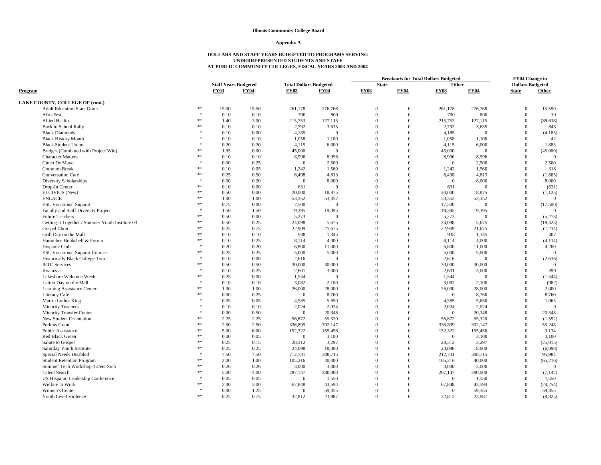### **Appendix A**

|                                                 |               |                             |             |                               |                | <b>Breakouts for Total Dollars Budgeted</b> |              |                |                | FY04 Change in          |              |
|-------------------------------------------------|---------------|-----------------------------|-------------|-------------------------------|----------------|---------------------------------------------|--------------|----------------|----------------|-------------------------|--------------|
|                                                 |               | <b>Staff Years Budgeted</b> |             | <b>Total Dollars Budgeted</b> |                | <b>State</b>                                |              | Other          |                | <b>Dollars Budgeted</b> |              |
| Program                                         |               | <b>FY03</b>                 | <b>FY04</b> | <b>FY03</b>                   | <b>FY04</b>    | <b>FY03</b>                                 | <b>FY04</b>  | <b>FY03</b>    | <b>FY04</b>    | <b>State</b>            | Other        |
| LAKE COUNTY, COLLEGE OF (cont.)                 |               |                             |             |                               |                |                                             |              |                |                |                         |              |
| <b>Adult Education State Grant</b>              | **            | 15.00                       | 15.50       | 261,178                       | 276,768        | $\Omega$                                    | $\Omega$     | 261,178        | 276,768        | $\Omega$                | 15,590       |
| Afro-Fest                                       |               | 0.10                        | 0.10        | 790                           | 800            | $\overline{0}$                              | $\Omega$     | 790            | 800            | $\mathbf{0}$            | 10           |
| Allied Health                                   | 索索            | 1.40                        | 3.00        | 215,753                       | 127,115        | $\Omega$                                    | $\Omega$     | 215,753        | 127,115        | $\mathbf{0}$            | (88, 638)    |
| <b>Back to School Rally</b>                     | **            | 0.10                        | 0.10        | 2,792                         | 3,635          | $\Omega$                                    | $\Omega$     | 2,792          | 3,635          | $\overline{0}$          | 843          |
| <b>Black Diamonds</b>                           | $\mathcal{R}$ | 0.10                        | 0.00        | 4,185                         | $\overline{0}$ | $\Omega$                                    | $\Omega$     | 4,185          | $\overline{0}$ | $\mathbf{0}$            | (4,185)      |
| <b>Black History Month</b>                      |               | 0.10                        | 0.10        | 1,058                         | 1,100          | $\Omega$                                    | $\Omega$     | 1,058          | 1,100          | $\overline{0}$          | 42           |
| <b>Black Student Union</b>                      |               | 0.20                        | 0.20        | 4,115                         | 6,000          | $\Omega$                                    | $\Omega$     | 4,115          | 6,000          | $\mathbf{0}$            | 1,885        |
| Bridges (Combined with Project Win)             | **            | 1.05                        | 0.00        | 45,000                        | $\overline{0}$ | $\Omega$                                    | $\Omega$     | 45,000         | $\overline{0}$ | $\overline{0}$          | (45,000)     |
| <b>Character Matters</b>                        | $\ast$        | 0.10                        | 0.10        | 8,996                         | 8,996          | $\Omega$                                    | $\Omega$     | 8,996          | 8,996          | $\overline{0}$          | $\theta$     |
| Cinco De Mayo                                   |               | 0.00                        | 0.25        | $\overline{0}$                | 2,500          | $\overline{0}$                              | $\Omega$     | $\Omega$       | 2,500          | $\overline{0}$          | 2,500        |
| Common Break                                    | **            | 0.10                        | 0.05        | 1,242                         | 1,560          | $\Omega$                                    | $\Omega$     | 1,242          | 1,560          | $\mathbf{0}$            | 318          |
| Conversation Café                               | **            | 0.25                        | 0.50        | 6,498                         | 4,813          | $\mathbf{0}$                                | $\Omega$     | 6,498          | 4,813          | $\mathbf{0}$            | (1,685)      |
| Diversity Scholarships                          | $\ast$        | 0.00                        | 0.20        | $\Omega$                      | 8,000          | $\Omega$                                    | $\Omega$     | $\theta$       | 8,000          | $\mathbf{0}$            | 8,000        |
| Drop-In Center                                  | **            | 0.10                        | 0.00        | 631                           | $\overline{0}$ | $\Omega$                                    | $\Omega$     | 631            | $\overline{0}$ | $\mathbf{0}$            | (631)        |
| ELCIVICS (New)                                  | **            | 0.50                        | 0.00        | 20,000                        | 18,875         | $\Omega$                                    | $\Omega$     | 20,000         | 18,875         | $\mathbf{0}$            | (1, 125)     |
| <b>ENLACE</b>                                   | $\ast$        | 1.00                        | 1.00        | 53,352                        | 53,352         | $\Omega$                                    | $\Omega$     | 53,352         | 53,352         | $\mathbf{0}$            | $\mathbf{0}$ |
| <b>ESL Vocational Support</b>                   | $\ast$        | 0.75                        | 0.00        | 17,500                        | $\overline{0}$ | $\Omega$                                    | $\Omega$     | 17,500         | $\overline{0}$ | $\mathbf{0}$            | (17,500)     |
| Faculty and Staff Diversity Project             | $\mathcal{R}$ | 1.50                        | 1.50        | 19,395                        | 19,395         | $\Omega$                                    | $\Omega$     | 19,395         | 19,395         | $\mathbf{0}$            |              |
| <b>Future Teachers</b>                          | **            | 0.50                        | 0.00        | 5,273                         | $\overline{0}$ | $\Omega$                                    | $\Omega$     | 5,273          | $\overline{0}$ | $\mathbf{0}$            | (5,273)      |
| Getting it Together / Summer Youth Institute 03 | $\ast$        | 0.50                        | 0.25        | 24,098                        | 5,675          | $\Omega$                                    | $\Omega$     | 24,098         | 5,675          | $\mathbf{0}$            | (18, 423)    |
| Gospel Choir                                    | $\ast\ast$    | 0.25                        | 0.75        | 22,909                        | 21,675         | $\Omega$                                    | $\Omega$     | 22,909         | 21,675         | $\mathbf{0}$            | (1,234)      |
| Grill Day on the Mall                           | $\ast$        | 0.10                        | 0.10        | 938                           | 1,345          | $\Omega$                                    | $\Omega$     | 938            | 1,345          | $\mathbf{0}$            | 407          |
| Harambee Bookshelf & Forum                      | **            | 0.10                        | 0.25        | 8,114                         | 4,000          | $\mathbf{0}$                                | $\mathbf{0}$ | 8,114          | 4,000          | $\mathbf{0}$            | (4, 114)     |
| Hispanic Club                                   | $\mathcal{R}$ | 0.20                        | 0.20        | 6,800                         | 11,000         | $\Omega$                                    | $\Omega$     | 6.800          | 11,000         | $\mathbf{0}$            | 4,200        |
| <b>ESL Vocational Support Courses</b>           | **            | 0.25                        | 0.25        | 5,000                         | 5,000          | $\Omega$                                    | $\Omega$     | 5,000          | 5,000          | $\overline{0}$          | $\mathbf{0}$ |
| Historically Black College Tour                 | 宋             | 0.10                        | 0.00        | 2,616                         | $\Omega$       | $\Omega$                                    | $\Omega$     | 2.616          | $\Omega$       | $\mathbf{0}$            | (2,616)      |
| <b>IETC Services</b>                            | **            | 0.50                        | 0.50        | 30,000                        | 30,000         | $\Omega$                                    | $\Omega$     | 30,000         | 30,000         | $\overline{0}$          | $\theta$     |
| Kwanzaa                                         |               | 0.10                        | 0.25        | 2,601                         | 3,000          | $\Omega$                                    | $\Omega$     | 2,601          | 3,000          | $\mathbf{0}$            | 399          |
| Lakeshore Welcome Week                          | **            | 0.25                        | 0.00        | 1.544                         | $\Omega$       | $\Omega$                                    | $\Omega$     | 1.544          | $\Omega$       | $\Omega$                | (1, 544)     |
| Latino Day on the Mall                          |               | 0.10                        | 0.10        | 3,082                         | 2,100          | $\Omega$                                    | $\Omega$     | 3,082          | 2,100          | $\overline{0}$          | (982)        |
| Learning Assistance Center                      | **            | 1.00                        | 1.00        | 26,000                        | 28,000         | $\Omega$                                    | $\Omega$     | 26,000         | 28,000         | $\mathbf{0}$            | 2,000        |
| Literacy Café                                   | **            | 0.00                        | 0.25        | $\Omega$                      | 8,760          | $\Omega$                                    | $\Omega$     | $\overline{0}$ | 8,760          | $\overline{0}$          | 8,760        |
| Martin Luther King                              |               | 0.05                        | 0.05        | 4,585                         | 5,650          | $\Omega$                                    | $\Omega$     | 4,585          | 5,650          | $\overline{0}$          | 1,065        |
| <b>Minority Teachers</b>                        |               | 0.10                        | 0.10        | 2,024                         | 2,024          | $\Omega$                                    | $\Omega$     | 2,024          | 2,024          | $\overline{0}$          | $\Omega$     |
| <b>Minority Transfer Center</b>                 |               | 0.00                        | 0.50        | $\overline{0}$                | 20,348         | $\Omega$                                    | $\Omega$     | $\overline{0}$ | 20,348         | $\mathbf{0}$            | 20.348       |
| New Student Orientation                         | **            | 2.25                        | 2.25        | 56,872                        | 55,320         | $\Omega$                                    | $\Omega$     | 56,872         | 55,320         | $\mathbf{0}$            | (1, 552)     |
| Perkins Grant                                   | $\ast$        | 2.50                        | 2.50        | 336,899                       | 392,147        | $\Omega$                                    | $\Omega$     | 336,899        | 392,147        | $\mathbf{0}$            | 55,248       |
| Public Assistance                               | **            | 5.00                        | 6.00        | 152,322                       | 155,456        | $\Omega$                                    | $\Omega$     | 152,322        | 155,456        | $\overline{0}$          | 3,134        |
| Red Black Green                                 | **            | 0.00                        | 0.05        | $\overline{0}$                | 3,100          | $\Omega$                                    | $\Omega$     | $\overline{0}$ | 3,100          | $\overline{0}$          | 3,100        |
| Salute to Gospel                                | **            | 0.25                        | 0.15        | 28,312                        | 3,297          | $\Omega$                                    | $\Omega$     | 28,312         | 3,297          | $\mathbf{0}$            | (25,015)     |
| Saturday Youth Institute                        | **            | 0.25                        | 0.25        | 24,098                        | 18,000         | $\Omega$                                    | $\Omega$     | 24,098         | 18,000         | $\overline{0}$          | (6,098)      |
| Special Needs Disabled                          |               | 7.50                        | 7.50        | 212,731                       | 308,715        | $\Omega$                                    | $\Omega$     | 212,731        | 308,715        | $\overline{0}$          | 95,984       |
| <b>Student Retention Program</b>                | **            | 2.00                        | 1.00        | 105,216                       | 40,000         | $\Omega$                                    | $\Omega$     | 105,216        | 40,000         | $\overline{0}$          | (65, 216)    |
| Summer Tech Workshop-Talent Srch                | **            | 0.26                        | 0.26        | 3,000                         | 3,000          | $\Omega$                                    | $\Omega$     | 3,000          | 3,000          | $\overline{0}$          | $\Omega$     |
| <b>Talent Search</b>                            | **            | 5.00                        | 4.00        | 287,147                       | 280,000        | $\Omega$                                    | $\Omega$     | 287,147        | 280,000        | $\mathbf{0}$            | (7, 147)     |
| US Hispanic Leadership Conference               |               | 0.05                        | 0.05        | $\overline{0}$                | 1,550          | $\Omega$                                    | $\Omega$     | $\overline{0}$ | 1,550          | $\mathbf{0}$            | 1,550        |
| Welfare to Work                                 | **            | 2.00                        | 3.00        | 67,848                        | 43,594         | $\Omega$                                    | $\Omega$     | 67,848         | 43,594         | $\Omega$                | (24, 254)    |
| Women's Center                                  |               | 0.00                        | 1.25        | $\overline{0}$                | 59,355         | $\Omega$                                    | $\Omega$     | $\mathbf{0}$   | 59,355         | $\mathbf{0}$            | 59,355       |
| Youth Level Violence                            | $**$          | 0.25                        | 0.75        | 32,812                        | 23,987         | $\Omega$                                    | $\Omega$     | 32,812         | 23,987         | $\Omega$                | (8, 825)     |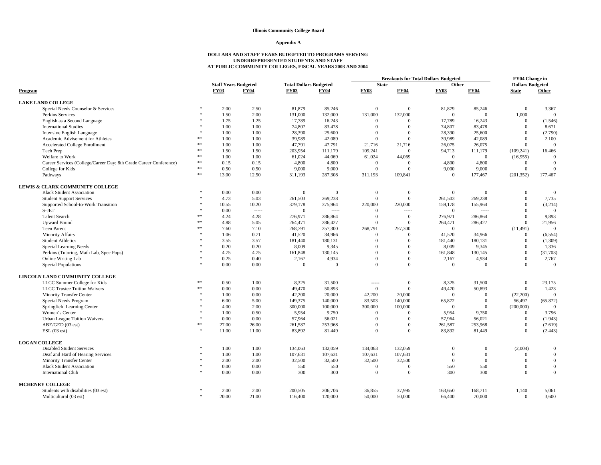#### **Appendix A**

| <b>Staff Years Budgeted</b><br><b>Total Dollars Budgeted</b><br><b>State</b><br><b>Dollars Budgeted</b><br>Other<br><b>FY04</b><br><b>FY03</b><br><b>FY04</b><br><b>FY03</b><br><b>FY03</b><br><b>FY03</b><br><b>FY04</b><br><b>FY04</b><br><b>State</b><br>Other<br>Program<br><b>LAKE LAND COLLEGE</b><br>2.00<br>2.50<br>81,879<br>85,246<br>$\boldsymbol{0}$<br>81,879<br>3,367<br>Special Needs Counselor & Services<br>$\overline{0}$<br>85,246<br>$\mathbf{0}$<br>1.50<br>2.00<br>131,000<br>132,000<br>131,000<br>132,000<br>$\mathbf{0}$<br>1,000<br>Perkins Services<br>$\mathbf{0}$<br>$\mathbf{0}$<br>1.25<br>17,789<br>17,789<br>English as a Second Language<br>1.75<br>16,243<br>$\overline{0}$<br>$\overline{0}$<br>16,243<br>$\Omega$<br>(1, 546)<br><b>International Studies</b><br>1.00<br>1.00<br>74,807<br>83,478<br>74,807<br>83,478<br>$\Omega$<br>$\Omega$<br>$\overline{0}$<br>8,671<br>(2,790)<br>1.00<br>1.00<br>28,390<br>25,600<br>$\Omega$<br>$\mathbf{0}$<br>28,390<br>25,600<br>$\Omega$<br>Intensive English Language<br>**<br>1.00<br>39,989<br>42,089<br>$\mathbf{0}$<br>39,989<br>42,089<br>$\mathbf{0}$<br>2,100<br>Academic Advisement for Athletes<br>1.00<br>$\Omega$<br>$\ast\ast$<br>1.00<br>1.00<br>47,791<br>47,791<br>26,075<br>26,075<br>$\overline{0}$<br>$\theta$<br>Accelerated College Enrollment<br>21,716<br>21,716<br>$\ast\ast$<br>1.50<br>1.50<br>203,954<br>109,241<br>94,713<br>111,179<br>(109, 241)<br>16,466<br>Tech Prep<br>111,179<br>$\Omega$<br>$\ast\ast$<br>Welfare to Work<br>1.00<br>1.00<br>61,024<br>44,069<br>61,024<br>44,069<br>$\mathbf{0}$<br>$\theta$<br>(16,955)<br>$\theta$<br>Career Services (College/Career Day; 8th Grade Career Conference)<br>$**$<br>0.15<br>0.15<br>4,800<br>4,800<br>4,800<br>4,800<br>$\mathbf{0}$<br>$\overline{0}$<br>$\Omega$<br>$\overline{0}$<br>$\ast\ast$<br>0.50<br>0.50<br>9,000<br>9,000<br>$\Omega$<br>$\Omega$<br>9,000<br>9,000<br>$\overline{0}$<br>$\Omega$<br>College for Kids<br>**<br>13.00<br>12.50<br>311,193<br>287,308<br>311,193<br>109,841<br>$\overline{0}$<br>177,467<br>(201, 352)<br>177,467<br>Pathways<br>LEWIS & CLARK COMMUNITY COLLEGE<br>0.00<br>0.00<br>$\mathbf{0}$<br>$\overline{0}$<br>$\Omega$<br><b>Black Student Association</b><br>$\Omega$<br>$\Omega$<br>$\overline{0}$<br>$\Omega$<br>$\mathbf{0}$<br>261,503<br>4.73<br>5.03<br>269,238<br>$\Omega$<br>$\Omega$<br>261,503<br>269,238<br>$\overline{0}$<br>7,735<br><b>Student Support Services</b><br>Supported School-to-Work Transition<br>10.55<br>10.20<br>379,178<br>375,964<br>220,000<br>220,000<br>159,178<br>155,964<br>$\overline{0}$<br>(3,214)<br>S-JET<br>0.00<br>$\mathbf{0}$<br>$\overline{0}$<br>$\overline{0}$<br>$\Omega$<br>$\Omega$<br>1.1.1.1<br>$^{***}$<br>-----<br>-----<br><b>Talent Search</b><br>x<br>4.28<br>276,971<br>276,971<br>$\Omega$<br>9,893<br>4.24<br>286,864<br>$\Omega$<br>$\Omega$<br>286,864<br><b>Upward Bound</b><br>索索<br>4.88<br>5.05<br>264,471<br>286,427<br>$\Omega$<br>$\mathbf{0}$<br>264,471<br>286,427<br>$\overline{0}$<br>21,956<br>sk sk<br><b>Teen Parent</b><br>7.10<br>268,791<br>257,300<br>268,791<br>257,300<br>$\overline{0}$<br>(11, 491)<br>$\Omega$<br>7.60<br><b>Minority Affairs</b><br>1.06<br>0.71<br>41,520<br>34,966<br>$\Omega$<br>$\mathbf{0}$<br>41,520<br>34,966<br>$\overline{0}$<br>(6, 554)<br>3.57<br><b>Student Athletics</b><br>3.55<br>181,440<br>180,131<br>$\mathbf{0}$<br>181,440<br>180,131<br>$\mathbf{0}$<br>(1,309)<br>$\Omega$<br>0.20<br>8,009<br>Special Learning Needs<br>0.20<br>9,345<br>$\Omega$<br>$\Omega$<br>8,009<br>9,345<br>$\overline{0}$<br>1,336<br>4.75<br>$\Omega$<br>$\overline{0}$<br>(31,703)<br>Perkins (Tutoring, Math Lab, Spec Pops)<br>4.75<br>161,848<br>130,145<br>$\mathbf{0}$<br>161,848<br>130,145<br>Online Writing Lab<br>0.25<br>0.40<br>2,167<br>4,934<br>$\mathbf{0}$<br>2,167<br>4,934<br>$\overline{0}$<br>2,767<br>$\Omega$<br>0.00<br>0.00<br>$\Omega$<br>$\Omega$<br><b>Special Populations</b><br>$\theta$<br>$\Omega$<br>$\overline{0}$<br>$\Omega$<br>$\Omega$<br>$\Omega$<br>LINCOLN LAND COMMUNITY COLLEGE<br>LLCC Summer College for Kids<br>**<br>0.50<br>1.00<br>8,325<br>31,500<br>8.325<br>31,500<br>$\overline{0}$<br>23,175<br>$\mathbf{0}$<br>$1 - 1 - 1$<br>**<br>0.00<br>49,470<br>50,893<br>$\Omega$<br>$\mathbf{0}$<br>49,470<br>50,893<br>$\overline{0}$<br>1,423<br><b>LLCC</b> Trustee Tuition Waivers<br>0.00<br>0.00<br>42,200<br>42,200<br>20,000<br>$\overline{0}$<br>$\overline{0}$<br><b>Minority Transfer Center</b><br>1.00<br>20,000<br>(22,200)<br>$\Omega$<br>5.00<br>83,503<br>140,000<br>(65, 872)<br>Special Needs Program<br>6.00<br>149,375<br>140,000<br>65,872<br>$\Omega$<br>56,497<br>Springfield Learning Center<br>2.00<br>300,000<br>100,000<br>300,000<br>100,000<br>(200,000)<br>4.00<br>$\overline{0}$<br>$\Omega$<br>$\Omega$<br>Women's Center<br>1.00<br>0.50<br>5,954<br>9,750<br>$\Omega$<br>$\mathbf{0}$<br>5,954<br>9,750<br>$\overline{0}$<br>3,796<br>0.00<br>0.00<br>57.964<br>56,021<br>57,964<br>56,021<br>$\overline{0}$<br>(1,943)<br><b>Urban League Tuition Waivers</b><br>$\Omega$<br>$\mathbf{0}$<br>ABE/GED (03 est)<br>**<br>26.00<br>261,587<br>$\mathbf{0}$<br>$\mathbf{0}$<br>27.00<br>253,968<br>$\Omega$<br>261,587<br>253,968<br>(7,619)<br>ESL(03est)<br>11.00<br>11.00<br>83,892<br>$\theta$<br>$\mathbf{0}$<br>83,892<br>81,449<br>$\overline{0}$<br>(2, 443)<br>81,449<br><b>LOGAN COLLEGE</b><br><b>Disabled Student Services</b><br>1.00<br>134,063<br>132,059<br>134,063<br>132,059<br>(2,004)<br>1.00<br>$\Omega$<br>$\mathbf{0}$<br>$\Omega$<br>Deaf and Hard of Hearing Services<br>1.00<br>1.00<br>107,631<br>107,631<br>107,631<br>107,631<br>$\mathbf{0}$<br>$\Omega$<br>$\mathbf{0}$<br>$\Omega$<br>2.00<br>2.00<br>32,500<br>32,500<br>32,500<br>32,500<br>$\mathbf{0}$<br>$\mathbf{0}$<br><b>Minority Transfer Center</b><br>$\Omega$<br>$\overline{0}$<br>550<br>0.00<br>550<br>550<br>550<br>$\mathbf{0}$<br>$\boldsymbol{0}$<br><b>Black Student Association</b><br>0.00<br>$\overline{0}$<br>$\Omega$<br><b>International Club</b><br>0.00<br>300<br>300<br>$\Omega$<br>300<br>300<br>$\Omega$<br>$\Omega$<br>0.00<br>$\Omega$<br>MCHENRY COLLEGE<br>2.00<br>200,505<br>206,706<br>36,855<br>37,995<br>163,650<br>168,711<br>1,140<br>Students with disabilities (03 est)<br>2.00<br>5,061<br>20.00<br>21.00<br>116,400<br>120,000<br>50,000<br>50,000<br>66,400<br>70,000<br>$\overline{0}$<br>3,600<br>Multicultural (03 est) |  |  |  | <b>Breakouts for Total Dollars Budgeted</b> |  |  |  | FY04 Change in |  |
|-----------------------------------------------------------------------------------------------------------------------------------------------------------------------------------------------------------------------------------------------------------------------------------------------------------------------------------------------------------------------------------------------------------------------------------------------------------------------------------------------------------------------------------------------------------------------------------------------------------------------------------------------------------------------------------------------------------------------------------------------------------------------------------------------------------------------------------------------------------------------------------------------------------------------------------------------------------------------------------------------------------------------------------------------------------------------------------------------------------------------------------------------------------------------------------------------------------------------------------------------------------------------------------------------------------------------------------------------------------------------------------------------------------------------------------------------------------------------------------------------------------------------------------------------------------------------------------------------------------------------------------------------------------------------------------------------------------------------------------------------------------------------------------------------------------------------------------------------------------------------------------------------------------------------------------------------------------------------------------------------------------------------------------------------------------------------------------------------------------------------------------------------------------------------------------------------------------------------------------------------------------------------------------------------------------------------------------------------------------------------------------------------------------------------------------------------------------------------------------------------------------------------------------------------------------------------------------------------------------------------------------------------------------------------------------------------------------------------------------------------------------------------------------------------------------------------------------------------------------------------------------------------------------------------------------------------------------------------------------------------------------------------------------------------------------------------------------------------------------------------------------------------------------------------------------------------------------------------------------------------------------------------------------------------------------------------------------------------------------------------------------------------------------------------------------------------------------------------------------------------------------------------------------------------------------------------------------------------------------------------------------------------------------------------------------------------------------------------------------------------------------------------------------------------------------------------------------------------------------------------------------------------------------------------------------------------------------------------------------------------------------------------------------------------------------------------------------------------------------------------------------------------------------------------------------------------------------------------------------------------------------------------------------------------------------------------------------------------------------------------------------------------------------------------------------------------------------------------------------------------------------------------------------------------------------------------------------------------------------------------------------------------------------------------------------------------------------------------------------------------------------------------------------------------------------------------------------------------------------------------------------------------------------------------------------------------------------------------------------------------------------------------------------------------------------------------------------------------------------------------------------------------------------------------------------------------------------------------------------------------------------------------------------------------------------------------------------------------------------------------------------------------------------------------------------------------------------------------------------------------------------------------------------------------------------------------------------------------------------------------------------------------------------------------------------------------------------------------------------------------------------------------------------------------------------------------------------------------------------------------------------------------------------------------------------------------------------------------------------------------------------------------------------------------------------------------------------------------------------------------------------------------------------------------------------------------------------------------------------------------------------------------------------------------------------------------------------------------------------------------------------------------------------------------------------------------------------------------------------------------------------------------------------------------------------------------|--|--|--|---------------------------------------------|--|--|--|----------------|--|
|                                                                                                                                                                                                                                                                                                                                                                                                                                                                                                                                                                                                                                                                                                                                                                                                                                                                                                                                                                                                                                                                                                                                                                                                                                                                                                                                                                                                                                                                                                                                                                                                                                                                                                                                                                                                                                                                                                                                                                                                                                                                                                                                                                                                                                                                                                                                                                                                                                                                                                                                                                                                                                                                                                                                                                                                                                                                                                                                                                                                                                                                                                                                                                                                                                                                                                                                                                                                                                                                                                                                                                                                                                                                                                                                                                                                                                                                                                                                                                                                                                                                                                                                                                                                                                                                                                                                                                                                                                                                                                                                                                                                                                                                                                                                                                                                                                                                                                                                                                                                                                                                                                                                                                                                                                                                                                                                                                                                                                                                                                                                                                                                                                                                                                                                                                                                                                                                                                                                                                                                                                                                                                                                                                                                                                                                                                                                                                                                                                                                                                                                                                       |  |  |  |                                             |  |  |  |                |  |
|                                                                                                                                                                                                                                                                                                                                                                                                                                                                                                                                                                                                                                                                                                                                                                                                                                                                                                                                                                                                                                                                                                                                                                                                                                                                                                                                                                                                                                                                                                                                                                                                                                                                                                                                                                                                                                                                                                                                                                                                                                                                                                                                                                                                                                                                                                                                                                                                                                                                                                                                                                                                                                                                                                                                                                                                                                                                                                                                                                                                                                                                                                                                                                                                                                                                                                                                                                                                                                                                                                                                                                                                                                                                                                                                                                                                                                                                                                                                                                                                                                                                                                                                                                                                                                                                                                                                                                                                                                                                                                                                                                                                                                                                                                                                                                                                                                                                                                                                                                                                                                                                                                                                                                                                                                                                                                                                                                                                                                                                                                                                                                                                                                                                                                                                                                                                                                                                                                                                                                                                                                                                                                                                                                                                                                                                                                                                                                                                                                                                                                                                                                       |  |  |  |                                             |  |  |  |                |  |
|                                                                                                                                                                                                                                                                                                                                                                                                                                                                                                                                                                                                                                                                                                                                                                                                                                                                                                                                                                                                                                                                                                                                                                                                                                                                                                                                                                                                                                                                                                                                                                                                                                                                                                                                                                                                                                                                                                                                                                                                                                                                                                                                                                                                                                                                                                                                                                                                                                                                                                                                                                                                                                                                                                                                                                                                                                                                                                                                                                                                                                                                                                                                                                                                                                                                                                                                                                                                                                                                                                                                                                                                                                                                                                                                                                                                                                                                                                                                                                                                                                                                                                                                                                                                                                                                                                                                                                                                                                                                                                                                                                                                                                                                                                                                                                                                                                                                                                                                                                                                                                                                                                                                                                                                                                                                                                                                                                                                                                                                                                                                                                                                                                                                                                                                                                                                                                                                                                                                                                                                                                                                                                                                                                                                                                                                                                                                                                                                                                                                                                                                                                       |  |  |  |                                             |  |  |  |                |  |
|                                                                                                                                                                                                                                                                                                                                                                                                                                                                                                                                                                                                                                                                                                                                                                                                                                                                                                                                                                                                                                                                                                                                                                                                                                                                                                                                                                                                                                                                                                                                                                                                                                                                                                                                                                                                                                                                                                                                                                                                                                                                                                                                                                                                                                                                                                                                                                                                                                                                                                                                                                                                                                                                                                                                                                                                                                                                                                                                                                                                                                                                                                                                                                                                                                                                                                                                                                                                                                                                                                                                                                                                                                                                                                                                                                                                                                                                                                                                                                                                                                                                                                                                                                                                                                                                                                                                                                                                                                                                                                                                                                                                                                                                                                                                                                                                                                                                                                                                                                                                                                                                                                                                                                                                                                                                                                                                                                                                                                                                                                                                                                                                                                                                                                                                                                                                                                                                                                                                                                                                                                                                                                                                                                                                                                                                                                                                                                                                                                                                                                                                                                       |  |  |  |                                             |  |  |  |                |  |
|                                                                                                                                                                                                                                                                                                                                                                                                                                                                                                                                                                                                                                                                                                                                                                                                                                                                                                                                                                                                                                                                                                                                                                                                                                                                                                                                                                                                                                                                                                                                                                                                                                                                                                                                                                                                                                                                                                                                                                                                                                                                                                                                                                                                                                                                                                                                                                                                                                                                                                                                                                                                                                                                                                                                                                                                                                                                                                                                                                                                                                                                                                                                                                                                                                                                                                                                                                                                                                                                                                                                                                                                                                                                                                                                                                                                                                                                                                                                                                                                                                                                                                                                                                                                                                                                                                                                                                                                                                                                                                                                                                                                                                                                                                                                                                                                                                                                                                                                                                                                                                                                                                                                                                                                                                                                                                                                                                                                                                                                                                                                                                                                                                                                                                                                                                                                                                                                                                                                                                                                                                                                                                                                                                                                                                                                                                                                                                                                                                                                                                                                                                       |  |  |  |                                             |  |  |  |                |  |
|                                                                                                                                                                                                                                                                                                                                                                                                                                                                                                                                                                                                                                                                                                                                                                                                                                                                                                                                                                                                                                                                                                                                                                                                                                                                                                                                                                                                                                                                                                                                                                                                                                                                                                                                                                                                                                                                                                                                                                                                                                                                                                                                                                                                                                                                                                                                                                                                                                                                                                                                                                                                                                                                                                                                                                                                                                                                                                                                                                                                                                                                                                                                                                                                                                                                                                                                                                                                                                                                                                                                                                                                                                                                                                                                                                                                                                                                                                                                                                                                                                                                                                                                                                                                                                                                                                                                                                                                                                                                                                                                                                                                                                                                                                                                                                                                                                                                                                                                                                                                                                                                                                                                                                                                                                                                                                                                                                                                                                                                                                                                                                                                                                                                                                                                                                                                                                                                                                                                                                                                                                                                                                                                                                                                                                                                                                                                                                                                                                                                                                                                                                       |  |  |  |                                             |  |  |  |                |  |
|                                                                                                                                                                                                                                                                                                                                                                                                                                                                                                                                                                                                                                                                                                                                                                                                                                                                                                                                                                                                                                                                                                                                                                                                                                                                                                                                                                                                                                                                                                                                                                                                                                                                                                                                                                                                                                                                                                                                                                                                                                                                                                                                                                                                                                                                                                                                                                                                                                                                                                                                                                                                                                                                                                                                                                                                                                                                                                                                                                                                                                                                                                                                                                                                                                                                                                                                                                                                                                                                                                                                                                                                                                                                                                                                                                                                                                                                                                                                                                                                                                                                                                                                                                                                                                                                                                                                                                                                                                                                                                                                                                                                                                                                                                                                                                                                                                                                                                                                                                                                                                                                                                                                                                                                                                                                                                                                                                                                                                                                                                                                                                                                                                                                                                                                                                                                                                                                                                                                                                                                                                                                                                                                                                                                                                                                                                                                                                                                                                                                                                                                                                       |  |  |  |                                             |  |  |  |                |  |
|                                                                                                                                                                                                                                                                                                                                                                                                                                                                                                                                                                                                                                                                                                                                                                                                                                                                                                                                                                                                                                                                                                                                                                                                                                                                                                                                                                                                                                                                                                                                                                                                                                                                                                                                                                                                                                                                                                                                                                                                                                                                                                                                                                                                                                                                                                                                                                                                                                                                                                                                                                                                                                                                                                                                                                                                                                                                                                                                                                                                                                                                                                                                                                                                                                                                                                                                                                                                                                                                                                                                                                                                                                                                                                                                                                                                                                                                                                                                                                                                                                                                                                                                                                                                                                                                                                                                                                                                                                                                                                                                                                                                                                                                                                                                                                                                                                                                                                                                                                                                                                                                                                                                                                                                                                                                                                                                                                                                                                                                                                                                                                                                                                                                                                                                                                                                                                                                                                                                                                                                                                                                                                                                                                                                                                                                                                                                                                                                                                                                                                                                                                       |  |  |  |                                             |  |  |  |                |  |
|                                                                                                                                                                                                                                                                                                                                                                                                                                                                                                                                                                                                                                                                                                                                                                                                                                                                                                                                                                                                                                                                                                                                                                                                                                                                                                                                                                                                                                                                                                                                                                                                                                                                                                                                                                                                                                                                                                                                                                                                                                                                                                                                                                                                                                                                                                                                                                                                                                                                                                                                                                                                                                                                                                                                                                                                                                                                                                                                                                                                                                                                                                                                                                                                                                                                                                                                                                                                                                                                                                                                                                                                                                                                                                                                                                                                                                                                                                                                                                                                                                                                                                                                                                                                                                                                                                                                                                                                                                                                                                                                                                                                                                                                                                                                                                                                                                                                                                                                                                                                                                                                                                                                                                                                                                                                                                                                                                                                                                                                                                                                                                                                                                                                                                                                                                                                                                                                                                                                                                                                                                                                                                                                                                                                                                                                                                                                                                                                                                                                                                                                                                       |  |  |  |                                             |  |  |  |                |  |
|                                                                                                                                                                                                                                                                                                                                                                                                                                                                                                                                                                                                                                                                                                                                                                                                                                                                                                                                                                                                                                                                                                                                                                                                                                                                                                                                                                                                                                                                                                                                                                                                                                                                                                                                                                                                                                                                                                                                                                                                                                                                                                                                                                                                                                                                                                                                                                                                                                                                                                                                                                                                                                                                                                                                                                                                                                                                                                                                                                                                                                                                                                                                                                                                                                                                                                                                                                                                                                                                                                                                                                                                                                                                                                                                                                                                                                                                                                                                                                                                                                                                                                                                                                                                                                                                                                                                                                                                                                                                                                                                                                                                                                                                                                                                                                                                                                                                                                                                                                                                                                                                                                                                                                                                                                                                                                                                                                                                                                                                                                                                                                                                                                                                                                                                                                                                                                                                                                                                                                                                                                                                                                                                                                                                                                                                                                                                                                                                                                                                                                                                                                       |  |  |  |                                             |  |  |  |                |  |
|                                                                                                                                                                                                                                                                                                                                                                                                                                                                                                                                                                                                                                                                                                                                                                                                                                                                                                                                                                                                                                                                                                                                                                                                                                                                                                                                                                                                                                                                                                                                                                                                                                                                                                                                                                                                                                                                                                                                                                                                                                                                                                                                                                                                                                                                                                                                                                                                                                                                                                                                                                                                                                                                                                                                                                                                                                                                                                                                                                                                                                                                                                                                                                                                                                                                                                                                                                                                                                                                                                                                                                                                                                                                                                                                                                                                                                                                                                                                                                                                                                                                                                                                                                                                                                                                                                                                                                                                                                                                                                                                                                                                                                                                                                                                                                                                                                                                                                                                                                                                                                                                                                                                                                                                                                                                                                                                                                                                                                                                                                                                                                                                                                                                                                                                                                                                                                                                                                                                                                                                                                                                                                                                                                                                                                                                                                                                                                                                                                                                                                                                                                       |  |  |  |                                             |  |  |  |                |  |
|                                                                                                                                                                                                                                                                                                                                                                                                                                                                                                                                                                                                                                                                                                                                                                                                                                                                                                                                                                                                                                                                                                                                                                                                                                                                                                                                                                                                                                                                                                                                                                                                                                                                                                                                                                                                                                                                                                                                                                                                                                                                                                                                                                                                                                                                                                                                                                                                                                                                                                                                                                                                                                                                                                                                                                                                                                                                                                                                                                                                                                                                                                                                                                                                                                                                                                                                                                                                                                                                                                                                                                                                                                                                                                                                                                                                                                                                                                                                                                                                                                                                                                                                                                                                                                                                                                                                                                                                                                                                                                                                                                                                                                                                                                                                                                                                                                                                                                                                                                                                                                                                                                                                                                                                                                                                                                                                                                                                                                                                                                                                                                                                                                                                                                                                                                                                                                                                                                                                                                                                                                                                                                                                                                                                                                                                                                                                                                                                                                                                                                                                                                       |  |  |  |                                             |  |  |  |                |  |
|                                                                                                                                                                                                                                                                                                                                                                                                                                                                                                                                                                                                                                                                                                                                                                                                                                                                                                                                                                                                                                                                                                                                                                                                                                                                                                                                                                                                                                                                                                                                                                                                                                                                                                                                                                                                                                                                                                                                                                                                                                                                                                                                                                                                                                                                                                                                                                                                                                                                                                                                                                                                                                                                                                                                                                                                                                                                                                                                                                                                                                                                                                                                                                                                                                                                                                                                                                                                                                                                                                                                                                                                                                                                                                                                                                                                                                                                                                                                                                                                                                                                                                                                                                                                                                                                                                                                                                                                                                                                                                                                                                                                                                                                                                                                                                                                                                                                                                                                                                                                                                                                                                                                                                                                                                                                                                                                                                                                                                                                                                                                                                                                                                                                                                                                                                                                                                                                                                                                                                                                                                                                                                                                                                                                                                                                                                                                                                                                                                                                                                                                                                       |  |  |  |                                             |  |  |  |                |  |
|                                                                                                                                                                                                                                                                                                                                                                                                                                                                                                                                                                                                                                                                                                                                                                                                                                                                                                                                                                                                                                                                                                                                                                                                                                                                                                                                                                                                                                                                                                                                                                                                                                                                                                                                                                                                                                                                                                                                                                                                                                                                                                                                                                                                                                                                                                                                                                                                                                                                                                                                                                                                                                                                                                                                                                                                                                                                                                                                                                                                                                                                                                                                                                                                                                                                                                                                                                                                                                                                                                                                                                                                                                                                                                                                                                                                                                                                                                                                                                                                                                                                                                                                                                                                                                                                                                                                                                                                                                                                                                                                                                                                                                                                                                                                                                                                                                                                                                                                                                                                                                                                                                                                                                                                                                                                                                                                                                                                                                                                                                                                                                                                                                                                                                                                                                                                                                                                                                                                                                                                                                                                                                                                                                                                                                                                                                                                                                                                                                                                                                                                                                       |  |  |  |                                             |  |  |  |                |  |
|                                                                                                                                                                                                                                                                                                                                                                                                                                                                                                                                                                                                                                                                                                                                                                                                                                                                                                                                                                                                                                                                                                                                                                                                                                                                                                                                                                                                                                                                                                                                                                                                                                                                                                                                                                                                                                                                                                                                                                                                                                                                                                                                                                                                                                                                                                                                                                                                                                                                                                                                                                                                                                                                                                                                                                                                                                                                                                                                                                                                                                                                                                                                                                                                                                                                                                                                                                                                                                                                                                                                                                                                                                                                                                                                                                                                                                                                                                                                                                                                                                                                                                                                                                                                                                                                                                                                                                                                                                                                                                                                                                                                                                                                                                                                                                                                                                                                                                                                                                                                                                                                                                                                                                                                                                                                                                                                                                                                                                                                                                                                                                                                                                                                                                                                                                                                                                                                                                                                                                                                                                                                                                                                                                                                                                                                                                                                                                                                                                                                                                                                                                       |  |  |  |                                             |  |  |  |                |  |
|                                                                                                                                                                                                                                                                                                                                                                                                                                                                                                                                                                                                                                                                                                                                                                                                                                                                                                                                                                                                                                                                                                                                                                                                                                                                                                                                                                                                                                                                                                                                                                                                                                                                                                                                                                                                                                                                                                                                                                                                                                                                                                                                                                                                                                                                                                                                                                                                                                                                                                                                                                                                                                                                                                                                                                                                                                                                                                                                                                                                                                                                                                                                                                                                                                                                                                                                                                                                                                                                                                                                                                                                                                                                                                                                                                                                                                                                                                                                                                                                                                                                                                                                                                                                                                                                                                                                                                                                                                                                                                                                                                                                                                                                                                                                                                                                                                                                                                                                                                                                                                                                                                                                                                                                                                                                                                                                                                                                                                                                                                                                                                                                                                                                                                                                                                                                                                                                                                                                                                                                                                                                                                                                                                                                                                                                                                                                                                                                                                                                                                                                                                       |  |  |  |                                             |  |  |  |                |  |
|                                                                                                                                                                                                                                                                                                                                                                                                                                                                                                                                                                                                                                                                                                                                                                                                                                                                                                                                                                                                                                                                                                                                                                                                                                                                                                                                                                                                                                                                                                                                                                                                                                                                                                                                                                                                                                                                                                                                                                                                                                                                                                                                                                                                                                                                                                                                                                                                                                                                                                                                                                                                                                                                                                                                                                                                                                                                                                                                                                                                                                                                                                                                                                                                                                                                                                                                                                                                                                                                                                                                                                                                                                                                                                                                                                                                                                                                                                                                                                                                                                                                                                                                                                                                                                                                                                                                                                                                                                                                                                                                                                                                                                                                                                                                                                                                                                                                                                                                                                                                                                                                                                                                                                                                                                                                                                                                                                                                                                                                                                                                                                                                                                                                                                                                                                                                                                                                                                                                                                                                                                                                                                                                                                                                                                                                                                                                                                                                                                                                                                                                                                       |  |  |  |                                             |  |  |  |                |  |
|                                                                                                                                                                                                                                                                                                                                                                                                                                                                                                                                                                                                                                                                                                                                                                                                                                                                                                                                                                                                                                                                                                                                                                                                                                                                                                                                                                                                                                                                                                                                                                                                                                                                                                                                                                                                                                                                                                                                                                                                                                                                                                                                                                                                                                                                                                                                                                                                                                                                                                                                                                                                                                                                                                                                                                                                                                                                                                                                                                                                                                                                                                                                                                                                                                                                                                                                                                                                                                                                                                                                                                                                                                                                                                                                                                                                                                                                                                                                                                                                                                                                                                                                                                                                                                                                                                                                                                                                                                                                                                                                                                                                                                                                                                                                                                                                                                                                                                                                                                                                                                                                                                                                                                                                                                                                                                                                                                                                                                                                                                                                                                                                                                                                                                                                                                                                                                                                                                                                                                                                                                                                                                                                                                                                                                                                                                                                                                                                                                                                                                                                                                       |  |  |  |                                             |  |  |  |                |  |
|                                                                                                                                                                                                                                                                                                                                                                                                                                                                                                                                                                                                                                                                                                                                                                                                                                                                                                                                                                                                                                                                                                                                                                                                                                                                                                                                                                                                                                                                                                                                                                                                                                                                                                                                                                                                                                                                                                                                                                                                                                                                                                                                                                                                                                                                                                                                                                                                                                                                                                                                                                                                                                                                                                                                                                                                                                                                                                                                                                                                                                                                                                                                                                                                                                                                                                                                                                                                                                                                                                                                                                                                                                                                                                                                                                                                                                                                                                                                                                                                                                                                                                                                                                                                                                                                                                                                                                                                                                                                                                                                                                                                                                                                                                                                                                                                                                                                                                                                                                                                                                                                                                                                                                                                                                                                                                                                                                                                                                                                                                                                                                                                                                                                                                                                                                                                                                                                                                                                                                                                                                                                                                                                                                                                                                                                                                                                                                                                                                                                                                                                                                       |  |  |  |                                             |  |  |  |                |  |
|                                                                                                                                                                                                                                                                                                                                                                                                                                                                                                                                                                                                                                                                                                                                                                                                                                                                                                                                                                                                                                                                                                                                                                                                                                                                                                                                                                                                                                                                                                                                                                                                                                                                                                                                                                                                                                                                                                                                                                                                                                                                                                                                                                                                                                                                                                                                                                                                                                                                                                                                                                                                                                                                                                                                                                                                                                                                                                                                                                                                                                                                                                                                                                                                                                                                                                                                                                                                                                                                                                                                                                                                                                                                                                                                                                                                                                                                                                                                                                                                                                                                                                                                                                                                                                                                                                                                                                                                                                                                                                                                                                                                                                                                                                                                                                                                                                                                                                                                                                                                                                                                                                                                                                                                                                                                                                                                                                                                                                                                                                                                                                                                                                                                                                                                                                                                                                                                                                                                                                                                                                                                                                                                                                                                                                                                                                                                                                                                                                                                                                                                                                       |  |  |  |                                             |  |  |  |                |  |
|                                                                                                                                                                                                                                                                                                                                                                                                                                                                                                                                                                                                                                                                                                                                                                                                                                                                                                                                                                                                                                                                                                                                                                                                                                                                                                                                                                                                                                                                                                                                                                                                                                                                                                                                                                                                                                                                                                                                                                                                                                                                                                                                                                                                                                                                                                                                                                                                                                                                                                                                                                                                                                                                                                                                                                                                                                                                                                                                                                                                                                                                                                                                                                                                                                                                                                                                                                                                                                                                                                                                                                                                                                                                                                                                                                                                                                                                                                                                                                                                                                                                                                                                                                                                                                                                                                                                                                                                                                                                                                                                                                                                                                                                                                                                                                                                                                                                                                                                                                                                                                                                                                                                                                                                                                                                                                                                                                                                                                                                                                                                                                                                                                                                                                                                                                                                                                                                                                                                                                                                                                                                                                                                                                                                                                                                                                                                                                                                                                                                                                                                                                       |  |  |  |                                             |  |  |  |                |  |
|                                                                                                                                                                                                                                                                                                                                                                                                                                                                                                                                                                                                                                                                                                                                                                                                                                                                                                                                                                                                                                                                                                                                                                                                                                                                                                                                                                                                                                                                                                                                                                                                                                                                                                                                                                                                                                                                                                                                                                                                                                                                                                                                                                                                                                                                                                                                                                                                                                                                                                                                                                                                                                                                                                                                                                                                                                                                                                                                                                                                                                                                                                                                                                                                                                                                                                                                                                                                                                                                                                                                                                                                                                                                                                                                                                                                                                                                                                                                                                                                                                                                                                                                                                                                                                                                                                                                                                                                                                                                                                                                                                                                                                                                                                                                                                                                                                                                                                                                                                                                                                                                                                                                                                                                                                                                                                                                                                                                                                                                                                                                                                                                                                                                                                                                                                                                                                                                                                                                                                                                                                                                                                                                                                                                                                                                                                                                                                                                                                                                                                                                                                       |  |  |  |                                             |  |  |  |                |  |
|                                                                                                                                                                                                                                                                                                                                                                                                                                                                                                                                                                                                                                                                                                                                                                                                                                                                                                                                                                                                                                                                                                                                                                                                                                                                                                                                                                                                                                                                                                                                                                                                                                                                                                                                                                                                                                                                                                                                                                                                                                                                                                                                                                                                                                                                                                                                                                                                                                                                                                                                                                                                                                                                                                                                                                                                                                                                                                                                                                                                                                                                                                                                                                                                                                                                                                                                                                                                                                                                                                                                                                                                                                                                                                                                                                                                                                                                                                                                                                                                                                                                                                                                                                                                                                                                                                                                                                                                                                                                                                                                                                                                                                                                                                                                                                                                                                                                                                                                                                                                                                                                                                                                                                                                                                                                                                                                                                                                                                                                                                                                                                                                                                                                                                                                                                                                                                                                                                                                                                                                                                                                                                                                                                                                                                                                                                                                                                                                                                                                                                                                                                       |  |  |  |                                             |  |  |  |                |  |
|                                                                                                                                                                                                                                                                                                                                                                                                                                                                                                                                                                                                                                                                                                                                                                                                                                                                                                                                                                                                                                                                                                                                                                                                                                                                                                                                                                                                                                                                                                                                                                                                                                                                                                                                                                                                                                                                                                                                                                                                                                                                                                                                                                                                                                                                                                                                                                                                                                                                                                                                                                                                                                                                                                                                                                                                                                                                                                                                                                                                                                                                                                                                                                                                                                                                                                                                                                                                                                                                                                                                                                                                                                                                                                                                                                                                                                                                                                                                                                                                                                                                                                                                                                                                                                                                                                                                                                                                                                                                                                                                                                                                                                                                                                                                                                                                                                                                                                                                                                                                                                                                                                                                                                                                                                                                                                                                                                                                                                                                                                                                                                                                                                                                                                                                                                                                                                                                                                                                                                                                                                                                                                                                                                                                                                                                                                                                                                                                                                                                                                                                                                       |  |  |  |                                             |  |  |  |                |  |
|                                                                                                                                                                                                                                                                                                                                                                                                                                                                                                                                                                                                                                                                                                                                                                                                                                                                                                                                                                                                                                                                                                                                                                                                                                                                                                                                                                                                                                                                                                                                                                                                                                                                                                                                                                                                                                                                                                                                                                                                                                                                                                                                                                                                                                                                                                                                                                                                                                                                                                                                                                                                                                                                                                                                                                                                                                                                                                                                                                                                                                                                                                                                                                                                                                                                                                                                                                                                                                                                                                                                                                                                                                                                                                                                                                                                                                                                                                                                                                                                                                                                                                                                                                                                                                                                                                                                                                                                                                                                                                                                                                                                                                                                                                                                                                                                                                                                                                                                                                                                                                                                                                                                                                                                                                                                                                                                                                                                                                                                                                                                                                                                                                                                                                                                                                                                                                                                                                                                                                                                                                                                                                                                                                                                                                                                                                                                                                                                                                                                                                                                                                       |  |  |  |                                             |  |  |  |                |  |
|                                                                                                                                                                                                                                                                                                                                                                                                                                                                                                                                                                                                                                                                                                                                                                                                                                                                                                                                                                                                                                                                                                                                                                                                                                                                                                                                                                                                                                                                                                                                                                                                                                                                                                                                                                                                                                                                                                                                                                                                                                                                                                                                                                                                                                                                                                                                                                                                                                                                                                                                                                                                                                                                                                                                                                                                                                                                                                                                                                                                                                                                                                                                                                                                                                                                                                                                                                                                                                                                                                                                                                                                                                                                                                                                                                                                                                                                                                                                                                                                                                                                                                                                                                                                                                                                                                                                                                                                                                                                                                                                                                                                                                                                                                                                                                                                                                                                                                                                                                                                                                                                                                                                                                                                                                                                                                                                                                                                                                                                                                                                                                                                                                                                                                                                                                                                                                                                                                                                                                                                                                                                                                                                                                                                                                                                                                                                                                                                                                                                                                                                                                       |  |  |  |                                             |  |  |  |                |  |
|                                                                                                                                                                                                                                                                                                                                                                                                                                                                                                                                                                                                                                                                                                                                                                                                                                                                                                                                                                                                                                                                                                                                                                                                                                                                                                                                                                                                                                                                                                                                                                                                                                                                                                                                                                                                                                                                                                                                                                                                                                                                                                                                                                                                                                                                                                                                                                                                                                                                                                                                                                                                                                                                                                                                                                                                                                                                                                                                                                                                                                                                                                                                                                                                                                                                                                                                                                                                                                                                                                                                                                                                                                                                                                                                                                                                                                                                                                                                                                                                                                                                                                                                                                                                                                                                                                                                                                                                                                                                                                                                                                                                                                                                                                                                                                                                                                                                                                                                                                                                                                                                                                                                                                                                                                                                                                                                                                                                                                                                                                                                                                                                                                                                                                                                                                                                                                                                                                                                                                                                                                                                                                                                                                                                                                                                                                                                                                                                                                                                                                                                                                       |  |  |  |                                             |  |  |  |                |  |
|                                                                                                                                                                                                                                                                                                                                                                                                                                                                                                                                                                                                                                                                                                                                                                                                                                                                                                                                                                                                                                                                                                                                                                                                                                                                                                                                                                                                                                                                                                                                                                                                                                                                                                                                                                                                                                                                                                                                                                                                                                                                                                                                                                                                                                                                                                                                                                                                                                                                                                                                                                                                                                                                                                                                                                                                                                                                                                                                                                                                                                                                                                                                                                                                                                                                                                                                                                                                                                                                                                                                                                                                                                                                                                                                                                                                                                                                                                                                                                                                                                                                                                                                                                                                                                                                                                                                                                                                                                                                                                                                                                                                                                                                                                                                                                                                                                                                                                                                                                                                                                                                                                                                                                                                                                                                                                                                                                                                                                                                                                                                                                                                                                                                                                                                                                                                                                                                                                                                                                                                                                                                                                                                                                                                                                                                                                                                                                                                                                                                                                                                                                       |  |  |  |                                             |  |  |  |                |  |
|                                                                                                                                                                                                                                                                                                                                                                                                                                                                                                                                                                                                                                                                                                                                                                                                                                                                                                                                                                                                                                                                                                                                                                                                                                                                                                                                                                                                                                                                                                                                                                                                                                                                                                                                                                                                                                                                                                                                                                                                                                                                                                                                                                                                                                                                                                                                                                                                                                                                                                                                                                                                                                                                                                                                                                                                                                                                                                                                                                                                                                                                                                                                                                                                                                                                                                                                                                                                                                                                                                                                                                                                                                                                                                                                                                                                                                                                                                                                                                                                                                                                                                                                                                                                                                                                                                                                                                                                                                                                                                                                                                                                                                                                                                                                                                                                                                                                                                                                                                                                                                                                                                                                                                                                                                                                                                                                                                                                                                                                                                                                                                                                                                                                                                                                                                                                                                                                                                                                                                                                                                                                                                                                                                                                                                                                                                                                                                                                                                                                                                                                                                       |  |  |  |                                             |  |  |  |                |  |
|                                                                                                                                                                                                                                                                                                                                                                                                                                                                                                                                                                                                                                                                                                                                                                                                                                                                                                                                                                                                                                                                                                                                                                                                                                                                                                                                                                                                                                                                                                                                                                                                                                                                                                                                                                                                                                                                                                                                                                                                                                                                                                                                                                                                                                                                                                                                                                                                                                                                                                                                                                                                                                                                                                                                                                                                                                                                                                                                                                                                                                                                                                                                                                                                                                                                                                                                                                                                                                                                                                                                                                                                                                                                                                                                                                                                                                                                                                                                                                                                                                                                                                                                                                                                                                                                                                                                                                                                                                                                                                                                                                                                                                                                                                                                                                                                                                                                                                                                                                                                                                                                                                                                                                                                                                                                                                                                                                                                                                                                                                                                                                                                                                                                                                                                                                                                                                                                                                                                                                                                                                                                                                                                                                                                                                                                                                                                                                                                                                                                                                                                                                       |  |  |  |                                             |  |  |  |                |  |
|                                                                                                                                                                                                                                                                                                                                                                                                                                                                                                                                                                                                                                                                                                                                                                                                                                                                                                                                                                                                                                                                                                                                                                                                                                                                                                                                                                                                                                                                                                                                                                                                                                                                                                                                                                                                                                                                                                                                                                                                                                                                                                                                                                                                                                                                                                                                                                                                                                                                                                                                                                                                                                                                                                                                                                                                                                                                                                                                                                                                                                                                                                                                                                                                                                                                                                                                                                                                                                                                                                                                                                                                                                                                                                                                                                                                                                                                                                                                                                                                                                                                                                                                                                                                                                                                                                                                                                                                                                                                                                                                                                                                                                                                                                                                                                                                                                                                                                                                                                                                                                                                                                                                                                                                                                                                                                                                                                                                                                                                                                                                                                                                                                                                                                                                                                                                                                                                                                                                                                                                                                                                                                                                                                                                                                                                                                                                                                                                                                                                                                                                                                       |  |  |  |                                             |  |  |  |                |  |
|                                                                                                                                                                                                                                                                                                                                                                                                                                                                                                                                                                                                                                                                                                                                                                                                                                                                                                                                                                                                                                                                                                                                                                                                                                                                                                                                                                                                                                                                                                                                                                                                                                                                                                                                                                                                                                                                                                                                                                                                                                                                                                                                                                                                                                                                                                                                                                                                                                                                                                                                                                                                                                                                                                                                                                                                                                                                                                                                                                                                                                                                                                                                                                                                                                                                                                                                                                                                                                                                                                                                                                                                                                                                                                                                                                                                                                                                                                                                                                                                                                                                                                                                                                                                                                                                                                                                                                                                                                                                                                                                                                                                                                                                                                                                                                                                                                                                                                                                                                                                                                                                                                                                                                                                                                                                                                                                                                                                                                                                                                                                                                                                                                                                                                                                                                                                                                                                                                                                                                                                                                                                                                                                                                                                                                                                                                                                                                                                                                                                                                                                                                       |  |  |  |                                             |  |  |  |                |  |
|                                                                                                                                                                                                                                                                                                                                                                                                                                                                                                                                                                                                                                                                                                                                                                                                                                                                                                                                                                                                                                                                                                                                                                                                                                                                                                                                                                                                                                                                                                                                                                                                                                                                                                                                                                                                                                                                                                                                                                                                                                                                                                                                                                                                                                                                                                                                                                                                                                                                                                                                                                                                                                                                                                                                                                                                                                                                                                                                                                                                                                                                                                                                                                                                                                                                                                                                                                                                                                                                                                                                                                                                                                                                                                                                                                                                                                                                                                                                                                                                                                                                                                                                                                                                                                                                                                                                                                                                                                                                                                                                                                                                                                                                                                                                                                                                                                                                                                                                                                                                                                                                                                                                                                                                                                                                                                                                                                                                                                                                                                                                                                                                                                                                                                                                                                                                                                                                                                                                                                                                                                                                                                                                                                                                                                                                                                                                                                                                                                                                                                                                                                       |  |  |  |                                             |  |  |  |                |  |
|                                                                                                                                                                                                                                                                                                                                                                                                                                                                                                                                                                                                                                                                                                                                                                                                                                                                                                                                                                                                                                                                                                                                                                                                                                                                                                                                                                                                                                                                                                                                                                                                                                                                                                                                                                                                                                                                                                                                                                                                                                                                                                                                                                                                                                                                                                                                                                                                                                                                                                                                                                                                                                                                                                                                                                                                                                                                                                                                                                                                                                                                                                                                                                                                                                                                                                                                                                                                                                                                                                                                                                                                                                                                                                                                                                                                                                                                                                                                                                                                                                                                                                                                                                                                                                                                                                                                                                                                                                                                                                                                                                                                                                                                                                                                                                                                                                                                                                                                                                                                                                                                                                                                                                                                                                                                                                                                                                                                                                                                                                                                                                                                                                                                                                                                                                                                                                                                                                                                                                                                                                                                                                                                                                                                                                                                                                                                                                                                                                                                                                                                                                       |  |  |  |                                             |  |  |  |                |  |
|                                                                                                                                                                                                                                                                                                                                                                                                                                                                                                                                                                                                                                                                                                                                                                                                                                                                                                                                                                                                                                                                                                                                                                                                                                                                                                                                                                                                                                                                                                                                                                                                                                                                                                                                                                                                                                                                                                                                                                                                                                                                                                                                                                                                                                                                                                                                                                                                                                                                                                                                                                                                                                                                                                                                                                                                                                                                                                                                                                                                                                                                                                                                                                                                                                                                                                                                                                                                                                                                                                                                                                                                                                                                                                                                                                                                                                                                                                                                                                                                                                                                                                                                                                                                                                                                                                                                                                                                                                                                                                                                                                                                                                                                                                                                                                                                                                                                                                                                                                                                                                                                                                                                                                                                                                                                                                                                                                                                                                                                                                                                                                                                                                                                                                                                                                                                                                                                                                                                                                                                                                                                                                                                                                                                                                                                                                                                                                                                                                                                                                                                                                       |  |  |  |                                             |  |  |  |                |  |
|                                                                                                                                                                                                                                                                                                                                                                                                                                                                                                                                                                                                                                                                                                                                                                                                                                                                                                                                                                                                                                                                                                                                                                                                                                                                                                                                                                                                                                                                                                                                                                                                                                                                                                                                                                                                                                                                                                                                                                                                                                                                                                                                                                                                                                                                                                                                                                                                                                                                                                                                                                                                                                                                                                                                                                                                                                                                                                                                                                                                                                                                                                                                                                                                                                                                                                                                                                                                                                                                                                                                                                                                                                                                                                                                                                                                                                                                                                                                                                                                                                                                                                                                                                                                                                                                                                                                                                                                                                                                                                                                                                                                                                                                                                                                                                                                                                                                                                                                                                                                                                                                                                                                                                                                                                                                                                                                                                                                                                                                                                                                                                                                                                                                                                                                                                                                                                                                                                                                                                                                                                                                                                                                                                                                                                                                                                                                                                                                                                                                                                                                                                       |  |  |  |                                             |  |  |  |                |  |
|                                                                                                                                                                                                                                                                                                                                                                                                                                                                                                                                                                                                                                                                                                                                                                                                                                                                                                                                                                                                                                                                                                                                                                                                                                                                                                                                                                                                                                                                                                                                                                                                                                                                                                                                                                                                                                                                                                                                                                                                                                                                                                                                                                                                                                                                                                                                                                                                                                                                                                                                                                                                                                                                                                                                                                                                                                                                                                                                                                                                                                                                                                                                                                                                                                                                                                                                                                                                                                                                                                                                                                                                                                                                                                                                                                                                                                                                                                                                                                                                                                                                                                                                                                                                                                                                                                                                                                                                                                                                                                                                                                                                                                                                                                                                                                                                                                                                                                                                                                                                                                                                                                                                                                                                                                                                                                                                                                                                                                                                                                                                                                                                                                                                                                                                                                                                                                                                                                                                                                                                                                                                                                                                                                                                                                                                                                                                                                                                                                                                                                                                                                       |  |  |  |                                             |  |  |  |                |  |
|                                                                                                                                                                                                                                                                                                                                                                                                                                                                                                                                                                                                                                                                                                                                                                                                                                                                                                                                                                                                                                                                                                                                                                                                                                                                                                                                                                                                                                                                                                                                                                                                                                                                                                                                                                                                                                                                                                                                                                                                                                                                                                                                                                                                                                                                                                                                                                                                                                                                                                                                                                                                                                                                                                                                                                                                                                                                                                                                                                                                                                                                                                                                                                                                                                                                                                                                                                                                                                                                                                                                                                                                                                                                                                                                                                                                                                                                                                                                                                                                                                                                                                                                                                                                                                                                                                                                                                                                                                                                                                                                                                                                                                                                                                                                                                                                                                                                                                                                                                                                                                                                                                                                                                                                                                                                                                                                                                                                                                                                                                                                                                                                                                                                                                                                                                                                                                                                                                                                                                                                                                                                                                                                                                                                                                                                                                                                                                                                                                                                                                                                                                       |  |  |  |                                             |  |  |  |                |  |
|                                                                                                                                                                                                                                                                                                                                                                                                                                                                                                                                                                                                                                                                                                                                                                                                                                                                                                                                                                                                                                                                                                                                                                                                                                                                                                                                                                                                                                                                                                                                                                                                                                                                                                                                                                                                                                                                                                                                                                                                                                                                                                                                                                                                                                                                                                                                                                                                                                                                                                                                                                                                                                                                                                                                                                                                                                                                                                                                                                                                                                                                                                                                                                                                                                                                                                                                                                                                                                                                                                                                                                                                                                                                                                                                                                                                                                                                                                                                                                                                                                                                                                                                                                                                                                                                                                                                                                                                                                                                                                                                                                                                                                                                                                                                                                                                                                                                                                                                                                                                                                                                                                                                                                                                                                                                                                                                                                                                                                                                                                                                                                                                                                                                                                                                                                                                                                                                                                                                                                                                                                                                                                                                                                                                                                                                                                                                                                                                                                                                                                                                                                       |  |  |  |                                             |  |  |  |                |  |
|                                                                                                                                                                                                                                                                                                                                                                                                                                                                                                                                                                                                                                                                                                                                                                                                                                                                                                                                                                                                                                                                                                                                                                                                                                                                                                                                                                                                                                                                                                                                                                                                                                                                                                                                                                                                                                                                                                                                                                                                                                                                                                                                                                                                                                                                                                                                                                                                                                                                                                                                                                                                                                                                                                                                                                                                                                                                                                                                                                                                                                                                                                                                                                                                                                                                                                                                                                                                                                                                                                                                                                                                                                                                                                                                                                                                                                                                                                                                                                                                                                                                                                                                                                                                                                                                                                                                                                                                                                                                                                                                                                                                                                                                                                                                                                                                                                                                                                                                                                                                                                                                                                                                                                                                                                                                                                                                                                                                                                                                                                                                                                                                                                                                                                                                                                                                                                                                                                                                                                                                                                                                                                                                                                                                                                                                                                                                                                                                                                                                                                                                                                       |  |  |  |                                             |  |  |  |                |  |
|                                                                                                                                                                                                                                                                                                                                                                                                                                                                                                                                                                                                                                                                                                                                                                                                                                                                                                                                                                                                                                                                                                                                                                                                                                                                                                                                                                                                                                                                                                                                                                                                                                                                                                                                                                                                                                                                                                                                                                                                                                                                                                                                                                                                                                                                                                                                                                                                                                                                                                                                                                                                                                                                                                                                                                                                                                                                                                                                                                                                                                                                                                                                                                                                                                                                                                                                                                                                                                                                                                                                                                                                                                                                                                                                                                                                                                                                                                                                                                                                                                                                                                                                                                                                                                                                                                                                                                                                                                                                                                                                                                                                                                                                                                                                                                                                                                                                                                                                                                                                                                                                                                                                                                                                                                                                                                                                                                                                                                                                                                                                                                                                                                                                                                                                                                                                                                                                                                                                                                                                                                                                                                                                                                                                                                                                                                                                                                                                                                                                                                                                                                       |  |  |  |                                             |  |  |  |                |  |
|                                                                                                                                                                                                                                                                                                                                                                                                                                                                                                                                                                                                                                                                                                                                                                                                                                                                                                                                                                                                                                                                                                                                                                                                                                                                                                                                                                                                                                                                                                                                                                                                                                                                                                                                                                                                                                                                                                                                                                                                                                                                                                                                                                                                                                                                                                                                                                                                                                                                                                                                                                                                                                                                                                                                                                                                                                                                                                                                                                                                                                                                                                                                                                                                                                                                                                                                                                                                                                                                                                                                                                                                                                                                                                                                                                                                                                                                                                                                                                                                                                                                                                                                                                                                                                                                                                                                                                                                                                                                                                                                                                                                                                                                                                                                                                                                                                                                                                                                                                                                                                                                                                                                                                                                                                                                                                                                                                                                                                                                                                                                                                                                                                                                                                                                                                                                                                                                                                                                                                                                                                                                                                                                                                                                                                                                                                                                                                                                                                                                                                                                                                       |  |  |  |                                             |  |  |  |                |  |
|                                                                                                                                                                                                                                                                                                                                                                                                                                                                                                                                                                                                                                                                                                                                                                                                                                                                                                                                                                                                                                                                                                                                                                                                                                                                                                                                                                                                                                                                                                                                                                                                                                                                                                                                                                                                                                                                                                                                                                                                                                                                                                                                                                                                                                                                                                                                                                                                                                                                                                                                                                                                                                                                                                                                                                                                                                                                                                                                                                                                                                                                                                                                                                                                                                                                                                                                                                                                                                                                                                                                                                                                                                                                                                                                                                                                                                                                                                                                                                                                                                                                                                                                                                                                                                                                                                                                                                                                                                                                                                                                                                                                                                                                                                                                                                                                                                                                                                                                                                                                                                                                                                                                                                                                                                                                                                                                                                                                                                                                                                                                                                                                                                                                                                                                                                                                                                                                                                                                                                                                                                                                                                                                                                                                                                                                                                                                                                                                                                                                                                                                                                       |  |  |  |                                             |  |  |  |                |  |
|                                                                                                                                                                                                                                                                                                                                                                                                                                                                                                                                                                                                                                                                                                                                                                                                                                                                                                                                                                                                                                                                                                                                                                                                                                                                                                                                                                                                                                                                                                                                                                                                                                                                                                                                                                                                                                                                                                                                                                                                                                                                                                                                                                                                                                                                                                                                                                                                                                                                                                                                                                                                                                                                                                                                                                                                                                                                                                                                                                                                                                                                                                                                                                                                                                                                                                                                                                                                                                                                                                                                                                                                                                                                                                                                                                                                                                                                                                                                                                                                                                                                                                                                                                                                                                                                                                                                                                                                                                                                                                                                                                                                                                                                                                                                                                                                                                                                                                                                                                                                                                                                                                                                                                                                                                                                                                                                                                                                                                                                                                                                                                                                                                                                                                                                                                                                                                                                                                                                                                                                                                                                                                                                                                                                                                                                                                                                                                                                                                                                                                                                                                       |  |  |  |                                             |  |  |  |                |  |
|                                                                                                                                                                                                                                                                                                                                                                                                                                                                                                                                                                                                                                                                                                                                                                                                                                                                                                                                                                                                                                                                                                                                                                                                                                                                                                                                                                                                                                                                                                                                                                                                                                                                                                                                                                                                                                                                                                                                                                                                                                                                                                                                                                                                                                                                                                                                                                                                                                                                                                                                                                                                                                                                                                                                                                                                                                                                                                                                                                                                                                                                                                                                                                                                                                                                                                                                                                                                                                                                                                                                                                                                                                                                                                                                                                                                                                                                                                                                                                                                                                                                                                                                                                                                                                                                                                                                                                                                                                                                                                                                                                                                                                                                                                                                                                                                                                                                                                                                                                                                                                                                                                                                                                                                                                                                                                                                                                                                                                                                                                                                                                                                                                                                                                                                                                                                                                                                                                                                                                                                                                                                                                                                                                                                                                                                                                                                                                                                                                                                                                                                                                       |  |  |  |                                             |  |  |  |                |  |
|                                                                                                                                                                                                                                                                                                                                                                                                                                                                                                                                                                                                                                                                                                                                                                                                                                                                                                                                                                                                                                                                                                                                                                                                                                                                                                                                                                                                                                                                                                                                                                                                                                                                                                                                                                                                                                                                                                                                                                                                                                                                                                                                                                                                                                                                                                                                                                                                                                                                                                                                                                                                                                                                                                                                                                                                                                                                                                                                                                                                                                                                                                                                                                                                                                                                                                                                                                                                                                                                                                                                                                                                                                                                                                                                                                                                                                                                                                                                                                                                                                                                                                                                                                                                                                                                                                                                                                                                                                                                                                                                                                                                                                                                                                                                                                                                                                                                                                                                                                                                                                                                                                                                                                                                                                                                                                                                                                                                                                                                                                                                                                                                                                                                                                                                                                                                                                                                                                                                                                                                                                                                                                                                                                                                                                                                                                                                                                                                                                                                                                                                                                       |  |  |  |                                             |  |  |  |                |  |
|                                                                                                                                                                                                                                                                                                                                                                                                                                                                                                                                                                                                                                                                                                                                                                                                                                                                                                                                                                                                                                                                                                                                                                                                                                                                                                                                                                                                                                                                                                                                                                                                                                                                                                                                                                                                                                                                                                                                                                                                                                                                                                                                                                                                                                                                                                                                                                                                                                                                                                                                                                                                                                                                                                                                                                                                                                                                                                                                                                                                                                                                                                                                                                                                                                                                                                                                                                                                                                                                                                                                                                                                                                                                                                                                                                                                                                                                                                                                                                                                                                                                                                                                                                                                                                                                                                                                                                                                                                                                                                                                                                                                                                                                                                                                                                                                                                                                                                                                                                                                                                                                                                                                                                                                                                                                                                                                                                                                                                                                                                                                                                                                                                                                                                                                                                                                                                                                                                                                                                                                                                                                                                                                                                                                                                                                                                                                                                                                                                                                                                                                                                       |  |  |  |                                             |  |  |  |                |  |
|                                                                                                                                                                                                                                                                                                                                                                                                                                                                                                                                                                                                                                                                                                                                                                                                                                                                                                                                                                                                                                                                                                                                                                                                                                                                                                                                                                                                                                                                                                                                                                                                                                                                                                                                                                                                                                                                                                                                                                                                                                                                                                                                                                                                                                                                                                                                                                                                                                                                                                                                                                                                                                                                                                                                                                                                                                                                                                                                                                                                                                                                                                                                                                                                                                                                                                                                                                                                                                                                                                                                                                                                                                                                                                                                                                                                                                                                                                                                                                                                                                                                                                                                                                                                                                                                                                                                                                                                                                                                                                                                                                                                                                                                                                                                                                                                                                                                                                                                                                                                                                                                                                                                                                                                                                                                                                                                                                                                                                                                                                                                                                                                                                                                                                                                                                                                                                                                                                                                                                                                                                                                                                                                                                                                                                                                                                                                                                                                                                                                                                                                                                       |  |  |  |                                             |  |  |  |                |  |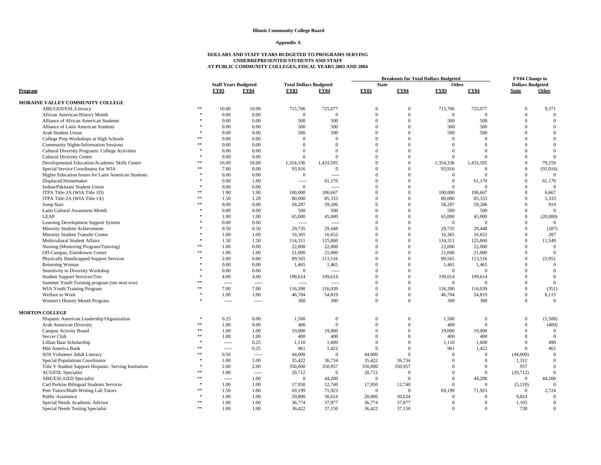#### **Appendix A**

|                                                                   |                    |                             |             |                               |                 | <b>Breakouts for Total Dollars Budgeted</b> |                      |                |                     | FY04 Change in          |                          |
|-------------------------------------------------------------------|--------------------|-----------------------------|-------------|-------------------------------|-----------------|---------------------------------------------|----------------------|----------------|---------------------|-------------------------|--------------------------|
|                                                                   |                    | <b>Staff Years Budgeted</b> |             | <b>Total Dollars Budgeted</b> |                 | <b>State</b>                                |                      | Other          |                     | <b>Dollars Budgeted</b> |                          |
| Program                                                           |                    | <b>FY03</b>                 | <b>FY04</b> | <b>FY03</b>                   | <b>FY04</b>     | <b>FY03</b>                                 | <b>FY04</b>          | <b>FY03</b>    | <b>FY04</b>         | <b>State</b>            | Other                    |
| MORAINE VALLEY COMMUNITY COLLEGE                                  |                    |                             |             |                               |                 |                                             |                      |                |                     |                         |                          |
| ABE/GED/ESL/Literacy                                              | **                 | 10.00                       | 10.00       | 715,706                       | 725,077         | $\mathbf{0}$                                | $\Omega$             | 715,706        | 725,077             | $\overline{0}$          | 9,371                    |
| African American History Month                                    | $\ast$             | 0.00                        | 0.00        | $\mathbf{0}$                  | $\mathbf{0}$    | $\Omega$                                    | $\Omega$             | $\mathbf{0}$   | $\Omega$            | $\mathbf{0}$            | $\mathbf{0}$             |
| Alliance of African American Students                             |                    | 0.00                        | 0.00        | 500                           | 500             | $\Omega$                                    | $\Omega$             | 500            | 500                 | $\overline{0}$          | $\overline{0}$           |
| Alliance of Latin American Students                               |                    | 0.00                        | 0.00        | 500                           | 500             | $\Omega$                                    | $\Omega$             | 500            | 500                 | $\Omega$                | $\mathbf{0}$             |
| Arab Student Union                                                |                    | 0.00                        | 0.00        | 500                           | 500             | $\Omega$                                    | $\Omega$             | 500            | 500                 | $\Omega$                | $\theta$                 |
| College Prep Workshops at High Schools                            | **                 | 0.00                        | 0.00        | $\mathbf{0}$                  | $\overline{0}$  | $\Omega$                                    | $\Omega$             | $\overline{0}$ | $\theta$            | $\Omega$                | $\mathbf{0}$             |
| <b>Community Nights/Information Sessions</b>                      | **                 | 0.00                        | 0.00        | $\Omega$                      | $\Omega$        | $\Omega$                                    | $\Omega$             | $\Omega$       | $\Omega$            | $\Omega$                | $\mathbf{0}$             |
| <b>Cultural Diversity Programs: College Activities</b>            | $\mathbf{x}$       | 0.00                        | 0.00        | $\theta$                      | $\Omega$        | $\Omega$                                    | $\Omega$             | $\Omega$       | $\Omega$            | $\Omega$                | $\mathbf{0}$             |
| <b>Cultural Diversity Center</b>                                  |                    | 0.00                        | 0.00        | $\Omega$                      | $\overline{0}$  | $\Omega$                                    | $\Omega$             | $\mathbf{0}$   | $\Omega$            | $\Omega$                | $\mathbf{0}$             |
| Developmental Education/Academic Skills Center                    | **                 | 16.00                       | 18.00       | 1,354,336                     | 1.433.595       | $\Omega$                                    | $\Omega$             | 1,354,336      | 1.433.595           | $\theta$                | 79.259                   |
| Special Service Coordinator for WIA                               | 索索                 | 7.00                        | 0.00        | 93,916                        | $\overline{0}$  | $\Omega$                                    | $\Omega$             | 93,916         | $\Omega$            | $\mathbf{0}$            | (93, 916)                |
| Higher Education Issues for Latin American Students               |                    | 0.00                        | 0.00        | $\overline{0}$                | $1 - 1 - 1 = 0$ | $\Omega$                                    | $\Omega$             | $\mathbf{0}$   | $\theta$            | $\overline{0}$          | $\mathbf{0}$             |
| Displaced Homemaker                                               | $\ast$             | 0.00                        | 1.00        | $^{***}$                      | 61,170          | $\Omega$                                    | $\Omega$             | $\mathbf{0}$   | 61,170              | $\overline{0}$          | 61,170                   |
| Indian/Pakistani Student Union                                    |                    | 0.00                        | 0.00        | $\overline{0}$                | $- - - - -$     | $\Omega$                                    | $\Omega$             | $\Omega$       | $\Omega$            | $\overline{0}$          | $\Omega$                 |
| JTPA Title-3A (WIA Title 1D)                                      | **                 | 1.90                        | 1.90        | 100,000                       | 106,667         | $\Omega$                                    | $\Omega$             | 100,000        | 106,667             | $\mathbf{0}$            | 6,667                    |
| JTPA Title-2A (WIA Title 1A)                                      | **                 | 1.50                        | 1.20        | 80,000                        | 85,333          | $\Omega$                                    | $\Omega$             | 80,000         | 85,333              | $\mathbf{0}$            | 5,333                    |
| Jump Start                                                        | **                 | 0.00                        | 0.00        | 58,287                        | 59,206          | $\Omega$                                    | $\Omega$             | 58,287         | 59,206              | $\Omega$                | 919                      |
| Latin Cultural Awareness Month                                    |                    | 0.00                        | 0.00        | 500                           | 500             | $\Omega$                                    | $\Omega$             | 500            | 500                 | $\overline{0}$          | $\overline{0}$           |
| LEAP                                                              |                    | 1.00                        | 1.00        | 65,000                        | 45,000          | $\Omega$                                    | $\Omega$             | 65,000         | 45,000              | $\overline{0}$          | (20,000)                 |
| Learning Development Support System                               |                    | 0.00                        | 0.00        | $\cdots$                      | $\sim$          | $\Omega$                                    | $\Omega$             | $\mathbf{0}$   | $\Omega$            | $\overline{0}$          | $\Omega$                 |
| Minority Student Achievement                                      |                    | 0.50                        | 0.50        | 29,735                        | 29,448          | $\Omega$                                    | $\Omega$             | 29,735         | 29,448              | $\mathbf{0}$            | (287)                    |
| Minority Student Transfer Center                                  |                    | 1.00                        | 1.00        | 16,365                        | 16.652          | $\Omega$                                    | $\Omega$             | 16,365         | 16,652              | $\Omega$                | 287                      |
| Multicultural Student Affairs                                     |                    | 1.50                        | 1.50        | 114,311                       | 125,860         | $\Omega$                                    | $\Omega$             | 114,311        | 125,860             | $\mathbf{0}$            | 11,549                   |
| Nursing (Mentoring Program/Tutoring)                              | **                 | 1.00                        | 0.00        | 22,000                        | 22,000          | $\mathbf{0}$                                | $\Omega$             | 22,000         | 22,000              | $\mathbf{0}$            | $\mathbf{0}$             |
| Off-Campus, Eisenhower Center                                     | **                 | 1.00                        | 1.00        | 21,000                        | 21,000          | $\Omega$                                    | $\Omega$             | 21,000         | 21,000              | $\Omega$                | $\theta$                 |
|                                                                   |                    | 2.00                        | 0.00        | 89,565                        | 113,516         | $\Omega$                                    | $\Omega$             | 89,565         |                     | $\theta$                |                          |
| <b>Physically Handicapped Support Services</b><br>Returning Woman |                    | 0.00                        | 0.00        | 1,465                         |                 | $\mathbf{0}$                                | $\Omega$             | 1,465          | 113,516             | $\overline{0}$          | 23,951<br>$\overline{0}$ |
|                                                                   |                    | 0.00                        | 0.00        | $\overline{0}$                | 1,465           | $\Omega$                                    | $\Omega$             | $\overline{0}$ | 1,465<br>$\Omega$   | $\overline{0}$          | $\mathbf{0}$             |
| Sensitivity to Diversity Workshop                                 |                    | 4.00                        |             |                               | $1 - 1 - 1 = 0$ | $\Omega$                                    | $\Omega$             |                |                     | $\theta$                | $\theta$                 |
| Student Support Services/Trio                                     |                    |                             | 4.00        | 199,614                       | 199,614         | $\Omega$                                    | $\Omega$             | 199,614        | 199,614<br>$\Omega$ | $\mathbf{0}$            | $\mathbf{0}$             |
| Summer Youth Training program (see next row)                      | **                 | 1.1.1.1                     |             | $---$                         | $1 - 1 - 1 = 0$ | $\Omega$                                    | $\Omega$             | $\overline{0}$ |                     |                         |                          |
| WIA Youth Training Program                                        | $\ast$             | 7.00                        | 7.00        | 116,390                       | 116,039         |                                             |                      | 116,390        | 116,039             | $\overline{0}$          | (351)                    |
| Welfare to Work                                                   |                    | 1.00                        | 1.00        | 46,704                        | 54,819          | $\Omega$                                    | $\Omega$<br>$\Omega$ | 46,704         | 54,819              | $\mathbf{0}$            | 8,115                    |
| Women's History Month Program                                     |                    | 1.1.1.1                     |             | 300                           | 300             | $\Omega$                                    |                      | 300            | 300                 | $\Omega$                | $\overline{0}$           |
| <b>MORTON COLLEGE</b>                                             |                    |                             |             |                               |                 |                                             |                      |                |                     |                         |                          |
| Hispanic American Leadership Organization                         |                    | 0.25                        | $0.00\,$    | 1,500                         | $\overline{0}$  | $\overline{0}$                              | $\mathbf{0}$         | 1,500          | $\overline{0}$      | $\bf{0}$                | (1,500)                  |
| Arab American Diversity                                           | $\ast\ast$         | 1.00                        | 0.00        | 400                           | $\theta$        | $\Omega$                                    | $\Omega$             | 400            | $\Omega$            | $\theta$                | (400)                    |
| Campus Activity Board                                             | 索索                 | 1.00                        | 1.00        | 19,000                        | 19,000          | $\Omega$                                    | $\Omega$             | 19,000         | 19,000              | $\overline{0}$          | $\overline{0}$           |
| Soccer Club                                                       | **                 | 1.00                        | 1.00        | 400                           | 400             | $\Omega$                                    | $\Omega$             | 400            | 400                 | $\mathbf{0}$            | $\mathbf{0}$             |
| Lillian Baar Scholarship                                          | $\ast$             | $- - - - -$                 | 0.25        | 1.110                         | 1.600           | $\Omega$                                    | $\theta$             | 1.110          | 1.600               | $\theta$                | 490                      |
| Mid America Bank                                                  | 索索                 | 1.1.1.1                     | 0.25        | 961                           | 1,422           | $\Omega$                                    | $\Omega$             | 961            | 1,422               | $\theta$                | 461                      |
| SOS Volunteer Adult Literacy                                      | **                 | 0.50                        |             | 44,000                        | $\theta$        | 44,000                                      | $\Omega$             | $\theta$       | $\theta$            | (44,000)                | $\boldsymbol{0}$         |
| Special Populations Coordinator                                   | $\frac{1}{2}$      | 1.00                        | 1.00        | 35,422                        | 36,734          | 35,422                                      | 36,734               | $\Omega$       | $\Omega$            | 1,312                   | $\boldsymbol{0}$         |
| Title V Student Support-Hispanic- Serving Institution             | $\ast$             | 2.00                        | 2.00        | 350,000                       | 350,957         | 350,000                                     | 350,957              | $\Omega$       | $\Omega$            | 957                     | $\Omega$                 |
| <b>ACS/ESL Specialist</b>                                         | **                 | 1.00                        |             | 20,712                        | $\overline{0}$  | 20,712                                      | $\Omega$             | $\theta$       | $\theta$            | (20, 712)               | $\mathbf{0}$             |
| ABE/ESL/GED Specialist                                            | **                 | 1.1.1.1                     | 1.00        | $\overline{0}$                | 44,200          | $\Omega$                                    | $\Omega$             | $\theta$       | 44,200              | $\mathbf{0}$            | 44,200                   |
| Carl Perkins Bilingual Students Services                          | $\ast$             | 1.00                        | 1.00        | 17,950                        | 12,740          | 17,950                                      | 12,740               | $\overline{0}$ | $\Omega$            | (5,210)                 | $\overline{0}$           |
| Peer Tutors/Math-Writing Lab Tutors                               | **                 | 1.50                        | 1.00        | 69,199                        | 71,923          | $\Omega$                                    | $\Omega$             | 69.199         | 71,923              | $\overline{0}$          | 2,724                    |
| <b>Public Assistance</b>                                          | $\dot{\mathbf{x}}$ | 1.00                        | 1.00        | 20,800                        | 30,624          | 20,800                                      | 30,624               | $\overline{0}$ | $\Omega$            | 9,824                   | $\mathbf{0}$             |
| Special Needs Academic Advisor                                    | **                 | 1.00                        | 1.00        | 36,774                        | 37,877          | 36,774                                      | 37,877               | $\overline{0}$ | $\Omega$            | 1,103                   | $\Omega$                 |
| Special Needs Testing Specialist                                  | **                 | 1.00                        | 1.00        | 36,422                        | 37,150          | 36,422                                      | 37,150               | $\overline{0}$ | $\Omega$            | 728                     | $\mathbf{0}$             |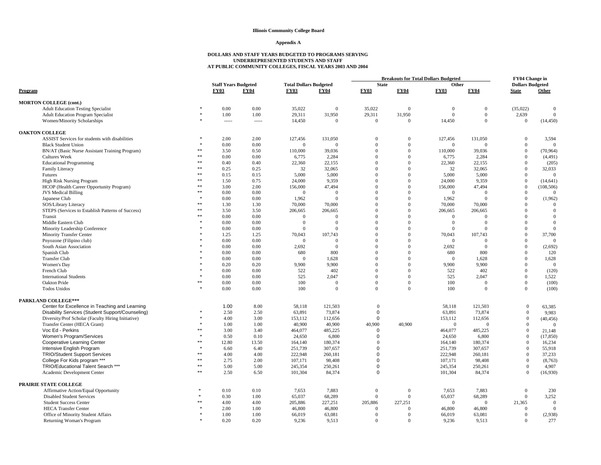#### **Appendix A**

|                                                                 |             |                                            |               |                               | <b>Breakouts for Total Dollars Budgeted</b> |                                  |                            |                    | <b>FY04 Change in</b> |                                |                          |
|-----------------------------------------------------------------|-------------|--------------------------------------------|---------------|-------------------------------|---------------------------------------------|----------------------------------|----------------------------|--------------------|-----------------------|--------------------------------|--------------------------|
|                                                                 |             | <b>Staff Years Budgeted</b><br><b>FY03</b> |               | <b>Total Dollars Budgeted</b> |                                             | <b>State</b><br><b>FY03</b>      | <b>FY04</b>                | Other              |                       | <b>Dollars Budgeted</b>        |                          |
| Program                                                         |             |                                            | <b>FY04</b>   | <b>FY03</b>                   | <b>FY04</b>                                 |                                  |                            | <b>FY03</b>        | <b>FY04</b>           | <b>State</b>                   | Other                    |
| <b>MORTON COLLEGE (cont.)</b>                                   |             |                                            |               |                               |                                             |                                  |                            |                    |                       |                                |                          |
| <b>Adult Education Testing Specialist</b>                       |             | 0.00                                       | 0.00          | 35,022                        | $\Omega$                                    | 35,022                           | $\Omega$                   | $\theta$           | $\overline{0}$        | (35,022)                       | $\mathbf{0}$             |
| <b>Adult Education Program Specialist</b>                       |             | 1.00                                       | 1.00          | 29,311                        | 31,950                                      | 29,311                           | 31,950                     | $\mathbf{0}$       | $\mathbf{0}$          | 2,639                          | $\theta$                 |
| Women/Minority Scholarships                                     |             | 1.1.1.1                                    |               | 14,450                        | $\mathbf{0}$                                | $\overline{0}$                   | $\overline{0}$             | 14,450             | $\overline{0}$        | $\mathbf{0}$                   | (14, 450)                |
| <b>OAKTON COLLEGE</b>                                           |             |                                            |               |                               |                                             |                                  |                            |                    |                       |                                |                          |
| ASSIST Services for students with disabilities                  |             | 2.00                                       | 2.00          | 127,456                       | 131,050                                     | $\overline{0}$                   | $\mathbf{0}$               | 127,456            | 131,050               | $\mathbf{0}$                   | 3,594                    |
| <b>Black Student Union</b>                                      |             | 0.00                                       | 0.00          | $\overline{0}$                | $\Omega$                                    | $\theta$                         | $\mathbf{0}$               | $\Omega$           | $\Omega$              | $\mathbf{0}$                   | $\Omega$                 |
| BN/AT (Basic Nurse Assistant Training Program)                  |             | 3.50                                       | 0.50          | 110,000                       | 39,036                                      | $\Omega$                         | $\mathbf{0}$               | 110,000            | 39,036                | $\mathbf{0}$                   | (70, 964)                |
| <b>Cultures Week</b>                                            | $**$        | 0.00                                       | 0.00          | 6,775                         | 2,284                                       | $\Omega$                         | $\overline{0}$             | 6,775              | 2,284                 | $\overline{0}$                 | (4,491)                  |
| <b>Educational Programming</b>                                  | $*$         | 0.40                                       | 0.40          | 22,360                        | 22,155                                      | $\Omega$                         | $\Omega$                   | 22,360             | 22,155                | $\theta$                       | (205)                    |
| Family Literacy                                                 | **          | 0.25                                       | 0.25          | 32                            | 32,065                                      | $\Omega$                         | $\mathbf{0}$               | 32                 | 32,065                | $\mathbf{0}$                   | 32,033                   |
| Futures                                                         | **          | 0.15                                       | 0.15          | 5,000                         | 5,000                                       | $\Omega$                         | $\mathbf{0}$               | 5,000              | 5,000                 | $\mathbf{0}$                   | $\theta$                 |
| <b>High Risk Nursing Program</b>                                | $\ast\ast$  | 1.50                                       | 0.75          | 24,000                        | 9,359                                       | $\Omega$                         | $\Omega$                   | 24,000             | 9.359                 | $\overline{0}$                 | (14, 641)                |
| HCOP (Health Career Opportunity Program)                        | $\pm$ $\pm$ | 3.00                                       | 2.00          | 156,000                       | 47,494                                      | $\Omega$                         | $\Omega$                   | 156,000            | 47,494                | $\overline{0}$                 | (108, 506)               |
| <b>JVS</b> Medical Billing                                      | $**$        | 0.00                                       | 0.00          | $\overline{0}$                | $\theta$                                    | $\Omega$                         | $\Omega$                   | $\overline{0}$     | $\Omega$              | $\overline{0}$                 | $\Omega$                 |
| Japanese Club                                                   |             | 0.00                                       | 0.00          | 1,962                         | $\Omega$                                    | $\Omega$                         | $\overline{0}$             | 1,962              | $\Omega$              | $\mathbf{0}$                   | (1,962)                  |
| SOS/Library Literacy                                            | **          | 1.30                                       | 1.30          | 70,000                        | 70,000                                      | $\Omega$                         | $\mathbf{0}$               | 70,000             | 70,000                | $\mathbf{0}$                   | $\theta$                 |
| STEPS (Services to Establish Patterns of Success)               | **          | 3.50                                       | 3.50          | 206,665                       | 206,665                                     | $\Omega$                         | $\overline{0}$             | 206,665            | 206,665               | $\overline{0}$                 | $\overline{0}$           |
| Transit                                                         | 索索          | 0.00                                       | 0.00          | $\overline{0}$                | $\Omega$                                    | $\Omega$                         | $\Omega$                   | $\overline{0}$     | $\Omega$              | $\theta$                       | $\theta$                 |
| Middle Eastern Club                                             |             | 0.00                                       | 0.00          | $\overline{0}$                | $\Omega$                                    | $\Omega$                         | $\Omega$                   | $\mathbf{0}$       | $\Omega$              | $\theta$                       | $\mathbf{0}$             |
| Minority Leadership Conference                                  |             | 0.00                                       | 0.00          | $\overline{0}$                | $\Omega$                                    | $\Omega$                         | $\Omega$                   | $\overline{0}$     | $\Omega$              | $\Omega$                       | $\theta$                 |
| <b>Minority Transfer Center</b>                                 |             | 1.25                                       | 1.25          | 70,043                        | 107,743                                     | $\Omega$                         | $\Omega$                   | 70,043             | 107,743               | $\mathbf{0}$                   | 37,700                   |
| Pnyozone (Filipino club)                                        |             | 0.00                                       | 0.00          | $\mathbf{0}$                  | $\overline{0}$                              | $\Omega$                         | $\mathbf{0}$               | $\mathbf{0}$       | $\Omega$              | $\overline{0}$                 | $\mathbf{0}$             |
| South Asian Association                                         |             | 0.00                                       | 0.00          | 2,692                         | $\overline{0}$                              | $\Omega$                         | $\mathbf{0}$               | 2,692              | $\Omega$              | $\theta$                       | (2,692)                  |
| Spanish Club                                                    |             | 0.00                                       | 0.00          | 680                           | 800                                         | $\Omega$                         | $\mathbf{0}$               | 680                | 800                   | $\theta$                       | 120                      |
| <b>Transfer Club</b>                                            |             | 0.00                                       | 0.00          | $\overline{0}$                | 1,628                                       | $\Omega$                         | $\mathbf{0}$               | $\overline{0}$     | 1,628                 | $\mathbf{0}$                   | 1,628                    |
| Women's Day                                                     |             | 0.20                                       | 0.20          | 9,900                         | 9,900                                       | $\Omega$                         | $\overline{0}$             | 9,900              | 9,900                 | $\mathbf{0}$                   | $\Omega$                 |
| French Club                                                     |             | 0.00                                       | 0.00          | 522                           | 402                                         | $\Omega$                         | $\mathbf{0}$               | 522                | 402                   | $\mathbf{0}$                   | (120)                    |
| <b>International Students</b>                                   |             | 0.00                                       | 0.00          | 525                           | 2,047                                       | $\Omega$                         | $\mathbf{0}$               | 525                | 2,047                 | $\mathbf{0}$                   | 1,522                    |
| Oakton Pride                                                    | **          | 0.00                                       | 0.00          | 100                           | $\Omega$                                    | $\Omega$                         | $\mathbf{0}$               | 100                | $\Omega$              | $\mathbf{0}$                   | (100)                    |
| <b>Todos Unidos</b>                                             |             | 0.00                                       | 0.00          | 100                           | $\Omega$                                    | $\Omega$                         | $\Omega$                   | 100                | $\Omega$              | $\mathbf{0}$                   | (100)                    |
| <b>PARKLAND COLLEGE***</b>                                      |             |                                            |               |                               |                                             |                                  |                            |                    |                       |                                |                          |
| Center for Excellence in Teaching and Learning                  |             | 1.00                                       | 8.00          | 58,118                        | 121,503                                     | $\Omega$                         |                            | 58,118             | 121,503               | $\mathbf{0}$                   | 63,385                   |
| Disability Services (Student Support/Counseling)                |             | 2.50                                       | 2.50          | 63,891                        | 73,874                                      | $\mathbf 0$                      |                            | 63,891             | 73,874                | $\mathbf{0}$                   | 9,983                    |
| Diversity/Prof Scholar (Faculty Hiring Initiative)              |             | 4.00                                       | 3.00          | 153,112                       | 112,656                                     | $\mathbf 0$                      |                            | 153,112            | 112,656<br>$\Omega$   | $\overline{0}$                 | (40, 456)                |
| Transfer Center (HECA Grant)<br>Voc Ed - Perkins                | 索索          | 1.00<br>3.00                               | 1.00<br>3.40  | 40,900                        | 40,900<br>485,225                           | 40,900<br>$\mathbf 0$            | 40,900                     | $\mathbf{0}$       |                       | $\mathbf{0}$<br>$\theta$       | $\Omega$                 |
|                                                                 |             |                                            |               | 464,077                       |                                             |                                  |                            | 464,077            | 485,225               |                                | 21,148                   |
| Women's Program/Services                                        |             | 0.50<br>12.80                              | 0.10          | 24,650                        | 6,800                                       | $\Omega$<br>$\Omega$             |                            | 24,650             | 6,800                 | $\mathbf{0}$<br>$\theta$       | (17, 850)                |
| Cooperative Learning Center<br>Intensive English Program        | $\ast$      | 6.60                                       | 13.50<br>6.40 | 164,140                       | 180,374                                     | $\Omega$                         |                            | 164,140<br>251.739 | 180,374               | $\mathbf{0}$                   | 16,234                   |
| <b>TRIO/Student Support Services</b>                            | **          |                                            |               | 251,739                       | 307,657                                     | $\mathbf 0$                      |                            | 222,948            | 307,657               | $\mathbf{0}$                   | 55,918                   |
| College For Kids program ***                                    | $**$        | 4.00<br>2.75                               | 4.00<br>2.00  | 222,948<br>107,171            | 260,181<br>98,408                           | $\Omega$                         |                            | 107,171            | 260,181<br>98,408     | $\mathbf{0}$                   | 37,233                   |
| TRIO/Educational Talent Search ***                              | $\ast\ast$  | 5.00                                       | 5.00          | 245,354                       | 250,261                                     | $\Omega$                         |                            | 245,354            | 250,261               | $\mathbf{0}$                   | (8,763)<br>4,907         |
| Academic Development Center                                     | $\ast\ast$  | 2.50                                       | 6.50          | 101,304                       | 84,374                                      | 0                                |                            | 101,304            | 84,374                | $\overline{0}$                 |                          |
|                                                                 |             |                                            |               |                               |                                             |                                  |                            |                    |                       |                                | (16,930)                 |
| PRAIRIE STATE COLLEGE                                           |             |                                            |               |                               |                                             |                                  |                            |                    |                       |                                |                          |
| Affirmative Action/Equal Opportunity                            |             | 0.10                                       | 0.10          | 7,653                         | 7,883                                       | $\mathbf{0}$                     | $\theta$                   | 7,653              | 7,883                 | $\mathbf{0}$                   | 230                      |
| <b>Disabled Student Services</b>                                |             | 0.30                                       | 1.00          | 65,037                        | 68,289                                      | $\overline{0}$                   | $\mathbf{0}$               | 65,037             | 68,289                | $\overline{0}$                 | 3,252                    |
| <b>Student Success Center</b>                                   |             | 4.00                                       | 4.00          | 205,886                       | 227,251                                     | 205,886                          | 227,251                    | $\overline{0}$     | $\Omega$              | 21,365                         | $\mathbf{0}$<br>$\Omega$ |
| <b>HECA Transfer Center</b>                                     |             | 2.00<br>1.00                               | 1.00<br>1.00  | 46,800                        | 46,800<br>63,081                            | $\overline{0}$<br>$\overline{0}$ | $\Omega$<br>$\overline{0}$ | 46,800             | 46,800<br>63,081      | $\mathbf{0}$<br>$\overline{0}$ |                          |
| Office of Minority Student Affairs<br>Returning Woman's Program | ž.          | 0.20                                       | 0.20          | 66,019<br>9.236               | 9.513                                       | $\Omega$                         | $\theta$                   | 66,019<br>9.236    | 9.513                 | $\Omega$                       | (2,938)<br>277           |
|                                                                 |             |                                            |               |                               |                                             |                                  |                            |                    |                       |                                |                          |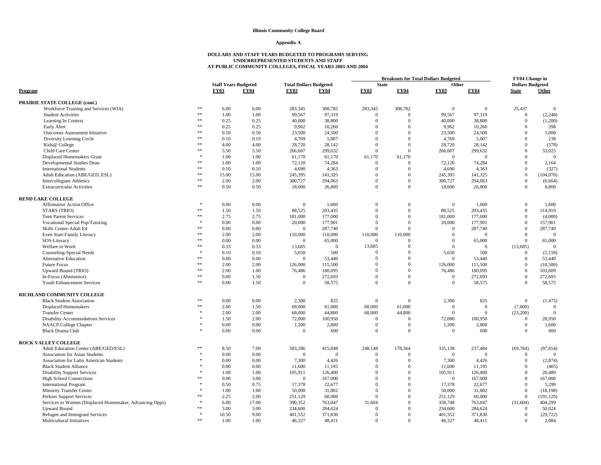#### **Appendix A**

|                                                         |               |                             |             |                               |                | <b>Breakouts for Total Dollars Budgeted</b> |                  |                |                | FY04 Change in          |                |
|---------------------------------------------------------|---------------|-----------------------------|-------------|-------------------------------|----------------|---------------------------------------------|------------------|----------------|----------------|-------------------------|----------------|
|                                                         |               | <b>Staff Years Budgeted</b> |             | <b>Total Dollars Budgeted</b> |                | <b>State</b>                                |                  | Other          |                | <b>Dollars Budgeted</b> |                |
| Program                                                 |               | <b>FY03</b>                 | <b>FY04</b> | <b>FY03</b>                   | <b>FY04</b>    | <b>FY03</b>                                 | <b>FY04</b>      | <b>FY03</b>    | <b>FY04</b>    | <b>State</b>            | Other          |
| PRAIRIE STATE COLLEGE (cont.)                           |               |                             |             |                               |                |                                             |                  |                |                |                         |                |
| Workforce Training and Services (WIA)                   | **            | 6.00                        | 6.00        | 283,345                       | 308,782        | 283,345                                     | 308,782          | $\overline{0}$ | $\overline{0}$ | 25,437                  | $\mathbf{0}$   |
| <b>Student Activities</b>                               | **            | 1.00                        | 1.00        | 99,567                        | 97,319         | $\theta$                                    | $\theta$         | 99,567         | 97,319         | $\mathbf{0}$            | (2, 248)       |
| Learning In Context                                     | **            | 0.25                        | 0.25        | 40,000                        | 38,800         | $\Omega$                                    | $\Omega$         | 40,000         | 38,800         | $\overline{0}$          | (1,200)        |
| Early Alert                                             | **            | 0.25                        | 0.25        | 9,962                         | 10,260         | $\Omega$                                    | $\Omega$         | 9,962          | 10,260         | $\overline{0}$          | 298            |
| <b>Outcomes Assessment Initiative</b>                   | 索索            | 0.50                        | 0.50        | 23,500                        | 24.500         | $\Omega$                                    | $\Omega$         | 23.500         | 24,500         | $\Omega$                | 1,000          |
| Diversity Learning Circle                               | **            | 0.10                        | 0.10        | 4,769                         | 5,007          | $\Omega$                                    | $\Omega$         | 4,769          | 5,007          | $\Omega$                | 238            |
| Kids@ College                                           | **            | 4.00                        | 4.00        | 28,720                        | 28,142         | $\Omega$                                    | $\mathbf{0}$     | 28,720         | 28,142         | $\overline{0}$          | (578)          |
| Child Care Center                                       | **            | 5.50                        | 5.50        | 266,607                       | 299,632        | $\Omega$                                    | $\Omega$         | 266,607        | 299,632        | $\overline{0}$          | 33,025         |
| Displaced Homemakers Grant                              |               | 1.00                        | 1.00        | 61,170                        | 61,170         | 61,170                                      | 61,170           | $\mathbf{0}$   | $\Omega$       | $\mathbf{0}$            | $\overline{0}$ |
| Developmental Studies Dean                              | **            | 1.00                        | 1.00        | 72,120                        | 74,284         | $\Omega$                                    | $\Omega$         | 72,120         | 74,284         | $\overline{0}$          | 2,164          |
| <b>International Students</b>                           | **            | 0.10                        | 0.10        | 4,690                         | 4,363          | $\theta$                                    | $\mathbf{0}$     | 4,690          | 4,363          | $\mathbf{0}$            | (327)          |
| Adult Education (ABE/GED, ESL)                          | $\ast\ast$    | 15.00                       | 15.00       | 245,395                       | 141,325        | $\Omega$                                    | $\Omega$         | 245,395        | 141,325        | $\overline{0}$          | (104,070)      |
| <b>Intercollegiate Athletics</b>                        | $\ast\ast$    | 2.00                        | 2.00        | 300,727                       | 294,063        | $\Omega$                                    | $\mathbf{0}$     | 300,727        | 294,063        | $\mathbf{0}$            | (6, 664)       |
| <b>Extracurricular Activities</b>                       | $\frac{1}{2}$ | 0.50                        | 0.50        | 18,000                        | 26,800         | $\Omega$                                    | $\mathbf{0}$     | 18,000         | 26,800         | $\overline{0}$          | 8,800          |
| <b>REND LAKE COLLEGE</b>                                |               |                             |             |                               |                |                                             |                  |                |                |                         |                |
| <b>Affirmative Action Office</b>                        |               | 0.00                        | 0.00        | $\mathbf{0}$                  | 1,600          | $\Omega$                                    | $\overline{0}$   | $\overline{0}$ | 1,600          | $\overline{0}$          | 1,600          |
| STARS (TRIO)                                            | $\ast\ast$    | 1.50                        | 1.50        | 88,525                        | 203,435        | $\theta$                                    | $\boldsymbol{0}$ | 88,525         | 203,435        | $\mathbf{0}$            | 114,910        |
| <b>Teen Parent Services</b>                             | **            | 2.75                        | 2.75        | 181,000                       | 177,000        | $\Omega$                                    | $\Omega$         | 181,000        | 177,000        | $\overline{0}$          | (4,000)        |
| Vocational Special Pop/Tutoring                         |               | 0.00                        | 0.00        | 20,000                        | 177,901        | $\theta$                                    | $\mathbf{0}$     | 20,000         | 177,901        | $\overline{0}$          | 157,901        |
| Skills Center-Adult Ed                                  | 索索            | 0.00                        | 0.00        | $\Omega$                      | 287,740        | $\Omega$                                    | $\Omega$         | $\overline{0}$ | 287,740        | $\Omega$                | 287,740        |
| Even Start-Family Literacy                              | **            | 2.00                        | 2.00        | 110,000                       | 110,000        | 110,000                                     | 110,000          | $\Omega$       | $\Omega$       | $\overline{0}$          | $\Omega$       |
| SOS-Literacy                                            | **            | 0.00                        | 0.00        | $\Omega$                      | 65,000         | $\Omega$                                    | $\Omega$         | $\overline{0}$ | 65,000         | $\overline{0}$          | 65,000         |
| Welfare to Work                                         | **            | 0.33                        | 0.33        | 13,685                        | $\overline{0}$ | 13,685                                      | $\Omega$         | $\overline{0}$ | $\Omega$       | (13,685)                | $\Omega$       |
| Counseling-Special Needs                                |               | 0.10                        | 0.10        | 5,650                         | 500            | $\Omega$                                    | $\overline{0}$   | 5,650          | 500            | $\mathbf{0}$            | (5,150)        |
| <b>Alternative Education</b>                            | **            | 0.00                        | 0.00        | $\Omega$                      | 53,440         | $\Omega$                                    | $\Omega$         | $\theta$       | 53,440         | $\overline{0}$          | 53,440         |
| <b>Future Focus</b>                                     | **            | 2.00                        | 2.00        | 126,000                       | 115,500        | $\theta$                                    | $\mathbf{0}$     | 126,000        | 115,500        | $\mathbf{0}$            | (10, 500)      |
| Upward Bound (TRIO)                                     | **            | 2.00                        | 1.00        | 76,486                        | 180,095        | $\Omega$                                    | $\mathbf{0}$     | 76.486         | 180,095        | $\overline{0}$          | 103,609        |
| In-Focus (Abstinence)                                   | $\ast\ast$    | 0.00                        | 1.50        | $\Omega$                      | 272,693        | $\Omega$                                    | $\Omega$         | $\overline{0}$ | 272,693        | $\overline{0}$          | 272,693        |
| Youth Enhancement Services                              | **            | 0.00                        | 1.50        | $\Omega$                      | 58,575         | $\Omega$                                    | $\Omega$         | $\Omega$       | 58,575         | $\Omega$                | 58,575         |
| RICHLAND COMMUNITY COLLEGE                              |               |                             |             |                               |                |                                             |                  |                |                |                         |                |
| <b>Black Student Association</b>                        | **            | 0.00                        | 0.00        | 2,300                         | 825            | $\Omega$                                    | $\Omega$         | 2,300          | 825            | $\overline{0}$          | (1, 475)       |
| <b>Displaced Homemakers</b>                             | **            | 2.00                        | 1.50        | 68,000                        | 61,000         | 68,000                                      | 61,000           | $\mathbf{0}$   | $\overline{0}$ | (7,000)                 | $\overline{0}$ |
| <b>Transfer Center</b>                                  |               | 2.00                        | 2.00        | 68,000                        | 44,800         | 68,000                                      | 44,800           | $\overline{0}$ | $\Omega$       | (23,200)                | $\theta$       |
| <b>Disability Accommodations Services</b>               |               | 1.50                        | 2.00        | 72,000                        | 100,950        | $\Omega$                                    | $\Omega$         | 72,000         | 100,950        | $\Omega$                | 28,950         |
| <b>NAACP</b> College Chapter                            |               | 0.00                        | 0.00        | 1,200                         | 2,800          | $\Omega$                                    | $\Omega$         | 1,200          | 2,800          | $\overline{0}$          | 1,600          |
| <b>Black Drama Club</b>                                 |               | 0.00                        | 0.00        | $\Omega$                      | 600            | $\Omega$                                    | $\Omega$         | $\overline{0}$ | 600            | $\overline{0}$          | 600            |
| <b>ROCK VALLEY COLLEGE</b>                              |               |                             |             |                               |                |                                             |                  |                |                |                         |                |
| Adult Education Center (ABE/GED/ESL)                    | **            | 8.50                        | 7.00        | 583,286                       | 415,848        | 248,148                                     | 178,364          | 335,138        | 237,484        | (69, 784)               | (97, 654)      |
| <b>Association for Asian Students</b>                   |               | 0.00                        | 0.00        | $\Omega$                      | $\Omega$       | $\Omega$                                    | $\Omega$         | $\overline{0}$ | $\Omega$       | $\overline{0}$          | $\Omega$       |
| Association for Latin American Students                 |               | 0.00                        | 0.00        | 7,300                         | 4,426          | $\Omega$                                    | $\Omega$         | 7,300          | 4,426          | $\overline{0}$          | (2,874)        |
| <b>Black Student Alliance</b>                           |               | 0.00                        | 0.00        | 11,600                        | 11,195         | $\Omega$                                    | $\Omega$         | 11,600         | 11,195         | $\overline{0}$          | (405)          |
| <b>Disability Support Services</b>                      |               | 1.00                        | 1.00        | 105,911                       | 126,400        | $\Omega$                                    | $\mathbf{0}$     | 105,911        | 126,400        | $\overline{0}$          | 20,489         |
| <b>High School Connections</b>                          | **            | 0.00                        | 3.00        | $\Omega$                      | 167,000        | $\Omega$                                    | $\Omega$         | $\overline{0}$ | 167,000        | $\overline{0}$          | 167,000        |
| <b>International Program</b>                            |               | 0.50                        | 0.75        | 17,378                        | 22,677         | $\Omega$                                    | $\Omega$         | 17,378         | 22,677         | $\overline{0}$          | 5,299          |
| <b>Minority Transfer Center</b>                         |               | 1.00                        | 1.00        | 50,000                        | 31,802         | $\theta$                                    | $\mathbf{0}$     | 50,000         | 31,802         | $\mathbf{0}$            | (18, 198)      |
| Perkins Support Services                                | **            | 2.25                        | 2.00        | 251,129                       | 60,000         | $\Omega$                                    | $\Omega$         | 251,129        | 60,000         | $\overline{0}$          | (191, 129)     |
| Services to Women (Displaced Homemaker, Advancing Opps) |               | 6.00                        | 17.00       | 390,352                       | 763,047        | 31,604                                      | $\mathbf{0}$     | 358,748        | 763,047        | (31, 604)               | 404,299        |
| <b>Upward Bound</b>                                     | $\ast\ast$    | 3.00                        | 3.00        | 234,600                       | 284,624        | $\Omega$                                    | $\Omega$         | 234,600        | 284,624        | $\overline{0}$          | 50,024         |
| Refugee and Immigrant Services                          | $\ast$        | 10.50                       | 9.00        | 401,552                       | 371,830        | $\Omega$                                    | $\Omega$         | 401,552        | 371,830        | $\overline{0}$          | (29, 722)      |
| <b>Multicultural Initiatives</b>                        | $\frac{1}{2}$ | 1.00                        | 1.00        | 46.327                        | 48.411         | $\Omega$                                    | $\Omega$         | 46.327         | 48.411         | $\Omega$                | 2.084          |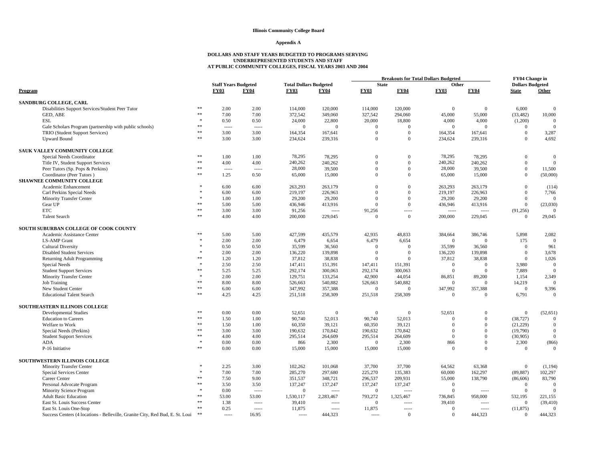#### **Appendix A**

|                                                                                            |                  |                             |                  |                               |                 |                     |                 | <b>Breakouts for Total Dollars Budgeted</b> |                            | <b>FY04 Change in</b>   |                          |
|--------------------------------------------------------------------------------------------|------------------|-----------------------------|------------------|-------------------------------|-----------------|---------------------|-----------------|---------------------------------------------|----------------------------|-------------------------|--------------------------|
|                                                                                            |                  | <b>Staff Years Budgeted</b> |                  | <b>Total Dollars Budgeted</b> |                 | <b>State</b>        |                 | Other                                       |                            | <b>Dollars Budgeted</b> |                          |
| Program                                                                                    |                  | <b>FY03</b>                 | <b>FY04</b>      | <b>FY03</b>                   | <b>FY04</b>     | <b>FY03</b>         | <b>FY04</b>     | <b>FY03</b>                                 | <b>FY04</b>                | <b>State</b>            | Other                    |
| SANDBURG COLLEGE, CARL                                                                     |                  |                             |                  |                               |                 |                     |                 |                                             |                            |                         |                          |
| Disabilities Support Services/Student Peer Tutor                                           | **               | 2.00                        | 2.00             | 114,000                       | 120,000         | 114,000             | 120,000         | $\Omega$                                    | $\Omega$                   | 6,000                   | $\Omega$                 |
| GED, ABE                                                                                   | **               | 7.00                        | 7.00             | 372,542                       | 349,060         | 327,542             | 294,060         | 45,000                                      | 55,000                     | (33, 482)               | 10,000                   |
| <b>ESL</b>                                                                                 |                  | 0.50                        | 0.50             | 24,000                        | 22,800          | 20,000              | 18,800          | 4,000                                       | 4,000                      | (1,200)                 | $\theta$                 |
|                                                                                            | **               | 1.1.1.1                     |                  | $\overline{0}$                | $\overline{0}$  | $\mathbf{0}$        | $\overline{0}$  | $\overline{0}$                              | $\Omega$                   | $\overline{0}$          | $\theta$                 |
| Gale Scholars Program (partnership with public schools)<br>TRIO (Student Support Services) | **               | 3.00                        | 3.00             | 164,354                       | 167,641         | $\overline{0}$      | $\mathbf{0}$    | 164,354                                     | 167,641                    | $\mathbf{0}$            | 3,287                    |
| <b>Upward Bound</b>                                                                        | $\ast\ast$       | 3.00                        | 3.00             | 234,624                       | 239,316         | $\Omega$            | $\overline{0}$  | 234,624                                     | 239,316                    | $\theta$                | 4,692                    |
|                                                                                            |                  |                             |                  |                               |                 |                     |                 |                                             |                            |                         |                          |
| SAUK VALLEY COMMUNITY COLLEGE                                                              |                  |                             |                  |                               |                 |                     |                 |                                             |                            |                         |                          |
| Special Needs Coordinator                                                                  | $\divideontimes$ | 1.00                        | 1.00             | 78,295                        | 78,295          | $\theta$            | $\Omega$        | 78,295                                      | 78,295                     | $\overline{0}$          | $\mathbf{0}$             |
| Title IV, Student Support Services                                                         | **               | 4.00                        | 4.00             | 240,262                       | 240,262         | $\Omega$            | $\overline{0}$  | 240,262                                     | 240,262                    | $\mathbf{0}$            | $\theta$                 |
| Peer Tutors (Sp. Pops & Perkins)                                                           | **               | 1.1.1.1                     | 1.1.1.1          | 28,000                        | 39,500          | $\theta$            | $\overline{0}$  | 28,000                                      | 39,500                     | $\mathbf{0}$            | 11,500                   |
| Coordinator (Peer Tutors)                                                                  | **               | 1.25                        | 0.50             | 65,000                        | 15,000          | $\Omega$            | $\overline{0}$  | 65,000                                      | 15,000                     | $\mathbf{0}$            | (50,000)                 |
| <b>SHAWNEE COMMUNITY COLLEGE</b>                                                           |                  |                             |                  |                               |                 |                     |                 |                                             |                            |                         |                          |
| Academic Enhancement                                                                       |                  | 6.00                        | 6.00             | 263,293                       | 263,179         | $\Omega$            | $\Omega$        | 263,293                                     | 263,179                    | $\overline{0}$          | (114)                    |
| Carl Perkins Special Needs                                                                 |                  | 6.00                        | 6.00             | 219,197                       | 226,963         | $\theta$            | $\Omega$        | 219,197                                     | 226,963                    | $\mathbf{0}$            | 7,766                    |
| <b>Minority Transfer Center</b>                                                            |                  | 1.00                        | 1.00             | 29,200                        | 29,200          | $\theta$            | $\overline{0}$  | 29,200                                      | 29,200                     | $\mathbf{0}$            | $\Omega$                 |
| Gear UP                                                                                    | **               | 5.00                        | 5.00             | 436,946                       | 413,916         | $\overline{0}$      | $\overline{0}$  | 436,946                                     | 413,916                    | $\mathbf{0}$            | (23,030)                 |
| <b>ETC</b>                                                                                 | $\ast\ast$       | 3.00                        | 3.00             | 91,256                        |                 | 91,256              | -----           | $1 - 1 - 1 - 1 = 0$                         | $---$                      | (91, 256)               | $\Omega$                 |
| <b>Talent Search</b>                                                                       | $\ast\ast$       | 4.00                        | 4.00             | 200,000                       | 229,045         | $\overline{0}$      | $\overline{0}$  | 200,000                                     | 229,045                    | $\overline{0}$          | 29,045                   |
| SOUTH SUBURBAN COLLEGE OF COOK COUNTY                                                      |                  |                             |                  |                               |                 |                     |                 |                                             |                            |                         |                          |
| Academic Assistance Center                                                                 | $\ast\ast$       | 5.00                        | 5.00             | 427,599                       | 435,579         | 42,935              | 48,833          | 384,664                                     | 386,746                    | 5,898                   | 2,082                    |
| <b>LS-AMP</b> Grant                                                                        |                  | 2.00                        | 2.00             | 6,479                         | 6,654           | 6,479               | 6,654           | $\overline{0}$                              | $\theta$                   | 175                     | $\mathbf{0}$             |
| <b>Cultural Diversity</b>                                                                  |                  | 0.50                        | 0.50             | 35,599                        | 36,560          | $\Omega$            | $\Omega$        | 35,599                                      | 36,560                     | $\Omega$                | 961                      |
| <b>Disabled Student Services</b>                                                           |                  | 2.00                        | 2.00             | 136,220                       | 139,898         | $\mathbf{0}$        | $\Omega$        | 136,220                                     | 139,898                    | $\theta$                | 3,678                    |
| Returning Adult Programming                                                                | 索索               | 1.20                        | 1.20             | 37,812                        | 38,838          | $\Omega$            | $\Omega$        | 37,812                                      | 38,838                     | $\theta$                | 1,026                    |
| Special Needs                                                                              |                  | 2.50                        | 2.50             | 147,411                       | 151,391         | 147,411             | 151,391         | $\overline{0}$                              | $\Omega$                   | 3.980                   | $\Omega$                 |
| <b>Student Support Services</b>                                                            | 26.26            | 5.25                        | 5.25             | 292,174                       | 300,063         | 292,174             | 300,063         | $\Omega$                                    | $\Omega$                   | 7,889                   | $\Omega$                 |
| <b>Minority Transfer Center</b>                                                            |                  | 2.00                        | 2.00             | 129,751                       | 133,254         | 42,900              | 44,054          | 86,851                                      | 89,200                     | 1,154                   | 2,349                    |
| <b>Job Training</b>                                                                        | sk sk            | 8.00                        | 8.00             | 526,663                       | 540,882         | 526,663             | 540,882         | $\overline{0}$                              | $\Omega$                   | 14,219                  | $\Omega$                 |
| New Student Center                                                                         | **               | 6.00                        | 6.00             | 347,992                       | 357,388         | $\overline{0}$      | $\Omega$        | 347,992                                     | 357,388                    | $\Omega$                | 9,396                    |
| <b>Educational Talent Search</b>                                                           | **               | 4.25                        | 4.25             | 251,518                       | 258,309         | 251,518             | 258,309         | $\overline{0}$                              | $\Omega$                   | 6,791                   | $\mathbf{0}$             |
|                                                                                            |                  |                             |                  |                               |                 |                     |                 |                                             |                            |                         |                          |
| SOUTHEASTERN ILLINOIS COLLEGE                                                              | **               |                             |                  |                               |                 |                     |                 |                                             |                            |                         |                          |
| <b>Developmental Studies</b>                                                               | $\ast\ast$       | 0.00                        | $0.00\,$         | 52,651                        | $\overline{0}$  | $\overline{0}$      | $\overline{0}$  | 52,651<br>$\Omega$                          | $\Omega$<br>$\Omega$       | $\mathbf{0}$            | (52, 651)                |
| <b>Education</b> to Careers                                                                | $\ast\ast$       | 1.50                        | 1.00             | 90,740                        | 52,013          | 90,740              | 52,013          |                                             | $\Omega$                   | (38, 727)               | $\Omega$                 |
| Welfare to Work                                                                            | **               | 1.50                        | 1.00             | 60,350                        | 39,121          | 60,350              | 39,121          | $\Omega$<br>$\Omega$                        | $\Omega$                   | (21,229)                | $\mathbf{0}$<br>$\Omega$ |
| Special Needs (Perkins)                                                                    | **               | 3.00                        | 3.00             | 190,632                       | 170,842         | 190,632             | 170,842         | $\Omega$                                    | $\Omega$                   | (19,790)                | $\Omega$                 |
| <b>Student Support Services</b>                                                            |                  | 4.00                        | 4.00             | 295,514                       | 264,609         | 295,514<br>$\Omega$ | 264,609         |                                             |                            | (30,905)                |                          |
| ADA<br>P-16 Initiative                                                                     | $\ast\ast$       | 0.00<br>0.00                | $0.00\,$<br>0.00 | 866<br>15,000                 | 2,300<br>15,000 | 15,000              | 2,300<br>15,000 | 866<br>$\Omega$                             | $\overline{0}$<br>$\Omega$ | 2,300<br>$\overline{0}$ | (866)<br>$\mathbf{0}$    |
|                                                                                            |                  |                             |                  |                               |                 |                     |                 |                                             |                            |                         |                          |
| SOUTHWESTERN ILLINOIS COLLEGE                                                              |                  |                             |                  |                               |                 |                     |                 |                                             |                            |                         |                          |
| <b>Minority Transfer Center</b>                                                            | $\ast$           | 2.25                        | 3.00             | 102,262                       | 101,068         | 37,700              | 37,700          | 64,562                                      | 63,368                     | $\mathbf{0}$            | (1, 194)                 |
| Special Services Center                                                                    |                  | 7.00                        | 7.00             | 285,270                       | 297,680         | 225,270             | 135,383         | 60,000                                      | 162,297                    | (89, 887)               | 102,297                  |
| Career Center                                                                              | **               | 7.50                        | 9.00             | 351,537                       | 348,721         | 296,537             | 209,931         | 55,000                                      | 138,790                    | (86, 606)               | 83,790                   |
| Personal Advocate Program                                                                  | **               | 3.50                        | 3.50             | 137,247                       | 137,247         | 137,247             | 137,247         | $\overline{0}$                              |                            | $\overline{0}$          | $\mathbf{0}$             |
| Minority Science Program                                                                   |                  | 0.00                        |                  | $\overline{0}$                | $1 - 1 - 1 = 1$ | $\overline{0}$      | -----           | $\overline{0}$                              | $1 - 1 - 1$                | $\mathbf{0}$            | $\Omega$                 |
| <b>Adult Basic Education</b>                                                               | **               | 53.00                       | 53.00            | 1,530,117                     | 2,283,467       | 793,272             | 1,325,467       | 736,845                                     | 958,000                    | 532,195                 | 221,155                  |
| East St. Louis Success Center                                                              | $\divideontimes$ | 1.38                        | -----            | 39,410                        | $- - - - -$     | $\overline{0}$      | -----           | 39,410                                      | $- - - - -$                | $\overline{0}$          | (39, 410)                |
| East St. Louis One-Stop                                                                    | **               | 0.25                        | -----            | 11,875                        | $1 - 1 - 1 = 1$ | 11,875              | -----           | $\overline{0}$                              | $1 - 1 - 1$                | (11, 875)               | $\mathbf{0}$             |
| Success Centers (4 locations - Belleville, Granite City, Red Bud, E. St. Loui              | **               | 1.1.1.1                     | 16.95            | $1 - 1 - 1$                   | 444,323         | $1 - 1 - 1$         | $\overline{0}$  | $\Omega$                                    | 444,323                    | $\overline{0}$          | 444,323                  |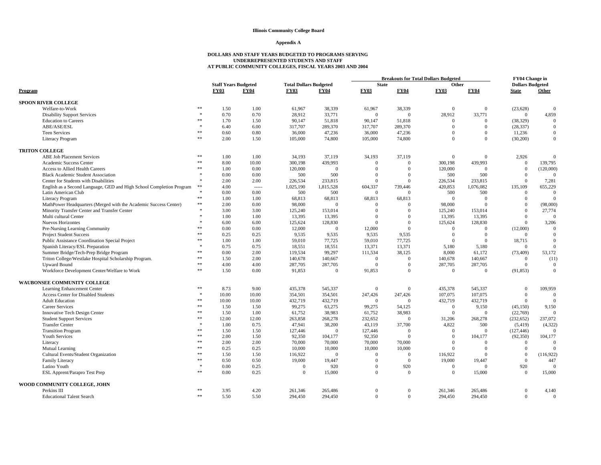#### **Appendix A**

|                                                                      |                     |                             |             |                               |                | <b>Breakouts for Total Dollars Budgeted</b> |                 |                |                    | FY04 Change in          |                 |
|----------------------------------------------------------------------|---------------------|-----------------------------|-------------|-------------------------------|----------------|---------------------------------------------|-----------------|----------------|--------------------|-------------------------|-----------------|
|                                                                      |                     | <b>Staff Years Budgeted</b> |             | <b>Total Dollars Budgeted</b> |                | <b>State</b>                                |                 | Other          |                    | <b>Dollars Budgeted</b> |                 |
| Program                                                              |                     | <b>FY03</b>                 | <b>FY04</b> | <b>FY03</b>                   | <b>FY04</b>    | <b>FY03</b>                                 | <b>FY04</b>     | <b>FY03</b>    | <b>FY04</b>        | <b>State</b>            | Other           |
| <b>SPOON RIVER COLLEGE</b>                                           |                     |                             |             |                               |                |                                             |                 |                |                    |                         |                 |
| Welfare-to-Work                                                      | $* *$               | 1.50                        | 1.00        | 61,967                        | 38,339         | 61,967                                      | 38.339          | $\mathbf{0}$   | $\overline{0}$     | (23, 628)               | $\theta$        |
| <b>Disability Support Services</b>                                   | $\ast$              | 0.70                        | 0.70        | 28,912                        | 33,771         | $\theta$                                    | $\Omega$        | 28.912         | 33,771             | $\overline{0}$          | 4,859           |
| <b>Education</b> to Careers                                          | **                  | 1.70                        | 1.50        | 90,147                        | 51,818         | 90,147                                      | 51,818          | $\overline{0}$ | $\Omega$           | (38, 329)               | $\theta$        |
| ABE/ASE/ESL                                                          | $\frac{1}{2^k}$     | 6.40                        | 6.00        | 317,707                       | 289,370        | 317,707                                     | 289,370         | $\Omega$       | $\Omega$           | (28, 337)               | $\mathbf{0}$    |
| <b>Teen Services</b>                                                 | **                  | 0.60                        | 0.80        | 36,000                        | 47,236         | 36,000                                      | 47,236          | $\theta$       | $\Omega$           | 11,236                  | $\mathbf{0}$    |
| Literacy Program                                                     | **                  | 2.00                        | 1.50        | 105,000                       | 74,800         | 105,000                                     | 74,800          | $\Omega$       | $\Omega$           | (30, 200)               | $\mathbf{0}$    |
| <b>TRITON COLLEGE</b>                                                |                     |                             |             |                               |                |                                             |                 |                |                    |                         |                 |
| <b>ABE Job Placement Services</b>                                    | **                  | 1.00                        | 1.00        | 34,193                        | 37,119         | 34,193                                      | 37,119          | $\theta$       | $\mathbf{0}$       | 2,926                   | $\mathbf{0}$    |
| Academic Success Center                                              | **                  | 8.00                        | 10.00       | 300,198                       | 439,993        | $\Omega$                                    | $\Omega$        | 300,198        | 439,993            | $\mathbf{0}$            | 139,795         |
| Access to Allied Health Careers                                      | $\frac{1}{2}$       | 1.00                        | 0.00        | 120,000                       | $\Omega$       | $\Omega$                                    | $\Omega$        | 120,000        | $\overline{0}$     | $\mathbf{0}$            | (120,000)       |
| <b>Black Academic Student Association</b>                            | $\frac{1}{2}$       | 0.00                        | 0.00        | 500                           | 500            | $\theta$                                    | $\Omega$        | 500            | 500                | $\mathbf{0}$            | $\Omega$        |
| Center for Students with Disabilities                                | $\mathbf{x}$        | 2.00                        | 2.00        | 226,534                       | 233,815        | $\Omega$                                    | $\Omega$        | 226,534        | 233,815            | $\Omega$                | 7,281           |
| English as a Second Language, GED and High School Completion Program | $\ast\ast$          | 4.00                        |             | 1,025,190                     | 1,815,528      | 604,337                                     | 739,446         | 420,853        | 1,076,082          | 135,109                 | 655,229         |
| Latin American Club                                                  |                     | 0.00                        | 0.00        | 500                           | 500            | $\mathbf{0}$                                | $\Omega$        | 500            | 500                | $\mathbf{0}$            | $\mathbf{0}$    |
| <b>Literacy Program</b>                                              | $\ast\ast$          | 1.00                        | 1.00        | 68,813                        | 68,813         | 68,813                                      | 68,813          | $\overline{0}$ | $\overline{0}$     | $\overline{0}$          | $\mathbf{0}$    |
| MathPower Headquarters (Merged with the Academic Success Center)     | $\ast\ast$          | 2.00                        | 0.00        | 98,000                        | $\overline{0}$ | $\Omega$                                    | $\Omega$        | 98,000         | $\overline{0}$     | $\Omega$                | (98,000)        |
| Minority Transfer Center and Transfer Center                         | $\frac{1}{2}$       | 3.00                        | 3.00        | 125,240                       | 153,014        | $\theta$                                    | $\Omega$        | 125,240        | 153,014            | $\mathbf{0}$            | 27,774          |
| Multi cultural Center                                                | $\frac{1}{2}$       | 1.00                        | 1.00        | 13,395                        | 13,395         | $\Omega$                                    | $\Omega$        | 13,395         | 13,395             | $\mathbf{0}$            | $\Omega$        |
| <b>Nuevos Horizontes</b>                                             |                     | 6.00                        | 6.00        | 125,624                       | 128,830        | $\Omega$                                    | $\Omega$        | 125,624        | 128,830            | $\overline{0}$          | 3,206           |
| Pre-Nursing Learning Community                                       | $**$                | 0.00                        | 0.00        | 12,000                        | $\overline{0}$ | 12,000                                      | $\Omega$        | $\Omega$       | $\Omega$           | (12,000)                | $\Omega$        |
| <b>Project Student Success</b>                                       |                     | 0.25                        | 0.25        | 9,535                         | 9,535          | 9,535                                       | 9,535           | $\theta$       | $\overline{0}$     | $\overline{0}$          | $\mathbf{0}$    |
| Public Assistance Coordination Special Project                       | **                  | 1.00                        | 1.00        | 59,010                        | 77,725         | 59,010                                      | 77,725          | $\Omega$       | $\overline{0}$     | 18,715                  | $\mathbf{0}$    |
| Spanish Literacy/ESL Preparation                                     | $\frac{1}{2}$       | 0.75                        | 0.75        | 18,551                        | 18,551         | 13,371                                      | 13,371          | 5,180          | 5,180              | $\overline{0}$          | $\mathbf{0}$    |
| Summer Bridge/Tech-Prep Bridge Program                               | $**$                | 0.00                        | 2.00        | 119,534                       | 99,297         | 111,534                                     | 38,125          | 8,000          | 61,172             | (73, 409)               | 53,172          |
| Triton College/Westlake Hospital Scholarship Program.                | **                  | 1.50                        | 2.00        | 140,678                       | 140,667        | $\Omega$                                    | $\Omega$        | 140,678        | 140,667            | $\Omega$                | (11)            |
| <b>Upward Bound</b>                                                  | **                  | 4.00                        | 4.00        | 287,705                       | 287,705        | $\Omega$                                    | $\Omega$        | 287,705        | 287,705            | $\overline{0}$          | $\mathbf{0}$    |
| Workforce Development Center/Welfare to Work                         | **                  | 1.50                        | 0.00        | 91,853                        | $\mathbf{0}$   | 91,853                                      | $\mathbf{0}$    | $\mathbf{0}$   | $\overline{0}$     | (91, 853)               | $\mathbf{0}$    |
| <b>WAUBONSEE COMMUNITY COLLEGE</b>                                   |                     |                             |             |                               |                |                                             |                 |                |                    |                         |                 |
| Learning Enhancement Center                                          | **                  | 8.73                        | 9.00        | 435,378                       | 545,337        | $\Omega$                                    | $\mathbf{0}$    | 435,378        | 545,337            | $\mathbf{0}$            | 109,959         |
| Access Center for Disabled Students                                  | $\frac{1}{2}$       | 10.00                       | 10.00       | 354,501                       | 354,501        | 247,426                                     | 247,426         | 107,075        | 107,075            | $\overline{0}$          | $\Omega$        |
| <b>Adult Education</b>                                               | **                  | 10.00                       | 10.00       | 432,719                       | 432,719        | $\theta$                                    | $\Omega$        | 432,719        | 432,719            | $\overline{0}$          | $\theta$        |
| <b>Career Services</b>                                               | $\frac{1}{2}$       | 1.50                        | 1.50        | 99,275                        | 63,275         | 99,275                                      | 54,125          | $\overline{0}$ | 9,150              | (45, 150)               | 9,150           |
| Innovative Tech Design Center                                        | **                  | 1.50                        | 1.00        | 61,752                        | 38,983         | 61,752                                      | 38,983          | $\mathbf{0}$   | $\Omega$           | (22,769)                | $\mathbf{0}$    |
| <b>Student Support Services</b>                                      | $\frac{1}{2}$       | 12.00                       | 12.00       | 263,858                       | 268,278        | 232,652                                     | $\overline{0}$  | 31,206         | 268,278            | (232, 652)              | 237,072         |
| <b>Transfer Center</b>                                               | $\frac{1}{2^k}$     | 1.00                        | 0.75        | 47,941                        | 38,200         | 43,119                                      | 37,700          | 4,822          | 500                | (5, 419)                | (4, 322)        |
| <b>Transition Program</b>                                            | **                  | 1.50                        | 1.50        | 127,446                       | $\mathbf{0}$   | 127,446                                     | $\overline{0}$  | $\overline{0}$ | $\overline{0}$     | (127, 446)              | $\theta$        |
| Youth Services                                                       | **                  | 2.00                        | 1.50        | 92,350                        | 104,177        | 92,350                                      | $\Omega$        | $\Omega$       | 104,177            | (92, 350)               | 104,177         |
| Literacy                                                             | **                  | 2.00                        | 2.00        | 70,000                        | 70,000         | 70,000                                      | 70,000          | $\Omega$       | $\overline{0}$     | $\overline{0}$          | $\mathbf{0}$    |
| Mutual Learning                                                      | **                  | 0.25                        | 0.25        | 10,000                        | 10,000         | 10,000                                      | 10,000          | $\Omega$       | $\theta$           | $\mathbf{0}$            | $\Omega$        |
|                                                                      | **                  | 1.50                        | 1.50        | 116,922                       | $\Omega$       | $\Omega$                                    | $\Omega$        | 116,922        | $\Omega$           | $\Omega$                |                 |
| Cultural Events/Student Organization                                 | **                  |                             |             |                               |                |                                             |                 |                |                    |                         | (116, 922)      |
| Family Literacy                                                      | $\frac{1}{2}$       | 0.50                        | 0.50        | 19,000                        | 19,447         | $\Omega$<br>$\Omega$                        | $\overline{0}$  | 19,000         | 19,447<br>$\Omega$ | $\overline{0}$          | 447<br>$\Omega$ |
| Latino Youth                                                         | **                  | 0.00                        | 0.25        | $\overline{0}$                | 920            | $\Omega$                                    | 920<br>$\theta$ | $\overline{0}$ |                    | 920                     |                 |
| ESL Apprent/Parapro Test Prep                                        |                     | 0.00                        | 0.25        | $\mathbf{0}$                  | 15,000         |                                             |                 | $\mathbf{0}$   | 15,000             | $\Omega$                | 15,000          |
| WOOD COMMUNITY COLLEGE, JOHN                                         |                     |                             |             |                               |                |                                             |                 |                |                    |                         |                 |
| Perkins III                                                          | **<br>$\frac{1}{2}$ | 3.95                        | 4.20        | 261,346                       | 265,486        | $\Omega$                                    | $\Omega$        | 261,346        | 265,486            | $\mathbf{0}$            | 4,140           |
| <b>Educational Talent Search</b>                                     |                     | 5.50                        | 5.50        | 294,450                       | 294,450        | $\Omega$                                    | $\mathbf{0}$    | 294,450        | 294,450            | $\overline{0}$          | $\Omega$        |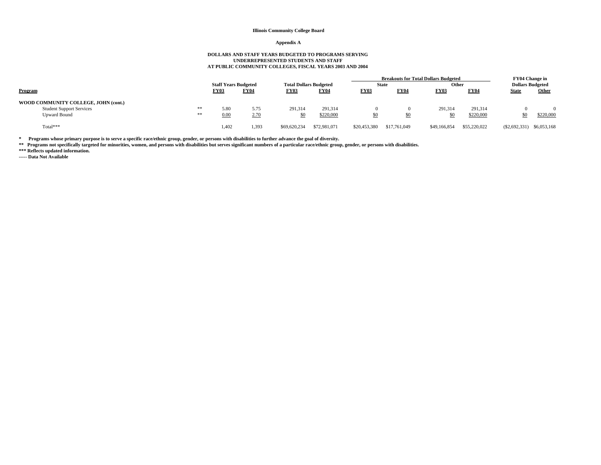#### **Appendix A**

# **DOLLARS AND STAFF YEARS BUDGETED TO PROGRAMS SERVING UNDERREPRESENTED STUDENTS AND STAFF AT PUBLIC COMMUNITY COLLEGES, FISCAL YEARS 2003 AND 2004**

|                                      |    |                             |             |              |                               |              |                 | <b>Breakouts for Total Dollars Budgeted</b> |              | FY04 Change in          |              |
|--------------------------------------|----|-----------------------------|-------------|--------------|-------------------------------|--------------|-----------------|---------------------------------------------|--------------|-------------------------|--------------|
|                                      |    | <b>Staff Years Budgeted</b> |             |              | <b>Total Dollars Budgeted</b> |              | <b>State</b>    | Other                                       |              | <b>Dollars Budgeted</b> |              |
| Program                              |    | <b>FY03</b>                 | <b>FY04</b> | <b>FY03</b>  | <b>FY04</b>                   | <b>FY03</b>  | <b>FY04</b>     | <b>FY03</b>                                 | <b>FY04</b>  | <b>State</b>            | <b>Other</b> |
| WOOD COMMUNITY COLLEGE, JOHN (cont.) |    |                             |             |              |                               |              |                 |                                             |              |                         |              |
| <b>Student Support Services</b>      | ** | 5.80                        | 5.75        | 291,314      | 291.314                       |              |                 | 291.314                                     | 291.314      |                         |              |
| <b>Upward Bound</b>                  | ** | 0.00                        | 2.70        |              | \$220,000                     | SO.<br>--    | \$0<br><u>—</u> | <u>\$0</u>                                  | \$220,000    | \$0                     | \$220,000    |
| $Total***$                           |    | 1.402                       | 1,393       | \$69,620,234 | \$72,981,071                  | \$20,453,380 | \$17,761,049    | \$49,166,854                                | \$55,220,022 | $(\$2,692,331)$         | \$6,053,168  |

\* Programs whose primary purpose is to serve a specific race/ethnic group, gender, or persons with disabilities to further advance the goal of diversity.<br>\*\* Programs not specifically targeted for minorities, women, and per

**\*\*\* Reflects updated information. ----- Data Not Available**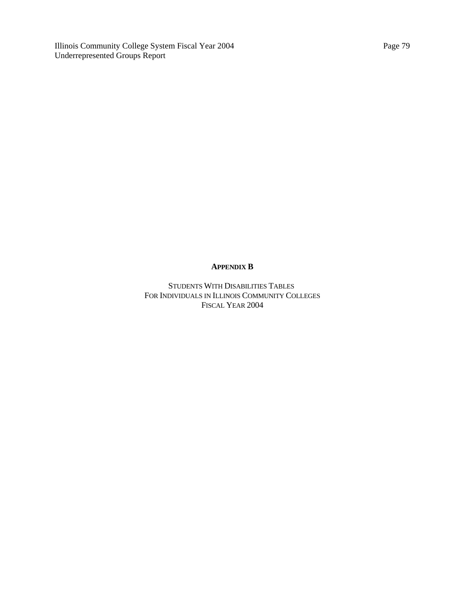Illinois Community College System Fiscal Year 2004 Underrepresented Groups Report

# **APPENDIX B**

STUDENTS WITH DISABILITIES TABLES FOR INDIVIDUALS IN ILLINOIS COMMUNITY COLLEGES FISCAL YEAR 2004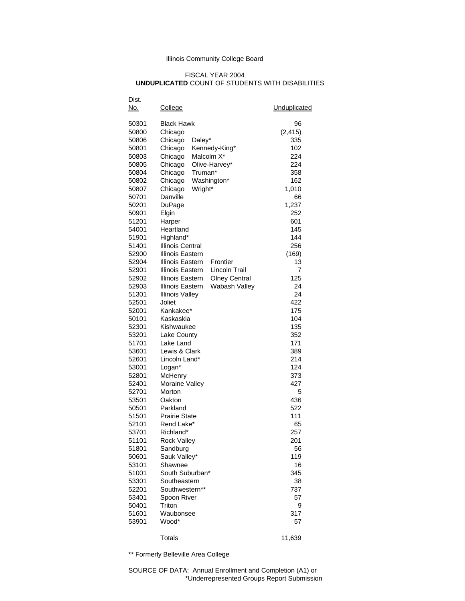# FISCAL YEAR 2004 **UNDUPLICATED** COUNT OF STUDENTS WITH DISABILITIES

| Dist.<br>No.   | College                                  | Unduplicated |
|----------------|------------------------------------------|--------------|
| 50301          | <b>Black Hawk</b>                        | 96           |
| 50800          | Chicago                                  | (2, 415)     |
| 50806          | Daley*<br>Chicago                        | 335          |
| 50801          | Kennedy-King*<br>Chicago                 | 102          |
| 50803          | Malcolm X <sup>*</sup><br>Chicago        | 224          |
| 50805          | Chicago<br>Olive-Harvey*                 | 224          |
| 50804          | Chicago<br>Truman*                       | 358          |
| 50802          | Chicago<br>Washington*                   | 162          |
| 50807          | Wright*<br>Chicago                       | 1,010        |
| 50701          | Danville                                 | 66           |
| 50201          | DuPage                                   | 1,237        |
| 50901          | Elgin                                    | 252          |
| 51201          | Harper                                   | 601          |
| 54001          | Heartland                                | 145          |
| 51901          | Highland*                                | 144          |
| 51401          | <b>Illinois Central</b>                  | 256          |
| 52900          | Illinois Eastern                         | (169)        |
| 52904          | Illinois Eastern<br>Frontier             | 13           |
| 52901          | Lincoln Trail<br>Illinois Eastern        | 7            |
| 52902          | Illinois Eastern<br><b>Olney Central</b> | 125          |
| 52903          | Illinois Eastern<br>Wabash Valley        | 24           |
| 51301          | <b>Illinois Valley</b>                   | 24           |
| 52501          | Joliet                                   | 422          |
| 52001          | Kankakee*                                | 175          |
| 50101          | Kaskaskia                                | 104          |
| 52301          | Kishwaukee                               | 135          |
| 53201          | Lake County                              | 352          |
| 51701          | Lake Land                                | 171          |
| 53601          | Lewis & Clark                            | 389          |
| 52601          | Lincoln Land*                            | 214          |
| 53001          | Logan*                                   | 124          |
| 52801          | McHenry                                  | 373          |
| 52401          | <b>Moraine Valley</b>                    | 427          |
| 52701          | Morton                                   | 5            |
| 53501          | Oakton                                   | 436          |
| 50501          | Parkland                                 | 522          |
| 51501          | <b>Prairie State</b>                     | 111          |
| 52101          | Rend Lake*                               | 65           |
| 53701          | Richland*                                | 257          |
| 51101          | <b>Rock Valley</b>                       | 201          |
| 51801          | Sandburg                                 | 56           |
| 50601          | Sauk Valley*                             | 119          |
| 53101          | Shawnee                                  | 16           |
| 51001          | South Suburban*                          | 345          |
| 53301          | Southeastern                             | 38           |
| 52201          | Southwestern**                           | 737          |
| 53401          | Spoon River<br>Triton                    | 57           |
| 50401<br>51601 | Waubonsee                                | 9<br>317     |
| 53901          | Wood*                                    | <u>57</u>    |
|                |                                          |              |
|                | <b>Totals</b>                            | 11,639       |

\*\* Formerly Belleville Area College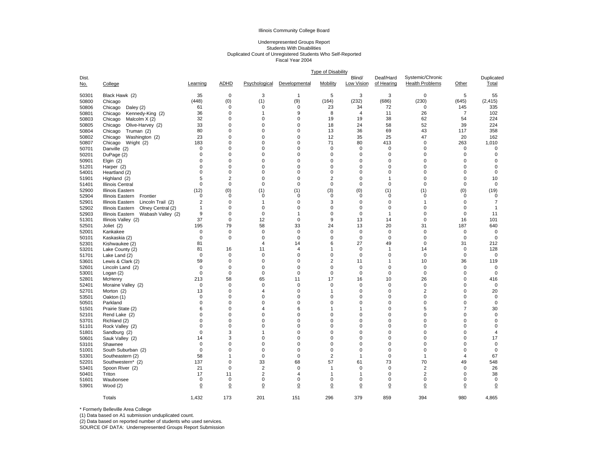# Underrepresented Groups Report Students With Disabilities Duplicated Count of Unregistered Students Who Self-Reported Fiscal Year 2004

|                     |                                       | <b>Type of Disability</b>  |                |                            |                  |                |                      |                            |                                            |                     |                            |  |
|---------------------|---------------------------------------|----------------------------|----------------|----------------------------|------------------|----------------|----------------------|----------------------------|--------------------------------------------|---------------------|----------------------------|--|
| Dist.<br><u>No.</u> | College                               | Learning                   | <b>ADHD</b>    | Psychological              | Developmental    | Mobility       | Blind/<br>Low Vision | Deaf/Hard<br>of Hearing    | Systemic/Chronic<br><b>Health Problems</b> | Other               | Duplicated<br>Total        |  |
| 50301               | Black Hawk (2)                        | 35                         | 0              | 3                          | $\overline{1}$   | 5              | 3                    | 3                          | $\mathbf 0$                                | 5                   | 55                         |  |
| 50800               | Chicago                               | (448)                      | (0)            | (1)                        | (9)              | (164)          | (232)                | (686)                      | (230)                                      | (645)               | (2, 415)                   |  |
| 50806               | Chicago<br>Daley (2)                  | 61                         | 0              | $\pmb{0}$                  | 0                | 23             | 34                   | 72                         | $\mathbf 0$                                | 145                 | 335                        |  |
| 50801               | Chicago<br>Kennedy-King (2)           | 36                         | 0              | 1                          | 9                | 8              | $\overline{4}$       | 11                         | 26                                         | $\overline{7}$      | 102                        |  |
| 50803               | Chicago<br>Malcolm X (2)              | 32                         | 0              | $\mathbf 0$                | 0                | 19             | 19                   | 38                         | 62                                         | 54                  | 224                        |  |
| 50805               | Olive-Harvey (2)<br>Chicago           | 33                         | $\mathbf 0$    | $\mathbf 0$                | $\mathbf 0$      | 18             | 24                   | 58                         | 52                                         | 39                  | 224                        |  |
| 50804               | Chicago<br>Truman (2)                 | 80                         | $\mathbf 0$    | $\mathbf 0$                | 0                | 13             | 36                   | 69                         | 43                                         | 117                 | 358                        |  |
| 50802               | Washington (2)<br>Chicago             | 23                         | 0              | $\mathbf 0$                | 0                | 12             | 35                   | 25                         | 47                                         | 20                  | 162                        |  |
| 50807               | Chicago Wright (2)                    | 183<br>$\mathbf 0$         | 0<br>0         | $\pmb{0}$<br>$\mathbf 0$   | 0<br>$\mathbf 0$ | 71<br>0        | 80<br>$\mathbf 0$    | 413<br>$\mathbf 0$         | $\mathbf 0$                                | 263<br>0            | 1,010                      |  |
| 50701               | Danville (2)                          | $\mathbf 0$                | $\mathbf 0$    | $\pmb{0}$                  | $\mathbf 0$      | 0              | 0                    | $\mathbf 0$                | $\mathbf 0$<br>$\mathbf 0$                 | $\mathbf 0$         | $\mathbf 0$<br>0           |  |
| 50201<br>50901      | DuPage (2)                            | $\mathbf 0$                | $\mathbf 0$    | $\mathbf 0$                | $\mathbf 0$      | $\mathbf 0$    | 0                    | $\mathbf 0$                | $\mathbf 0$                                | 0                   | $\mathbf 0$                |  |
| 51201               | Elgin $(2)$<br>Harper (2)             | $\mathbf 0$                | $\mathbf 0$    | $\mathbf 0$                | 0                | 0              | 0                    | $\mathbf 0$                | $\mathbf 0$                                | 0                   | $\mathbf 0$                |  |
| 54001               | Heartland (2)                         | $\mathbf 0$                | $\mathbf 0$    | $\mathbf 0$                | $\mathbf 0$      | 0              | 0                    | $\mathbf 0$                | $\Omega$                                   | 0                   | $\mathbf 0$                |  |
| 51901               | Highland (2)                          | 5                          | $\overline{2}$ | $\mathbf 0$                | $\mathbf 0$      | $\overline{2}$ | 0                    | $\mathbf{1}$               | $\mathbf 0$                                | 0                   | 10                         |  |
| 51401               | <b>Illinois Central</b>               | $\mathbf 0$                | $\mathbf 0$    | $\mathbf 0$                | $\mathbf 0$      | 0              | $\mathbf 0$          | $\mathbf 0$                | $\mathbf 0$                                | $\mathbf 0$         | $\mathbf 0$                |  |
| 52900               | Illinois Eastern                      | (12)                       | (0)            | (1)                        | (1)              | (3)            | (0)                  | (1)                        | (1)                                        | (0)                 | (19)                       |  |
| 52904               | Illinois Eastern<br>Frontier          | $\mathbf 0$                | $\mathbf 0$    | $\mathbf 0$                | $\mathbf 0$      | 0              | 0                    | $\mathbf 0$                | $\mathbf 0$                                | 0                   | $\mathbf 0$                |  |
| 52901               | Illinois Eastern<br>Lincoln Trail (2) | $\overline{2}$             | $\mathbf 0$    | $\mathbf{1}$               | $\mathbf 0$      | 3              | $\Omega$             | $\mathbf 0$                | 1                                          | 0                   | $\overline{7}$             |  |
| 52902               | Olney Central (2)<br>Illinois Eastern | $\mathbf{1}$               | 0              | $\mathbf 0$                | $\mathbf 0$      | 0              | $\mathbf 0$          | $\mathbf 0$                | $\mathbf 0$                                | 0                   | $\mathbf{1}$               |  |
| 52903               | Illinois Eastern<br>Wabash Valley (2) | 9                          | 0              | 0                          | 1                | 0              | 0                    | 1                          | $\mathbf 0$                                | 0                   | 11                         |  |
| 51301               | Illinois Valley (2)                   | 37                         | $\mathbf 0$    | 12                         | $\mathbf 0$      | 9              | 13                   | 14                         | $\Omega$                                   | 16                  | 101                        |  |
| 52501               | Joliet (2)                            | 195                        | 79             | 58                         | 33               | 24             | 13                   | 20                         | 31                                         | 187                 | 640                        |  |
| 52001               | Kankakee                              | $\mathbf 0$                | $\mathbf 0$    | $\pmb{0}$                  | $\mathbf 0$      | 0              | $\mathbf 0$          | $\mathbf 0$                | $\mathbf 0$                                | $\mathbf 0$         | $\mathbf 0$                |  |
| 50101               | Kaskaskia (2)                         | $\Omega$                   | $\mathbf 0$    | $\mathbf 0$                | $\Omega$         | $\mathbf 0$    | $\Omega$             | $\Omega$                   | $\Omega$                                   | $\Omega$            | $\mathbf 0$                |  |
| 52301               | Kishwaukee (2)                        | 81                         |                | $\overline{4}$             | 14               | 6              | 27                   | 49                         | $\mathbf 0$                                | 31                  | 212                        |  |
| 53201               | Lake County (2)                       | 81                         | 16             | 11                         | $\overline{4}$   | 1              | $\mathbf 0$          | 1                          | 14                                         | 0                   | 128                        |  |
| 51701               | Lake Land (2)                         | $\mathbf 0$                | $\mathbf 0$    | $\mathbf 0$                | $\mathbf 0$      | 0              | $\mathbf 0$          | $\mathbf 0$                | $\mathbf 0$                                | $\mathbf 0$         | $\mathbf 0$                |  |
| 53601               | Lewis & Clark (2)                     | 59                         | $\mathbf 0$    | $\mathbf 0$                | $\Omega$         | $\overline{2}$ | 11                   | 1                          | 10                                         | 36                  | 119                        |  |
| 52601               | Lincoln Land (2)                      | $\mathbf 0$                | $\mathbf 0$    | $\pmb{0}$                  | $\mathbf 0$      | 0              | $\mathbf 0$          | $\mathbf 0$                | $\mathbf 0$                                | 0                   | $\mathbf 0$                |  |
| 53001               | Logan (2)                             | $\mathbf 0$                | $\mathbf 0$    | 0                          | $\mathbf 0$      | 0              | 0                    | 0                          | 0                                          | 0                   | $\mathbf 0$                |  |
| 52801               | McHenry                               | 213                        | 58             | 65                         | 11               | 17             | 16                   | 10                         | 26                                         | 0                   | 416                        |  |
| 52401               | Moraine Valley (2)                    | $\mathbf 0$                | $\mathbf 0$    | 0                          | $\mathbf 0$      | 0              | 0                    | 0                          | 0                                          | 0                   | $\mathbf 0$                |  |
| 52701               | Morton (2)                            | 13                         | $\mathbf 0$    | $\overline{4}$             | $\mathbf 0$      | $\mathbf{1}$   | 0                    | $\mathbf 0$                | $\overline{2}$                             | 0                   | 20                         |  |
| 53501               | Oakton (1)                            | $\mathbf 0$                | 0              | $\mathbf 0$                | $\Omega$         | 0              | 0                    | $\mathbf 0$                | $\Omega$                                   | 0                   | 0                          |  |
| 50501               | Parkland                              | $\mathbf 0$                | $\mathbf 0$    | $\pmb{0}$                  | $\mathbf 0$      | 0              | 0                    | $\mathbf 0$                | $\mathbf 0$                                | 0                   | $\mathbf 0$                |  |
| 51501               | Prairie State (2)                     | 6                          | $\Omega$       | 4                          | 6                | 1              | 1                    | $\mathbf 0$                | 5<br>$\Omega$                              | $\overline{7}$<br>0 | 30                         |  |
| 52101               | Rend Lake (2)                         | $\mathbf 0$<br>$\mathbf 0$ | 0<br>0         | $\mathbf 0$<br>$\mathbf 0$ | 0<br>0           | 0<br>0         | 0<br>0               | $\mathbf 0$<br>$\mathbf 0$ | $\mathbf 0$                                | 0                   | $\mathbf 0$<br>$\mathbf 0$ |  |
| 53701<br>51101      | Richland (2)<br>Rock Valley (2)       | $\mathbf 0$                | $\mathbf 0$    | $\mathbf 0$                | $\mathbf 0$      | 0              | 0                    | $\mathbf 0$                | $\mathbf 0$                                | 0                   | $\mathbf 0$                |  |
| 51801               | Sandburg (2)                          | $\mathbf 0$                | 3              | 1                          | 0                | 0              | 0                    | $\mathbf 0$                | $\Omega$                                   | 0                   | $\overline{4}$             |  |
| 50601               | Sauk Valley (2)                       | 14                         | 3              | 0                          | 0                | 0              | 0                    | $\mathbf 0$                | $\mathbf 0$                                | 0                   | 17                         |  |
| 53101               | Shawnee                               | $\mathbf 0$                | 0              | 0                          | 0                | 0              | 0                    | $\mathbf 0$                | $\mathbf 0$                                | 0                   | 0                          |  |
| 51001               | South Suburban (2)                    | $\mathbf 0$                | $\mathbf 0$    | $\mathbf 0$                | 0                | 0              | 0                    | $\mathbf 0$                | $\mathbf 0$                                | 0                   | $\mathbf 0$                |  |
| 53301               | Southeastern (2)                      | 58                         | $\overline{1}$ | $\mathbf 0$                | $\mathbf 0$      | $\overline{2}$ | $\mathbf{1}$         | $\mathbf 0$                | $\overline{1}$                             | $\overline{4}$      | 67                         |  |
| 52201               | Southwestern* (2)                     | 137                        | $\mathbf 0$    | 33                         | 68               | 57             | 61                   | 73                         | 70                                         | 49                  | 548                        |  |
| 53401               | Spoon River (2)                       | 21                         | $\mathbf 0$    | $\overline{2}$             | $\mathsf 0$      | 1              | $\mathbf 0$          | $\mathbf 0$                | $\overline{2}$                             | 0                   | 26                         |  |
| 50401               | Triton                                | 17                         | 11             | $\overline{c}$             | $\overline{4}$   | 1              | $\mathbf{1}$         | $\mathbf 0$                | $\overline{2}$                             | 0                   | 38                         |  |
| 51601               | Waubonsee                             | $\mathbf 0$                | $\mathbf 0$    | $\pmb{0}$                  | $\mathbf 0$      | 0              | 0                    | 0                          | $\mathbf 0$                                | 0                   | $\mathbf 0$                |  |
| 53901               | Wood (2)                              | $\overline{0}$             | $\overline{0}$ | $\overline{0}$             | $\overline{0}$   | $\overline{0}$ | $\underline{0}$      | $\underline{0}$            | $\overline{0}$                             | $\overline{0}$      | $\Omega$                   |  |
|                     | Totals                                | 1,432                      | 173            | 201                        | 151              | 296            | 379                  | 859                        | 394                                        | 980                 | 4,865                      |  |

\* Formerly Belleville Area College (1) Data based on A1 submission unduplicated count.

(2) Data based on reported number of students who used services. SOURCE OF DATA: Underrepresented Groups Report Submission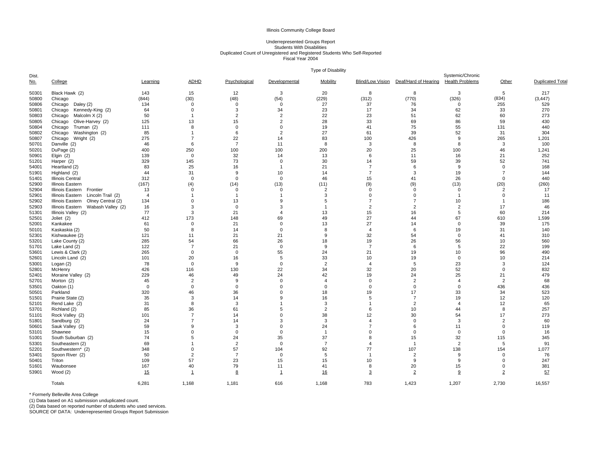## Underrepresented Groups Report Students With DisabilitiesDuplicated Count of Unregistered and Registered Students Who Self-Reported Fiscal Year 2004

|                     |                                       |                |                |                |                | Type of Disability |                         |                      |                                            |                |                        |
|---------------------|---------------------------------------|----------------|----------------|----------------|----------------|--------------------|-------------------------|----------------------|--------------------------------------------|----------------|------------------------|
| Dist.<br><u>No.</u> | College                               | Learning       | <b>ADHD</b>    | Psychological  | Developmental  | Mobility           | <b>Blind/Low Vision</b> | Deaf/Hard of Hearing | Systemic/Chronic<br><b>Health Problems</b> | Other          | <b>Duplicated Tota</b> |
|                     |                                       |                |                |                |                |                    |                         |                      |                                            |                |                        |
| 50301               | Black Hawk (2)                        | 143            | 15             | 12             | 3              | 20                 | 8                       | 8                    | 3                                          | 5              | 217                    |
| 50800               | Chicago                               | (844)          | (30)           | (48)           | (54)           | (229)              | (312)                   | (770)                | (326)                                      | (834)          | (3, 447)               |
| 50806               | Chicago Daley (2)                     | 134            | $\mathbf{0}$   | $\Omega$       | $\mathbf{0}$   | 27                 | 37                      | 76                   | $\Omega$                                   | 255            | 529                    |
| 50801               | Chicago Kennedy-King (2)              | 64             | $\mathbf 0$    | 3              | 34             | 23                 | 17                      | 34                   | 62                                         | 33             | 270                    |
| 50803               | Chicago<br>Malcolm X (2)              | 50             | -1             | 2              | $\overline{2}$ | 22                 | 23                      | 51                   | 62                                         | 60             | 273                    |
| 50805               | Olive-Harvey (2)<br>Chicago           | 125            | 13             | 15             | $\overline{2}$ | 28                 | 33                      | 69                   | 86                                         | 59             | 430                    |
| 50804               | Chicago<br>Truman (2)                 | 111            | 8              | $\Omega$       | $\mathbf{0}$   | 19                 | 41                      | 75                   | 55                                         | 131            | 440                    |
| 50802               | Chicago Washington (2)                | 85             | $\overline{1}$ | 6              | $\overline{2}$ | 27                 | 61                      | 39                   | 52                                         | 31             | 304                    |
| 50807               | Chicago Wright (2)                    | 275            | $\overline{7}$ | 22             | 14             | 83                 | 100                     | 426                  | 9                                          | 265            | 1,201                  |
| 50701               | Danville (2)                          | 46             | -6             | $\overline{7}$ | 11             | 8                  | 3                       | 8                    | $\mathsf{R}$                               | 3              | 100                    |
| 50201               | DuPage (2)                            | 400            | 250            | 100            | 100            | 200                | 20                      | 25                   | 100                                        | 46             | 1,241                  |
| 50901               | Elgin $(2)$                           | 139            | $\mathbf{0}$   | 32             | 14             | 13                 | 6                       | 11                   | 16                                         | 21             | 252                    |
| 51201               | Harper (2)                            | 329            | 145            | 73             | $\mathbf 0$    | 30                 | 14                      | 59                   | 39                                         | 52             | 741                    |
| 54001               | Heartland (2)                         | 83             | 25             | 16             | $\overline{1}$ | 21                 | $\overline{7}$          | 6                    | 9                                          | $\mathbf 0$    | 168                    |
| 51901               | Highland (2)                          | 44             | 31             | 9              | 10             | 14                 | $\overline{7}$          | 3                    | 19                                         | $\overline{7}$ | 144                    |
| 51401               | <b>Illinois Central</b>               | 312            | $\mathbf{0}$   | $\Omega$       | $\mathbf{0}$   | 46                 | 15                      | 41                   | 26                                         | $\mathbf 0$    | 440                    |
| 52900               | Illinois Eastern                      | (167)          | (4)            | (14)           | (13)           | (11)               | (9)                     | (9)                  | (13)                                       | (20)           | (260)                  |
| 52904               | Illinois Eastern<br>Frontier          | 13             | $\mathbf{0}$   | $\Omega$       | $\mathbf{0}$   | $\overline{2}$     | $\mathbf 0$             | $\mathbf 0$          | $\Omega$                                   | $\overline{2}$ | 17                     |
| 52901               | Illinois Eastern<br>Lincoln Trail (2) | $\overline{4}$ |                | -1             | -1             | 3                  | $\mathbf 0$             | $\mathbf 0$          | -1                                         | $\mathbf 0$    | 11                     |
| 52902               | Olney Central (2)<br>Illinois Eastern | 134            | $\mathbf 0$    | 13             | 9              | 5                  | $\overline{7}$          | $\overline{7}$       | 10                                         | $\overline{1}$ | 186                    |
| 52903               | Illinois Eastern Wabash Valley (2)    | 16             | 3              | $\Omega$       | 3              | -1                 | $\overline{2}$          | $\overline{2}$       | $\overline{2}$                             | 17             | 46                     |
| 51301               | Illinois Valley (2)                   | 77             | 3              | 21             | $\overline{4}$ | 13                 | 15                      | 16                   | 5                                          | 60             | 214                    |
| 52501               | Joliet (2)                            | 412            | 173            | 148            | 69             | 49                 | 27                      | 44                   | 67                                         | 610            | 1,599                  |
| 52001               | Kankakee                              | 61             | $\mathbf 0$    | 21             | $\mathbf 0$    | 13                 | 27                      | 14                   | $\mathbf{0}$                               | 39             | 175                    |
| 50101               | Kaskaskia (2)                         | 50             | 8              | 14             | $\mathbf 0$    | 8                  | $\overline{4}$          | 6                    | 19                                         | 31             | 140                    |
| 52301               | Kishwaukee (2)                        | 121            | 11             | 21             | 21             | 9                  | 32                      | 54                   | $\Omega$                                   | 41             | 310                    |
| 53201               | Lake County (2)                       | 285            | 54             | 66             | 26             | 18                 | 19                      | 26                   | 56                                         | 10             | 560                    |
| 51701               | Lake Land (2)                         | 122            | $\overline{7}$ | 21             | $\mathbf 0$    | 9                  | $\overline{7}$          | 6                    | 5                                          | 22             | 199                    |
| 53601               | Lewis & Clark (2)                     | 265            | $\mathbf 0$    | $\Omega$       | 55             | 24                 | 21                      | 19                   | 10                                         | 96             | 490                    |
| 52601               | Lincoln Land (2)                      | 101            | 20             | 16             | 5              | 33                 | 10                      | 19                   | $\Omega$                                   | 10             | 214                    |
| 53001               | Logan (2)                             | 78             | $\mathbf 0$    | 9              | $\mathsf 0$    | $\overline{2}$     | $\overline{4}$          | 5                    | 23                                         | 3              | 124                    |
| 52801               | McHenry                               | 426            | 116            | 130            | 22             | 34                 | 32                      | 20                   | 52                                         | $\mathbf 0$    | 832                    |
| 52401               | Moraine Valley (2)                    | 229            | 46             | 49             | 24             | 42                 | 19                      | 24                   | 25                                         | 21             | 479                    |
| 52701               | Morton (2)                            | 45             | $\overline{2}$ | 9              | $\mathbf 0$    | $\overline{4}$     | 0                       | $\overline{2}$       | $\overline{4}$                             | $\overline{2}$ | 68                     |
| 53501               | Oakton (1)                            | $\mathbf{0}$   | $\Omega$       | $\Omega$       | $\mathbf 0$    | $\Omega$           | $\mathbf 0$             | $\mathbf 0$          | $\Omega$                                   | 436            | 436                    |
| 50501               | Parkland                              | 320            | 46             | 36             | $\Omega$       | 18                 | 19                      | 17                   | 33                                         | 34             | 523                    |
| 51501               | Prairie State (2)                     | 35             | 3              | 14             | 9              | 16                 | 5                       | $\overline{7}$       | 19                                         | 12             | 120                    |
| 52101               | Rend Lake (2)                         | 31             | 8              | 3              | $\overline{1}$ | 3                  | $\overline{1}$          | $\overline{2}$       | $\overline{4}$                             | 12             | 65                     |
| 53701               | Richland (2)                          | 85             | 36             | 61             | 5              | $\overline{2}$     | 6                       | 10                   | 44                                         | 8              | 257                    |
| 51101               | Rock Valley (2)                       | 101            | $\overline{7}$ | 14             | $\mathbf 0$    | 38                 | 12                      | 30                   | 54                                         | 17             | 273                    |
| 51801               | Sandburg (2)                          | 24             | $\overline{7}$ | 14             | 3              | 3                  | 4                       | $\mathbf 0$          | 3                                          | $\overline{2}$ | 60                     |
| 50601               | Sauk Valley (2)                       | 59             | 9              | 3              | $\mathbf 0$    | 24                 | $\overline{7}$          | 6                    | 11                                         | $\mathbf 0$    | 119                    |
| 53101               | Shawnee                               | 15             | $\Omega$       | 0              | $\mathsf 0$    | $\overline{1}$     | $\mathbf 0$             | $\mathbf 0$          | $\mathbf 0$                                | $\mathbf 0$    | 16                     |
| 51001               | South Suburban (2)                    | 74             | 5              | 24             | 35             | 37                 | 8                       | 15                   | 32                                         | 115            | 345                    |
| 53301               | Southeastern (2)                      | 69             |                | $\overline{2}$ | $\mathbf{0}$   | $\overline{7}$     | $\overline{4}$          | $\overline{1}$       | $\overline{2}$                             | 5              | 91                     |
| 52201               | Southwestern* (2)                     | 348            | $\Omega$       | 57             | 104            | 92                 | 77                      | 107                  | 138                                        | 154            | 1,077                  |
| 53401               | Spoon River (2)                       | 50             | $\overline{2}$ | $\overline{7}$ | $\mathbf 0$    | 5                  | $\overline{1}$          | $\overline{2}$       | $\mathbf{Q}$                               | $\mathbf 0$    | 76                     |
| 50401               | Triton                                | 109            | 57             | 23             | 15             | 15                 | 10                      | 9                    | <sub>9</sub>                               | $\mathbf 0$    | 247                    |
| 51601               | Waubonsee                             | 167            | 40             | 79             | 11             | 41                 | 8                       | 20                   | 15                                         | $\mathbf 0$    | 381                    |
| 53901               | Wood (2)                              | 15             | 1              | 8              | $\mathbf{1}$   | 16                 | $\overline{3}$          | $\overline{2}$       | 9                                          | $\overline{2}$ | 57                     |
|                     | Totals                                | 6,281          | 1,168          | 1,181          | 616            | 1,168              | 783                     | 1,423                | 1,207                                      | 2,730          | 16,557                 |
|                     |                                       |                |                |                |                |                    |                         |                      |                                            |                |                        |

\* Formerly Belleville Area College<br>(1) Data based on A1 submission unduplicated count.<br>(2) Data based on reported number of students who used services.<br>SOURCE OF DATA: Underrepresented Groups Report Submission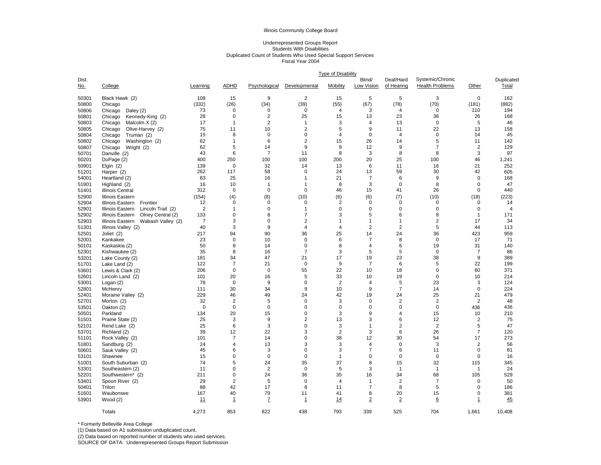#### Underrepresented Groups Report Students With Disabilities Duplicated Count of Students Who Used Special Support Services Fiscal Year 2004

|                     |                                       | <b>Type of Disability</b> |                               |                |                  |                |                      |                         |                                            |                |                     |  |
|---------------------|---------------------------------------|---------------------------|-------------------------------|----------------|------------------|----------------|----------------------|-------------------------|--------------------------------------------|----------------|---------------------|--|
| Dist.<br><u>No.</u> | College                               | Learning                  | <b>ADHD</b>                   | Psychological  | Developmental    | Mobility       | Blind/<br>Low Vision | Deaf/Hard<br>of Hearing | Systemic/Chronic<br><b>Health Problems</b> | Other          | Duplicated<br>Total |  |
| 50301               | Black Hawk (2)                        | 108                       | 15                            | 9              | $\overline{2}$   | 15             | 5                    | 5                       | 3                                          | $\Omega$       | 162                 |  |
| 50800               | Chicago                               | (332)                     | (26)                          | (34)           | (39)             | (55)           | (67)                 | (78)                    | (70)                                       | (181)          | (882)               |  |
| 50806               | Chicago<br>Daley $(2)$                | 73                        | $\mathbf 0$                   | 0              | $\mathbf 0$      | 4              | 3                    | 4                       | $\mathbf 0$                                | 110            | 194                 |  |
| 50801               | Chicago<br>Kennedy-King (2)           | 28                        | $\mathbf 0$                   | $\overline{2}$ | 25               | 15             | 13                   | 23                      | 36                                         | 26             | 168                 |  |
| 50803               | Malcolm X (2)<br>Chicago              | 17                        | $\overline{1}$                | $\overline{2}$ | $\overline{1}$   | 3              | $\overline{4}$       | 13                      | $\mathbf 0$                                | 5              | 46                  |  |
| 50805               | Olive-Harvey (2)<br>Chicago           | 75                        | 11                            | 10             | $\overline{2}$   | 5              | 9                    | 11                      | 22                                         | 13             | 158                 |  |
| 50804               | Chicago<br>Truman (2)                 | 15                        | 8                             | 0              | $\mathbf 0$      | $\overline{4}$ | $\mathbf 0$          | $\overline{4}$          | $\mathbf 0$                                | 14             | 45                  |  |
| 50802               | Chicago<br>Washington (2)             | 62                        | $\overline{1}$                | 6              | 2                | 15             | 26                   | 14                      | 5                                          | 11             | 142                 |  |
| 50807               | Wright (2)<br>Chicago                 | 62                        | 5                             | 14             | 9                | 9              | 12                   | 9                       | $\overline{7}$                             | $\overline{2}$ | 129                 |  |
| 50701               | Danville (2)                          | 43                        | 6                             | $\overline{7}$ | 11               | 8              | 3                    | 8                       | 8                                          | 3              | 97                  |  |
| 50201               | DuPage (2)                            | 400                       | 250                           | 100            | 100              | 200            | 20                   | 25                      | 100                                        | 46             | 1,241               |  |
| 50901               | Elgin $(2)$                           | 139                       | $\mathbf 0$                   | 32             | 14               | 13             | 6                    | 11                      | 16                                         | 21             | 252                 |  |
| 51201               | Harper (2)                            | 262                       | 117                           | 58             | 0                | 24             | 13                   | 59                      | 30                                         | 42             | 605                 |  |
| 54001               | Heartland (2)                         | 83                        | 25                            | 16             | $\overline{1}$   | 21             | $\overline{7}$       | 6                       | 9                                          | $\mathbf 0$    | 168                 |  |
| 51901               | Highland (2)                          | 16                        | 10                            | $\mathbf{1}$   | $\overline{1}$   | 8              | 3                    | $\mathbf 0$             | 8                                          | $\mathbf 0$    | 47                  |  |
| 51401               | <b>Illinois Central</b>               | 312                       | $\mathbf 0$                   | $\mathbf 0$    | $\mathbf 0$      | 46             | 15                   | 41                      | 26                                         | $\Omega$       | 440                 |  |
| 52900               | <b>Illinois Eastern</b>               | (154)                     | (4)                           | (8)            | (10)             | (6)            | (6)                  | (7)                     | (10)                                       | (18)           | (223)               |  |
| 52904               | Illinois Eastern<br>Frontier          | 12                        | $\mathbf 0$                   | 0              | $\mathbf 0$      | $\overline{2}$ | $\mathbf 0$          | $\mathbf 0$             | 0                                          | 0              | 14                  |  |
| 52901               | Illinois Eastern<br>Lincoln Trail (2) | 2                         | $\overline{1}$                | 0              | $\overline{1}$   | $\pmb{0}$      | 0                    | $\mathbf 0$             | $\Omega$                                   | $\mathbf 0$    | $\overline{4}$      |  |
| 52902               | Illinois Eastern<br>Olney Central (2) | 133                       | $\mathbf 0$                   | 8              | $\overline{7}$   | 3              | 5                    | 6                       | 8                                          | $\mathbf{1}$   | 171                 |  |
| 52903               | Illinois Eastern<br>Wabash Valley (2) | $\overline{7}$            | 3                             | $\mathbf 0$    | $\overline{2}$   | $\mathbf{1}$   | $\mathbf{1}$         | $\mathbf{1}$            | $\overline{2}$                             | 17             | 34                  |  |
| 51301               | Illinois Valley (2)                   | 40                        | $\ensuremath{\mathsf{3}}$     | 9              | $\overline{4}$   | 4              | $\overline{2}$       | $\overline{c}$          | 5                                          | 44             | 113                 |  |
| 52501               | Joliet (2)                            | 217                       | 94                            | 90             | 36               | 25             | 14                   | 24                      | 36                                         | 423            | 959                 |  |
| 52001               | Kankakee                              | 23                        | $\mathbf 0$                   | 10             | $\mathbf 0$      | 6              | $\overline{7}$       | 8                       | $\mathbf 0$                                | 17             | 71                  |  |
| 50101               | Kaskaskia (2)                         | 50                        | 8                             | 14             | $\mathbf 0$      | 8              | $\overline{4}$       | 6                       | 19                                         | 31             | 140                 |  |
| 52301               | Kishwaukee (2)                        | 35                        | 8                             | 16             | $\overline{7}$   | 3              | 5                    | 5                       | $\mathbf 0$                                | $\overline{7}$ | 86                  |  |
| 53201               | Lake County (2)                       | 181                       | 34                            | 47             | 21               | 17             | 19                   | 23                      | 38                                         | 9              | 389                 |  |
| 51701               | Lake Land (2)                         | 122                       | $\overline{7}$<br>$\mathbf 0$ | 21             | 0                | 9<br>22        | $\overline{7}$       | 6                       | 5<br>0                                     | 22             | 199                 |  |
| 53601               | Lewis & Clark (2)                     | 206                       |                               | $\mathbf 0$    | 55               |                | 10                   | 18                      |                                            | 60             | 371                 |  |
| 52601<br>53001      | Lincoln Land (2)                      | 101<br>78                 | 20<br>$\mathbf 0$             | 16<br>9        | 5<br>$\mathbf 0$ | 33<br>2        | 10<br>$\overline{4}$ | 19<br>5                 | $\mathbf 0$<br>23                          | 10<br>3        | 214<br>124          |  |
| 52801               | Logan $(2)$                           | 111                       | 30                            | 34             | $9\,$            | 10             | 9                    | $\overline{7}$          | 14                                         | $\mathbf 0$    | 224                 |  |
|                     | McHenry                               | 229                       |                               |                | 24               |                | 19                   |                         |                                            | 21             | 479                 |  |
| 52401<br>52701      | Moraine Valley (2)<br>Morton (2)      | 32                        | 46<br>2                       | 49<br>5        | $\mathbf 0$      | 42<br>3        | $\mathbf 0$          | 24<br>$\overline{2}$    | 25<br>$\overline{2}$                       | $\overline{2}$ | 48                  |  |
| 53501               | Oakton (2)                            | $\mathbf 0$               | $\mathbf 0$                   | $\mathbf 0$    | $\mathbf 0$      | $\mathbf 0$    | $\mathbf 0$          | $\mathbf 0$             | $\mathbf 0$                                | 436            | 436                 |  |
| 50501               | Parkland                              | 134                       | 20                            | 15             | $\mathbf 0$      | 3              | 9                    | $\overline{4}$          | 15                                         | 10             | 210                 |  |
| 51501               | Prairie State (2)                     | 25                        | 3                             | 9              | 2                | 13             | 3                    | 6                       | 12                                         | $\overline{2}$ | 75                  |  |
| 52101               | Rend Lake (2)                         | 25                        | 6                             | 3              | $\mathbf 0$      | 3              | 1                    | $\sqrt{2}$              | $\overline{2}$                             | 5              | 47                  |  |
| 53701               | Richland (2)                          | 39                        | 12                            | 22             | 3                | $\overline{2}$ | 3                    | 6                       | 26                                         | $\overline{7}$ | 120                 |  |
| 51101               | Rock Valley (2)                       | 101                       | $\overline{7}$                | 14             | $\mathbf 0$      | 38             | 12                   | 30                      | 54                                         | 17             | 273                 |  |
| 51801               | Sandburg (2)                          | 24                        | $\overline{4}$                | 13             | 3                | 3              | $\overline{4}$       | $\mathbf 0$             | 3                                          | $\overline{2}$ | 56                  |  |
| 50601               | Sauk Valley (2)                       | 45                        | 6                             | 3              | $\mathbf 0$      | 3              | $\overline{7}$       | 6                       | 11                                         | $\mathbf 0$    | 81                  |  |
| 53101               | Shawnee                               | 15                        | $\mathbf 0$                   | 0              | $\mathbf 0$      | 1              | 0                    | $\mathbf 0$             | $\mathbf 0$                                | 0              | 16                  |  |
| 51001               | South Suburban (2)                    | 74                        | 5                             | 24             | 35               | 37             | 8                    | 15                      | 32                                         | 115            | 345                 |  |
| 53301               | Southeastern (2)                      | 11                        | $\mathbf 0$                   | $\overline{2}$ | $\mathbf 0$      | 5              | 3                    | $\mathbf{1}$            | $\mathbf{1}$                               | $\overline{1}$ | 24                  |  |
| 52201               | Southwestern* (2)                     | 211                       | $\mathbf 0$                   | 24             | 36               | 35             | 16                   | 34                      | 68                                         | 105            | 529                 |  |
| 53401               | Spoon River (2)                       | 29                        | $\overline{c}$                | 5              | $\mathbf 0$      | $\overline{4}$ | $\mathbf{1}$         | $\sqrt{2}$              | $\overline{7}$                             | 0              | 50                  |  |
| 50401               | Triton                                | 88                        | 42                            | 17             | 8                | 11             | $\overline{7}$       | 8                       | 5                                          | 0              | 186                 |  |
| 51601               | Waubonsee                             | 167                       | 40                            | 79             | 11               | 41             | 8                    | 20                      | 15                                         | 0              | 381                 |  |
| 53901               | Wood(2)                               | 11                        | $\mathbf{1}$                  | $\overline{I}$ | $\mathbf{1}$     | 14             | $\overline{2}$       | $\overline{2}$          | 6                                          | $\mathbf{1}$   | 45                  |  |
|                     | Totals                                | 4.273                     | 853                           | 822            | 438              | 793            | 339                  | 525                     | 704                                        | 1.661          | 10.408              |  |
|                     |                                       |                           |                               |                |                  |                |                      |                         |                                            |                |                     |  |

\* Formerly Belleville Area College

(1) Data based on A1 submission unduplicated count.

(2) Data based on reported number of students who used services.

SOURCE OF DATA: Underrepresented Groups Report Submission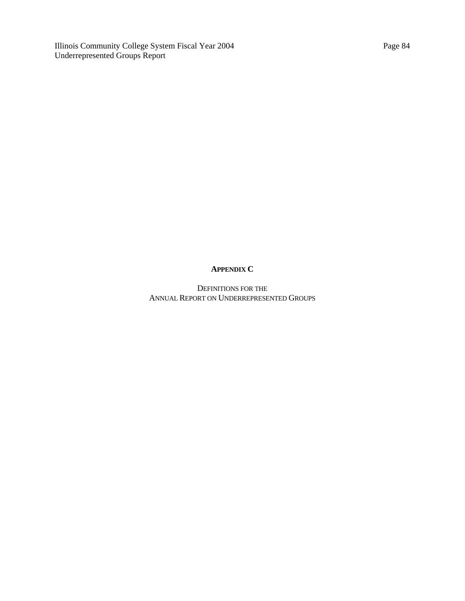Illinois Community College System Fiscal Year 2004 Underrepresented Groups Report

# **APPENDIX C**

DEFINITIONS FOR THE ANNUAL REPORT ON UNDERREPRESENTED GROUPS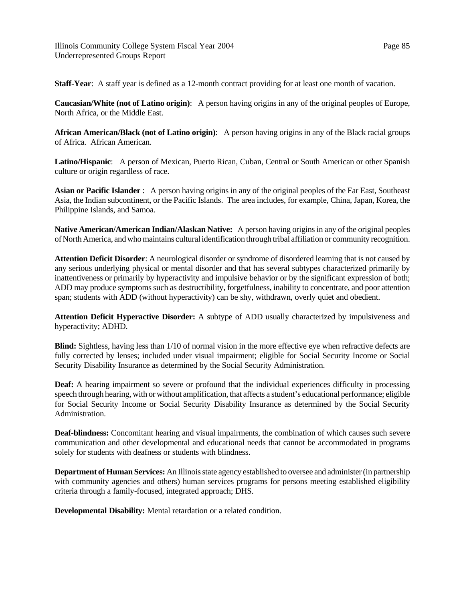**Staff-Year**: A staff year is defined as a 12-month contract providing for at least one month of vacation.

**Caucasian/White (not of Latino origin)**: A person having origins in any of the original peoples of Europe, North Africa, or the Middle East.

**African American/Black (not of Latino origin)**: A person having origins in any of the Black racial groups of Africa. African American.

**Latino/Hispanic**: A person of Mexican, Puerto Rican, Cuban, Central or South American or other Spanish culture or origin regardless of race.

**Asian or Pacific Islander** : A person having origins in any of the original peoples of the Far East, Southeast Asia, the Indian subcontinent, or the Pacific Islands. The area includes, for example, China, Japan, Korea, the Philippine Islands, and Samoa.

**Native American/American Indian/Alaskan Native:** A person having origins in any of the original peoples of North America, and who maintains cultural identification through tribal affiliation or community recognition.

**Attention Deficit Disorder**: A neurological disorder or syndrome of disordered learning that is not caused by any serious underlying physical or mental disorder and that has several subtypes characterized primarily by inattentiveness or primarily by hyperactivity and impulsive behavior or by the significant expression of both; ADD may produce symptoms such as destructibility, forgetfulness, inability to concentrate, and poor attention span; students with ADD (without hyperactivity) can be shy, withdrawn, overly quiet and obedient.

**Attention Deficit Hyperactive Disorder:** A subtype of ADD usually characterized by impulsiveness and hyperactivity; ADHD.

**Blind:** Sightless, having less than 1/10 of normal vision in the more effective eye when refractive defects are fully corrected by lenses; included under visual impairment; eligible for Social Security Income or Social Security Disability Insurance as determined by the Social Security Administration.

**Deaf:** A hearing impairment so severe or profound that the individual experiences difficulty in processing speech through hearing, with or without amplification, that affects a student's educational performance; eligible for Social Security Income or Social Security Disability Insurance as determined by the Social Security Administration.

**Deaf-blindness:** Concomitant hearing and visual impairments, the combination of which causes such severe communication and other developmental and educational needs that cannot be accommodated in programs solely for students with deafness or students with blindness.

**Department of Human Services:** An Illinois state agency established to oversee and administer (in partnership with community agencies and others) human services programs for persons meeting established eligibility criteria through a family-focused, integrated approach; DHS.

**Developmental Disability:** Mental retardation or a related condition.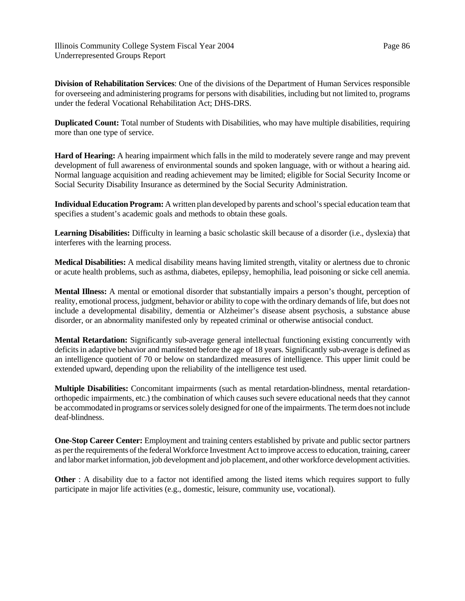Illinois Community College System Fiscal Year 2004 Underrepresented Groups Report

**Division of Rehabilitation Services**: One of the divisions of the Department of Human Services responsible for overseeing and administering programs for persons with disabilities, including but not limited to, programs under the federal Vocational Rehabilitation Act; DHS-DRS.

**Duplicated Count:** Total number of Students with Disabilities, who may have multiple disabilities, requiring more than one type of service.

**Hard of Hearing:** A hearing impairment which falls in the mild to moderately severe range and may prevent development of full awareness of environmental sounds and spoken language, with or without a hearing aid. Normal language acquisition and reading achievement may be limited; eligible for Social Security Income or Social Security Disability Insurance as determined by the Social Security Administration.

**Individual Education Program:** A written plan developed by parents and school's special education team that specifies a student's academic goals and methods to obtain these goals.

**Learning Disabilities:** Difficulty in learning a basic scholastic skill because of a disorder (i.e., dyslexia) that interferes with the learning process.

**Medical Disabilities:** A medical disability means having limited strength, vitality or alertness due to chronic or acute health problems, such as asthma, diabetes, epilepsy, hemophilia, lead poisoning or sicke cell anemia.

**Mental Illness:** A mental or emotional disorder that substantially impairs a person's thought, perception of reality, emotional process, judgment, behavior or ability to cope with the ordinary demands of life, but does not include a developmental disability, dementia or Alzheimer's disease absent psychosis, a substance abuse disorder, or an abnormality manifested only by repeated criminal or otherwise antisocial conduct.

**Mental Retardation:** Significantly sub-average general intellectual functioning existing concurrently with deficits in adaptive behavior and manifested before the age of 18 years. Significantly sub-average is defined as an intelligence quotient of 70 or below on standardized measures of intelligence. This upper limit could be extended upward, depending upon the reliability of the intelligence test used.

**Multiple Disabilities:** Concomitant impairments (such as mental retardation-blindness, mental retardationorthopedic impairments, etc.) the combination of which causes such severe educational needs that they cannot be accommodated in programs or services solely designed for one of the impairments. The term does not include deaf-blindness.

**One-Stop Career Center:** Employment and training centers established by private and public sector partners as per the requirements of the federal Workforce Investment Act to improve access to education, training, career and labor market information, job development and job placement, and other workforce development activities.

**Other** : A disability due to a factor not identified among the listed items which requires support to fully participate in major life activities (e.g., domestic, leisure, community use, vocational).